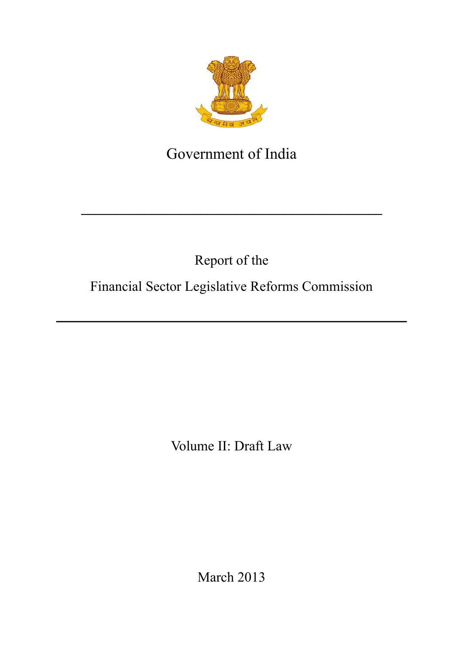<span id="page-0-0"></span>

# Government of India

**\_\_\_\_\_\_\_\_\_\_\_\_\_\_\_\_\_\_\_\_\_\_\_\_\_\_\_\_\_\_\_\_\_\_\_\_\_\_\_\_\_\_\_**

# Report of the

# Financial Sector Legislative Reforms Commission

Volume II: Draft Law

March 2013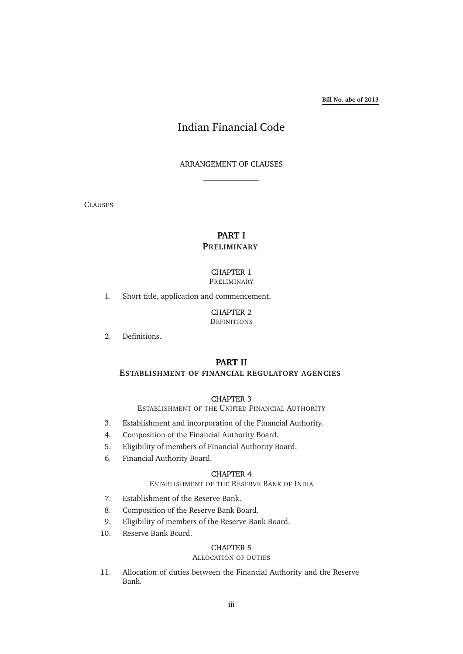**Bill No. abc of 2013**

# Indian Financial Code

ARRANGEMENT OF CLAUSES

CLAUSES

### **PART [I](#page-22-0) P[RELIMINARY](#page-22-0)**

#### CHAPTER [1](#page-22-1) P[RELIMINARY](#page-22-1)

[1. Short title, application and commencement.](#page-22-2)

CHAPTER [2](#page-22-3) **D[EFINITIONS](#page-22-3)** 

[2. Definitions.](#page-22-4)

### **PART [II](#page-36-0)**

### **E[STABLISHMENT OF FINANCIAL REGULATORY AGENCIES](#page-36-0)**

#### CHAPTER [3](#page-36-1)

E[STABLISHMENT OF THE](#page-36-1) UNIFIED FINANCIAL AUTHORITY

- [3. Establishment and incorporation of the Financial Authority.](#page-36-2)
- [4. Composition of the Financial Authority Board.](#page-36-3)
- [5. Eligibility of members of Financial Authority Board.](#page-36-4)
- [6. Financial Authority Board.](#page-36-5)

### CHAPTER [4](#page-37-0)

### E[STABLISHMENT OF THE](#page-37-0) RESERVE BANK OF INDIA

- [7. Establishment of the Reserve Bank.](#page-37-1)
- [8. Composition of the Reserve Bank Board.](#page-37-2)
- [9. Eligibility of members of the Reserve Bank Board.](#page-37-3)
- [10. Reserve Bank Board.](#page-38-0)

### CHAPTER [5](#page-38-1)

### A[LLOCATION OF DUTIES](#page-38-1)

[11. Allocation of duties between the Financial Authority and the Reserve](#page-38-2) [Bank.](#page-38-2)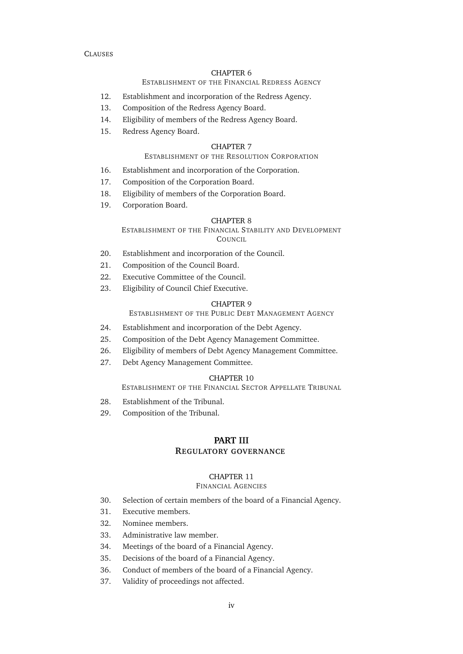### E[STABLISHMENT OF THE](#page-38-3) FINANCIAL REDRESS AGENCY

- [12. Establishment and incorporation of the Redress Agency.](#page-38-4)
- [13. Composition of the Redress Agency Board.](#page-38-5)
- [14. Eligibility of members of the Redress Agency Board.](#page-39-0)
- [15. Redress Agency Board.](#page-39-1)

#### CHAPTER [7](#page-39-2)

#### E[STABLISHMENT OF THE](#page-39-2) RESOLUTION CORPORATION

- [16. Establishment and incorporation of the Corporation.](#page-39-3)
- [17. Composition of the Corporation Board.](#page-39-4)
- [18. Eligibility of members of the Corporation Board.](#page-40-0)
- [19. Corporation Board.](#page-40-1)

#### CHAPTER [8](#page-40-2)

E[STABLISHMENT OF THE](#page-40-2) FINANCIAL STABILITY AND DEVELOPMENT C[OUNCIL](#page-40-2)

- [20. Establishment and incorporation of the Council.](#page-40-3)
- [21. Composition of the Council Board.](#page-40-4)
- [22. Executive Committee of the Council.](#page-41-0)
- [23. Eligibility of Council Chief Executive.](#page-41-1)

#### CHAPTER [9](#page-41-2)

E[STABLISHMENT OF THE](#page-41-2) PUBLIC DEBT MANAGEMENT AGENCY

- [24. Establishment and incorporation of the Debt Agency.](#page-41-3)
- [25. Composition of the Debt Agency Management Committee.](#page-42-0)
- [26. Eligibility of members of Debt Agency Management Committee.](#page-42-1)
- [27. Debt Agency Management Committee.](#page-42-2)

#### CHAPTER [10](#page-43-0)

E[STABLISHMENT OF THE](#page-43-0) FINANCIAL SECTOR APPELLATE TRIBUNAL

- [28. Establishment of the Tribunal.](#page-43-1)
- [29. Composition of the Tribunal.](#page-43-2)

### **PART [III](#page-44-0) R[EGULATORY GOVERNANCE](#page-44-0)**

### CHAPTER [11](#page-44-1)

#### F[INANCIAL](#page-44-1) AGENCIES

- [30. Selection of certain members of the board of a Financial Agency.](#page-44-2)
- [31. Executive members.](#page-44-3)
- [32. Nominee members.](#page-45-0)
- [33. Administrative law member.](#page-45-1)
- [34. Meetings of the board of a Financial Agency.](#page-45-2)
- [35. Decisions of the board of a Financial Agency.](#page-45-3)
- [36. Conduct of members of the board of a Financial Agency.](#page-46-0)
- [37. Validity of proceedings not affected.](#page-46-1)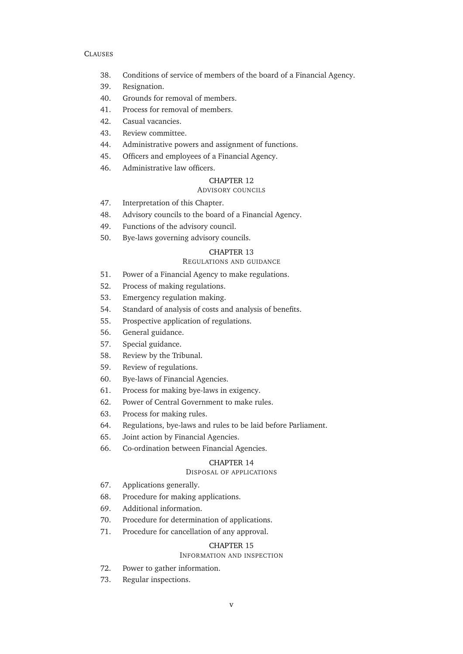- [38. Conditions of service of members of the board of a Financial Agency.](#page-46-2)
- [39. Resignation.](#page-47-0)
- [40. Grounds for removal of members.](#page-47-1)
- [41. Process for removal of members.](#page-47-2)
- [42. Casual vacancies.](#page-48-0)
- [43. Review committee.](#page-48-1)
- [44. Administrative powers and assignment of functions.](#page-49-0)
- [45. Officers and employees of a Financial Agency.](#page-49-1)
- [46. Administrative law officers.](#page-49-2)

### A[DVISORY COUNCILS](#page-49-3)

- [47. Interpretation of this Chapter.](#page-49-4)
- [48. Advisory councils to the board of a Financial Agency.](#page-49-5)
- [49. Functions of the advisory council.](#page-50-0)
- [50. Bye-laws governing advisory councils.](#page-50-1)

### CHAPTER [13](#page-51-0)

### R[EGULATIONS AND GUIDANCE](#page-51-0)

- [51. Power of a Financial Agency to make regulations.](#page-51-1)
- [52. Process of making regulations.](#page-51-2)
- [53. Emergency regulation making.](#page-52-0)
- [54. Standard of analysis of costs and analysis of benefits.](#page-52-1)
- [55. Prospective application of regulations.](#page-52-2)
- [56. General guidance.](#page-52-3)
- [57. Special guidance.](#page-53-0)
- [58. Review by the Tribunal.](#page-53-1)
- [59. Review of regulations.](#page-54-0)
- [60. Bye-laws of Financial Agencies.](#page-54-1)
- [61. Process for making bye-laws in exigency.](#page-54-2)
- [62. Power of Central Government to make rules.](#page-55-0)
- [63. Process for making rules.](#page-55-1)
- [64. Regulations, bye-laws and rules to be laid before Parliament.](#page-55-2)
- [65. Joint action by Financial Agencies.](#page-55-3)
- [66. Co-ordination between Financial Agencies.](#page-55-4)

#### CHAPTER [14](#page-56-0)

### D[ISPOSAL OF APPLICATIONS](#page-56-0)

- [67. Applications generally.](#page-56-1)
- [68. Procedure for making applications.](#page-56-2)
- [69. Additional information.](#page-56-3)
- [70. Procedure for determination of applications.](#page-56-4)
- [71. Procedure for cancellation of any approval.](#page-57-0)

#### CHAPTER [15](#page-57-1)

### I[NFORMATION AND INSPECTION](#page-57-1)

- [72. Power to gather information.](#page-57-2)
- [73. Regular inspections.](#page-58-0)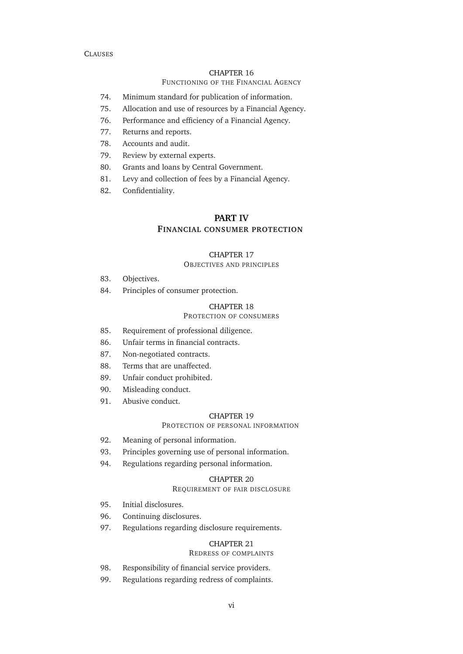### F[UNCTIONING OF THE](#page-58-1) FINANCIAL AGENCY

- [74. Minimum standard for publication of information.](#page-58-2)
- [75. Allocation and use of resources by a Financial Agency.](#page-59-0)
- [76. Performance and efficiency of a Financial Agency.](#page-59-1)
- [77. Returns and reports.](#page-60-0)
- [78. Accounts and audit.](#page-60-1)
- [79. Review by external experts.](#page-61-0)
- [80. Grants and loans by Central Government.](#page-62-0)
- [81. Levy and collection of fees by a Financial Agency.](#page-62-1)
- [82. Confidentiality.](#page-62-2)

### **PART [IV](#page-64-0)**

### **F[INANCIAL CONSUMER PROTECTION](#page-64-0)**

#### CHAPTER [17](#page-64-1)

#### O[BJECTIVES AND PRINCIPLES](#page-64-1)

- [83. Objectives.](#page-64-2)
- [84. Principles of consumer protection.](#page-64-3)

#### CHAPTER [18](#page-65-0)

### P[ROTECTION OF CONSUMERS](#page-65-0)

- [85. Requirement of professional diligence.](#page-65-1)
- [86. Unfair terms in financial contracts.](#page-65-2)
- [87. Non-negotiated contracts.](#page-66-0)
- [88. Terms that are unaffected.](#page-66-1)
- [89. Unfair conduct prohibited.](#page-66-2)
- [90. Misleading conduct.](#page-66-3)
- [91. Abusive conduct.](#page-67-0)

#### CHAPTER [19](#page-67-1)

#### P[ROTECTION OF PERSONAL INFORMATION](#page-67-1)

- [92. Meaning of personal information.](#page-67-2)
- [93. Principles governing use of personal information.](#page-68-0)
- [94. Regulations regarding personal information.](#page-68-1)

#### CHAPTER [20](#page-69-0)

#### R[EQUIREMENT OF FAIR DISCLOSURE](#page-69-0)

- [95. Initial disclosures.](#page-69-1)
- [96. Continuing disclosures.](#page-69-2)
- [97. Regulations regarding disclosure requirements.](#page-70-0)

#### CHAPTER [21](#page-70-1)

#### R[EDRESS OF COMPLAINTS](#page-70-1)

- [98. Responsibility of financial service providers.](#page-70-2)
- [99. Regulations regarding redress of complaints.](#page-70-3)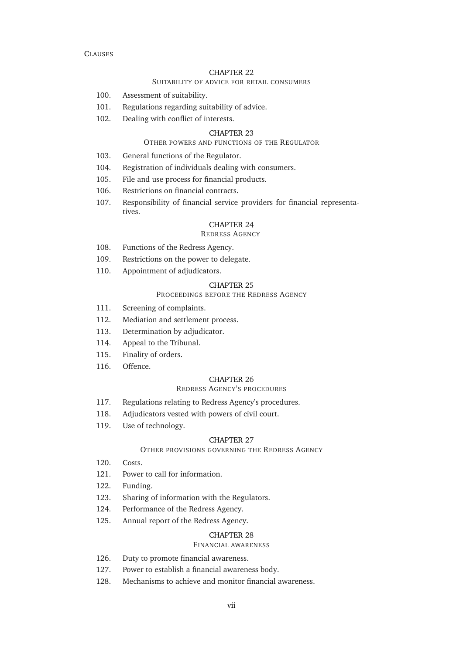### S[UITABILITY OF ADVICE FOR RETAIL CONSUMERS](#page-71-0)

- [100. Assessment of suitability.](#page-71-1)
- [101. Regulations regarding suitability of advice.](#page-71-2)
- [102. Dealing with conflict of interests.](#page-72-0)

#### CHAPTER [23](#page-73-0)

#### O[THER POWERS AND FUNCTIONS OF THE](#page-73-0) REGULATOR

- [103. General functions of the Regulator.](#page-73-1)
- [104. Registration of individuals dealing with consumers.](#page-73-2)
- [105. File and use process for financial products.](#page-73-3)
- [106. Restrictions on financial contracts.](#page-74-0)
- [107. Responsibility of financial service providers for financial representa](#page-74-1)[tives.](#page-74-1)

### CHAPTER [24](#page-74-2)

### R[EDRESS](#page-74-2) AGENCY

- [108. Functions of the Redress Agency.](#page-74-3)
- [109. Restrictions on the power to delegate.](#page-75-0)
- [110. Appointment of adjudicators.](#page-75-1)

### CHAPTER [25](#page-76-0)

### P[ROCEEDINGS BEFORE THE](#page-76-0) REDRESS AGENCY

- [111. Screening of complaints.](#page-76-1)
- [112. Mediation and settlement process.](#page-76-2)
- [113. Determination by adjudicator.](#page-76-3)
- [114. Appeal to the Tribunal.](#page-77-0)
- [115. Finality of orders.](#page-77-1)
- [116. Offence.](#page-77-2)

#### CHAPTER [26](#page-77-3)

#### REDRESS AGENCY'[S PROCEDURES](#page-77-3)

- [117. Regulations relating to Redress Agency's procedures.](#page-77-4)
- [118. Adjudicators vested with powers of civil court.](#page-78-0)
- [119. Use of technology.](#page-79-0)

#### CHAPTER [27](#page-79-1)

#### O[THER PROVISIONS GOVERNING THE](#page-79-1) REDRESS AGENCY

- [120. Costs.](#page-79-2)
- [121. Power to call for information.](#page-79-3)
- [122. Funding.](#page-80-0)
- [123. Sharing of information with the Regulators.](#page-80-1)
- [124. Performance of the Redress Agency.](#page-80-2)
- [125. Annual report of the Redress Agency.](#page-81-0)

#### CHAPTER [28](#page-81-1)

#### F[INANCIAL AWARENESS](#page-81-1)

- [126. Duty to promote financial awareness.](#page-81-2)
- [127. Power to establish a financial awareness body.](#page-81-3)
- [128. Mechanisms to achieve and monitor financial awareness.](#page-82-0)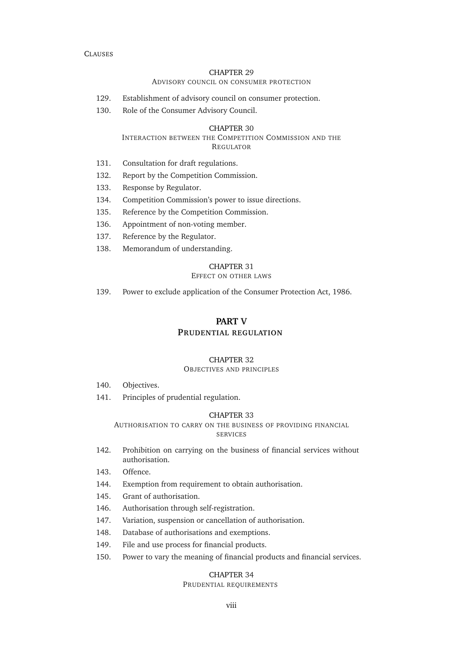### A[DVISORY COUNCIL ON CONSUMER PROTECTION](#page-82-1)

- [129. Establishment of advisory council on consumer protection.](#page-82-2)
- [130. Role of the Consumer Advisory Council.](#page-83-0)

#### CHAPTER [30](#page-83-1)

#### I[NTERACTION BETWEEN THE](#page-83-1) COMPETITION COMMISSION AND THE R[EGULATOR](#page-83-1)

- [131. Consultation for draft regulations.](#page-83-2)
- [132. Report by the Competition Commission.](#page-83-3)
- [133. Response by Regulator.](#page-83-4)
- [134. Competition Commission's power to issue directions.](#page-84-0)
- [135. Reference by the Competition Commission.](#page-84-1)
- [136. Appointment of non-voting member.](#page-85-0)
- [137. Reference by the Regulator.](#page-85-1)
- [138. Memorandum of understanding.](#page-85-2)

#### CHAPTER [31](#page-86-0)

### E[FFECT ON OTHER LAWS](#page-86-0)

[139. Power to exclude application of the Consumer Protection Act, 1986.](#page-86-1)

### **PART [V](#page-87-0)**

### **P[RUDENTIAL REGULATION](#page-87-0)**

#### CHAPTER [32](#page-87-1)

#### O[BJECTIVES AND PRINCIPLES](#page-87-1)

- [140. Objectives.](#page-87-2)
- [141. Principles of prudential regulation.](#page-87-3)

#### CHAPTER [33](#page-88-0)

#### A[UTHORISATION TO CARRY ON THE BUSINESS OF PROVIDING FINANCIAL](#page-88-0) [SERVICES](#page-88-0)

- [142. Prohibition on carrying on the business of financial services without](#page-88-1) [authorisation.](#page-88-1)
- [143. Offence.](#page-88-2)
- [144. Exemption from requirement to obtain authorisation.](#page-88-3)
- [145. Grant of authorisation.](#page-89-0)
- [146. Authorisation through self-registration.](#page-89-1)
- [147. Variation, suspension or cancellation of authorisation.](#page-90-0)
- [148. Database of authorisations and exemptions.](#page-90-1)
- [149. File and use process for financial products.](#page-91-0)
- [150. Power to vary the meaning of financial products and financial services.](#page-91-1)

### CHAPTER [34](#page-91-2)

### P[RUDENTIAL REQUIREMENTS](#page-91-2)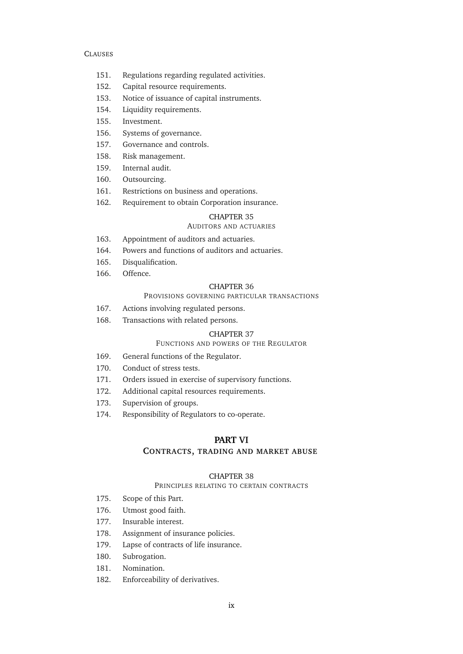- [151. Regulations regarding regulated activities.](#page-91-3)
- [152. Capital resource requirements.](#page-92-0)
- [153. Notice of issuance of capital instruments.](#page-93-0)
- [154. Liquidity requirements.](#page-93-1)
- [155. Investment.](#page-94-0)
- [156. Systems of governance.](#page-95-0)
- [157. Governance and controls.](#page-96-0)
- [158. Risk management.](#page-96-1)
- [159. Internal audit.](#page-97-0)
- [160. Outsourcing.](#page-98-0)
- [161. Restrictions on business and operations.](#page-99-0)
- [162. Requirement to obtain Corporation insurance.](#page-99-1)

# CHAPTER [35](#page-99-2)

## A[UDITORS AND ACTUARIES](#page-99-2)

- [163. Appointment of auditors and actuaries.](#page-99-3)
- [164. Powers and functions of auditors and actuaries.](#page-100-0)
- [165. Disqualification.](#page-100-1)
- [166. Offence.](#page-100-2)

### CHAPTER [36](#page-100-3)

### P[ROVISIONS GOVERNING PARTICULAR TRANSACTIONS](#page-100-3)

- [167. Actions involving regulated persons.](#page-100-4)
- [168. Transactions with related persons.](#page-101-0)

#### CHAPTER [37](#page-102-0)

#### F[UNCTIONS AND POWERS OF THE](#page-102-0) REGULATOR

- [169. General functions of the Regulator.](#page-102-1)
- [170. Conduct of stress tests.](#page-102-2)
- [171. Orders issued in exercise of supervisory functions.](#page-102-3)
- [172. Additional capital resources requirements.](#page-103-0)
- [173. Supervision of groups.](#page-104-0)
- [174. Responsibility of Regulators to co-operate.](#page-104-1)

### **PART [VI](#page-105-0)**

#### **CONTRACTS, [TRADING AND MARKET ABUSE](#page-105-0)**

#### CHAPTER [38](#page-105-1)

### P[RINCIPLES RELATING TO CERTAIN CONTRACTS](#page-105-1)

- [175. Scope of this Part.](#page-105-2)
- [176. Utmost good faith.](#page-105-3)
- [177. Insurable interest.](#page-105-4)
- [178. Assignment of insurance policies.](#page-105-5)
- [179. Lapse of contracts of life insurance.](#page-105-6)
- [180. Subrogation.](#page-105-7)
- [181. Nomination.](#page-105-8)
- [182. Enforceability of derivatives.](#page-106-0)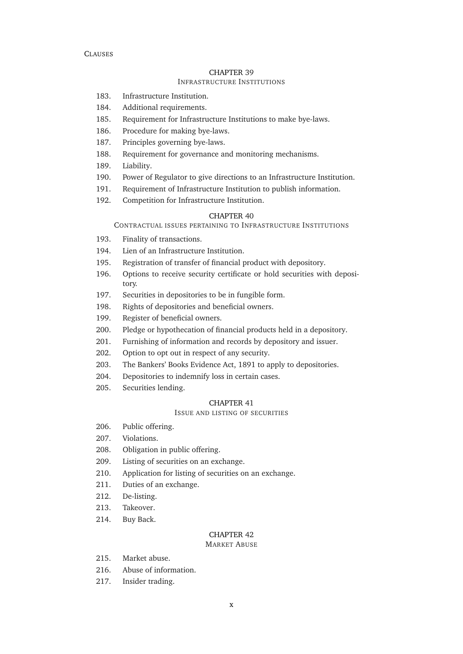### I[NFRASTRUCTURE](#page-106-1) INSTITUTIONS

- [183. Infrastructure Institution.](#page-106-2)
- [184. Additional requirements.](#page-106-3)
- [185. Requirement for Infrastructure Institutions to make bye-laws.](#page-107-0)
- [186. Procedure for making bye-laws.](#page-107-1)
- [187. Principles governing bye-laws.](#page-107-2)
- [188. Requirement for governance and monitoring mechanisms.](#page-108-0)
- [189. Liability.](#page-108-1)
- [190. Power of Regulator to give directions to an Infrastructure Institution.](#page-108-2)
- [191. Requirement of Infrastructure Institution to publish information.](#page-108-3)
- [192. Competition for Infrastructure Institution.](#page-108-4)

#### CHAPTER [40](#page-109-0)

C[ONTRACTUAL ISSUES PERTAINING TO](#page-109-0) INFRASTRUCTURE INSTITUTIONS

- [193. Finality of transactions.](#page-109-1)
- [194. Lien of an Infrastructure Institution.](#page-109-2)
- [195. Registration of transfer of financial product with depository.](#page-110-0)
- [196. Options to receive security certificate or hold securities with deposi](#page-110-1)[tory.](#page-110-1)
- [197. Securities in depositories to be in fungible form.](#page-110-2)
- [198. Rights of depositories and beneficial owners.](#page-110-3)
- [199. Register of beneficial owners.](#page-110-4)
- [200. Pledge or hypothecation of financial products held in a depository.](#page-110-5)
- [201. Furnishing of information and records by depository and issuer.](#page-111-0)
- [202. Option to opt out in respect of any security.](#page-111-1)
- [203. The Bankers' Books Evidence Act, 1891 to apply to depositories.](#page-111-2)
- [204. Depositories to indemnify loss in certain cases.](#page-111-3)
- [205. Securities lending.](#page-111-4)

#### CHAPTER [41](#page-111-5)

### I[SSUE AND LISTING OF SECURITIES](#page-111-5)

- [206. Public offering.](#page-111-6)
- [207. Violations.](#page-112-0)
- [208. Obligation in public offering.](#page-112-1)
- [209. Listing of securities on an exchange.](#page-112-2)
- [210. Application for listing of securities on an exchange.](#page-112-3)
- [211. Duties of an exchange.](#page-113-0)
- [212. De-listing.](#page-113-1)
- [213. Takeover.](#page-113-2)
- [214. Buy Back.](#page-114-0)

### CHAPTER [42](#page-114-1)

#### M[ARKET](#page-114-1) ABUSE

- [215. Market abuse.](#page-114-2)
- [216. Abuse of information.](#page-115-0)
- [217. Insider trading.](#page-115-1)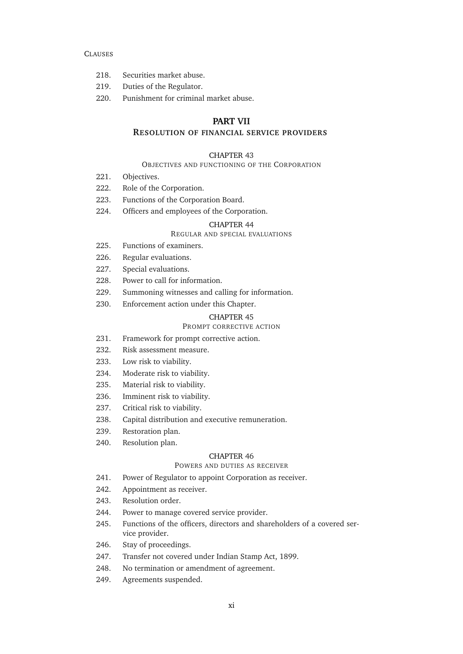- [218. Securities market abuse.](#page-115-2)
- [219. Duties of the Regulator.](#page-115-3)
- [220. Punishment for criminal market abuse.](#page-116-0)

### **PART [VII](#page-117-0)**

### **R[ESOLUTION OF FINANCIAL SERVICE PROVIDERS](#page-117-0)**

#### CHAPTER [43](#page-117-1)

#### O[BJECTIVES AND FUNCTIONING OF THE](#page-117-1) CORPORATION

- [221. Objectives.](#page-117-2)
- [222. Role of the Corporation.](#page-117-3)
- [223. Functions of the Corporation Board.](#page-117-4)
- [224. Officers and employees of the Corporation.](#page-117-5)

#### CHAPTER [44](#page-117-6)

### R[EGULAR AND SPECIAL EVALUATIONS](#page-117-6)

- [225. Functions of examiners.](#page-117-7)
- [226. Regular evaluations.](#page-118-0)
- [227. Special evaluations.](#page-118-1)
- [228. Power to call for information.](#page-118-2)
- [229. Summoning witnesses and calling for information.](#page-118-3)
- [230. Enforcement action under this Chapter.](#page-119-0)

#### CHAPTER [45](#page-120-0)

#### P[ROMPT CORRECTIVE ACTION](#page-120-0)

- [231. Framework for prompt corrective action.](#page-120-1)
- [232. Risk assessment measure.](#page-120-2)
- [233. Low risk to viability.](#page-120-3)
- [234. Moderate risk to viability.](#page-121-0)
- [235. Material risk to viability.](#page-121-1)
- [236. Imminent risk to viability.](#page-121-2)
- [237. Critical risk to viability.](#page-121-3)
- [238. Capital distribution and executive remuneration.](#page-122-0)
- [239. Restoration plan.](#page-122-1)
- [240. Resolution plan.](#page-122-2)

### CHAPTER [46](#page-123-0)

### P[OWERS AND DUTIES AS RECEIVER](#page-123-0)

- [241. Power of Regulator to appoint Corporation as receiver.](#page-123-1)
- [242. Appointment as receiver.](#page-124-0)
- [243. Resolution order.](#page-124-1)
- [244. Power to manage covered service provider.](#page-125-0)
- [245. Functions of the officers, directors and shareholders of a covered ser](#page-125-1)[vice provider.](#page-125-1)
- [246. Stay of proceedings.](#page-125-2)
- [247. Transfer not covered under Indian Stamp Act, 1899.](#page-125-3)
- [248. No termination or amendment of agreement.](#page-126-0)
- [249. Agreements suspended.](#page-126-1)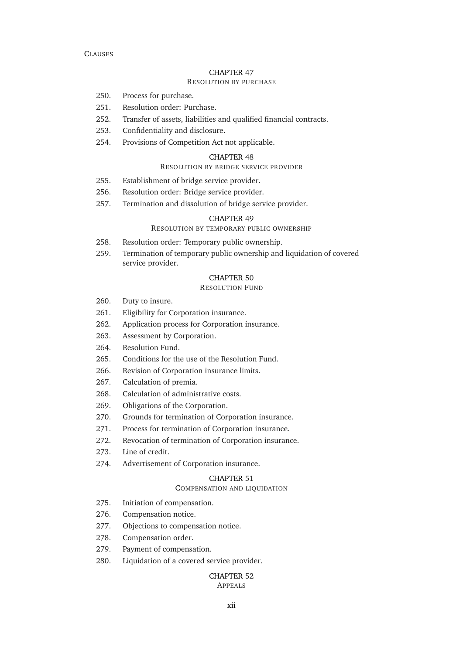### R[ESOLUTION BY PURCHASE](#page-126-2)

- [250. Process for purchase.](#page-126-3)
- [251. Resolution order: Purchase.](#page-127-0)
- [252. Transfer of assets, liabilities and qualified financial contracts.](#page-127-1)
- [253. Confidentiality and disclosure.](#page-128-0)
- [254. Provisions of Competition Act not applicable.](#page-128-1)

### CHAPTER [48](#page-128-2)

### R[ESOLUTION BY BRIDGE SERVICE PROVIDER](#page-128-2)

- [255. Establishment of bridge service provider.](#page-128-3)
- [256. Resolution order: Bridge service provider.](#page-129-0)
- [257. Termination and dissolution of bridge service provider.](#page-130-0)

### CHAPTER [49](#page-130-1)

### R[ESOLUTION BY TEMPORARY PUBLIC OWNERSHIP](#page-130-1)

- [258. Resolution order: Temporary public ownership.](#page-130-2)
- [259. Termination of temporary public ownership and liquidation of covered](#page-131-0) [service provider.](#page-131-0)

### CHAPTER [50](#page-131-1)

### R[ESOLUTION](#page-131-1) FUND

- [260. Duty to insure.](#page-131-2)
- [261. Eligibility for Corporation insurance.](#page-132-0)
- [262. Application process for Corporation insurance.](#page-132-1)
- [263. Assessment by Corporation.](#page-132-2)
- [264. Resolution Fund.](#page-132-3)
- [265. Conditions for the use of the Resolution Fund.](#page-133-0)
- [266. Revision of Corporation insurance limits.](#page-133-1)
- [267. Calculation of premia.](#page-133-2)
- [268. Calculation of administrative costs.](#page-133-3)
- [269. Obligations of the Corporation.](#page-134-0)
- [270. Grounds for termination of Corporation insurance.](#page-134-1)
- [271. Process for termination of Corporation insurance.](#page-134-2)
- [272. Revocation of termination of Corporation insurance.](#page-135-0)
- [273. Line of credit.](#page-135-1)
- [274. Advertisement of Corporation insurance.](#page-136-0)

#### CHAPTER [51](#page-136-1)

#### C[OMPENSATION AND LIQUIDATION](#page-136-1)

- [275. Initiation of compensation.](#page-136-2)
- [276. Compensation notice.](#page-137-0)
- [277. Objections to compensation notice.](#page-137-1)
- [278. Compensation order.](#page-138-0)
- [279. Payment of compensation.](#page-138-1)
- [280. Liquidation of a covered service provider.](#page-138-2)

#### CHAPTER [52](#page-139-0) A[PPEALS](#page-139-0)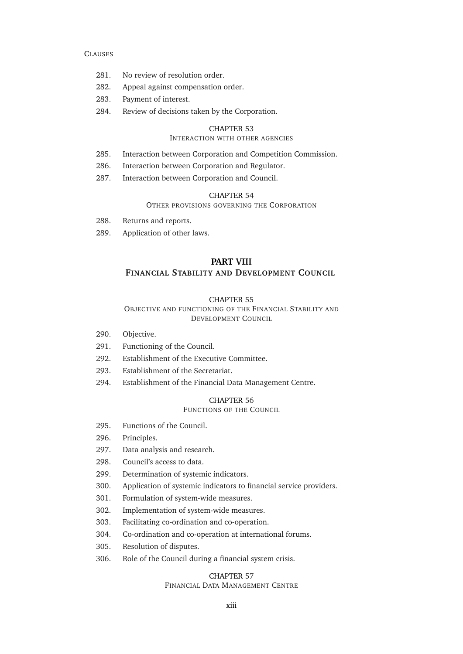- [281. No review of resolution order.](#page-139-1)
- [282. Appeal against compensation order.](#page-139-2)
- [283. Payment of interest.](#page-139-3)
- [284. Review of decisions taken by the Corporation.](#page-140-0)

#### CHAPTER [53](#page-140-1)

### I[NTERACTION WITH OTHER AGENCIES](#page-140-1)

- [285. Interaction between Corporation and Competition Commission.](#page-140-2)
- [286. Interaction between Corporation and Regulator.](#page-141-0)
- [287. Interaction between Corporation and Council.](#page-141-1)

#### CHAPTER [54](#page-142-0)

#### O[THER PROVISIONS GOVERNING THE](#page-142-0) CORPORATION

- [288. Returns and reports.](#page-142-1)
- [289. Application of other laws.](#page-142-2)

### **PART [VIII](#page-143-0) FINANCIAL S[TABILITY AND](#page-143-0) DEVELOPMENT COUNCIL**

#### CHAPTER [55](#page-143-1)

#### O[BJECTIVE AND FUNCTIONING OF THE](#page-143-1) FINANCIAL STABILITY AND D[EVELOPMENT](#page-143-1) COUNCIL

- [290. Objective.](#page-143-2)
- [291. Functioning of the Council.](#page-143-3)
- [292. Establishment of the Executive Committee.](#page-143-4)
- [293. Establishment of the Secretariat.](#page-143-5)
- [294. Establishment of the Financial Data Management Centre.](#page-143-6)

### CHAPTER [56](#page-144-0)

F[UNCTIONS OF THE](#page-144-0) COUNCIL

- [295. Functions of the Council.](#page-144-1)
- [296. Principles.](#page-144-2)
- [297. Data analysis and research.](#page-144-3)
- [298. Council's access to data.](#page-145-0)
- [299. Determination of systemic indicators.](#page-145-1)
- [300. Application of systemic indicators to financial service providers.](#page-146-0)
- [301. Formulation of system-wide measures.](#page-146-1)
- [302. Implementation of system-wide measures.](#page-146-2)
- [303. Facilitating co-ordination and co-operation.](#page-147-0)
- [304. Co-ordination and co-operation at international forums.](#page-147-1)
- [305. Resolution of disputes.](#page-147-2)
- [306. Role of the Council during a financial system crisis.](#page-148-0)

### CHAPTER [57](#page-149-0)

### FINANCIAL DATA M[ANAGEMENT](#page-149-0) CENTRE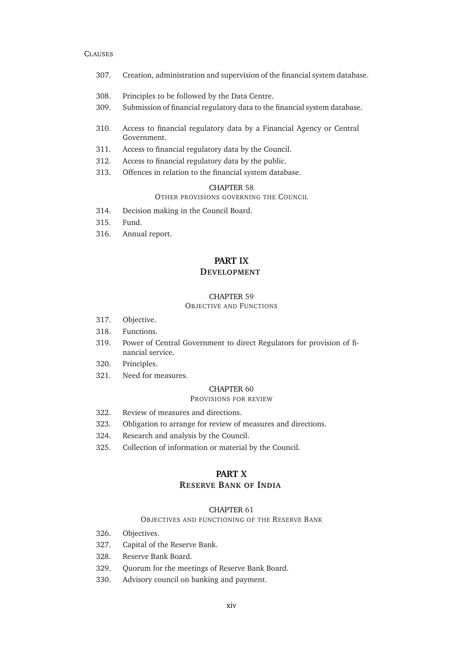- [307. Creation, administration and supervision of the financial system database.](#page-149-1)
- [308. Principles to be followed by the Data Centre.](#page-149-2)
- [309. Submission of financial regulatory data to the financial system database.](#page-150-0)
- [310. Access to financial regulatory data by a Financial Agency or Central](#page-150-1) [Government.](#page-150-1)
- [311. Access to financial regulatory data by the Council.](#page-150-2)
- [312. Access to financial regulatory data by the public.](#page-150-3)
- [313. Offences in relation to the financial system database.](#page-151-0)

#### CHAPTER [58](#page-151-1)

### O[THER PROVISIONS GOVERNING THE](#page-151-1) COUNCIL

- [314. Decision making in the Council Board.](#page-151-2)
- [315. Fund.](#page-151-3)
- [316. Annual report.](#page-152-0)

### **PART [IX](#page-153-0) D[EVELOPMENT](#page-153-0)**

#### CHAPTER [59](#page-153-1)

### O[BJECTIVE AND](#page-153-1) FUNCTIONS

- [317. Objective.](#page-153-2)
- [318. Functions.](#page-153-3)
- [319. Power of Central Government to direct Regulators for provision of fi](#page-153-4)[nancial service.](#page-153-4)
- [320. Principles.](#page-153-5)
- [321. Need for measures.](#page-154-0)

#### CHAPTER [60](#page-154-1)

#### P[ROVISIONS FOR REVIEW](#page-154-1)

- [322. Review of measures and directions.](#page-154-2)
- [323. Obligation to arrange for review of measures and directions.](#page-155-0)
- [324. Research and analysis by the Council.](#page-155-1)
- [325. Collection of information or material by the Council.](#page-155-2)

### **PART [X](#page-156-0) RESERVE B[ANK OF](#page-156-0) INDIA**

#### CHAPTER [61](#page-156-1)

#### O[BJECTIVES AND FUNCTIONING OF THE](#page-156-1) RESERVE BANK

- [326. Objectives.](#page-156-2)
- [327. Capital of the Reserve Bank.](#page-156-3)
- [328. Reserve Bank Board.](#page-156-4)
- [329. Quorum for the meetings of Reserve Bank Board.](#page-156-5)
- [330. Advisory council on banking and payment.](#page-156-6)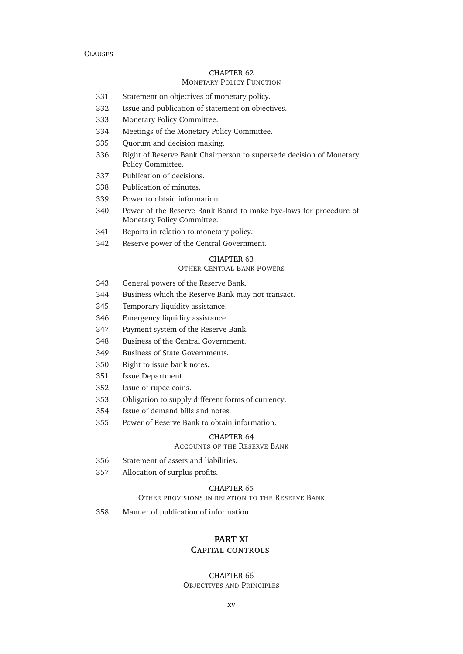#### CHAPTER [62](#page-156-7) MONETARY POLICY F[UNCTION](#page-156-7)

- [331. Statement on objectives of monetary policy.](#page-157-0)
- [332. Issue and publication of statement on objectives.](#page-157-1)
- [333. Monetary Policy Committee.](#page-157-2)
- [334. Meetings of the Monetary Policy Committee.](#page-158-0)
- [335. Quorum and decision making.](#page-158-1)
- [336. Right of Reserve Bank Chairperson to supersede decision of Monetary](#page-159-0) [Policy Committee.](#page-159-0)
- [337. Publication of decisions.](#page-159-1)
- [338. Publication of minutes.](#page-159-2)
- [339. Power to obtain information.](#page-159-3)
- [340. Power of the Reserve Bank Board to make bye-laws for procedure of](#page-160-0) [Monetary Policy Committee.](#page-160-0)
- [341. Reports in relation to monetary policy.](#page-160-1)
- [342. Reserve power of the Central Government.](#page-160-2)

#### CHAPTER [63](#page-161-0)

### OTHER C[ENTRAL](#page-161-0) BANK POWERS

- [343. General powers of the Reserve Bank.](#page-161-1)
- [344. Business which the Reserve Bank may not transact.](#page-162-0)
- [345. Temporary liquidity assistance.](#page-162-1)
- [346. Emergency liquidity assistance.](#page-162-2)
- [347. Payment system of the Reserve Bank.](#page-163-0)
- [348. Business of the Central Government.](#page-164-0)
- [349. Business of State Governments.](#page-164-1)
- [350. Right to issue bank notes.](#page-164-2)
- [351. Issue Department.](#page-165-0)
- [352. Issue of rupee coins.](#page-165-1)
- [353. Obligation to supply different forms of currency.](#page-165-2)
- [354. Issue of demand bills and notes.](#page-166-0)
- [355. Power of Reserve Bank to obtain information.](#page-166-1)

#### CHAPTER [64](#page-166-2)

### A[CCOUNTS OF THE](#page-166-2) RESERVE BANK

- [356. Statement of assets and liabilities.](#page-166-3)
- [357. Allocation of surplus profits.](#page-166-4)

#### CHAPTER [65](#page-167-0)

### O[THER PROVISIONS IN RELATION TO THE](#page-167-0) RESERVE BANK

[358. Manner of publication of information.](#page-167-1)

### **PART [XI](#page-168-0)**

## **C[APITAL CONTROLS](#page-168-0)**

#### CHAPTER [66](#page-168-1)

O[BJECTIVES AND](#page-168-1) PRINCIPLES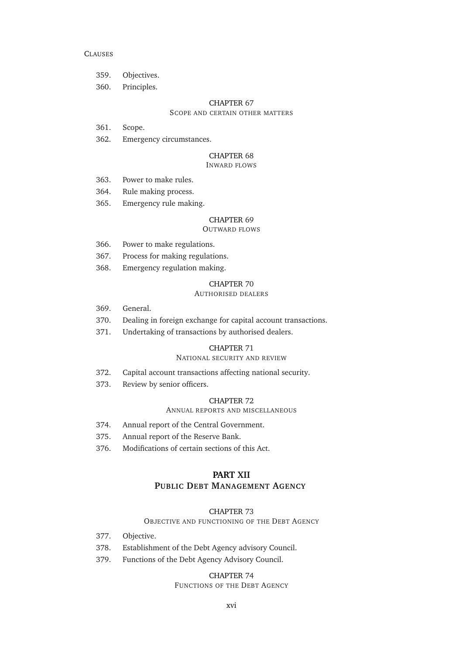- [359. Objectives.](#page-168-2)
- [360. Principles.](#page-168-3)

#### CHAPTER [67](#page-168-4)

### S[COPE AND CERTAIN OTHER MATTERS](#page-168-4)

- [361. Scope.](#page-168-5)
- [362. Emergency circumstances.](#page-168-6)

#### CHAPTER [68](#page-169-0)

#### I[NWARD FLOWS](#page-169-0)

- [363. Power to make rules.](#page-169-1)
- [364. Rule making process.](#page-169-2)
- [365. Emergency rule making.](#page-169-3)

### CHAPTER [69](#page-170-0)

### O[UTWARD FLOWS](#page-170-0)

- [366. Power to make regulations.](#page-170-1)
- [367. Process for making regulations.](#page-170-2)
- [368. Emergency regulation making.](#page-170-3)

#### CHAPTER [70](#page-171-0)

### A[UTHORISED DEALERS](#page-171-0)

- [369. General.](#page-171-1)
- [370. Dealing in foreign exchange for capital account transactions.](#page-171-2)
- [371. Undertaking of transactions by authorised dealers.](#page-172-0)

#### CHAPTER [71](#page-172-1)

#### N[ATIONAL SECURITY AND REVIEW](#page-172-1)

- [372. Capital account transactions affecting national security.](#page-172-2)
- [373. Review by senior officers.](#page-173-0)

#### CHAPTER [72](#page-173-1)

#### A[NNUAL REPORTS AND MISCELLANEOUS](#page-173-1)

- [374. Annual report of the Central Government.](#page-173-2)
- [375. Annual report of the Reserve Bank.](#page-174-0)
- [376. Modifications of certain sections of this Act.](#page-174-1)

### **PART [XII](#page-177-0)**

### **PUBLIC DEBT M[ANAGEMENT](#page-177-0) AGENCY**

#### CHAPTER [73](#page-177-1)

#### O[BJECTIVE AND FUNCTIONING OF THE](#page-177-1) DEBT AGENCY

- [377. Objective.](#page-177-2)
- [378. Establishment of the Debt Agency advisory Council.](#page-177-3)
- [379. Functions of the Debt Agency Advisory Council.](#page-177-4)

### CHAPTER [74](#page-177-5)

### F[UNCTIONS OF THE](#page-177-5) DEBT AGENCY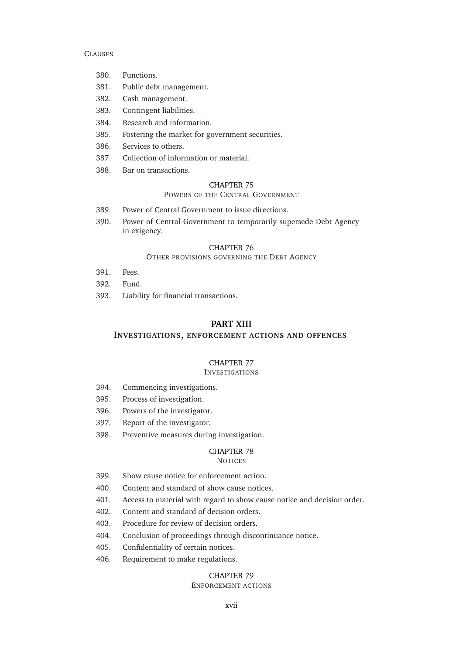- [380. Functions.](#page-178-0)
- [381. Public debt management.](#page-178-1)
- [382. Cash management.](#page-179-0)
- [383. Contingent liabilities.](#page-180-0)
- [384. Research and information.](#page-180-1)
- [385. Fostering the market for government securities.](#page-180-2)
- [386. Services to others.](#page-180-3)
- [387. Collection of information or material.](#page-181-0)
- [388. Bar on transactions.](#page-181-1)

#### CHAPTER [75](#page-181-2)

### P[OWERS OF THE](#page-181-2) CENTRAL GOVERNMENT

- [389. Power of Central Government to issue directions.](#page-181-3)
- [390. Power of Central Government to temporarily supersede Debt Agency](#page-182-0) [in exigency.](#page-182-0)

### CHAPTER [76](#page-182-1)

#### O[THER PROVISIONS GOVERNING THE](#page-182-1) DEBT AGENCY

- [391. Fees.](#page-182-2)
- [392. Fund.](#page-183-0)
- [393. Liability for financial transactions.](#page-183-1)

### **PART [XIII](#page-184-0)**

**INVESTIGATIONS, [ENFORCEMENT ACTIONS AND OFFENCES](#page-184-0)**

### CHAPTER [77](#page-184-1)

### **I[NVESTIGATIONS](#page-184-1)**

- [394. Commencing investigations.](#page-184-2)
- [395. Process of investigation.](#page-184-3)
- [396. Powers of the investigator.](#page-185-0)
- [397. Report of the investigator.](#page-185-1)
- [398. Preventive measures during investigation.](#page-185-2)

### CHAPTER [78](#page-187-0)

#### **N[OTICES](#page-187-0)**

- [399. Show cause notice for enforcement action.](#page-187-1)
- [400. Content and standard of](#page-187-2) [show cause notices](#page-0-0).
- [401. Access to material with regard to](#page-187-3) [show cause notice](#page-0-0) and [decision order.](#page-0-0)
- [402. Content and standard of](#page-188-0) [decision orders](#page-0-0).
- [403. Procedure for review of](#page-188-1) [decision orders](#page-0-0).
- [404. Conclusion of proceedings through discontinuance notice.](#page-188-2)
- [405. Confidentiality of certain notices.](#page-188-3)
- [406. Requirement to make regulations.](#page-189-0)

### CHAPTER [79](#page-189-1)

### E[NFORCEMENT ACTIONS](#page-189-1)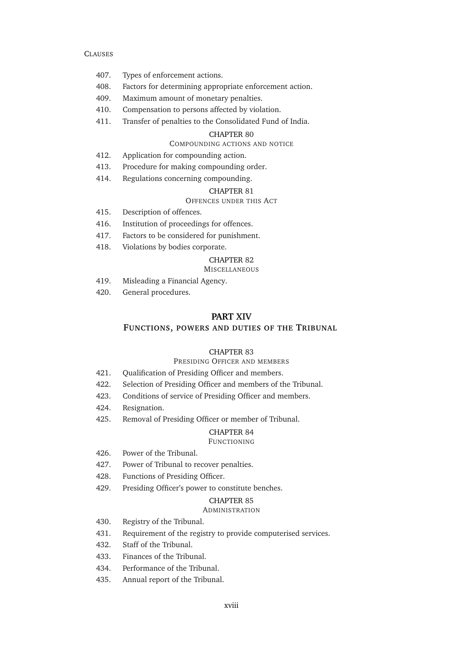- [407. Types of enforcement actions.](#page-189-2)
- [408. Factors for determining appropriate enforcement action.](#page-189-3)
- [409. Maximum amount of monetary penalties.](#page-190-0)
- [410. Compensation to persons affected by violation.](#page-191-0)
- [411. Transfer of penalties to the Consolidated Fund of India.](#page-191-1)

#### CHAPTER [80](#page-191-2)

#### C[OMPOUNDING ACTIONS AND NOTICE](#page-191-2)

- [412. Application for compounding action.](#page-191-3)
- [413. Procedure for making](#page-192-0) [compounding order.](#page-0-0)
- [414. Regulations concerning compounding.](#page-192-1)

#### CHAPTER [81](#page-193-0)

### O[FFENCES UNDER THIS](#page-193-0) ACT

- [415. Description of offences.](#page-193-1)
- [416. Institution of proceedings for offences.](#page-193-2)
- [417. Factors to be considered for punishment.](#page-193-3)
- [418. Violations by bodies corporate.](#page-194-0)

### CHAPTER [82](#page-194-1)

#### **M[ISCELLANEOUS](#page-194-1)**

- [419. Misleading a Financial Agency.](#page-194-2)
- [420. General procedures.](#page-194-3)

### **PART [XIV](#page-195-0)**

#### **FUNCTIONS, [POWERS AND DUTIES OF THE](#page-195-0) TRIBUNAL**

### CHAPTER [83](#page-195-1)

### PRESIDING O[FFICER AND MEMBERS](#page-195-1)

- [421. Qualification of Presiding Officer and members.](#page-195-2)
- [422. Selection of Presiding Officer and members of the Tribunal.](#page-195-3)
- [423. Conditions of service of Presiding Officer and members.](#page-195-4)
- [424. Resignation.](#page-196-0)
- [425. Removal of Presiding Officer or member of Tribunal.](#page-196-1)

### CHAPTER [84](#page-196-2)

### F[UNCTIONING](#page-196-2)

- [426. Power of the Tribunal.](#page-196-3)
- [427. Power of Tribunal to recover penalties.](#page-197-0)
- [428. Functions of Presiding Officer.](#page-197-1)
- [429. Presiding Officer's power to constitute benches.](#page-197-2)

### CHAPTER [85](#page-197-3)

#### **A[DMINISTRATION](#page-197-3)**

- [430. Registry of the Tribunal.](#page-197-4)
- [431. Requirement of the registry to provide computerised services.](#page-198-0)
- [432. Staff of the Tribunal.](#page-198-1)
- [433. Finances of the Tribunal.](#page-198-2)
- [434. Performance of the Tribunal.](#page-199-0)
- [435. Annual report of the Tribunal.](#page-199-1)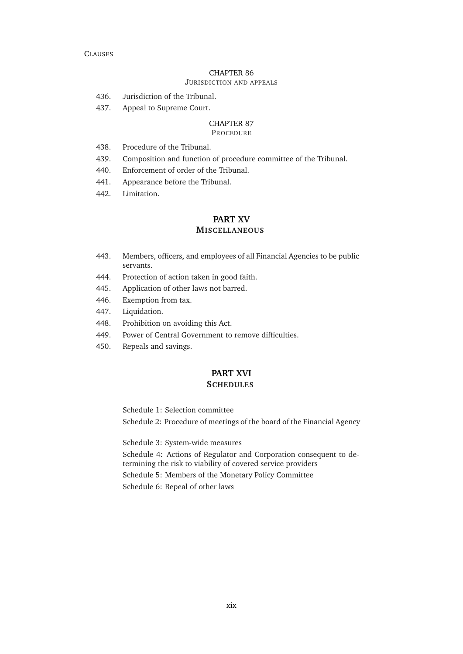#### CHAPTER [86](#page-199-2) J[URISDICTION AND APPEALS](#page-199-2)

- [436. Jurisdiction of the Tribunal.](#page-199-3)
- [437. Appeal to Supreme Court.](#page-200-0)

### CHAPTER [87](#page-200-1)

### P[ROCEDURE](#page-200-1)

- [438. Procedure of the Tribunal.](#page-200-2)
- [439. Composition and function of procedure committee of the Tribunal.](#page-200-3)
- [440. Enforcement of order of the Tribunal.](#page-201-0)
- [441. Appearance before the Tribunal.](#page-201-1)
- [442. Limitation.](#page-201-2)

# **PART [XV](#page-202-0)**

### **M[ISCELLANEOUS](#page-202-0)**

- [443. Members, officers, and employees of all Financial Agencies to be public](#page-202-1) [servants.](#page-202-1)
- [444. Protection of action taken in good faith.](#page-202-2)
- [445. Application of other laws not barred.](#page-202-3)
- [446. Exemption from tax.](#page-202-4)
- [447. Liquidation.](#page-202-5)
- [448. Prohibition on avoiding this Act.](#page-202-6)
- [449. Power of Central Government to remove difficulties.](#page-202-7)
- [450. Repeals and savings.](#page-202-8)

### **PART [XVI](#page-203-0) S[CHEDULES](#page-203-0)**

[Schedule 1: Selection committee](#page-203-1) [Schedule 2: Procedure of meetings of the board of the Financial Agency](#page-204-0)

[Schedule 3: System-wide measures](#page-206-0)

[Schedule 4: Actions of Regulator and Corporation consequent to de](#page-207-0)[termining the risk to viability of covered service providers](#page-207-0)

[Schedule 5: Members of the Monetary Policy Committee](#page-209-0) [Schedule 6: Repeal of other laws](#page-210-0)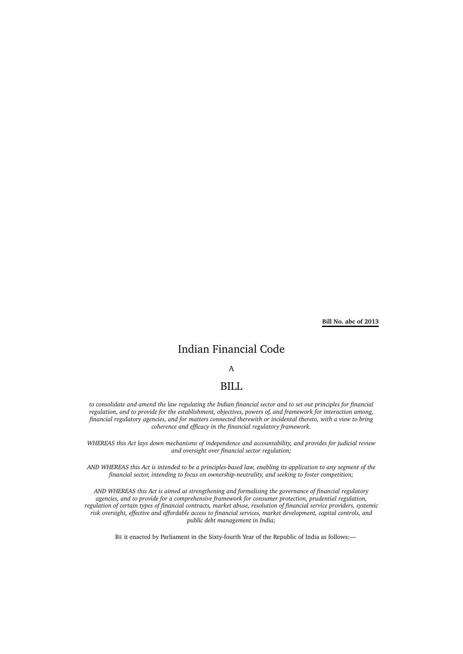**Bill No. abc of 2013**

## Indian Financial Code

### A

### BILL

*to consolidate and amend the law regulating the Indian financial sector and to set out principles for financial regulation, and to provide for the establishment, objectives, powers of, and framework for interaction among, financial regulatory agencies, and for matters connected therewith or incidental thereto, with a view to bring coherence and efficacy in the financial regulatory framework.*

*WHEREAS this Act lays down mechanisms of independence and accountability, and provides for judicial review and oversight over financial sector regulation;*

*AND WHEREAS this Act is intended to be a principles-based law, enabling its application to any segment of the financial sector, intending to focus on ownership-neutrality, and seeking to foster competition;*

*AND WHEREAS this Act is aimed at strengthening and formalising the governance of financial regulatory agencies, and to provide for a comprehensive framework for consumer protection, prudential regulation, regulation of certain types of financial contracts, market abuse, resolution of financial service providers, systemic risk oversight, effective and affordable access to financial services, market development, capital controls, and public debt management in India;*

BE it enacted by Parliament in the Sixty-fourth Year of the Republic of India as follows:—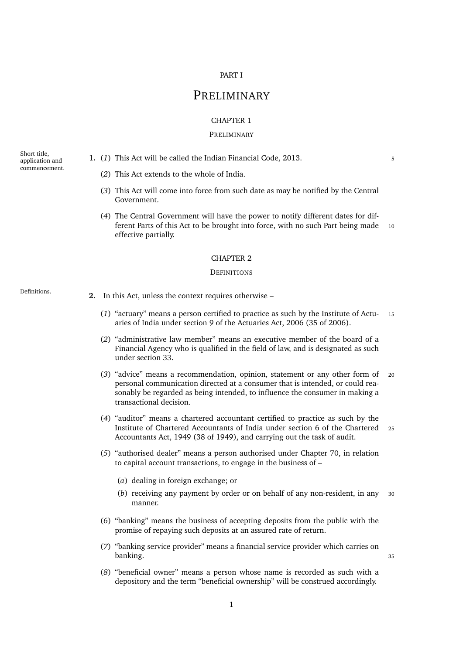#### PART I

# **PRELIMINARY**

#### CHAPTER 1

#### PRELIMINARY

Short title, application and commencement.

- <span id="page-22-2"></span><span id="page-22-1"></span><span id="page-22-0"></span>**1.** (1) This Act will be called the Indian Financial Code, 2013.
	- (*2*) This Act extends to the whole of India.
	- (*3*) This Act will come into force from such date as may be notified by the Central Government.
	- (*4*) The Central Government will have the power to notify different dates for different Parts of this Act to be brought into force, with no such Part being made 10 effective partially.

#### CHAPTER 2

#### **DEFINITIONS**

<span id="page-22-4"></span>

- <span id="page-22-3"></span>Definitions. **2.** In this Act, unless the context requires otherwise –
	- (*1*) "actuary" means a person certified to practice as such by the Institute of Actu- <sup>15</sup> aries of India under section 9 of the Actuaries Act, 2006 (35 of 2006).
	- (*2*) "administrative law member" means an executive member of the board of a Financial Agency who is qualified in the field of law, and is designated as such under section [33.](#page-45-1)
	- (*3*) "advice" means a recommendation, opinion, statement or any other form of <sup>20</sup> personal communication directed at a consumer that is intended, or could reasonably be regarded as being intended, to influence the consumer in making a transactional decision.
	- (*4*) "auditor" means a chartered accountant certified to practice as such by the Institute of Chartered Accountants of India under section 6 of the Chartered <sup>25</sup> Accountants Act, 1949 (38 of 1949), and carrying out the task of audit.
	- (*5*) "authorised dealer" means a person authorised under Chapter [70,](#page-171-0) in relation to capital account transactions, to engage in the business of –
		- (*a*) dealing in foreign exchange; or
		- (*b*) receiving any payment by order or on behalf of any non-resident, in any <sup>30</sup> manner.
	- (*6*) "banking" means the business of accepting deposits from the public with the promise of repaying such deposits at an assured rate of return.
	- (*7*) "banking service provider" means a financial service provider which carries on banking. <sup>35</sup>
	- (*8*) "beneficial owner" means a person whose name is recorded as such with a depository and the term "beneficial ownership" will be construed accordingly.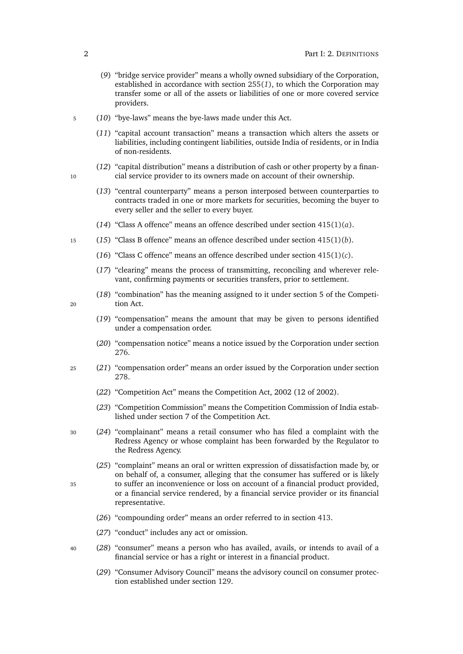- (*9*) "bridge service provider" means a wholly owned subsidiary of the Corporation, established in accordance with section [255\(](#page-128-4)*1*), to which the Corporation may transfer some or all of the assets or liabilities of one or more covered service providers.
- <sup>5</sup> (*10*) "bye-laws" means the bye-laws made under this Act.
	- (*11*) "capital account transaction" means a transaction which alters the assets or liabilities, including contingent liabilities, outside India of residents, or in India of non-residents.
- (*12*) "capital distribution" means a distribution of cash or other property by a finan-10 cial service provider to its owners made on account of their ownership.
	- (*13*) "central counterparty" means a person interposed between counterparties to contracts traded in one or more markets for securities, becoming the buyer to every seller and the seller to every buyer.
	- (*14*) "Class A offence" means an offence described under section [415\(1\)\(](#page-193-4)*a*).
- <sup>15</sup> (*15*) "Class B offence" means an offence described under section [415\(1\)\(](#page-193-5)*b*).
	- (*16*) "Class C offence" means an offence described under section [415\(1\)\(](#page-193-6)*c*).
	- (*17*) "clearing" means the process of transmitting, reconciling and wherever relevant, confirming payments or securities transfers, prior to settlement.
- (*18*) "combination" has the meaning assigned to it under section 5 of the Competi-<sup>20</sup> tion Act.
- 
- (*19*) "compensation" means the amount that may be given to persons identified under a compensation order.
- (*20*) "compensation notice" means a notice issued by the Corporation under section [276.](#page-137-0)
- <sup>25</sup> (*21*) "compensation order" means an order issued by the Corporation under section [278.](#page-138-0)
	- (*22*) "Competition Act" means the Competition Act, 2002 (12 of 2002).
	- (*23*) "Competition Commission" means the Competition Commission of India established under section 7 of the Competition Act.
- <sup>30</sup> (*24*) "complainant" means a retail consumer who has filed a complaint with the Redress Agency or whose complaint has been forwarded by the Regulator to the Redress Agency.
- (*25*) "complaint" means an oral or written expression of dissatisfaction made by, or on behalf of, a consumer, alleging that the consumer has suffered or is likely <sup>35</sup> to suffer an inconvenience or loss on account of a financial product provided, or a financial service rendered, by a financial service provider or its financial representative.
	- (*26*) "compounding order" means an order referred to in section [413.](#page-192-0)
	- (*27*) "conduct" includes any act or omission.
- <sup>40</sup> (*28*) "consumer" means a person who has availed, avails, or intends to avail of a financial service or has a right or interest in a financial product.
	- (*29*) "Consumer Advisory Council" means the advisory council on consumer protection established under section [129.](#page-82-2)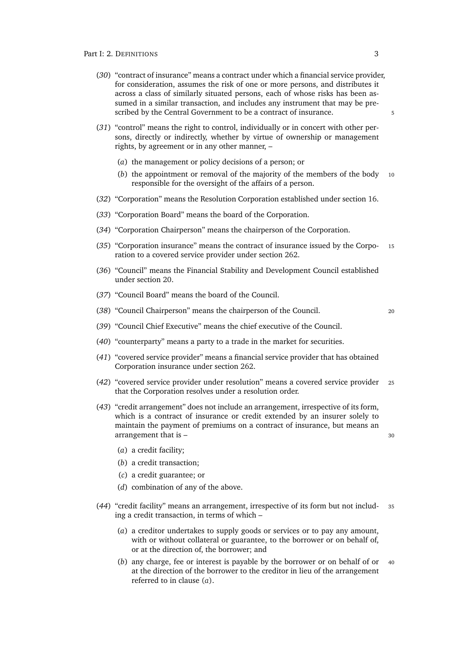- (*30*) "contract of insurance" means a contract under which a financial service provider, for consideration, assumes the risk of one or more persons, and distributes it across a class of similarly situated persons, each of whose risks has been assumed in a similar transaction, and includes any instrument that may be prescribed by the Central Government to be a contract of insurance.
- (*31*) "control" means the right to control, individually or in concert with other persons, directly or indirectly, whether by virtue of ownership or management rights, by agreement or in any other manner, –
	- (*a*) the management or policy decisions of a person; or
	- (*b*) the appointment or removal of the majority of the members of the body <sup>10</sup> responsible for the oversight of the affairs of a person.
- (*32*) "Corporation" means the Resolution Corporation established under section [16.](#page-39-3)
- (*33*) "Corporation Board" means the board of the Corporation.
- (*34*) "Corporation Chairperson" means the chairperson of the Corporation.
- (*35*) "Corporation insurance" means the contract of insurance issued by the Corpo- <sup>15</sup> ration to a covered service provider under section [262.](#page-132-1)
- (*36*) "Council" means the Financial Stability and Development Council established under section [20.](#page-40-3)
- (*37*) "Council Board" means the board of the Council.
- (*38*) "Council Chairperson" means the chairperson of the Council. <sup>20</sup>

- (*39*) "Council Chief Executive" means the chief executive of the Council.
- (*40*) "counterparty" means a party to a trade in the market for securities.
- (*41*) "covered service provider" means a financial service provider that has obtained Corporation insurance under section [262.](#page-132-1)
- (*42*) "covered service provider under resolution" means a covered service provider <sup>25</sup> that the Corporation resolves under a resolution order.
- (*43*) "credit arrangement" does not include an arrangement, irrespective of its form, which is a contract of insurance or credit extended by an insurer solely to maintain the payment of premiums on a contract of insurance, but means an arrangement that is – 30
	- (*a*) a credit facility;
	- (*b*) a credit transaction;
	- (*c*) a credit guarantee; or
	- (*d*) combination of any of the above.
- <span id="page-24-0"></span>(*44*) "credit facility" means an arrangement, irrespective of its form but not includ- <sup>35</sup> ing a credit transaction, in terms of which –
	- (*a*) a creditor undertakes to supply goods or services or to pay any amount, with or without collateral or guarantee, to the borrower or on behalf of, or at the direction of, the borrower; and
	- (*b*) any charge, fee or interest is payable by the borrower or on behalf of or <sup>40</sup> at the direction of the borrower to the creditor in lieu of the arrangement referred to in clause (*a*[\).](#page-24-0)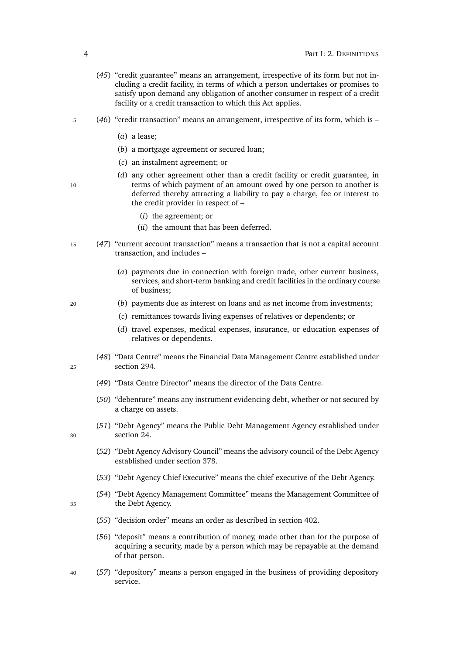- (*45*) "credit guarantee" means an arrangement, irrespective of its form but not including a credit facility, in terms of which a person undertakes or promises to satisfy upon demand any obligation of another consumer in respect of a credit facility or a credit transaction to which this Act applies.
- <sup>5</sup> (*46*) "credit transaction" means an arrangement, irrespective of its form, which is
	- (*a*) a lease;
	- (*b*) a mortgage agreement or secured loan;
	- (*c*) an instalment agreement; or
- 10 terms of which payment of an amount owed by one person to another is
	-
- the credit provider in respect of
	- (*i*) the agreement; or
	- (*ii*) the amount that has been deferred.
- <sup>15</sup> (*47*) "current account transaction" means a transaction that is not a capital account transaction, and includes –
	- (*a*) payments due in connection with foreign trade, other current business, services, and short-term banking and credit facilities in the ordinary course of business;

(*d*) any other agreement other than a credit facility or credit guarantee, in

deferred thereby attracting a liability to pay a charge, fee or interest to

- <sup>20</sup> (*b*) payments due as interest on loans and as net income from investments;
	- (*c*) remittances towards living expenses of relatives or dependents; or
	- (*d*) travel expenses, medical expenses, insurance, or education expenses of relatives or dependents.
- (*48*) "Data Centre" means the Financial Data Management Centre established under <sup>25</sup> section [294.](#page-143-6)
	- (*49*) "Data Centre Director" means the director of the Data Centre.
	- (*50*) "debenture" means any instrument evidencing debt, whether or not secured by a charge on assets.
- (*51*) "Debt Agency" means the Public Debt Management Agency established under <sup>30</sup> section [24.](#page-41-3)
	- (*52*) "Debt Agency Advisory Council" means the advisory council of the Debt Agency established under section [378.](#page-177-3)
	- (*53*) "Debt Agency Chief Executive" means the chief executive of the Debt Agency.
- (*54*) "Debt Agency Management Committee" means the Management Committee of <sup>35</sup> the Debt Agency.
	- (*55*) "decision order" means an order as described in section [402.](#page-188-0)
	- (*56*) "deposit" means a contribution of money, made other than for the purpose of acquiring a security, made by a person which may be repayable at the demand of that person.
- <sup>40</sup> (*57*) "depository" means a person engaged in the business of providing depository service.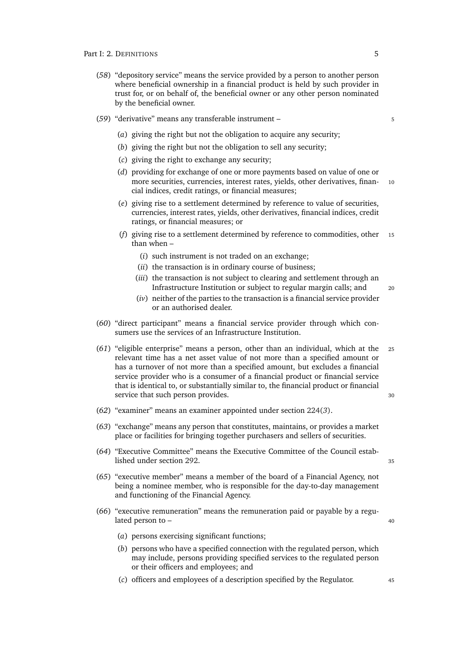- (*58*) "depository service" means the service provided by a person to another person where beneficial ownership in a financial product is held by such provider in trust for, or on behalf of, the beneficial owner or any other person nominated by the beneficial owner.
- (*59*) "derivative" means any transferable instrument <sup>5</sup>
	- (*a*) giving the right but not the obligation to acquire any security;
	- (*b*) giving the right but not the obligation to sell any security;
	- (*c*) giving the right to exchange any security;
	- (*d*) providing for exchange of one or more payments based on value of one or more securities, currencies, interest rates, yields, other derivatives, finan- 10 cial indices, credit ratings, or financial measures;
	- (*e*) giving rise to a settlement determined by reference to value of securities, currencies, interest rates, yields, other derivatives, financial indices, credit ratings, or financial measures; or
	- (*f*) giving rise to a settlement determined by reference to commodities, other <sup>15</sup> than when –
		- (*i*) such instrument is not traded on an exchange;
		- (*ii*) the transaction is in ordinary course of business;
		- (*iii*) the transaction is not subject to clearing and settlement through an Infrastructure Institution or subject to regular margin calls; and <sup>20</sup>
		- (*iv*) neither of the parties to the transaction is a financial service provider or an authorised dealer.

(*60*) "direct participant" means a financial service provider through which consumers use the services of an Infrastructure Institution.

- (*61*) "eligible enterprise" means a person, other than an individual, which at the <sup>25</sup> relevant time has a net asset value of not more than a specified amount or has a turnover of not more than a specified amount, but excludes a financial service provider who is a consumer of a financial product or financial service that is identical to, or substantially similar to, the financial product or financial service that such person provides. 30
- (*62*) "examiner" means an examiner appointed under section [224\(](#page-117-8)*3*).
- (*63*) "exchange" means any person that constitutes, maintains, or provides a market place or facilities for bringing together purchasers and sellers of securities.
- (*64*) "Executive Committee" means the Executive Committee of the Council estab-lished under section [292.](#page-143-4)
- (*65*) "executive member" means a member of the board of a Financial Agency, not being a nominee member, who is responsible for the day-to-day management and functioning of the Financial Agency.
- (*66*) "executive remuneration" means the remuneration paid or payable by a regulated person to – 40
	-

- (*a*) persons exercising significant functions;
- (*b*) persons who have a specified connection with the regulated person, which may include, persons providing specified services to the regulated person or their officers and employees; and
- (*c*) officers and employees of a description specified by the Regulator. <sup>45</sup>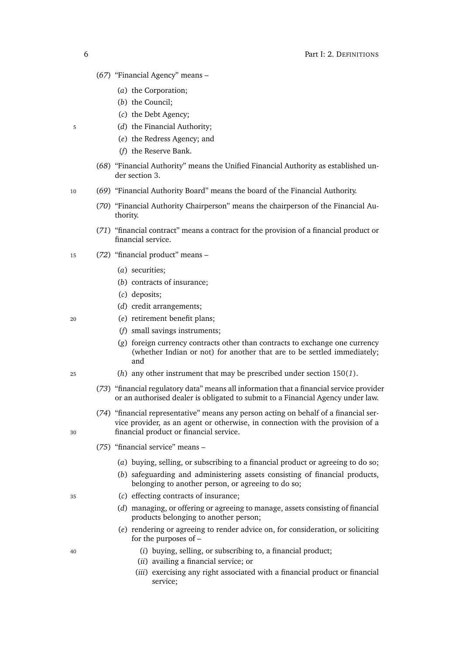- (*67*) "Financial Agency" means
	- (*a*) the Corporation;
	- (*b*) the Council;
	- (*c*) the Debt Agency;
- <sup>5</sup> (*d*) the Financial Authority;
	- (*e*) the Redress Agency; and
	- (*f*) the Reserve Bank.
	- (*68*) "Financial Authority" means the Unified Financial Authority as established under section [3.](#page-36-2)
- <sup>10</sup> (*69*) "Financial Authority Board" means the board of the Financial Authority.
	- (*70*) "Financial Authority Chairperson" means the chairperson of the Financial Authority.
	- (*71*) "financial contract" means a contract for the provision of a financial product or financial service.
- <sup>15</sup> (*72*) "financial product" means
	- (*a*) securities;
	- (*b*) contracts of insurance;
	- (*c*) deposits;
	- (*d*) credit arrangements;
- <sup>20</sup> (*e*) retirement benefit plans;
	- (*f*) small savings instruments;
	- (*g*) foreign currency contracts other than contracts to exchange one currency (whether Indian or not) for another that are to be settled immediately; and
- <sup>25</sup> (*h*) any other instrument that may be prescribed under section [150\(](#page-91-4)*1*).
	- (*73*) "financial regulatory data" means all information that a financial service provider or an authorised dealer is obligated to submit to a Financial Agency under law.
- (*74*) "financial representative" means any person acting on behalf of a financial service provider, as an agent or otherwise, in connection with the provision of a <sup>30</sup> financial product or financial service.
	- (*75*) "financial service" means
		- (*a*) buying, selling, or subscribing to a financial product or agreeing to do so;
		- (*b*) safeguarding and administering assets consisting of financial products, belonging to another person, or agreeing to do so;
- <sup>35</sup> (*c*) effecting contracts of insurance;
	- (*d*) managing, or offering or agreeing to manage, assets consisting of financial products belonging to another person;
	- (*e*) rendering or agreeing to render advice on, for consideration, or soliciting for the purposes of –
- <sup>40</sup> (*i*) buying, selling, or subscribing to, a financial product;
	- (*ii*) availing a financial service; or
	- (*iii*) exercising any right associated with a financial product or financial service;

<span id="page-27-0"></span>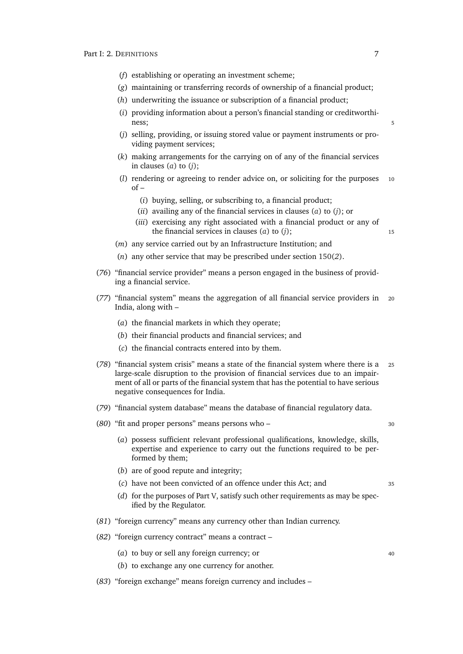- (*f*) establishing or operating an investment scheme;
- (*g*) maintaining or transferring records of ownership of a financial product;
- (*h*) underwriting the issuance or subscription of a financial product;
- (*i*) providing information about a person's financial standing or creditworthiness; 5
- <span id="page-28-0"></span>(*j*) selling, providing, or issuing stored value or payment instruments or providing payment services;
- (*k*) making arrangements for the carrying on of any of the financial services in clauses (*[a](#page-27-0)*) to (*j*[\);](#page-28-0)
- (*l*) rendering or agreeing to render advice on, or soliciting for the purposes <sup>10</sup>  $of –$ 
	- (*i*) buying, selling, or subscribing to, a financial product;
	- (*ii*) availing any of the financial services in clauses (*[a](#page-27-0)*) to (*j*[\);](#page-28-0) or
	- (*iii*) exercising any right associated with a financial product or any of the financial services in clauses (*[a](#page-27-0)*) to (*j*[\);](#page-28-0) <sup>15</sup>
- (*m*) any service carried out by an Infrastructure Institution; and
- (*n*) any other service that may be prescribed under section [150\(](#page-91-5)*2*).
- (*76*) "financial service provider" means a person engaged in the business of providing a financial service.
- (*77*) "financial system" means the aggregation of all financial service providers in <sup>20</sup> India, along with –
	- (*a*) the financial markets in which they operate;
	- (*b*) their financial products and financial services; and
	- (*c*) the financial contracts entered into by them.
- (*78*) "financial system crisis" means a state of the financial system where there is a <sup>25</sup> large-scale disruption to the provision of financial services due to an impairment of all or parts of the financial system that has the potential to have serious negative consequences for India.
- (*79*) "financial system database" means the database of financial regulatory data.
- (80) "fit and proper persons" means persons who 30

- (*a*) possess sufficient relevant professional qualifications, knowledge, skills, expertise and experience to carry out the functions required to be performed by them;
- (*b*) are of good repute and integrity;
- (*c*) have not been convicted of an offence under this Act; and <sup>35</sup>
- (*d*) for the purposes of Part [V,](#page-87-0) satisfy such other requirements as may be specified by the Regulator.
- (*81*) "foreign currency" means any currency other than Indian currency.
- (*82*) "foreign currency contract" means a contract
	- (*a*) to buy or sell any foreign currency; or  $\frac{40}{2}$
	- (*b*) to exchange any one currency for another.
- (*83*) "foreign exchange" means foreign currency and includes –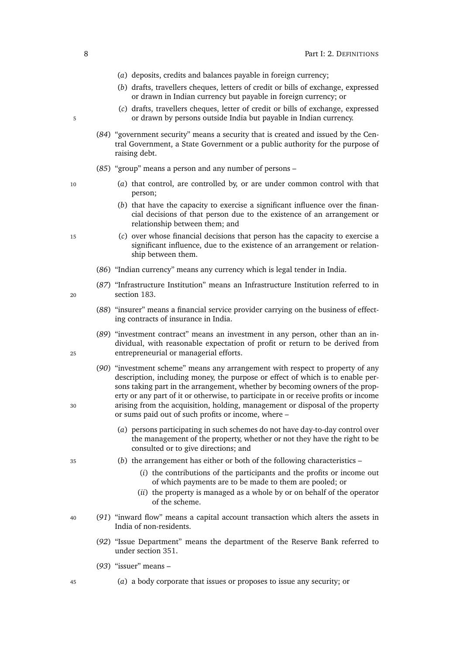- (*a*) deposits, credits and balances payable in foreign currency;
- (*b*) drafts, travellers cheques, letters of credit or bills of exchange, expressed or drawn in Indian currency but payable in foreign currency; or
- (*c*) drafts, travellers cheques, letter of credit or bills of exchange, expressed 5 or drawn by persons outside India but payable in Indian currency.
	- (*84*) "government security" means a security that is created and issued by the Central Government, a State Government or a public authority for the purpose of raising debt.
	- (*85*) "group" means a person and any number of persons –
- <sup>10</sup> (*a*) that control, are controlled by, or are under common control with that person;
	- (*b*) that have the capacity to exercise a significant influence over the financial decisions of that person due to the existence of an arrangement or relationship between them; and
- <sup>15</sup> (*c*) over whose financial decisions that person has the capacity to exercise a significant influence, due to the existence of an arrangement or relationship between them.
	- (*86*) "Indian currency" means any currency which is legal tender in India.
- (*87*) "Infrastructure Institution" means an Infrastructure Institution referred to in <sup>20</sup> section [183.](#page-106-2)
	- (*88*) "insurer" means a financial service provider carrying on the business of effecting contracts of insurance in India.
- (*89*) "investment contract" means an investment in any person, other than an individual, with reasonable expectation of profit or return to be derived from <sup>25</sup> entrepreneurial or managerial efforts.
- (*90*) "investment scheme" means any arrangement with respect to property of any description, including money, the purpose or effect of which is to enable persons taking part in the arrangement, whether by becoming owners of the property or any part of it or otherwise, to participate in or receive profits or income <sup>30</sup> arising from the acquisition, holding, management or disposal of the property or sums paid out of such profits or income, where –
	- (*a*) persons participating in such schemes do not have day-to-day control over the management of the property, whether or not they have the right to be consulted or to give directions; and
- <sup>35</sup> (*b*) the arrangement has either or both of the following characteristics
	- (*i*) the contributions of the participants and the profits or income out of which payments are to be made to them are pooled; or
	- (*ii*) the property is managed as a whole by or on behalf of the operator of the scheme.
- <sup>40</sup> (*91*) "inward flow" means a capital account transaction which alters the assets in India of non-residents.
	- (*92*) "Issue Department" means the department of the Reserve Bank referred to under section [351.](#page-165-0)
	- (*93*) "issuer" means –
- <span id="page-29-0"></span><sup>45</sup> (*a*) a body corporate that issues or proposes to issue any security; or

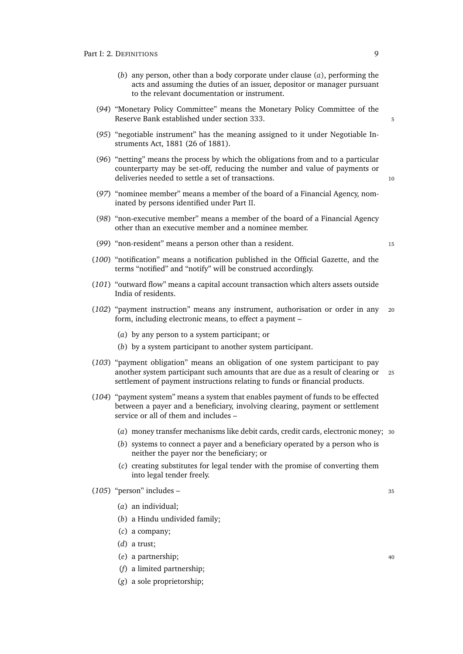- (*b*) any person, other than a body corporate under clause (*a*[\),](#page-29-0) performing the acts and assuming the duties of an issuer, depositor or manager pursuant to the relevant documentation or instrument.
- (*94*) "Monetary Policy Committee" means the Monetary Policy Committee of the Reserve Bank established under section [333.](#page-157-2)
- (*95*) "negotiable instrument" has the meaning assigned to it under Negotiable Instruments Act, 1881 (26 of 1881).
- (*96*) "netting" means the process by which the obligations from and to a particular counterparty may be set-off, reducing the number and value of payments or deliveries needed to settle a set of transactions.
- (*97*) "nominee member" means a member of the board of a Financial Agency, nominated by persons identified under Part [II.](#page-36-0)
- (*98*) "non-executive member" means a member of the board of a Financial Agency other than an executive member and a nominee member.
- (*99*) "non-resident" means a person other than a resident. <sup>15</sup>
- (*100*) "notification" means a notification published in the Official Gazette, and the terms "notified" and "notify" will be construed accordingly.
- (*101*) "outward flow" means a capital account transaction which alters assets outside India of residents.
- (*102*) "payment instruction" means any instrument, authorisation or order in any <sup>20</sup> form, including electronic means, to effect a payment –
	- (*a*) by any person to a system participant; or
	- (*b*) by a system participant to another system participant.
- (*103*) "payment obligation" means an obligation of one system participant to pay another system participant such amounts that are due as a result of clearing or <sup>25</sup> settlement of payment instructions relating to funds or financial products.
- (*104*) "payment system" means a system that enables payment of funds to be effected between a payer and a beneficiary, involving clearing, payment or settlement service or all of them and includes –
	- (*a*) money transfer mechanisms like debit cards, credit cards, electronic money; <sup>30</sup>
	- (*b*) systems to connect a payer and a beneficiary operated by a person who is neither the payer nor the beneficiary; or
	- (*c*) creating substitutes for legal tender with the promise of converting them into legal tender freely.
- <span id="page-30-0"></span>(*105*) "person" includes – <sup>35</sup>
	- (*a*) an individual;
	- (*b*) a Hindu undivided family;
	- (*c*) a company;
	- (*d*) a trust;
	- (*e*) a partnership; <sup>40</sup>
	- (*f*) a limited partnership;
	- (*g*) a sole proprietorship;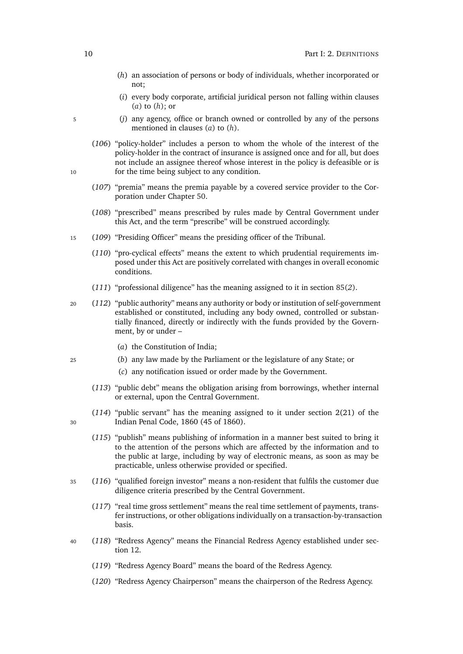- <span id="page-31-0"></span>(*h*) an association of persons or body of individuals, whether incorporated or not;
- (*i*) every body corporate, artificial juridical person not falling within clauses (*[a](#page-30-0)*) to (*[h](#page-31-0)*); or
- <sup>5</sup> (*j*) any agency, office or branch owned or controlled by any of the persons mentioned in clauses (*[a](#page-30-0)*) to (*[h](#page-31-0)*).
- (*106*) "policy-holder" includes a person to whom the whole of the interest of the policy-holder in the contract of insurance is assigned once and for all, but does not include an assignee thereof whose interest in the policy is defeasible or is 10 for the time being subject to any condition.
	- (*107*) "premia" means the premia payable by a covered service provider to the Corporation under Chapter [50.](#page-131-1)
	- (*108*) "prescribed" means prescribed by rules made by Central Government under this Act, and the term "prescribe" will be construed accordingly.
- <sup>15</sup> (*109*) "Presiding Officer" means the presiding officer of the Tribunal.
	- (*110*) "pro-cyclical effects" means the extent to which prudential requirements imposed under this Act are positively correlated with changes in overall economic conditions.
	- (*111*) "professional diligence" has the meaning assigned to it in section [85\(](#page-65-3)*2*).
- <sup>20</sup> (*112*) "public authority" means any authority or body or institution of self-government established or constituted, including any body owned, controlled or substantially financed, directly or indirectly with the funds provided by the Government, by or under –
	- (*a*) the Constitution of India;
- <sup>25</sup> (*b*) any law made by the Parliament or the legislature of any State; or
	- (*c*) any notification issued or order made by the Government.
	- (*113*) "public debt" means the obligation arising from borrowings, whether internal or external, upon the Central Government.
- (*114*) "public servant" has the meaning assigned to it under section 2(21) of the <sup>30</sup> Indian Penal Code, 1860 (45 of 1860).
	- (*115*) "publish" means publishing of information in a manner best suited to bring it to the attention of the persons which are affected by the information and to the public at large, including by way of electronic means, as soon as may be practicable, unless otherwise provided or specified.
- <sup>35</sup> (*116*) "qualified foreign investor" means a non-resident that fulfils the customer due diligence criteria prescribed by the Central Government.
	- (*117*) "real time gross settlement" means the real time settlement of payments, transfer instructions, or other obligations individually on a transaction-by-transaction basis.
- <sup>40</sup> (*118*) "Redress Agency" means the Financial Redress Agency established under section [12.](#page-38-4)
	- (*119*) "Redress Agency Board" means the board of the Redress Agency.
	- (*120*) "Redress Agency Chairperson" means the chairperson of the Redress Agency.

- 
-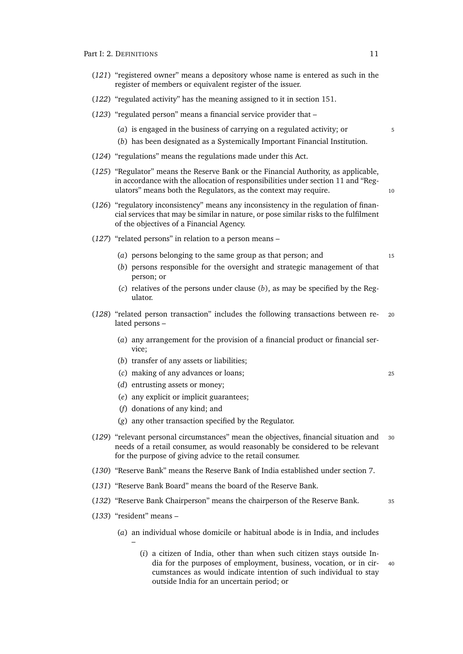- (*121*) "registered owner" means a depository whose name is entered as such in the register of members or equivalent register of the issuer.
- (*122*) "regulated activity" has the meaning assigned to it in section [151.](#page-91-3)
- (*123*) "regulated person" means a financial service provider that
	- (*a*) is engaged in the business of carrying on a regulated activity; or  $\frac{5}{5}$
	- (*b*) has been designated as a Systemically Important Financial Institution.
- (*124*) "regulations" means the regulations made under this Act.
- (*125*) "Regulator" means the Reserve Bank or the Financial Authority, as applicable, in accordance with the allocation of responsibilities under section [11](#page-38-2) and "Regulators" means both the Regulators, as the context may require. 10
- (*126*) "regulatory inconsistency" means any inconsistency in the regulation of financial services that may be similar in nature, or pose similar risks to the fulfilment of the objectives of a Financial Agency.
- <span id="page-32-0"></span>(*127*) "related persons" in relation to a person means –
	- (*a*) persons belonging to the same group as that person; and <sup>15</sup>
	- (*b*) persons responsible for the oversight and strategic management of that person; or
	- (*c*) relatives of the persons under clause (*b*[\),](#page-32-0) as may be specified by the Regulator.
- (*128*) "related person transaction" includes the following transactions between re- <sup>20</sup> lated persons –
	- (*a*) any arrangement for the provision of a financial product or financial service;
	- (*b*) transfer of any assets or liabilities;
	- (*c*) making of any advances or loans; <sup>25</sup>
	- (*d*) entrusting assets or money;
	- (*e*) any explicit or implicit guarantees;
	- (*f*) donations of any kind; and
	- (*g*) any other transaction specified by the Regulator.
- (*129*) "relevant personal circumstances" mean the objectives, financial situation and <sup>30</sup> needs of a retail consumer, as would reasonably be considered to be relevant for the purpose of giving advice to the retail consumer.
- (*130*) "Reserve Bank" means the Reserve Bank of India established under section [7.](#page-37-1)
- (*131*) "Reserve Bank Board" means the board of the Reserve Bank.
- (*132*) "Reserve Bank Chairperson" means the chairperson of the Reserve Bank. <sup>35</sup>
- (*133*) "resident" means –

–

- (*a*) an individual whose domicile or habitual abode is in India, and includes
	- (*i*) a citizen of India, other than when such citizen stays outside India for the purposes of employment, business, vocation, or in cir- <sup>40</sup> cumstances as would indicate intention of such individual to stay outside India for an uncertain period; or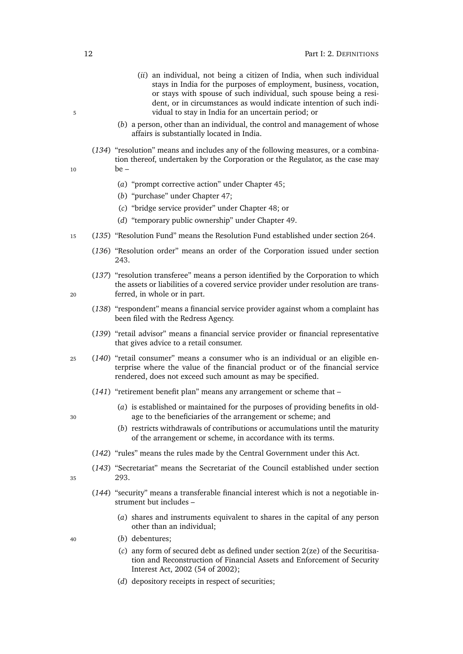- (*ii*) an individual, not being a citizen of India, when such individual stays in India for the purposes of employment, business, vocation, or stays with spouse of such individual, such spouse being a resident, or in circumstances as would indicate intention of such indi-5 vidual to stay in India for an uncertain period; or
	- (*b*) a person, other than an individual, the control and management of whose affairs is substantially located in India.
- (*134*) "resolution" means and includes any of the following measures, or a combination thereof, undertaken by the Corporation or the Regulator, as the case may  $10$  be –
	- (*a*) "prompt corrective action" under Chapter [45;](#page-120-0)
	- (*b*) "purchase" under Chapter [47;](#page-126-2)
	- (*c*) "bridge service provider" under Chapter [48;](#page-128-2) or
	- (*d*) "temporary public ownership" under Chapter [49.](#page-130-1)
- <sup>15</sup> (*135*) "Resolution Fund" means the Resolution Fund established under section [264.](#page-132-3)
	- (*136*) "Resolution order" means an order of the Corporation issued under section [243.](#page-124-1)
- (*137*) "resolution transferee" means a person identified by the Corporation to which the assets or liabilities of a covered service provider under resolution are trans-<sup>20</sup> ferred, in whole or in part.
	- (*138*) "respondent" means a financial service provider against whom a complaint has been filed with the Redress Agency.
	- (*139*) "retail advisor" means a financial service provider or financial representative that gives advice to a retail consumer.
- <sup>25</sup> (*140*) "retail consumer" means a consumer who is an individual or an eligible enterprise where the value of the financial product or of the financial service rendered, does not exceed such amount as may be specified.
	- (*141*) "retirement benefit plan" means any arrangement or scheme that –
- (*a*) is established or maintained for the purposes of providing benefits in old-<sup>30</sup> age to the beneficiaries of the arrangement or scheme; and
	- (*b*) restricts withdrawals of contributions or accumulations until the maturity of the arrangement or scheme, in accordance with its terms.
	- (*142*) "rules" means the rules made by the Central Government under this Act.
- (*143*) "Secretariat" means the Secretariat of the Council established under section <sup>35</sup> [293.](#page-143-5)
- 
- (*144*) "security" means a transferable financial interest which is not a negotiable instrument but includes –
	- (*a*) shares and instruments equivalent to shares in the capital of any person other than an individual;
- <sup>40</sup> (*b*) debentures;
	- (*c*) any form of secured debt as defined under section 2(ze) of the Securitisation and Reconstruction of Financial Assets and Enforcement of Security Interest Act, 2002 (54 of 2002);
	- (*d*) depository receipts in respect of securities;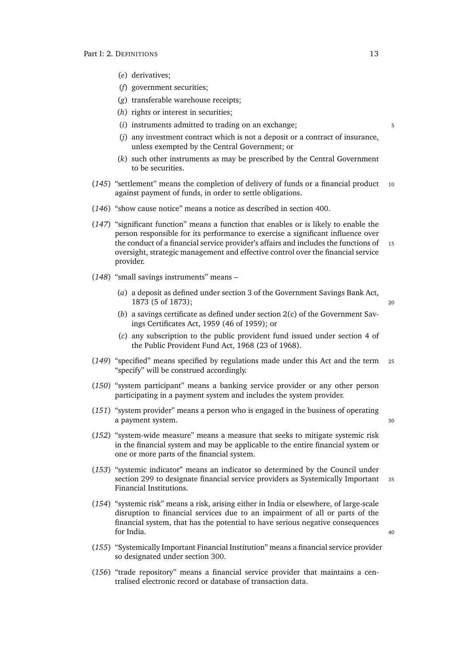- (*e*) derivatives;
- (*f*) government securities;
- (*g*) transferable warehouse receipts;
- (*h*) rights or interest in securities;
- (*i*) instruments admitted to trading on an exchange;  $\frac{5}{2}$
- (*j*) any investment contract which is not a deposit or a contract of insurance, unless exempted by the Central Government; or
- (*k*) such other instruments as may be prescribed by the Central Government to be securities.
- (*145*) "settlement" means the completion of delivery of funds or a financial product <sup>10</sup> against payment of funds, in order to settle obligations.
- (*146*) "show cause notice" means a notice as described in section [400.](#page-187-2)
- (*147*) "significant function" means a function that enables or is likely to enable the person responsible for its performance to exercise a significant influence over the conduct of a financial service provider's affairs and includes the functions of 15 oversight, strategic management and effective control over the financial service provider.
- (*148*) "small savings instruments" means
	- (*a*) a deposit as defined under section 3 of the Government Savings Bank Act, 1873 (5 of 1873); <sup>20</sup>
	- (*b*) a savings certificate as defined under section 2(c) of the Government Savings Certificates Act, 1959 (46 of 1959); or
	- (*c*) any subscription to the public provident fund issued under section 4 of the Public Provident Fund Act, 1968 (23 of 1968).
- (*149*) "specified" means specified by regulations made under this Act and the term <sup>25</sup> "specify" will be construed accordingly.
- (*150*) "system participant" means a banking service provider or any other person participating in a payment system and includes the system provider.
- (*151*) "system provider" means a person who is engaged in the business of operating a payment system. 30
- (*152*) "system-wide measure" means a measure that seeks to mitigate systemic risk in the financial system and may be applicable to the entire financial system or one or more parts of the financial system.
- (*153*) "systemic indicator" means an indicator so determined by the Council under section [299](#page-145-1) to designate financial service providers as Systemically Important 35 Financial Institutions.
- (*154*) "systemic risk" means a risk, arising either in India or elsewhere, of large-scale disruption to financial services due to an impairment of all or parts of the financial system, that has the potential to have serious negative consequences for India. And the same state of the state of the state of the state of the state of the state of the state of the state of the state of the state of the state of the state of the state of the state of the state of the sta
- (*155*) "Systemically Important Financial Institution" means a financial service provider so designated under section [300.](#page-146-0)
- (*156*) "trade repository" means a financial service provider that maintains a centralised electronic record or database of transaction data.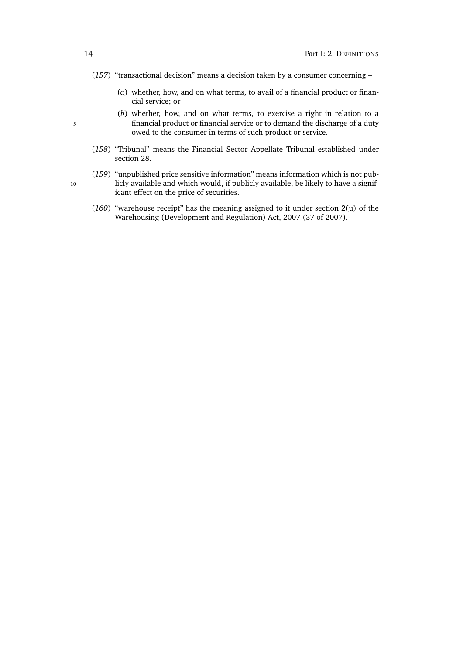- (*157*) "transactional decision" means a decision taken by a consumer concerning
	- (*a*) whether, how, and on what terms, to avail of a financial product or financial service; or
- (*b*) whether, how, and on what terms, to exercise a right in relation to a 5 financial product or financial service or to demand the discharge of a duty owed to the consumer in terms of such product or service.
	- (*158*) "Tribunal" means the Financial Sector Appellate Tribunal established under section [28.](#page-43-1)
- (*159*) "unpublished price sensitive information" means information which is not pub-10 licly available and which would, if publicly available, be likely to have a significant effect on the price of securities.
	- (*160*) "warehouse receipt" has the meaning assigned to it under section 2(u) of the Warehousing (Development and Regulation) Act, 2007 (37 of 2007).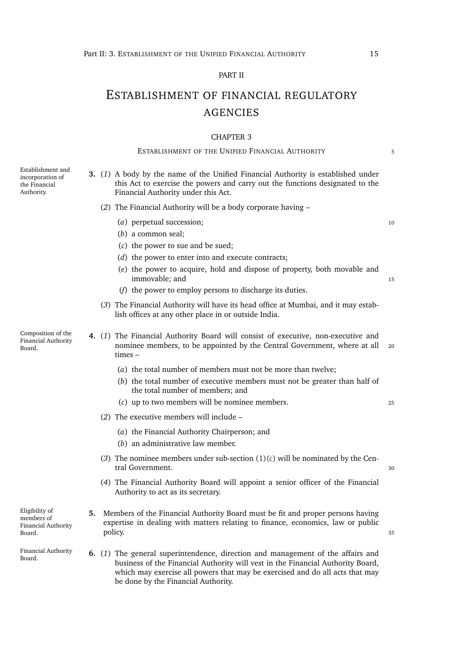### PART II

# ESTABLISHMENT OF FINANCIAL REGULATORY AGENCIES

#### CHAPTER 3

# ESTABLISHMENT OF THE UNIFIED FINANCIAL AUTHORITY 5

Authority. **3.** (*1*) A body by the name of the Unified Financial Authority is established under this Act to exercise the powers and carry out the functions designated to the Financial Authority under this Act. (*2*) The Financial Authority will be a body corporate having – (*a*) perpetual succession; 10 (*b*) a common seal; (*c*) the power to sue and be sued; (*d*) the power to enter into and execute contracts; (*e*) the power to acquire, hold and dispose of property, both movable and (*f*) the power to employ persons to discharge its duties. (*3*) The Financial Authority will have its head office at Mumbai, and it may establish offices at any other place in or outside India. Composition of the Financial Authority **4.** (*1*) The Financial Authority Board will consist of executive, non-executive and times – (*a*) the total number of members must not be more than twelve; (*b*) the total number of executive members must not be greater than half of the total number of members; and (*c*) up to two members will be nominee members. <sup>25</sup> (*2*) The executive members will include – (*a*) the Financial Authority Chairperson; and (*b*) an administrative law member. (3) The nominee members under sub-section  $(1)(c)$  $(1)(c)$  will be nominated by the Cen-(*4*) The Financial Authority Board will appoint a senior officer of the Financial Authority to act as its secretary. Eligibility of Financial Authority **5.** Members of the Financial Authority Board must be fit and proper persons having

Board. **6.** (*1*) The general superintendence, direction and management of the affairs and business of the Financial Authority will vest in the Financial Authority Board, which may exercise all powers that may be exercised and do all acts that may be done by the Financial Authority.

Establishment and incorporation of the Financial

Board.

members of Board.

Financial Authority

- immovable; and 15
- 
- nominee members, to be appointed by the Central Government, where at all 20
	-
	- tral Government. 30
	-
- expertise in dealing with matters relating to finance, economics, law or public policy. The state of the state of the state of the state of the state of the state of the state of the state of the state of the state of the state of the state of the state of the state of the state of the state of the st

<span id="page-36-0"></span>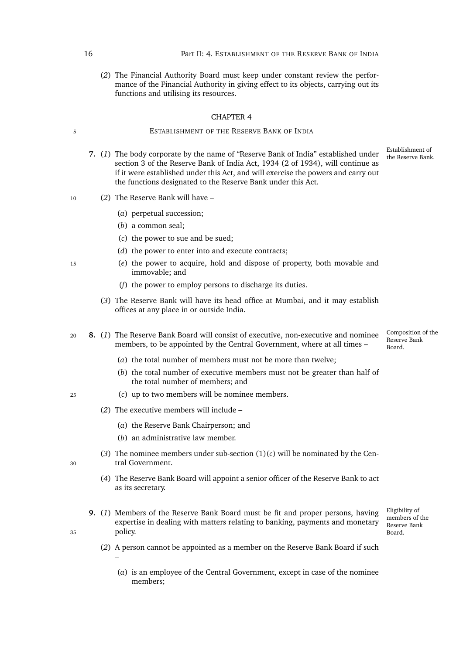(*2*) The Financial Authority Board must keep under constant review the performance of the Financial Authority in giving effect to its objects, carrying out its functions and utilising its resources.

#### CHAPTER 4

# 5 ESTABLISHMENT OF THE RESERVE BANK OF INDIA

- 7. (1) The body corporate by the name of "Reserve Bank of India" established under section 3 of the Reserve Bank of India Act, 1934 (2 of 1934), will continue as if it were established under this Act, and will exercise the powers and carry out the functions designated to the Reserve Bank under this Act.
- <sup>10</sup> (*2*) The Reserve Bank will have
	- (*a*) perpetual succession;
	- (*b*) a common seal;
	- (*c*) the power to sue and be sued;
	- (*d*) the power to enter into and execute contracts;
- <sup>15</sup> (*e*) the power to acquire, hold and dispose of property, both movable and immovable; and
	- (*f*) the power to employ persons to discharge its duties.
	- (*3*) The Reserve Bank will have its head office at Mumbai, and it may establish offices at any place in or outside India.
- Composition of the Reserve Bank Board. <sup>20</sup> **8.** (*1*) The Reserve Bank Board will consist of executive, non-executive and nominee members, to be appointed by the Central Government, where at all times –
	- (*a*) the total number of members must not be more than twelve;
	- (*b*) the total number of executive members must not be greater than half of the total number of members; and
- <span id="page-37-0"></span><sup>25</sup> (*c*) up to two members will be nominee members.
	- (*2*) The executive members will include
		- (*a*) the Reserve Bank Chairperson; and
		- (*b*) an administrative law member.
- (3) The nominee members under sub-section  $(1)(c)$  $(1)(c)$  will be nominated by the Cen-<sup>30</sup> tral Government.
	- (*4*) The Reserve Bank Board will appoint a senior officer of the Reserve Bank to act as its secretary.
- **9.** (*1*) Members of the Reserve Bank Board must be fit and proper persons, having expertise in dealing with matters relating to banking, payments and monetary <sup>35</sup> policy.
	- members of the Reserve Bank Board.

Eligibility of

- 
- (*2*) A person cannot be appointed as a member on the Reserve Bank Board if such –
	- (*a*) is an employee of the Central Government, except in case of the nominee members;

Establishment of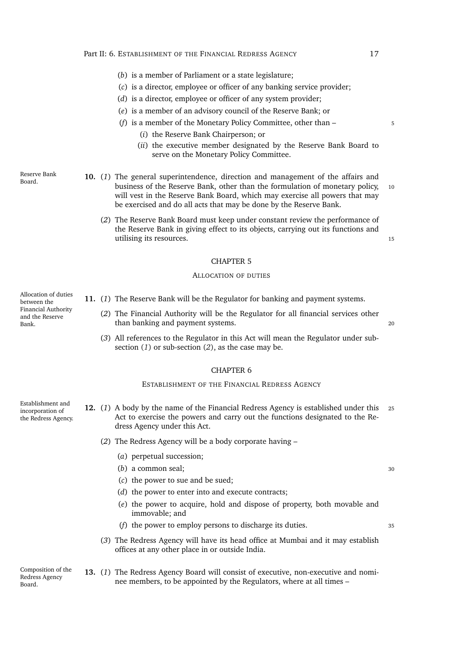- (*b*) is a member of Parliament or a state legislature;
- (*c*) is a director, employee or officer of any banking service provider;
- (*d*) is a director, employee or officer of any system provider;
- (*e*) is a member of an advisory council of the Reserve Bank; or
- (*f*) is a member of the Monetary Policy Committee, other than 5
	- (*i*) the Reserve Bank Chairperson; or
	- (*ii*) the executive member designated by the Reserve Bank Board to serve on the Monetary Policy Committee.

Reserve Bank

- Board. **10.** (*1*) The general superintendence, direction and management of the affairs and business of the Reserve Bank, other than the formulation of monetary policy, 10 will vest in the Reserve Bank Board, which may exercise all powers that may be exercised and do all acts that may be done by the Reserve Bank.
	- (*2*) The Reserve Bank Board must keep under constant review the performance of the Reserve Bank in giving effect to its objects, carrying out its functions and utilising its resources.

# CHAPTER 5

#### ALLOCATION OF DUTIES

Allocation of duties between the Financial Authority and the Reserve Bank.

- <span id="page-38-1"></span><span id="page-38-0"></span>**11.** (*1*) The Reserve Bank will be the Regulator for banking and payment systems.
	- (*2*) The Financial Authority will be the Regulator for all financial services other than banking and payment systems. The control of the control of the control of the control of the control of the control of the control of the control of the control of the control of the control of the control of the cont
	- (*3*) All references to the Regulator in this Act will mean the Regulator under subsection (*[1](#page-38-0)*) or sub-section (*[2](#page-38-1)*), as the case may be.

### CHAPTER 6

#### ESTABLISHMENT OF THE FINANCIAL REDRESS AGENCY

- Establishment and incorporation of the Redress Agency. **12.** (*1*) A body by the name of the Financial Redress Agency is established under this <sup>25</sup> Act to exercise the powers and carry out the functions designated to the Redress Agency under this Act.
	- (*2*) The Redress Agency will be a body corporate having
		- (*a*) perpetual succession;
		- (*b*) a common seal; 30

(*d*) the power to enter into and execute contracts;

(*c*) the power to sue and be sued;

- (*e*) the power to acquire, hold and dispose of property, both movable and immovable; and
- (*f*) the power to employ persons to discharge its duties. <sup>35</sup>
	-

(*3*) The Redress Agency will have its head office at Mumbai and it may establish offices at any other place in or outside India.

Composition of the Redress Agency Board.

**13.** (*1*) The Redress Agency Board will consist of executive, non-executive and nominee members, to be appointed by the Regulators, where at all times –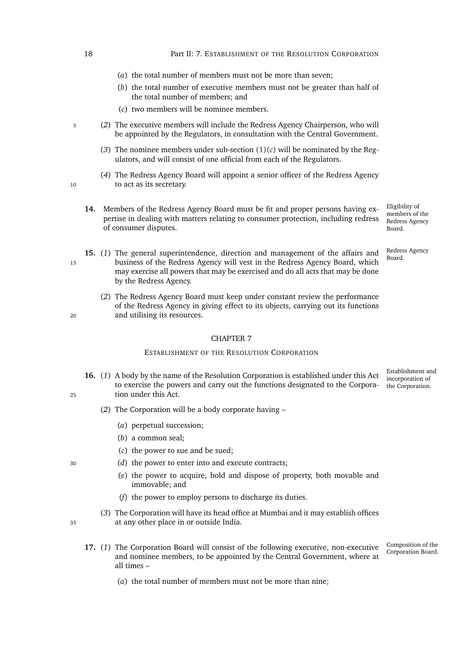(*a*) the total number of members must not be more than seven;

18 **Part II: 7. ESTABLISHMENT OF THE RESOLUTION CORPORATION** 

- (*b*) the total number of executive members must not be greater than half of the total number of members; and
- (*c*) two members will be nominee members.
- <span id="page-39-0"></span><sup>5</sup> (*2*) The executive members will include the Redress Agency Chairperson, who will be appointed by the Regulators, in consultation with the Central Government.
	- (3) The nominee members under sub-section  $(1)(c)$  $(1)(c)$  will be nominated by the Regulators, and will consist of one official from each of the Regulators.
- (*4*) The Redress Agency Board will appoint a senior officer of the Redress Agency 10 to act as its secretary.
	- Eligibility of **14.** Members of the Redress Agency Board must be fit and proper persons having expertise in dealing with matters relating to consumer protection, including redress of consumer disputes.
- Board. **15.** (*1*) The general superintendence, direction and management of the affairs and <sup>15</sup> business of the Redress Agency will vest in the Redress Agency Board, which may exercise all powers that may be exercised and do all acts that may be done by the Redress Agency.
- (*2*) The Redress Agency Board must keep under constant review the performance of the Redress Agency in giving effect to its objects, carrying out its functions <sup>20</sup> and utilising its resources.

# CHAPTER 7

# ESTABLISHMENT OF THE RESOLUTION CORPORATION

- Establishment and incorporation of the Corporation. **16.** (*1*) A body by the name of the Resolution Corporation is established under this Act to exercise the powers and carry out the functions designated to the Corpora-<sup>25</sup> tion under this Act.
	- (*2*) The Corporation will be a body corporate having
		- (*a*) perpetual succession;
		- (*b*) a common seal;
		- (*c*) the power to sue and be sued;
- <sup>30</sup> (*d*) the power to enter into and execute contracts;
	- (*e*) the power to acquire, hold and dispose of property, both movable and immovable; and
	- (*f*) the power to employ persons to discharge its duties.
- (*3*) The Corporation will have its head office at Mumbai and it may establish offices <sup>35</sup> at any other place in or outside India.
- Composition of the
- 17. (1) The Corporation Board will consist of the following executive, non-executive Composition of the Corporation Board. and nominee members, to be appointed by the Central Government, where at all times –
	- (*a*) the total number of members must not be more than nine;

members of the Redress Agency Board.

Redress Agency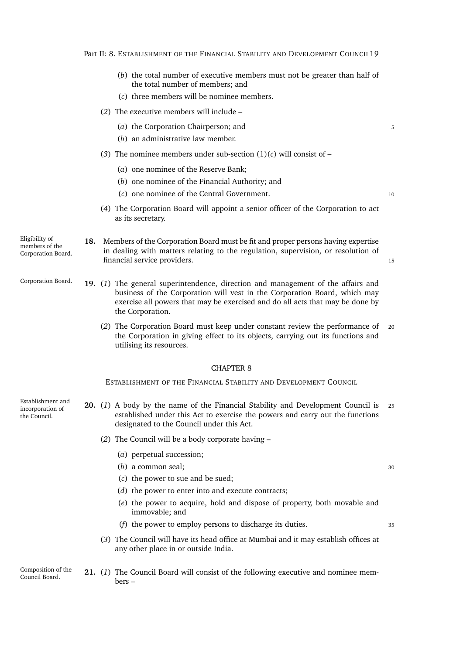Part II: 8. ESTABLISHMENT OF THE FINANCIAL STABILITY AND DEVELOPMENT COUNCIL19

- (*b*) the total number of executive members must not be greater than half of the total number of members; and
- (*c*) three members will be nominee members.
- <span id="page-40-0"></span>(*2*) The executive members will include –
	- (*a*) the Corporation Chairperson; and 5
	- (*b*) an administrative law member.
- (3) The nominee members under sub-section  $(1)(c)$  $(1)(c)$  will consist of
	- (*a*) one nominee of the Reserve Bank;
	- (*b*) one nominee of the Financial Authority; and
	- (*c*) one nominee of the Central Government. <sup>10</sup>
		-
- (*4*) The Corporation Board will appoint a senior officer of the Corporation to act as its secretary.
- Eligibility of members of the Corporation Board. **18.** Members of the Corporation Board must be fit and proper persons having expertise in dealing with matters relating to the regulation, supervision, or resolution of financial service providers. <sup>15</sup>
- Corporation Board. **19.** (*1*) The general superintendence, direction and management of the affairs and business of the Corporation will vest in the Corporation Board, which may exercise all powers that may be exercised and do all acts that may be done by the Corporation.
	- (*2*) The Corporation Board must keep under constant review the performance of <sup>20</sup> the Corporation in giving effect to its objects, carrying out its functions and utilising its resources.

#### CHAPTER 8

ESTABLISHMENT OF THE FINANCIAL STABILITY AND DEVELOPMENT COUNCIL

Establishment and incorporation of the Council.

- **20.** (*1*) A body by the name of the Financial Stability and Development Council is <sup>25</sup> established under this Act to exercise the powers and carry out the functions designated to the Council under this Act.
	- (*2*) The Council will be a body corporate having
		- (*a*) perpetual succession;
		- (*b*) a common seal; 30
		- (*c*) the power to sue and be sued;
		- (*d*) the power to enter into and execute contracts;
		- (*e*) the power to acquire, hold and dispose of property, both movable and immovable; and
		- (*f*) the power to employ persons to discharge its duties. <sup>35</sup>
	- (*3*) The Council will have its head office at Mumbai and it may establish offices at any other place in or outside India.
- Composition of the Council Board. **21.** (*1*) The Council Board will consist of the following executive and nominee members –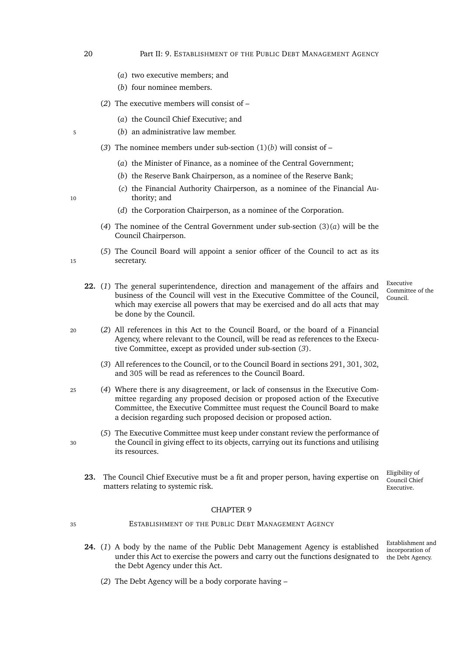- (*a*) two executive members; and
- (*b*) four nominee members.
- <span id="page-41-0"></span>(*2*) The executive members will consist of –
	- (*a*) the Council Chief Executive; and
- <span id="page-41-1"></span><sup>5</sup> (*b*) an administrative law member.
	- (3) The nominee members under sub-section  $(1)(b)$  $(1)(b)$  will consist of
		- (*a*) the Minister of Finance, as a nominee of the Central Government;
		- (*b*) the Reserve Bank Chairperson, as a nominee of the Reserve Bank;
- (*c*) the Financial Authority Chairperson, as a nominee of the Financial Au-10 thority; and
	- (*d*) the Corporation Chairperson, as a nominee of the Corporation.
	- (*4*) The nominee of the Central Government under sub-section [\(3\)\(](#page-41-1)*a*) will be the Council Chairperson.
- (*5*) The Council Board will appoint a senior officer of the Council to act as its <sup>15</sup> secretary.
	- **22.** (*1*) The general superintendence, direction and management of the affairs and business of the Council will vest in the Executive Committee of the Council, which may exercise all powers that may be exercised and do all acts that may be done by the Council.
- <sup>20</sup> (*2*) All references in this Act to the Council Board, or the board of a Financial Agency, where relevant to the Council, will be read as references to the Executive Committee, except as provided under sub-section (*[3](#page-41-2)*).
	- (*3*) All references to the Council, or to the Council Board in sections [291,](#page-143-0) [301,](#page-146-0) [302,](#page-146-1) and [305](#page-147-0) will be read as references to the Council Board.
- <sup>25</sup> (*4*) Where there is any disagreement, or lack of consensus in the Executive Committee regarding any proposed decision or proposed action of the Executive Committee, the Executive Committee must request the Council Board to make a decision regarding such proposed decision or proposed action.
- (*5*) The Executive Committee must keep under constant review the performance of <sup>30</sup> the Council in giving effect to its objects, carrying out its functions and utilising its resources.
	- **23.** The Council Chief Executive must be a fit and proper person, having expertise on matters relating to systemic risk.

- <sup>35</sup> ESTABLISHMENT OF THE PUBLIC DEBT MANAGEMENT AGENCY
	- the Debt Agency. **24.** (*1*) A body by the name of the Public Debt Management Agency is established under this Act to exercise the powers and carry out the functions designated to the Debt Agency under this Act.
		- (*2*) The Debt Agency will be a body corporate having –

Executive Committee of the Council.

- Eligibility of Council Chief Executive.
- Establishment and incorporation of

<span id="page-41-2"></span>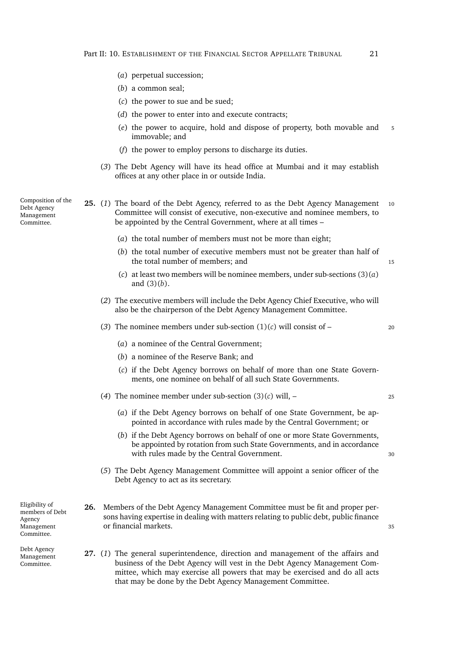- (*a*) perpetual succession;
- (*b*) a common seal;
- (*c*) the power to sue and be sued;
- (*d*) the power to enter into and execute contracts;
- (*e*) the power to acquire, hold and dispose of property, both movable and <sup>5</sup> immovable; and
- (*f*) the power to employ persons to discharge its duties.
- (*3*) The Debt Agency will have its head office at Mumbai and it may establish offices at any other place in or outside India.

Composition of the Debt Agency Management Committee.

- <span id="page-42-2"></span><span id="page-42-1"></span><span id="page-42-0"></span>**25.** (*1*) The board of the Debt Agency, referred to as the Debt Agency Management <sup>10</sup> Committee will consist of executive, non-executive and nominee members, to be appointed by the Central Government, where at all times –
	- (*a*) the total number of members must not be more than eight;
	- (*b*) the total number of executive members must not be greater than half of the total number of members; and 15
	- (*c*) at least two members will be nominee members, under sub-sections [\(3\)\(](#page-42-0)*a*) and [\(3\)\(](#page-42-1)*b*).
	- (*2*) The executive members will include the Debt Agency Chief Executive, who will also be the chairperson of the Debt Agency Management Committee.
	- (3) The nominee members under sub-section  $(1)(c)$  $(1)(c)$  will consist of 20
		- (*a*) a nominee of the Central Government;
		- (*b*) a nominee of the Reserve Bank; and
		- (*c*) if the Debt Agency borrows on behalf of more than one State Governments, one nominee on behalf of all such State Governments.
	- (*4*) The nominee member under sub-section [\(3\)\(](#page-42-3)*c*) will, <sup>25</sup>
		- (*a*) if the Debt Agency borrows on behalf of one State Government, be appointed in accordance with rules made by the Central Government; or
		- (*b*) if the Debt Agency borrows on behalf of one or more State Governments, be appointed by rotation from such State Governments, and in accordance with rules made by the Central Government. 30
	- (*5*) The Debt Agency Management Committee will appoint a senior officer of the Debt Agency to act as its secretary.

Eligibility of members of Debt Agency Management Committee.

Debt Agency Management Committee.

- <span id="page-42-3"></span>**26.** Members of the Debt Agency Management Committee must be fit and proper persons having expertise in dealing with matters relating to public debt, public finance or financial markets. <sup>35</sup>
- **27.** (*1*) The general superintendence, direction and management of the affairs and business of the Debt Agency will vest in the Debt Agency Management Committee, which may exercise all powers that may be exercised and do all acts that may be done by the Debt Agency Management Committee.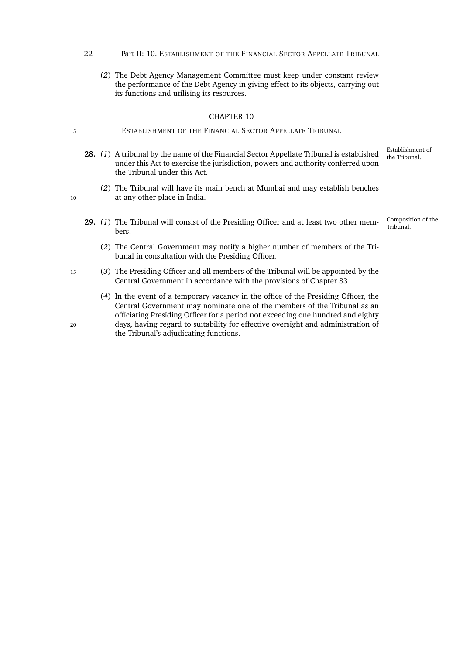- 22 Part II: 10. ESTABLISHMENT OF THE FINANCIAL SECTOR APPELLATE TRIBUNAL
	- (*2*) The Debt Agency Management Committee must keep under constant review the performance of the Debt Agency in giving effect to its objects, carrying out its functions and utilising its resources.

- 5 ESTABLISHMENT OF THE FINANCIAL SECTOR APPELLATE TRIBUNAL
	- Establishment of the Tribunal. **28.** (*1*) A tribunal by the name of the Financial Sector Appellate Tribunal is established under this Act to exercise the jurisdiction, powers and authority conferred upon the Tribunal under this Act.
- (*2*) The Tribunal will have its main bench at Mumbai and may establish benches 10 at any other place in India.
	- Composition of the 29. (1) The Tribunal will consist of the Presiding Officer and at least two other members.
		- (*2*) The Central Government may notify a higher number of members of the Tribunal in consultation with the Presiding Officer.
- <sup>15</sup> (*3*) The Presiding Officer and all members of the Tribunal will be appointed by the Central Government in accordance with the provisions of Chapter [83.](#page-195-0)
- (*4*) In the event of a temporary vacancy in the office of the Presiding Officer, the Central Government may nominate one of the members of the Tribunal as an officiating Presiding Officer for a period not exceeding one hundred and eighty <sup>20</sup> days, having regard to suitability for effective oversight and administration of the Tribunal's adjudicating functions.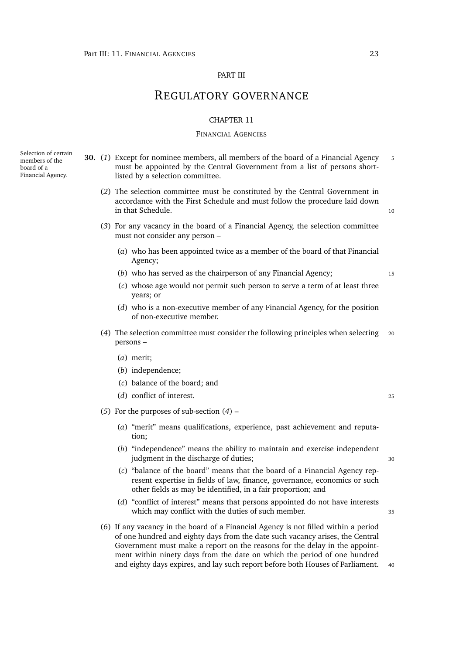# PART III

# REGULATORY GOVERNANCE

### CHAPTER 11

# FINANCIAL AGENCIES

Selection of certain members of the board of a Financial Agency.

- <span id="page-44-0"></span>**30.** (*1*) Except for nominee members, all members of the board of a Financial Agency <sup>5</sup> must be appointed by the Central Government from a list of persons shortlisted by a selection committee.
	- (*2*) The selection committee must be constituted by the Central Government in accordance with the First Schedule and must follow the procedure laid down in that Schedule. 10
	- (*3*) For any vacancy in the board of a Financial Agency, the selection committee must not consider any person –
		- (*a*) who has been appointed twice as a member of the board of that Financial Agency;
		- (*b*) who has served as the chairperson of any Financial Agency; <sup>15</sup>
		- (*c*) whose age would not permit such person to serve a term of at least three years; or
		- (*d*) who is a non-executive member of any Financial Agency, for the position of non-executive member.
	- (*4*) The selection committee must consider the following principles when selecting <sup>20</sup> persons –
		- (*a*) merit;
		- (*b*) independence;
		- (*c*) balance of the board; and
		- (*d*) conflict of interest. <sup>25</sup>
	- (*5*) For the purposes of sub-section (*[4](#page-44-0)*)
		- (*a*) "merit" means qualifications, experience, past achievement and reputation;
		- (*b*) "independence" means the ability to maintain and exercise independent judgment in the discharge of duties; 30
		- (*c*) "balance of the board" means that the board of a Financial Agency represent expertise in fields of law, finance, governance, economics or such other fields as may be identified, in a fair proportion; and
		- (*d*) "conflict of interest" means that persons appointed do not have interests which may conflict with the duties of such member. 35
	- (*6*) If any vacancy in the board of a Financial Agency is not filled within a period of one hundred and eighty days from the date such vacancy arises, the Central Government must make a report on the reasons for the delay in the appointment within ninety days from the date on which the period of one hundred and eighty days expires, and lay such report before both Houses of Parliament.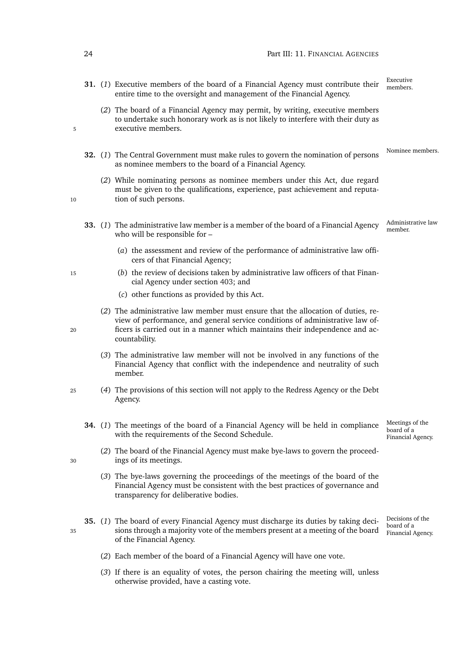- Executive **31.** (1) Executive members of the board of a Financial Agency must contribute their members entire time to the oversight and management of the Financial Agency.
- (*2*) The board of a Financial Agency may permit, by writing, executive members to undertake such honorary work as is not likely to interfere with their duty as 5 executive members.
	- Nominee members. **32.** (*1*) The Central Government must make rules to govern the nomination of persons as nominee members to the board of a Financial Agency.
- (*2*) While nominating persons as nominee members under this Act, due regard must be given to the qualifications, experience, past achievement and reputa-10 tion of such persons.
	- Administrative law member. **33.** (*1*) The administrative law member is a member of the board of a Financial Agency who will be responsible for –
		- (*a*) the assessment and review of the performance of administrative law officers of that Financial Agency;
- <sup>15</sup> (*b*) the review of decisions taken by administrative law officers of that Financial Agency under section [403;](#page-188-0) and
	- (*c*) other functions as provided by this Act.
- (*2*) The administrative law member must ensure that the allocation of duties, review of performance, and general service conditions of administrative law of-<sup>20</sup> ficers is carried out in a manner which maintains their independence and accountability.
	- (*3*) The administrative law member will not be involved in any functions of the Financial Agency that conflict with the independence and neutrality of such member.
- <sup>25</sup> (*4*) The provisions of this section will not apply to the Redress Agency or the Debt Agency.
	- **34.** (*1*) The meetings of the board of a Financial Agency will be held in compliance with the requirements of the Second Schedule.
- (*2*) The board of the Financial Agency must make bye-laws to govern the proceed-<sup>30</sup> ings of its meetings.
	- (*3*) The bye-laws governing the proceedings of the meetings of the board of the Financial Agency must be consistent with the best practices of governance and transparency for deliberative bodies.
- Decisions of the board of a Financial Agency. **35.** (*1*) The board of every Financial Agency must discharge its duties by taking deci-<sup>35</sup> sions through a majority vote of the members present at a meeting of the board of the Financial Agency.
	- (*2*) Each member of the board of a Financial Agency will have one vote.
	- (*3*) If there is an equality of votes, the person chairing the meeting will, unless otherwise provided, have a casting vote.

Meetings of the board of a Financial Agency.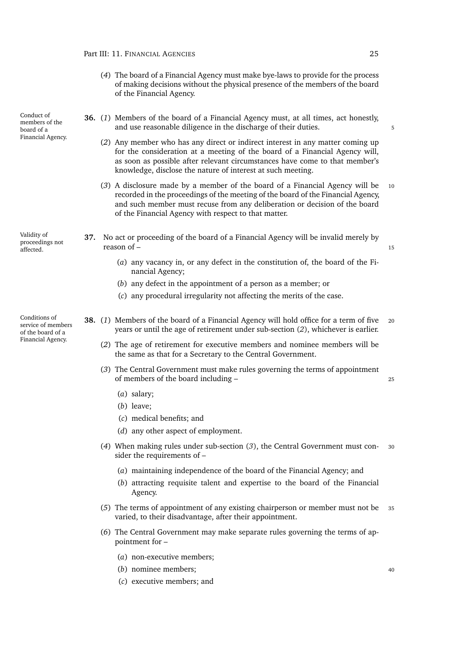- (*4*) The board of a Financial Agency must make bye-laws to provide for the process of making decisions without the physical presence of the members of the board of the Financial Agency.
- <span id="page-46-2"></span>**36.** (*1*) Members of the board of a Financial Agency must, at all times, act honestly, and use reasonable diligence in the discharge of their duties. 5
	- (*2*) Any member who has any direct or indirect interest in any matter coming up for the consideration at a meeting of the board of a Financial Agency will, as soon as possible after relevant circumstances have come to that member's knowledge, disclose the nature of interest at such meeting.
	- (*3*) A disclosure made by a member of the board of a Financial Agency will be <sup>10</sup> recorded in the proceedings of the meeting of the board of the Financial Agency, and such member must recuse from any deliberation or decision of the board of the Financial Agency with respect to that matter.

Validity of proceedings not affected.

Conduct of members of the board of a Financial Agency.

Conditions of service of members of the board of a Financial Agency.

- **37.** No act or proceeding of the board of a Financial Agency will be invalid merely by reason of  $-$  15
	- (*a*) any vacancy in, or any defect in the constitution of, the board of the Financial Agency;
	- (*b*) any defect in the appointment of a person as a member; or
	- (*c*) any procedural irregularity not affecting the merits of the case.
- <span id="page-46-1"></span><span id="page-46-0"></span>**38.** (*1*) Members of the board of a Financial Agency will hold office for a term of five <sup>20</sup> years or until the age of retirement under sub-section (*[2](#page-46-0)*), whichever is earlier.
	- (*2*) The age of retirement for executive members and nominee members will be the same as that for a Secretary to the Central Government.
	- (*3*) The Central Government must make rules governing the terms of appointment of members of the board including – <sup>25</sup>
		- (*a*) salary;
		- (*b*) leave;
		- (*c*) medical benefits; and
		- (*d*) any other aspect of employment.
	- (*4*) When making rules under sub-section (*[3](#page-46-1)*), the Central Government must con- <sup>30</sup> sider the requirements of –
		- (*a*) maintaining independence of the board of the Financial Agency; and
		- (*b*) attracting requisite talent and expertise to the board of the Financial Agency.
	- (*5*) The terms of appointment of any existing chairperson or member must not be <sup>35</sup> varied, to their disadvantage, after their appointment.
	- (*6*) The Central Government may make separate rules governing the terms of appointment for –
		- (*a*) non-executive members;
		- (*b*) nominee members; <sup>40</sup>
		- (*c*) executive members; and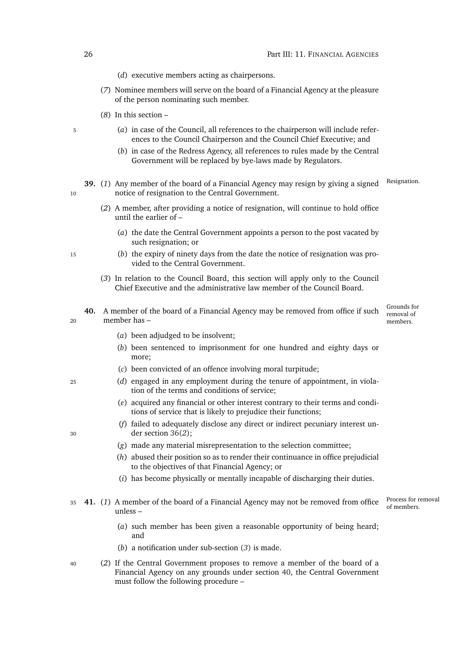- (*d*) executive members acting as chairpersons.
- (*7*) Nominee members will serve on the board of a Financial Agency at the pleasure of the person nominating such member.
- (*8*) In this section –
- <sup>5</sup> (*a*) in case of the Council, all references to the chairperson will include references to the Council Chairperson and the Council Chief Executive; and
	- (*b*) in case of the Redress Agency, all references to rules made by the Central Government will be replaced by bye-laws made by Regulators.
- <span id="page-47-1"></span>**39.** (1) Any member of the board of a Financial Agency may resign by giving a signed Resignation. 10 notice of resignation to the Central Government.
	- (*2*) A member, after providing a notice of resignation, will continue to hold office until the earlier of –
		- (*a*) the date the Central Government appoints a person to the post vacated by such resignation; or
- <sup>15</sup> (*b*) the expiry of ninety days from the date the notice of resignation was provided to the Central Government.
	- (*3*) In relation to the Council Board, this section will apply only to the Council Chief Executive and the administrative law member of the Council Board.
- <span id="page-47-0"></span>**40.** A member of the board of a Financial Agency may be removed from office if such <sup>20</sup> member has –

Grounds for removal of members.

- (*a*) been adjudged to be insolvent;
- (*b*) been sentenced to imprisonment for one hundred and eighty days or more;
- (*c*) been convicted of an offence involving moral turpitude;
- <sup>25</sup> (*d*) engaged in any employment during the tenure of appointment, in violation of the terms and conditions of service;
	- (*e*) acquired any financial or other interest contrary to their terms and conditions of service that is likely to prejudice their functions;
- (*f*) failed to adequately disclose any direct or indirect pecuniary interest un-<sup>30</sup> der section [36\(](#page-46-2)*2*);
	- (*g*) made any material misrepresentation to the selection committee;
	- (*h*) abused their position so as to render their continuance in office prejudicial to the objectives of that Financial Agency; or
	- (*i*) has become physically or mentally incapable of discharging their duties.
- Process for removal<br>of members. 35 **41.** (1) A member of the board of a Financial Agency may not be removed from office unless –
	- (*a*) such member has been given a reasonable opportunity of being heard; and
	- (*b*) a notification under sub-section (*[3](#page-48-0)*) is made.
- <sup>40</sup> (*2*) If the Central Government proposes to remove a member of the board of a Financial Agency on any grounds under section [40,](#page-47-0) the Central Government must follow the following procedure –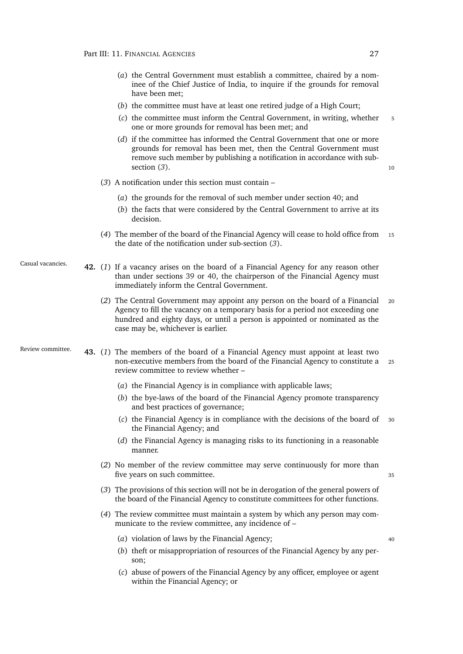- (*a*) the Central Government must establish a committee, chaired by a nominee of the Chief Justice of India, to inquire if the grounds for removal have been met;
- (*b*) the committee must have at least one retired judge of a High Court;
- (*c*) the committee must inform the Central Government, in writing, whether <sup>5</sup> one or more grounds for removal has been met; and
- (*d*) if the committee has informed the Central Government that one or more grounds for removal has been met, then the Central Government must remove such member by publishing a notification in accordance with subsection  $(3)$  $(3)$  $(3)$ . 10
- <span id="page-48-0"></span>(*3*) A notification under this section must contain –
	- (*a*) the grounds for the removal of such member under section [40;](#page-47-0) and
	- (*b*) the facts that were considered by the Central Government to arrive at its decision.
- (*4*) The member of the board of the Financial Agency will cease to hold office from <sup>15</sup> the date of the notification under sub-section (*[3](#page-48-0)*).
- Casual vacancies. **42.** (*1*) If a vacancy arises on the board of a Financial Agency for any reason other than under sections [39](#page-47-1) or [40,](#page-47-0) the chairperson of the Financial Agency must immediately inform the Central Government.
	- (*2*) The Central Government may appoint any person on the board of a Financial <sup>20</sup> Agency to fill the vacancy on a temporary basis for a period not exceeding one hundred and eighty days, or until a person is appointed or nominated as the case may be, whichever is earlier.

Review committee. **43.** (*1*) The members of the board of a Financial Agency must appoint at least two non-executive members from the board of the Financial Agency to constitute a <sup>25</sup> review committee to review whether –

- <span id="page-48-1"></span>(*a*) the Financial Agency is in compliance with applicable laws;
- (*b*) the bye-laws of the board of the Financial Agency promote transparency and best practices of governance;
- (*c*) the Financial Agency is in compliance with the decisions of the board of <sup>30</sup> the Financial Agency; and
- (*d*) the Financial Agency is managing risks to its functioning in a reasonable manner.
- (*2*) No member of the review committee may serve continuously for more than five years on such committee.  $\frac{35}{2}$ 
	-
- (*3*) The provisions of this section will not be in derogation of the general powers of the board of the Financial Agency to constitute committees for other functions.
- <span id="page-48-2"></span>(*4*) The review committee must maintain a system by which any person may communicate to the review committee, any incidence of –
	- (*a*) violation of laws by the Financial Agency; <sup>40</sup>
		-
	- (*b*) theft or misappropriation of resources of the Financial Agency by any person;
	- (*c*) abuse of powers of the Financial Agency by any officer, employee or agent within the Financial Agency; or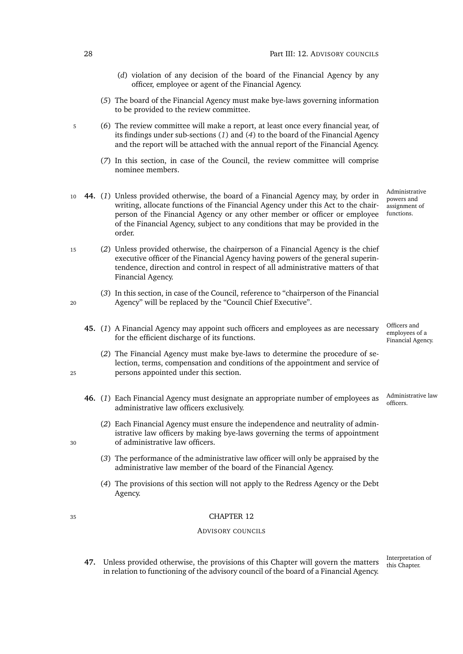- (*d*) violation of any decision of the board of the Financial Agency by any officer, employee or agent of the Financial Agency.
- (*5*) The board of the Financial Agency must make bye-laws governing information to be provided to the review committee.
- <sup>5</sup> (*6*) The review committee will make a report, at least once every financial year, of its findings under sub-sections (*[1](#page-48-1)*) and (*[4](#page-48-2)*) to the board of the Financial Agency and the report will be attached with the annual report of the Financial Agency.
	- (*7*) In this section, in case of the Council, the review committee will comprise nominee members.
- Administrative powers and assignment of functions. <sup>10</sup> **44.** (*1*) Unless provided otherwise, the board of a Financial Agency may, by order in writing, allocate functions of the Financial Agency under this Act to the chairperson of the Financial Agency or any other member or officer or employee of the Financial Agency, subject to any conditions that may be provided in the order.
- <sup>15</sup> (*2*) Unless provided otherwise, the chairperson of a Financial Agency is the chief executive officer of the Financial Agency having powers of the general superintendence, direction and control in respect of all administrative matters of that Financial Agency.
- (*3*) In this section, in case of the Council, reference to "chairperson of the Financial <sup>20</sup> Agency" will be replaced by the "Council Chief Executive".
	- Officers and employees of a Financial Agency. **45.** (*1*) A Financial Agency may appoint such officers and employees as are necessary for the efficient discharge of its functions.
- (*2*) The Financial Agency must make bye-laws to determine the procedure of selection, terms, compensation and conditions of the appointment and service of <sup>25</sup> persons appointed under this section.
	- **46.** (1) Each Financial Agency must designate an appropriate number of employees as administrative law officers exclusively.
- (*2*) Each Financial Agency must ensure the independence and neutrality of administrative law officers by making bye-laws governing the terms of appointment <sup>30</sup> of administrative law officers.
	- (*3*) The performance of the administrative law officer will only be appraised by the administrative law member of the board of the Financial Agency.
	- (*4*) The provisions of this section will not apply to the Redress Agency or the Debt Agency.

# ADVISORY COUNCILS

Interpretation of<br>this Chapter. this Chapter. **47.** Unless provided otherwise, the provisions of this Chapter will govern the matters in relation to functioning of the advisory council of the board of a Financial Agency.

Administrative law<br>officers.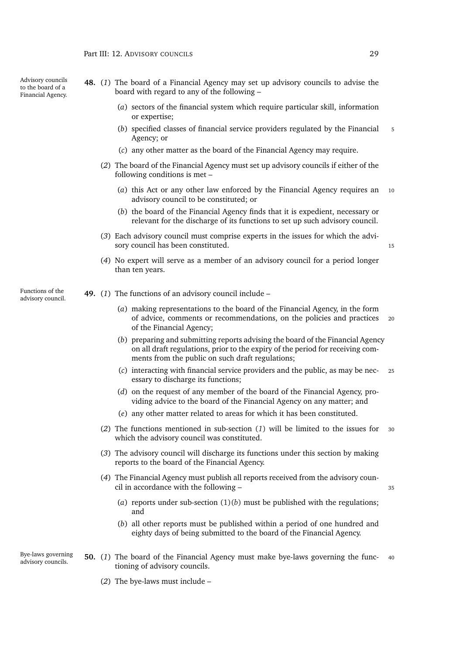Advisory councils to the board of a Financial Agency.

- **48.** (*1*) The board of a Financial Agency may set up advisory councils to advise the board with regard to any of the following –
	- (*a*) sectors of the financial system which require particular skill, information or expertise;
	- (*b*) specified classes of financial service providers regulated by the Financial <sup>5</sup> Agency; or
	- (*c*) any other matter as the board of the Financial Agency may require.
	- (*2*) The board of the Financial Agency must set up advisory councils if either of the following conditions is met –
		- (*a*) this Act or any other law enforced by the Financial Agency requires an <sup>10</sup> advisory council to be constituted; or
		- (*b*) the board of the Financial Agency finds that it is expedient, necessary or relevant for the discharge of its functions to set up such advisory council.
	- (*3*) Each advisory council must comprise experts in the issues for which the advisory council has been constituted. 15
	- (*4*) No expert will serve as a member of an advisory council for a period longer than ten years.
- <span id="page-50-1"></span>Functions of the **49.** (1) The functions of an advisory council include – advisory council.
	- (*a*) making representations to the board of the Financial Agency, in the form of advice, comments or recommendations, on the policies and practices <sup>20</sup> of the Financial Agency;
	- (*b*) preparing and submitting reports advising the board of the Financial Agency on all draft regulations, prior to the expiry of the period for receiving comments from the public on such draft regulations;
	- (*c*) interacting with financial service providers and the public, as may be nec- <sup>25</sup> essary to discharge its functions;
	- (*d*) on the request of any member of the board of the Financial Agency, providing advice to the board of the Financial Agency on any matter; and
	- (*e*) any other matter related to areas for which it has been constituted.
	- (*2*) The functions mentioned in sub-section (*[1](#page-50-0)*) will be limited to the issues for <sup>30</sup> which the advisory council was constituted.
	- (*3*) The advisory council will discharge its functions under this section by making reports to the board of the Financial Agency.
	- (*4*) The Financial Agency must publish all reports received from the advisory council in accordance with the following –  $35$ 
		-
		- (*a*) reports under sub-section [\(1\)\(](#page-50-1)*b*) must be published with the regulations; and
		- (*b*) all other reports must be published within a period of one hundred and eighty days of being submitted to the board of the Financial Agency.
- Bye-laws governing Bye-laws governing **50.** (1) The board of the Financial Agency must make bye-laws governing the func- 40 advisory councils. tioning of advisory councils.
	- (*2*) The bye-laws must include –

<span id="page-50-0"></span>Functions of the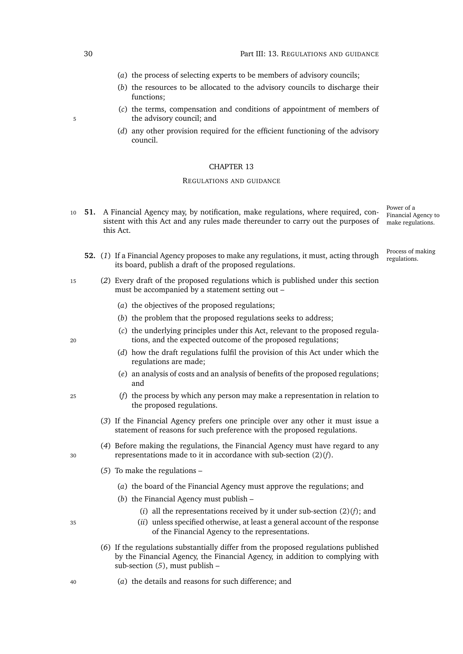- (*a*) the process of selecting experts to be members of advisory councils;
- (*b*) the resources to be allocated to the advisory councils to discharge their functions;
- (*c*) the terms, compensation and conditions of appointment of members of 5 the advisory council; and
	- (*d*) any other provision required for the efficient functioning of the advisory council.

#### REGULATIONS AND GUIDANCE

- Power of a Financial Agency to make regulations. <sup>10</sup> **51.** A Financial Agency may, by notification, make regulations, where required, consistent with this Act and any rules made thereunder to carry out the purposes of this Act.
	- Process of making **52.** (1) If a Financial Agency proposes to make any regulations, it must, acting through  $\frac{1}{\text{regulations}}$ its board, publish a draft of the proposed regulations.
- <span id="page-51-3"></span><span id="page-51-2"></span><sup>15</sup> (*2*) Every draft of the proposed regulations which is published under this section must be accompanied by a statement setting out –
	- (*a*) the objectives of the proposed regulations;
	- (*b*) the problem that the proposed regulations seeks to address;
- (*c*) the underlying principles under this Act, relevant to the proposed regula-<sup>20</sup> tions, and the expected outcome of the proposed regulations;
	- (*d*) how the draft regulations fulfil the provision of this Act under which the regulations are made;
	- (*e*) an analysis of costs and an analysis of benefits of the proposed regulations; and
- <span id="page-51-5"></span><span id="page-51-0"></span><sup>25</sup> (*f*) the process by which any person may make a representation in relation to the proposed regulations.
	- (*3*) If the Financial Agency prefers one principle over any other it must issue a statement of reasons for such preference with the proposed regulations.
- (*4*) Before making the regulations, the Financial Agency must have regard to any <sup>30</sup> representations made to it in accordance with sub-section [\(2\)\(](#page-51-0)*f*).
	- (*5*) To make the regulations
		- (*a*) the board of the Financial Agency must approve the regulations; and
		- (*b*) the Financial Agency must publish
			- (*i*) all the representations received by it under sub-section [\(2\)\(](#page-51-0)*f*); and
- <sup>35</sup> (*ii*) unless specified otherwise, at least a general account of the response of the Financial Agency to the representations.
	- (*6*) If the regulations substantially differ from the proposed regulations published by the Financial Agency, the Financial Agency, in addition to complying with sub-section (*[5](#page-51-1)*), must publish –
- <sup>40</sup> (*a*) the details and reasons for such difference; and

<span id="page-51-1"></span>

<span id="page-51-4"></span>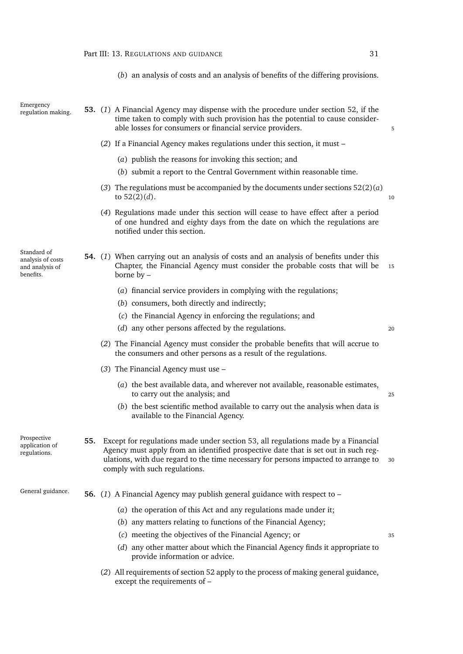<span id="page-52-1"></span>(*b*) an analysis of costs and an analysis of benefits of the differing provisions.

Emergency<br>regulation making.

<span id="page-52-0"></span>53. (1) A Financial Agency may dispense with the procedure under section [52,](#page-51-2) if the time taken to comply with such provision has the potential to cause considerable losses for consumers or financial service providers.  $\frac{5}{5}$ 

- (*2*) If a Financial Agency makes regulations under this section, it must
	- (*a*) publish the reasons for invoking this section; and
	- (*b*) submit a report to the Central Government within reasonable time.
- (3) The regulations must be accompanied by the documents under sections  $52(2)(a)$  $52(2)(a)$ to  $52(2)(d)$  $52(2)(d)$ . 10

(*4*) Regulations made under this section will cease to have effect after a period of one hundred and eighty days from the date on which the regulations are notified under this section.

Standard of analysis of costs and analysis of benefits.

- **54.** (*1*) When carrying out an analysis of costs and an analysis of benefits under this Chapter, the Financial Agency must consider the probable costs that will be <sup>15</sup> borne by –
	- (*a*) financial service providers in complying with the regulations;
	- (*b*) consumers, both directly and indirectly;
	- (*c*) the Financial Agency in enforcing the regulations; and
	- (*d*) any other persons affected by the regulations. <sup>20</sup>
	- (*2*) The Financial Agency must consider the probable benefits that will accrue to the consumers and other persons as a result of the regulations.
	- (*3*) The Financial Agency must use
		- (*a*) the best available data, and wherever not available, reasonable estimates, to carry out the analysis; and 25
		- (*b*) the best scientific method available to carry out the analysis when data is available to the Financial Agency.

Prospective application of regulations. **55.** Except for regulations made under section [53,](#page-52-0) all regulations made by a Financial Agency must apply from an identified prospective date that is set out in such regulations, with due regard to the time necessary for persons impacted to arrange to <sup>30</sup> comply with such regulations.

# General guidance. **56.** (*1*) A Financial Agency may publish general guidance with respect to –

- (*a*) the operation of this Act and any regulations made under it;
- (*b*) any matters relating to functions of the Financial Agency;
- (*c*) meeting the objectives of the Financial Agency; or <sup>35</sup>
- (*d*) any other matter about which the Financial Agency finds it appropriate to provide information or advice.
- (*2*) All requirements of section [52](#page-51-2) apply to the process of making general guidance, except the requirements of –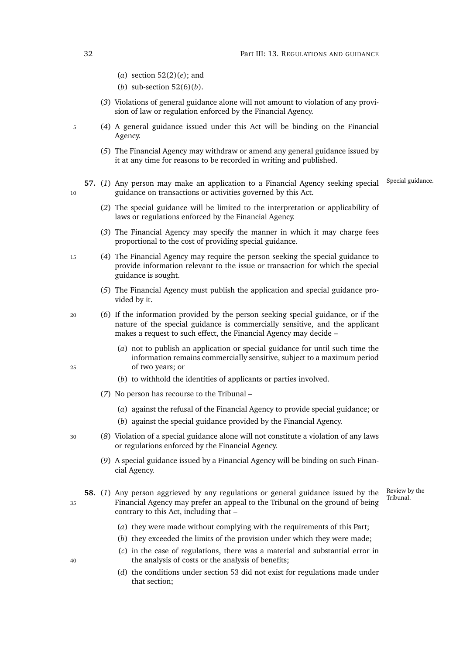- (*a*) section [52\(2\)\(](#page-51-5)*e*); and
- (*b*) sub-section [52\(6\)\(](#page-52-1)*b*).
- (*3*) Violations of general guidance alone will not amount to violation of any provision of law or regulation enforced by the Financial Agency.
- <sup>5</sup> (*4*) A general guidance issued under this Act will be binding on the Financial Agency.
	- (*5*) The Financial Agency may withdraw or amend any general guidance issued by it at any time for reasons to be recorded in writing and published.
- 57. (1) Any person may make an application to a Financial Agency seeking special Special guidance. 10 guidance on transactions or activities governed by this Act.
	- (*2*) The special guidance will be limited to the interpretation or applicability of laws or regulations enforced by the Financial Agency.
	- (*3*) The Financial Agency may specify the manner in which it may charge fees proportional to the cost of providing special guidance.
- <sup>15</sup> (*4*) The Financial Agency may require the person seeking the special guidance to provide information relevant to the issue or transaction for which the special guidance is sought.
	- (*5*) The Financial Agency must publish the application and special guidance provided by it.
- <sup>20</sup> (*6*) If the information provided by the person seeking special guidance, or if the nature of the special guidance is commercially sensitive, and the applicant makes a request to such effect, the Financial Agency may decide –
- (*a*) not to publish an application or special guidance for until such time the information remains commercially sensitive, subject to a maximum period <sup>25</sup> of two years; or
	- (*b*) to withhold the identities of applicants or parties involved.
	- (*7*) No person has recourse to the Tribunal
		- (*a*) against the refusal of the Financial Agency to provide special guidance; or
		- (*b*) against the special guidance provided by the Financial Agency.
- <sup>30</sup> (*8*) Violation of a special guidance alone will not constitute a violation of any laws or regulations enforced by the Financial Agency.
	- (*9*) A special guidance issued by a Financial Agency will be binding on such Financial Agency.
- <span id="page-53-0"></span>**58.** (1) Any person aggrieved by any regulations or general guidance issued by the  $\frac{\text{Review by}}{\text{Tribunal}}$ <sup>35</sup> Financial Agency may prefer an appeal to the Tribunal on the ground of being contrary to this Act, including that –

Review by the

- (*a*) they were made without complying with the requirements of this Part;
- (*b*) they exceeded the limits of the provision under which they were made;
- (*c*) in the case of regulations, there was a material and substantial error in <sup>40</sup> the analysis of costs or the analysis of benefits;
	- (*d*) the conditions under section [53](#page-52-0) did not exist for regulations made under that section;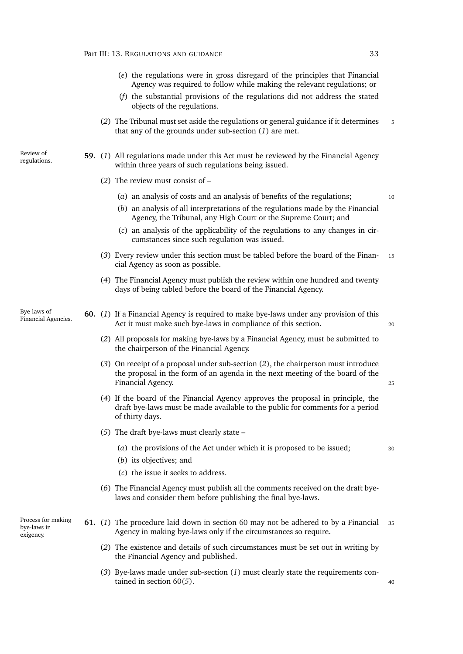- (*e*) the regulations were in gross disregard of the principles that Financial Agency was required to follow while making the relevant regulations; or
- (*f*) the substantial provisions of the regulations did not address the stated objects of the regulations.
- (*2*) The Tribunal must set aside the regulations or general guidance if it determines <sup>5</sup> that any of the grounds under sub-section (*[1](#page-53-0)*) are met.
- regulations. **59.** (*1*) All regulations made under this Act must be reviewed by the Financial Agency within three years of such regulations being issued.
	- (*2*) The review must consist of
		- (*a*) an analysis of costs and an analysis of benefits of the regulations; <sup>10</sup>
		- (*b*) an analysis of all interpretations of the regulations made by the Financial Agency, the Tribunal, any High Court or the Supreme Court; and
		- (*c*) an analysis of the applicability of the regulations to any changes in circumstances since such regulation was issued.
	- (*3*) Every review under this section must be tabled before the board of the Finan- <sup>15</sup> cial Agency as soon as possible.
	- (*4*) The Financial Agency must publish the review within one hundred and twenty days of being tabled before the board of the Financial Agency.

Bye-laws of<br>Financial Agencies.

Review of

- <span id="page-54-1"></span><span id="page-54-0"></span>60. (1) If a Financial Agency is required to make bye-laws under any provision of this Act it must make such bye-laws in compliance of this section. 20
	- (*2*) All proposals for making bye-laws by a Financial Agency, must be submitted to the chairperson of the Financial Agency.
	- (*3*) On receipt of a proposal under sub-section (*[2](#page-54-0)*), the chairperson must introduce the proposal in the form of an agenda in the next meeting of the board of the Financial Agency. 25
	- (*4*) If the board of the Financial Agency approves the proposal in principle, the draft bye-laws must be made available to the public for comments for a period of thirty days.
	- (*5*) The draft bye-laws must clearly state
		- (*a*) the provisions of the Act under which it is proposed to be issued; <sup>30</sup>
		- (*b*) its objectives; and
		- (*c*) the issue it seeks to address.
	- (*6*) The Financial Agency must publish all the comments received on the draft byelaws and consider them before publishing the final bye-laws.

Process for making bye-laws in exigency.

- <span id="page-54-3"></span><span id="page-54-2"></span>**61.** (*1*) The procedure laid down in section [60](#page-54-1) may not be adhered to by a Financial <sup>35</sup> Agency in making bye-laws only if the circumstances so require.
	- (*2*) The existence and details of such circumstances must be set out in writing by the Financial Agency and published.
	- (*3*) Bye-laws made under sub-section (*[1](#page-54-2)*) must clearly state the requirements contained in section  $60(5)$  $60(5)$ .  $40$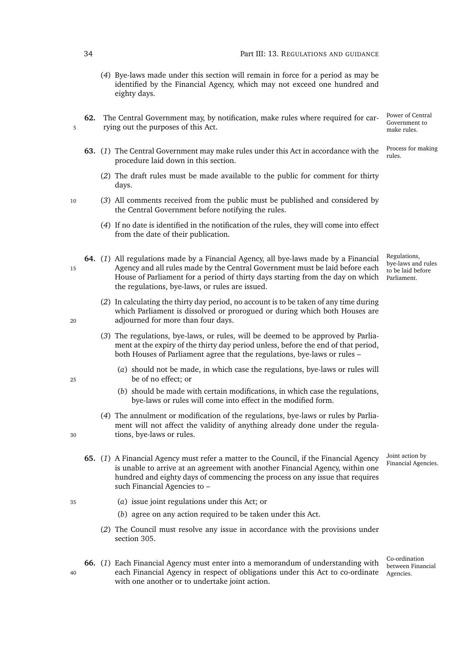- (*4*) Bye-laws made under this section will remain in force for a period as may be identified by the Financial Agency, which may not exceed one hundred and eighty days.
- Power of Central Government to make rules. **62.** The Central Government may, by notification, make rules where required for car-5 rying out the purposes of this Act.
	- Process for making **63.** (1) The Central Government may make rules under this Act in accordance with the <sup>Proce</sup> procedure laid down in this section.
		- (*2*) The draft rules must be made available to the public for comment for thirty days.
- <sup>10</sup> (*3*) All comments received from the public must be published and considered by the Central Government before notifying the rules.
	- (*4*) If no date is identified in the notification of the rules, they will come into effect from the date of their publication.
- bye-laws and rules to be laid before Parliament. **64.** (*1*) All regulations made by a Financial Agency, all bye-laws made by a Financial <sup>15</sup> Agency and all rules made by the Central Government must be laid before each House of Parliament for a period of thirty days starting from the day on which the regulations, bye-laws, or rules are issued.
- (*2*) In calculating the thirty day period, no account is to be taken of any time during which Parliament is dissolved or prorogued or during which both Houses are <sup>20</sup> adjourned for more than four days.
	- (*3*) The regulations, bye-laws, or rules, will be deemed to be approved by Parliament at the expiry of the thirty day period unless, before the end of that period, both Houses of Parliament agree that the regulations, bye-laws or rules –
- (*a*) should not be made, in which case the regulations, bye-laws or rules will <sup>25</sup> be of no effect; or
	- (*b*) should be made with certain modifications, in which case the regulations, bye-laws or rules will come into effect in the modified form.
- (*4*) The annulment or modification of the regulations, bye-laws or rules by Parliament will not affect the validity of anything already done under the regula-<sup>30</sup> tions, bye-laws or rules.
	- Joint action by<br>Financial Agencies. 65. (1) A Financial Agency must refer a matter to the Council, if the Financial Agency is unable to arrive at an agreement with another Financial Agency, within one hundred and eighty days of commencing the process on any issue that requires such Financial Agencies to –
- <sup>35</sup> (*a*) issue joint regulations under this Act; or
	- (*b*) agree on any action required to be taken under this Act.
	- (*2*) The Council must resolve any issue in accordance with the provisions under section [305.](#page-147-0)
- 40 each Financial Agency in respect of obligations under this Act to co-ordinate Agencies. **66.** (*1*) Each Financial Agency must enter into a memorandum of understanding with with one another or to undertake joint action.

Regulations,

Co-ordination between Financial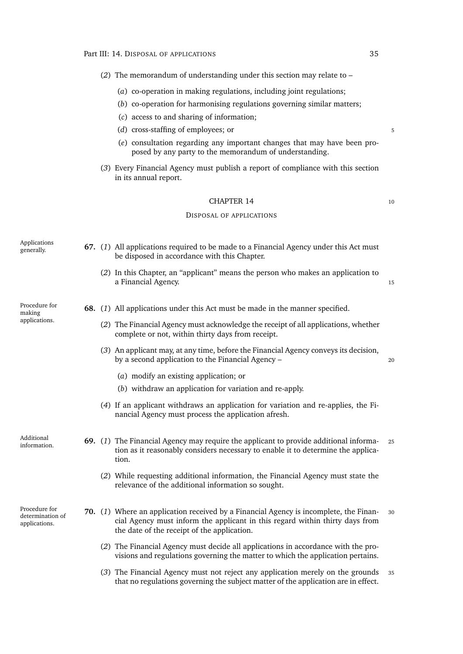| (2) The memorandum of understanding under this section may relate to $-$ |                                                        |                                                                                                                                                                                                                                                                                                                 |  |  |  |  |  |
|--------------------------------------------------------------------------|--------------------------------------------------------|-----------------------------------------------------------------------------------------------------------------------------------------------------------------------------------------------------------------------------------------------------------------------------------------------------------------|--|--|--|--|--|
|                                                                          |                                                        |                                                                                                                                                                                                                                                                                                                 |  |  |  |  |  |
|                                                                          |                                                        |                                                                                                                                                                                                                                                                                                                 |  |  |  |  |  |
|                                                                          |                                                        |                                                                                                                                                                                                                                                                                                                 |  |  |  |  |  |
|                                                                          |                                                        |                                                                                                                                                                                                                                                                                                                 |  |  |  |  |  |
|                                                                          | posed by any party to the memorandum of understanding. |                                                                                                                                                                                                                                                                                                                 |  |  |  |  |  |
|                                                                          |                                                        | (a) co-operation in making regulations, including joint regulations;<br>(b) co-operation for harmonising regulations governing similar matters;<br>(c) access to and sharing of information;<br>(d) cross-staffing of employees; or<br>(e) consultation regarding any important changes that may have been pro- |  |  |  |  |  |

(*3*) Every Financial Agency must publish a report of compliance with this section in its annual report.

# CHAPTER 14 10

#### DISPOSAL OF APPLICATIONS

|  | Applications<br>generally.                         |  | 67. (1) All applications required to be made to a Financial Agency under this Act must<br>be disposed in accordance with this Chapter.                                                                               |    |
|--|----------------------------------------------------|--|----------------------------------------------------------------------------------------------------------------------------------------------------------------------------------------------------------------------|----|
|  |                                                    |  | (2) In this Chapter, an "applicant" means the person who makes an application to<br>a Financial Agency.                                                                                                              | 15 |
|  | Procedure for<br>making                            |  | <b>68.</b> (1) All applications under this Act must be made in the manner specified.                                                                                                                                 |    |
|  | applications.                                      |  | (2) The Financial Agency must acknowledge the receipt of all applications, whether<br>complete or not, within thirty days from receipt.                                                                              |    |
|  |                                                    |  | (3) An applicant may, at any time, before the Financial Agency conveys its decision,<br>by a second application to the Financial Agency -                                                                            | 20 |
|  |                                                    |  | (a) modify an existing application; or                                                                                                                                                                               |    |
|  |                                                    |  | (b) withdraw an application for variation and re-apply.                                                                                                                                                              |    |
|  |                                                    |  | (4) If an applicant withdraws an application for variation and re-applies, the Fi-<br>nancial Agency must process the application afresh.                                                                            |    |
|  | Additional<br>information.                         |  | 69. (1) The Financial Agency may require the applicant to provide additional informa-<br>tion as it reasonably considers necessary to enable it to determine the applica-<br>tion.                                   | 25 |
|  |                                                    |  | (2) While requesting additional information, the Financial Agency must state the<br>relevance of the additional information so sought.                                                                               |    |
|  | Procedure for<br>determination of<br>applications. |  | 70. (1) Where an application received by a Financial Agency is incomplete, the Finan-<br>cial Agency must inform the applicant in this regard within thirty days from<br>the date of the receipt of the application. | 30 |
|  |                                                    |  | (2) The Financial Agency must decide all applications in accordance with the pro-<br>visions and regulations governing the matter to which the application pertains.                                                 |    |
|  |                                                    |  | (3) The Financial Agency must not reject any application merely on the grounds                                                                                                                                       | 35 |

that no regulations governing the subject matter of the application are in effect.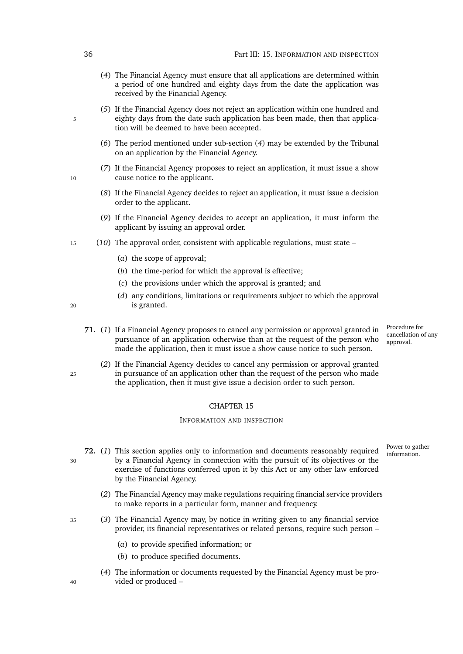- <span id="page-57-0"></span>(*4*) The Financial Agency must ensure that all applications are determined within a period of one hundred and eighty days from the date the application was received by the Financial Agency.
- (*5*) If the Financial Agency does not reject an application within one hundred and 5 eighty days from the date such application has been made, then that application will be deemed to have been accepted.
	- (*6*) The period mentioned under sub-section (*[4](#page-57-0)*) may be extended by the Tribunal on an application by the Financial Agency.
- (*7*) If the Financial Agency proposes to reject an application, it must issue a [show](#page-0-0) 10 [cause notice](#page-0-0) to the applicant.
	- (*8*) If the Financial Agency decides to reject an application, it must issue a [decision](#page-0-0) [order](#page-0-0) to the applicant.
	- (*9*) If the Financial Agency decides to accept an application, it must inform the applicant by issuing an approval order.
- <sup>15</sup> (*10*) The approval order, consistent with applicable regulations, must state
	- (*a*) the scope of approval;
	- (*b*) the time-period for which the approval is effective;
	- (*c*) the provisions under which the approval is granted; and
- (*d*) any conditions, limitations or requirements subject to which the approval <sup>20</sup> is granted.
- 
- Procedure for cancellation of any approval. **71.** (*1*) If a Financial Agency proposes to cancel any permission or approval granted in pursuance of an application otherwise than at the request of the person who made the application, then it must issue a [show cause notice](#page-0-0) to such person.
- (*2*) If the Financial Agency decides to cancel any permission or approval granted <sup>25</sup> in pursuance of an application other than the request of the person who made the application, then it must give issue a [decision order](#page-0-0) to such person.

#### INFORMATION AND INSPECTION

Power to gather

- **72.** (1) This section applies only to information and documents reasonably required  $\frac{1000 \text{ rad}}{\text{information}}$ <sup>30</sup> by a Financial Agency in connection with the pursuit of its objectives or the exercise of functions conferred upon it by this Act or any other law enforced by the Financial Agency.
	- (*2*) The Financial Agency may make regulations requiring financial service providers to make reports in a particular form, manner and frequency.
- <sup>35</sup> (*3*) The Financial Agency may, by notice in writing given to any financial service provider, its financial representatives or related persons, require such person –
	- (*a*) to provide specified information; or
	- (*b*) to produce specified documents.
- (*4*) The information or documents requested by the Financial Agency must be pro-<sup>40</sup> vided or produced –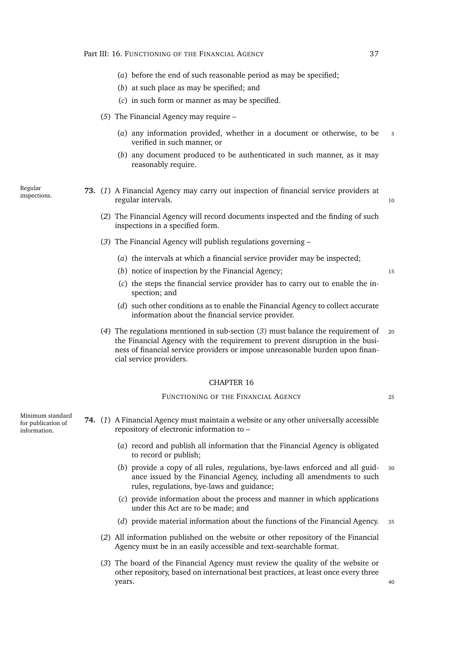- (*a*) before the end of such reasonable period as may be specified;
- (*b*) at such place as may be specified; and
- (*c*) in such form or manner as may be specified.
- (*5*) The Financial Agency may require
	- (*a*) any information provided, whether in a document or otherwise, to be 5 verified in such manner, or
	- (*b*) any document produced to be authenticated in such manner, as it may reasonably require.

Regular

inspections. **73.** (*1*) A Financial Agency may carry out inspection of financial service providers at regular intervals. 10

- (*2*) The Financial Agency will record documents inspected and the finding of such inspections in a specified form.
- <span id="page-58-0"></span>(*3*) The Financial Agency will publish regulations governing –
	- (*a*) the intervals at which a financial service provider may be inspected;
	- (*b*) notice of inspection by the Financial Agency; 15
	- (*c*) the steps the financial service provider has to carry out to enable the inspection; and
	- (*d*) such other conditions as to enable the Financial Agency to collect accurate information about the financial service provider.
- (*4*) The regulations mentioned in sub-section (*[3](#page-58-0)*) must balance the requirement of <sup>20</sup> the Financial Agency with the requirement to prevent disruption in the business of financial service providers or impose unreasonable burden upon financial service providers.

#### CHAPTER 16

## FUNCTIONING OF THE FINANCIAL AGENCY 25

- <span id="page-58-1"></span>**74.** (*1*) A Financial Agency must maintain a website or any other universally accessible repository of electronic information to –
	- (*a*) record and publish all information that the Financial Agency is obligated to record or publish;
	- (*b*) provide a copy of all rules, regulations, bye-laws enforced and all guid- <sup>30</sup> ance issued by the Financial Agency, including all amendments to such rules, regulations, bye-laws and guidance;
	- (*c*) provide information about the process and manner in which applications under this Act are to be made; and
	- (*d*) provide material information about the functions of the Financial Agency. <sup>35</sup>
	- (*2*) All information published on the website or other repository of the Financial Agency must be in an easily accessible and text-searchable format.
	- (*3*) The board of the Financial Agency must review the quality of the website or other repository, based on international best practices, at least once every three years. And the set of the set of the set of the set of the set of the set of the set of the set of the set of the set of the set of the set of the set of the set of the set of the set of the set of the set of the set of th

Minimum standard for publication of information.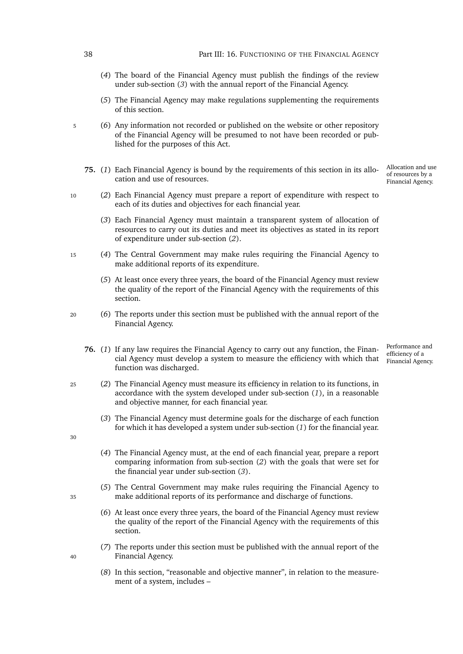<span id="page-59-3"></span><span id="page-59-2"></span><span id="page-59-1"></span><span id="page-59-0"></span>

|    | 38 | Part III: 16. FUNCTIONING OF THE FINANCIAL AGENCY                                                                                                                                                                         |                                                              |
|----|----|---------------------------------------------------------------------------------------------------------------------------------------------------------------------------------------------------------------------------|--------------------------------------------------------------|
|    |    | (4) The board of the Financial Agency must publish the findings of the review<br>under sub-section (3) with the annual report of the Financial Agency.                                                                    |                                                              |
|    |    | (5) The Financial Agency may make regulations supplementing the requirements<br>of this section.                                                                                                                          |                                                              |
| 5  |    | (6) Any information not recorded or published on the website or other repository<br>of the Financial Agency will be presumed to not have been recorded or pub-<br>lished for the purposes of this Act.                    |                                                              |
|    |    | 75. (1) Each Financial Agency is bound by the requirements of this section in its allo-<br>cation and use of resources.                                                                                                   | Allocation and use<br>of resources by a<br>Financial Agency. |
| 10 |    | (2) Each Financial Agency must prepare a report of expenditure with respect to<br>each of its duties and objectives for each financial year.                                                                              |                                                              |
|    |    | (3) Each Financial Agency must maintain a transparent system of allocation of<br>resources to carry out its duties and meet its objectives as stated in its report<br>of expenditure under sub-section (2).               |                                                              |
| 15 |    | (4) The Central Government may make rules requiring the Financial Agency to<br>make additional reports of its expenditure.                                                                                                |                                                              |
|    |    | (5) At least once every three years, the board of the Financial Agency must review<br>the quality of the report of the Financial Agency with the requirements of this<br>section.                                         |                                                              |
| 20 |    | (6) The reports under this section must be published with the annual report of the<br>Financial Agency.                                                                                                                   |                                                              |
|    |    | 76. (1) If any law requires the Financial Agency to carry out any function, the Finan-<br>cial Agency must develop a system to measure the efficiency with which that<br>function was discharged.                         | Performance and<br>efficiency of a<br>Financial Agency.      |
| 25 |    | (2) The Financial Agency must measure its efficiency in relation to its functions, in<br>accordance with the system developed under sub-section $(1)$ , in a reasonable<br>and objective manner, for each financial year. |                                                              |
| 30 |    | (3) The Financial Agency must determine goals for the discharge of each function<br>for which it has developed a system under sub-section $(1)$ for the financial year.                                                   |                                                              |
|    |    | (4) The Financial Agency must, at the end of each financial year, prepare a report<br>comparing information from sub-section $(2)$ with the goals that were set for<br>the financial year under sub-section $(3)$ .       |                                                              |
| 35 |    | (5) The Central Government may make rules requiring the Financial Agency to<br>make additional reports of its performance and discharge of functions.                                                                     |                                                              |
|    |    | (6) At least once every three years, the board of the Financial Agency must review<br>the quality of the report of the Financial Agency with the requirements of this<br>section.                                         |                                                              |
| 40 |    | (7) The reports under this section must be published with the annual report of the<br>Financial Agency.                                                                                                                   |                                                              |
|    |    | (8) In this section, "reasonable and objective manner", in relation to the measure-<br>ment of a system, includes -                                                                                                       |                                                              |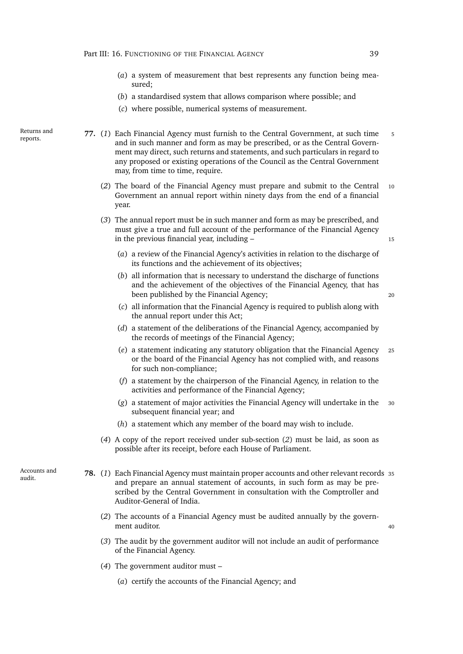- (*a*) a system of measurement that best represents any function being measured;
- (*b*) a standardised system that allows comparison where possible; and
- (*c*) where possible, numerical systems of measurement.
- <span id="page-60-0"></span>**77.** (*1*) Each Financial Agency must furnish to the Central Government, at such time <sup>5</sup> and in such manner and form as may be prescribed, or as the Central Government may direct, such returns and statements, and such particulars in regard to any proposed or existing operations of the Council as the Central Government may, from time to time, require.
	- (*2*) The board of the Financial Agency must prepare and submit to the Central <sup>10</sup> Government an annual report within ninety days from the end of a financial year.
	- (*3*) The annual report must be in such manner and form as may be prescribed, and must give a true and full account of the performance of the Financial Agency in the previous financial year, including – 15

- (*a*) a review of the Financial Agency's activities in relation to the discharge of its functions and the achievement of its objectives;
- (*b*) all information that is necessary to understand the discharge of functions and the achievement of the objectives of the Financial Agency, that has been published by the Financial Agency; 20

- (*c*) all information that the Financial Agency is required to publish along with the annual report under this Act;
- (*d*) a statement of the deliberations of the Financial Agency, accompanied by the records of meetings of the Financial Agency;
- (*e*) a statement indicating any statutory obligation that the Financial Agency <sup>25</sup> or the board of the Financial Agency has not complied with, and reasons for such non-compliance;
- (*f*) a statement by the chairperson of the Financial Agency, in relation to the activities and performance of the Financial Agency;
- (g) a statement of major activities the Financial Agency will undertake in the subsequent financial year; and
- (*h*) a statement which any member of the board may wish to include.
- <span id="page-60-2"></span>(*4*) A copy of the report received under sub-section (*[2](#page-60-0)*) must be laid, as soon as possible after its receipt, before each House of Parliament.
- Accounts and
- <span id="page-60-1"></span>Accounts and **78.** (1) Each Financial Agency must maintain proper accounts and other relevant records 35 and prepare an annual statement of accounts, in such form as may be prescribed by the Central Government in consultation with the Comptroller and Auditor-General of India.
	- (*2*) The accounts of a Financial Agency must be audited annually by the government auditor. And the same state of the state of the state of the state of the state of the state of the state of the state of the state of the state of the state of the state of the state of the state of the state of the
	- (*3*) The audit by the government auditor will not include an audit of performance of the Financial Agency.
	- (*4*) The government auditor must
		- (*a*) certify the accounts of the Financial Agency; and

Returns and reports.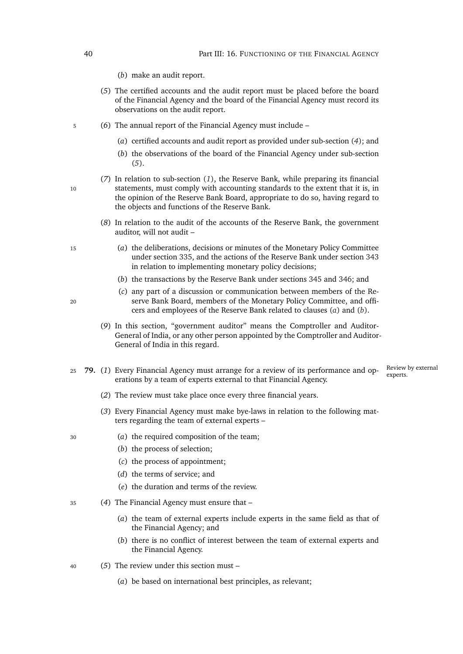- (*b*) make an audit report.
- <span id="page-61-0"></span>(*5*) The certified accounts and the audit report must be placed before the board of the Financial Agency and the board of the Financial Agency must record its observations on the audit report.
- <sup>5</sup> (*6*) The annual report of the Financial Agency must include
	- (*a*) certified accounts and audit report as provided under sub-section (*[4](#page-60-1)*); and
	- (*b*) the observations of the board of the Financial Agency under sub-section (*[5](#page-61-0)*).
- (*7*) In relation to sub-section (*[1](#page-60-2)*), the Reserve Bank, while preparing its financial 10 statements, must comply with accounting standards to the extent that it is, in the opinion of the Reserve Bank Board, appropriate to do so, having regard to the objects and functions of the Reserve Bank.
	- (*8*) In relation to the audit of the accounts of the Reserve Bank, the government auditor, will not audit –
- <span id="page-61-1"></span><sup>15</sup> (*a*) the deliberations, decisions or minutes of the Monetary Policy Committee under section [335,](#page-158-0) and the actions of the Reserve Bank under section [343](#page-161-0) in relation to implementing monetary policy decisions;
	- (*b*) the transactions by the Reserve Bank under sections [345](#page-162-0) and [346;](#page-162-1) and
- (*c*) any part of a discussion or communication between members of the Re-<sup>20</sup> serve Bank Board, members of the Monetary Policy Committee, and officers and employees of the Reserve Bank related to clauses (*[a](#page-61-1)*) and (*b*[\).](#page-61-2)
	- (*9*) In this section, "government auditor" means the Comptroller and Auditor-General of India, or any other person appointed by the Comptroller and Auditor-General of India in this regard.
- Review by external experts. <sup>25</sup> **79.** (*1*) Every Financial Agency must arrange for a review of its performance and operations by a team of experts external to that Financial Agency.
	- (*2*) The review must take place once every three financial years.
	- (*3*) Every Financial Agency must make bye-laws in relation to the following matters regarding the team of external experts –
- <sup>30</sup> (*a*) the required composition of the team;
	- (*b*) the process of selection;
	- (*c*) the process of appointment;
	- (*d*) the terms of service; and
	- (*e*) the duration and terms of the review.
- <sup>35</sup> (*4*) The Financial Agency must ensure that
	- (*a*) the team of external experts include experts in the same field as that of the Financial Agency; and
	- (*b*) there is no conflict of interest between the team of external experts and the Financial Agency.
- <sup>40</sup> (*5*) The review under this section must
	- (*a*) be based on international best principles, as relevant;
- <span id="page-61-2"></span>
- 
- 
-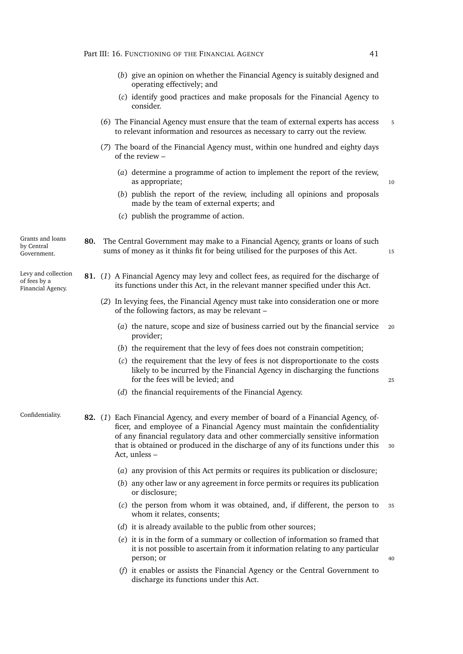- (*b*) give an opinion on whether the Financial Agency is suitably designed and operating effectively; and
- (*c*) identify good practices and make proposals for the Financial Agency to consider.
- (*6*) The Financial Agency must ensure that the team of external experts has access <sup>5</sup> to relevant information and resources as necessary to carry out the review.
- (*7*) The board of the Financial Agency must, within one hundred and eighty days of the review –
	- (*a*) determine a programme of action to implement the report of the review, as appropriate; the control of the control of the control of the control of the control of the control of the control of the control of the control of the control of the control of the control of the control of the control
	- (*b*) publish the report of the review, including all opinions and proposals made by the team of external experts; and

sums of money as it thinks fit for being utilised for the purposes of this Act.

- (*c*) publish the programme of action.
- Grants and loans by Central Government.

Levy and collection of fees by a Financial Agency.

**81.** (*1*) A Financial Agency may levy and collect fees, as required for the discharge of

**80.** The Central Government may make to a Financial Agency, grants or loans of such

(*2*) In levying fees, the Financial Agency must take into consideration one or more of the following factors, as may be relevant –

its functions under this Act, in the relevant manner specified under this Act.

- (*a*) the nature, scope and size of business carried out by the financial service <sup>20</sup> provider;
- (*b*) the requirement that the levy of fees does not constrain competition;
- (*c*) the requirement that the levy of fees is not disproportionate to the costs likely to be incurred by the Financial Agency in discharging the functions for the fees will be levied: and 25
- <span id="page-62-0"></span>(*d*) the financial requirements of the Financial Agency.

Confidentiality. **82.** (*1*) Each Financial Agency, and every member of board of a Financial Agency, officer, and employee of a Financial Agency must maintain the confidentiality of any financial regulatory data and other commercially sensitive information that is obtained or produced in the discharge of any of its functions under this 30 Act, unless –

- (*a*) any provision of this Act permits or requires its publication or disclosure;
- (*b*) any other law or any agreement in force permits or requires its publication or disclosure;
- (*c*) the person from whom it was obtained, and, if different, the person to <sup>35</sup> whom it relates, consents;
- (*d*) it is already available to the public from other sources;
- (*e*) it is in the form of a summary or collection of information so framed that it is not possible to ascertain from it information relating to any particular person; or 40
- (*f*) it enables or assists the Financial Agency or the Central Government to discharge its functions under this Act.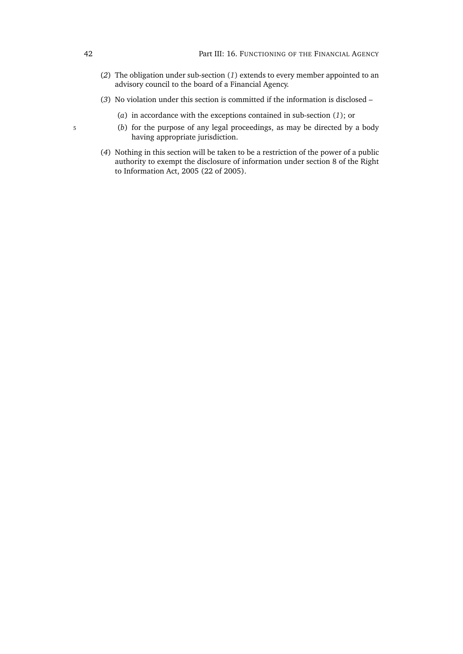- (*2*) The obligation under sub-section (*[1](#page-62-0)*) extends to every member appointed to an advisory council to the board of a Financial Agency.
- (*3*) No violation under this section is committed if the information is disclosed
	- (*a*) in accordance with the exceptions contained in sub-section (*1*[\);](#page-62-0) or
- <sup>5</sup> (*b*) for the purpose of any legal proceedings, as may be directed by a body having appropriate jurisdiction.
	- (*4*) Nothing in this section will be taken to be a restriction of the power of a public authority to exempt the disclosure of information under section 8 of the Right to Information Act, 2005 (22 of 2005).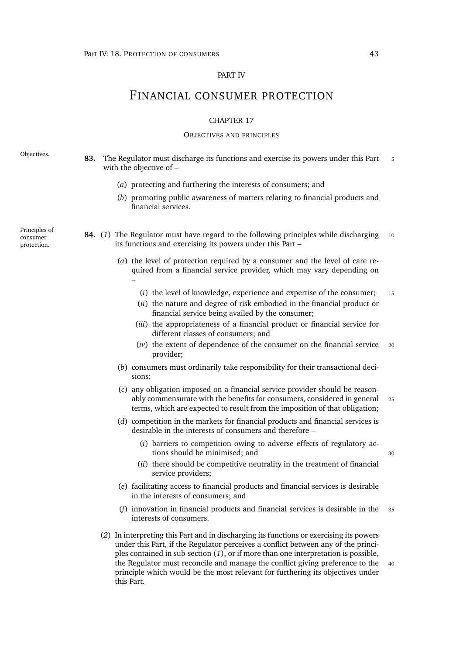### PART IV

# FINANCIAL CONSUMER PROTECTION

## CHAPTER 17

### OBJECTIVES AND PRINCIPLES

Objectives. **83.** The Regulator must discharge its functions and exercise its powers under this Part <sup>5</sup> with the objective of –

- (*a*) protecting and furthering the interests of consumers; and
- (*b*) promoting public awareness of matters relating to financial products and financial services.
- <span id="page-64-0"></span>**84.** (*1*) The Regulator must have regard to the following principles while discharging <sup>10</sup> its functions and exercising its powers under this Part –
	- (*a*) the level of protection required by a consumer and the level of care required from a financial service provider, which may vary depending on –
		- (*i*) the level of knowledge, experience and expertise of the consumer; <sup>15</sup>
		- (*ii*) the nature and degree of risk embodied in the financial product or financial service being availed by the consumer;
		- (*iii*) the appropriateness of a financial product or financial service for different classes of consumers; and
		- (*iv*) the extent of dependence of the consumer on the financial service <sup>20</sup> provider;
	- (*b*) consumers must ordinarily take responsibility for their transactional decisions;
	- (*c*) any obligation imposed on a financial service provider should be reasonably commensurate with the benefits for consumers, considered in general <sup>25</sup> terms, which are expected to result from the imposition of that obligation;
	- (*d*) competition in the markets for financial products and financial services is desirable in the interests of consumers and therefore –
		- (*i*) barriers to competition owing to adverse effects of regulatory actions should be minimised; and 30
		- (*ii*) there should be competitive neutrality in the treatment of financial service providers;
	- (*e*) facilitating access to financial products and financial services is desirable in the interests of consumers; and
	- (*f*) innovation in financial products and financial services is desirable in the <sup>35</sup> interests of consumers.
	- (*2*) In interpreting this Part and in discharging its functions or exercising its powers under this Part, if the Regulator perceives a conflict between any of the principles contained in sub-section (*[1](#page-64-0)*), or if more than one interpretation is possible, the Regulator must reconcile and manage the conflict giving preference to the 40 principle which would be the most relevant for furthering its objectives under this Part.

Principles of consumer protection.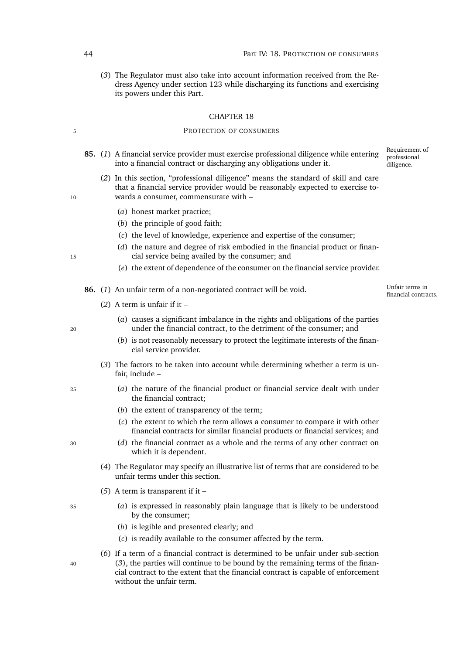(*3*) The Regulator must also take into account information received from the Redress Agency under section [123](#page-80-0) while discharging its functions and exercising its powers under this Part.

#### CHAPTER 18

# 5 PROTECTION OF CONSUMERS

- Requirement of professional diligence. **85.** (*1*) A financial service provider must exercise professional diligence while entering into a financial contract or discharging any obligations under it.
- (*2*) In this section, "professional diligence" means the standard of skill and care that a financial service provider would be reasonably expected to exercise to-10 wards a consumer, commensurate with –
	- (*a*) honest market practice;
	- (*b*) the principle of good faith;
	- (*c*) the level of knowledge, experience and expertise of the consumer;
- (*d*) the nature and degree of risk embodied in the financial product or finan-<sup>15</sup> cial service being availed by the consumer; and
	- (*e*) the extent of dependence of the consumer on the financial service provider.
	- **86.** (1) An unfair term of a non-negotiated contract will be void.
		- (*2*) A term is unfair if it –
- (*a*) causes a significant imbalance in the rights and obligations of the parties <sup>20</sup> under the financial contract, to the detriment of the consumer; and
	- (*b*) is not reasonably necessary to protect the legitimate interests of the financial service provider.
	- (*3*) The factors to be taken into account while determining whether a term is unfair, include –
- <span id="page-65-0"></span><sup>25</sup> (*a*) the nature of the financial product or financial service dealt with under the financial contract;
	- (*b*) the extent of transparency of the term;
	- (*c*) the extent to which the term allows a consumer to compare it with other financial contracts for similar financial products or financial services; and
- <sup>30</sup> (*d*) the financial contract as a whole and the terms of any other contract on which it is dependent.
	- (*4*) The Regulator may specify an illustrative list of terms that are considered to be unfair terms under this section.
	- (*5*) A term is transparent if it –
- <sup>35</sup> (*a*) is expressed in reasonably plain language that is likely to be understood by the consumer;
	- (*b*) is legible and presented clearly; and
	- (*c*) is readily available to the consumer affected by the term.

(*6*) If a term of a financial contract is determined to be unfair under sub-section <sup>40</sup> (*[3](#page-65-0)*), the parties will continue to be bound by the remaining terms of the financial contract to the extent that the financial contract is capable of enforcement without the unfair term.

<span id="page-65-1"></span>

Unfair terms in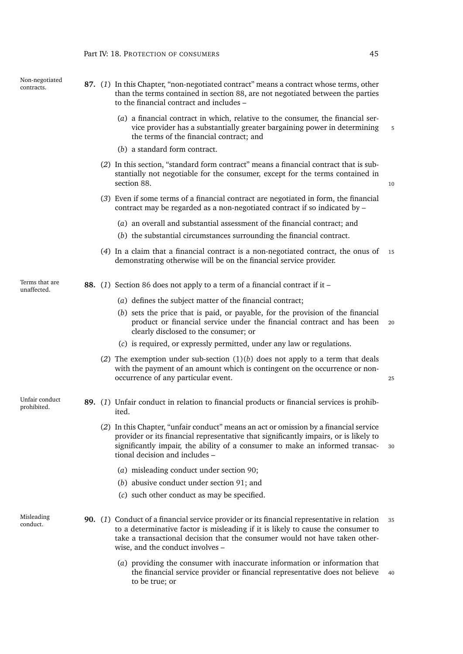| contracts. | $\mathbf{O}/\mathbf{G}$ |  |  |
|------------|-------------------------|--|--|
|            |                         |  |  |
|            |                         |  |  |
|            |                         |  |  |
|            |                         |  |  |
|            |                         |  |  |

Non-negotiated

- 87. (1) In this Chapter, "non-negotiated contract" means a contract whose terms, other than the terms contained in section [88,](#page-66-0) are not negotiated between the parties to the financial contract and includes –
	- (*a*) a financial contract in which, relative to the consumer, the financial service provider has a substantially greater bargaining power in determining 5 the terms of the financial contract; and
	- (*b*) a standard form contract.
	- (*2*) In this section, "standard form contract" means a financial contract that is substantially not negotiable for the consumer, except for the terms contained in section [88.](#page-66-0) 10
	- (*3*) Even if some terms of a financial contract are negotiated in form, the financial contract may be regarded as a non-negotiated contract if so indicated by –
		- (*a*) an overall and substantial assessment of the financial contract; and
		- (*b*) the substantial circumstances surrounding the financial contract.
	- (*4*) In a claim that a financial contract is a non-negotiated contract, the onus of <sup>15</sup> demonstrating otherwise will be on the financial service provider.
- <span id="page-66-0"></span>Terms that are
- <span id="page-66-1"></span>Terms that are **88.** (1) Section [86](#page-65-1) does not apply to a term of a financial contract if it –
	- (*a*) defines the subject matter of the financial contract;
	- (*b*) sets the price that is paid, or payable, for the provision of the financial product or financial service under the financial contract and has been <sup>20</sup> clearly disclosed to the consumer; or
	- (*c*) is required, or expressly permitted, under any law or regulations.
	- (2) The exemption under sub-section  $(1)(b)$  $(1)(b)$  does not apply to a term that deals with the payment of an amount which is contingent on the occurrence or nonoccurrence of any particular event. <sup>25</sup>

Unfair conduct

- prohibited. **89.** (*1*) Unfair conduct in relation to financial products or financial services is prohibited.
	- (*2*) In this Chapter, "unfair conduct" means an act or omission by a financial service provider or its financial representative that significantly impairs, or is likely to significantly impair, the ability of a consumer to make an informed transac- <sup>30</sup> tional decision and includes –
		- (*a*) misleading conduct under section [90;](#page-66-2)
		- (*b*) abusive conduct under section [91;](#page-67-0) and
		- (*c*) such other conduct as may be specified.
- <span id="page-66-3"></span><span id="page-66-2"></span>Misleading
- Misleading 90. (1) Conduct of a financial service provider or its financial representative in relation 35 to a determinative factor is misleading if it is likely to cause the consumer to take a transactional decision that the consumer would not have taken otherwise, and the conduct involves –
	- (*a*) providing the consumer with inaccurate information or information that the financial service provider or financial representative does not believe <sup>40</sup> to be true; or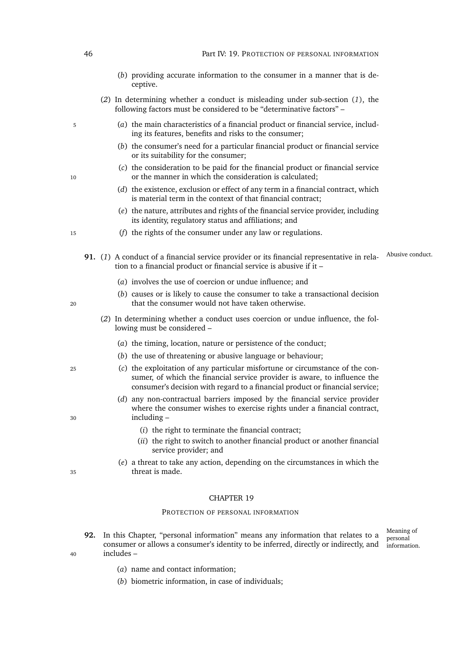- (*b*) providing accurate information to the consumer in a manner that is deceptive.
- (*2*) In determining whether a conduct is misleading under sub-section (*[1](#page-66-3)*), the following factors must be considered to be "determinative factors" –
- <sup>5</sup> (*a*) the main characteristics of a financial product or financial service, including its features, benefits and risks to the consumer;
	- (*b*) the consumer's need for a particular financial product or financial service or its suitability for the consumer;
- (*c*) the consideration to be paid for the financial product or financial service 10 or the manner in which the consideration is calculated;
	- (*d*) the existence, exclusion or effect of any term in a financial contract, which is material term in the context of that financial contract;
	- (*e*) the nature, attributes and rights of the financial service provider, including its identity, regulatory status and affiliations; and
- <sup>15</sup> (*f*) the rights of the consumer under any law or regulations.
	- 91. (1) A conduct of a financial service provider or its financial representative in rela-<br><sup>Abusive conduct</sup> tion to a financial product or financial service is abusive if it –
		- (*a*) involves the use of coercion or undue influence; and
- (*b*) causes or is likely to cause the consumer to take a transactional decision <sup>20</sup> that the consumer would not have taken otherwise.
	- (*2*) In determining whether a conduct uses coercion or undue influence, the following must be considered –
		- (*a*) the timing, location, nature or persistence of the conduct;
		- (*b*) the use of threatening or abusive language or behaviour;
- <sup>25</sup> (*c*) the exploitation of any particular misfortune or circumstance of the consumer, of which the financial service provider is aware, to influence the consumer's decision with regard to a financial product or financial service;
- (*d*) any non-contractual barriers imposed by the financial service provider where the consumer wishes to exercise rights under a financial contract, <sup>30</sup> including –
	- (*i*) the right to terminate the financial contract;
	- (*ii*) the right to switch to another financial product or another financial service provider; and
- (*e*) a threat to take any action, depending on the circumstances in which the <sup>35</sup> threat is made.

### PROTECTION OF PERSONAL INFORMATION

**92.** In this Chapter, "personal information" means any information that relates to a consumer or allows a consumer's identity to be inferred, directly or indirectly, and <sup>40</sup> includes –

Meaning of personal information.

- (*a*) name and contact information;
- (*b*) biometric information, in case of individuals;

<span id="page-67-0"></span>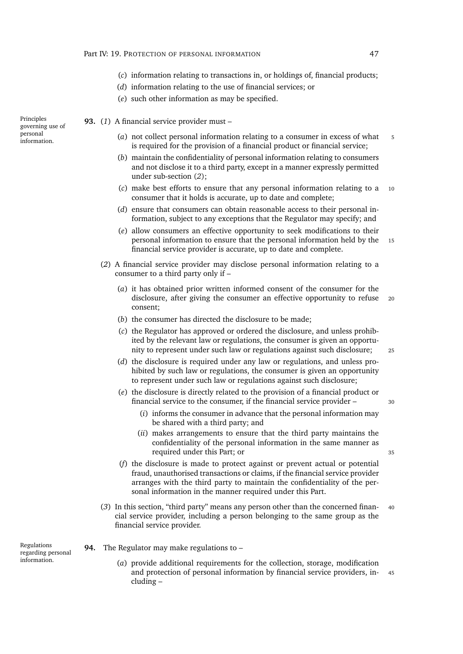- (*c*) information relating to transactions in, or holdings of, financial products;
- (*d*) information relating to the use of financial services; or
- (*e*) such other information as may be specified.

**93.** (*1*) A financial service provider must –

- (*a*) not collect personal information relating to a consumer in excess of what 5 is required for the provision of a financial product or financial service;
- (*b*) maintain the confidentiality of personal information relating to consumers and not disclose it to a third party, except in a manner expressly permitted under sub-section (*[2](#page-68-0)*);
- (*c*) make best efforts to ensure that any personal information relating to a <sup>10</sup> consumer that it holds is accurate, up to date and complete;
- (*d*) ensure that consumers can obtain reasonable access to their personal information, subject to any exceptions that the Regulator may specify; and
- (*e*) allow consumers an effective opportunity to seek modifications to their personal information to ensure that the personal information held by the 15 financial service provider is accurate, up to date and complete.
- <span id="page-68-0"></span>(*2*) A financial service provider may disclose personal information relating to a consumer to a third party only if –
	- (*a*) it has obtained prior written informed consent of the consumer for the disclosure, after giving the consumer an effective opportunity to refuse <sup>20</sup> consent;
	- (*b*) the consumer has directed the disclosure to be made;
	- (*c*) the Regulator has approved or ordered the disclosure, and unless prohibited by the relevant law or regulations, the consumer is given an opportunity to represent under such law or regulations against such disclosure; <sup>25</sup>
	- (*d*) the disclosure is required under any law or regulations, and unless prohibited by such law or regulations, the consumer is given an opportunity to represent under such law or regulations against such disclosure;
	- (*e*) the disclosure is directly related to the provision of a financial product or financial service to the consumer, if the financial service provider – <sup>30</sup>
		- (*i*) informs the consumer in advance that the personal information may be shared with a third party; and
		- (*ii*) makes arrangements to ensure that the third party maintains the confidentiality of the personal information in the same manner as required under this Part; or 35
	- (*f*) the disclosure is made to protect against or prevent actual or potential fraud, unauthorised transactions or claims, if the financial service provider arranges with the third party to maintain the confidentiality of the personal information in the manner required under this Part.
- (*3*) In this section, "third party" means any person other than the concerned finan- <sup>40</sup> cial service provider, including a person belonging to the same group as the financial service provider.

Regulations regarding personal information.

- **94.** The Regulator may make regulations to
	- (*a*) provide additional requirements for the collection, storage, modification and protection of personal information by financial service providers, in- <sup>45</sup> cluding –

Principles governing use of personal information.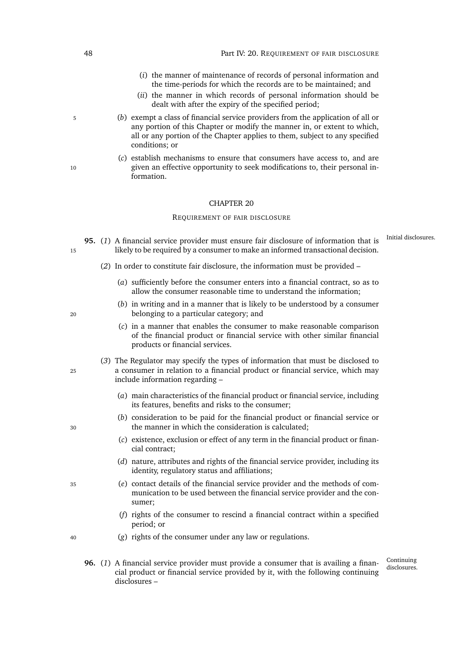- (*i*) the manner of maintenance of records of personal information and the time-periods for which the records are to be maintained; and
- (*ii*) the manner in which records of personal information should be dealt with after the expiry of the specified period;
- <sup>5</sup> (*b*) exempt a class of financial service providers from the application of all or any portion of this Chapter or modify the manner in, or extent to which, all or any portion of the Chapter applies to them, subject to any specified conditions; or
- (*c*) establish mechanisms to ensure that consumers have access to, and are 10 given an effective opportunity to seek modifications to, their personal information.

#### REQUIREMENT OF FAIR DISCLOSURE

- <span id="page-69-0"></span>95. (1) A financial service provider must ensure fair disclosure of information that is Initial disclosures. 15 likely to be required by a consumer to make an informed transactional decision.
	- (*2*) In order to constitute fair disclosure, the information must be provided
		- (*a*) sufficiently before the consumer enters into a financial contract, so as to allow the consumer reasonable time to understand the information;
- (*b*) in writing and in a manner that is likely to be understood by a consumer <sup>20</sup> belonging to a particular category; and
	- (*c*) in a manner that enables the consumer to make reasonable comparison of the financial product or financial service with other similar financial products or financial services.
- (*3*) The Regulator may specify the types of information that must be disclosed to <sup>25</sup> a consumer in relation to a financial product or financial service, which may include information regarding –
	- (*a*) main characteristics of the financial product or financial service, including its features, benefits and risks to the consumer;
- (*b*) consideration to be paid for the financial product or financial service or <sup>30</sup> the manner in which the consideration is calculated;
	- (*c*) existence, exclusion or effect of any term in the financial product or financial contract;
	- (*d*) nature, attributes and rights of the financial service provider, including its identity, regulatory status and affiliations;
- <sup>35</sup> (*e*) contact details of the financial service provider and the methods of communication to be used between the financial service provider and the consumer;
	- (*f*) rights of the consumer to rescind a financial contract within a specified period; or
- <sup>40</sup> (*g*) rights of the consumer under any law or regulations.
	- Continuing<br>disclosures. **96.** (1) A financial service provider must provide a consumer that is availing a financial product or financial service provided by it, with the following continuing disclosures –

- 
-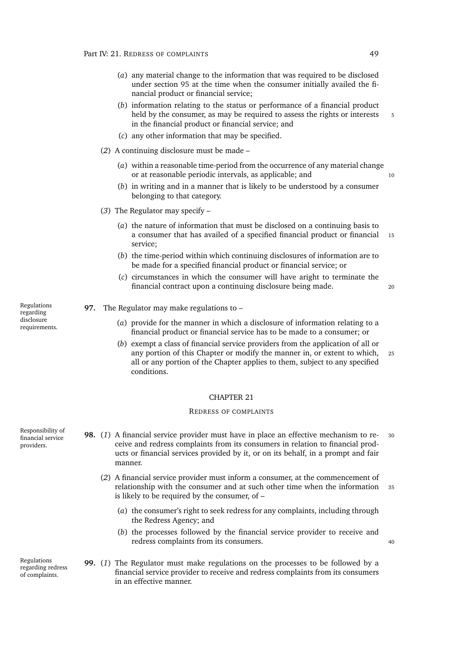- (*a*) any material change to the information that was required to be disclosed under section [95](#page-69-0) at the time when the consumer initially availed the financial product or financial service;
- (*b*) information relating to the status or performance of a financial product held by the consumer, as may be required to assess the rights or interests 5 in the financial product or financial service; and
- (*c*) any other information that may be specified.
- (*2*) A continuing disclosure must be made
	- (*a*) within a reasonable time-period from the occurrence of any material change or at reasonable periodic intervals, as applicable; and 10
	- (*b*) in writing and in a manner that is likely to be understood by a consumer belonging to that category.
- (*3*) The Regulator may specify
	- (*a*) the nature of information that must be disclosed on a continuing basis to a consumer that has availed of a specified financial product or financial 15 service;
	- (*b*) the time-period within which continuing disclosures of information are to be made for a specified financial product or financial service; or
	- (*c*) circumstances in which the consumer will have aright to terminate the financial contract upon a continuing disclosure being made. <sup>20</sup>

- **97.** The Regulator may make regulations to
	- (*a*) provide for the manner in which a disclosure of information relating to a financial product or financial service has to be made to a consumer; or
	- (*b*) exempt a class of financial service providers from the application of all or any portion of this Chapter or modify the manner in, or extent to which, <sup>25</sup> all or any portion of the Chapter applies to them, subject to any specified conditions.

#### REDRESS OF COMPLAINTS

- <span id="page-70-0"></span>**98.** (*1*) A financial service provider must have in place an effective mechanism to re- <sup>30</sup> ceive and redress complaints from its consumers in relation to financial products or financial services provided by it, or on its behalf, in a prompt and fair manner.
	- (*2*) A financial service provider must inform a consumer, at the commencement of relationship with the consumer and at such other time when the information <sup>35</sup> is likely to be required by the consumer, of –
		- (*a*) the consumer's right to seek redress for any complaints, including through the Redress Agency; and
		- (*b*) the processes followed by the financial service provider to receive and redress complaints from its consumers.
- **99.** (*1*) The Regulator must make regulations on the processes to be followed by a financial service provider to receive and redress complaints from its consumers in an effective manner.

Regulations regarding disclosure requirements.

Responsibility of financial service providers.

Regulations regarding redress of complaints.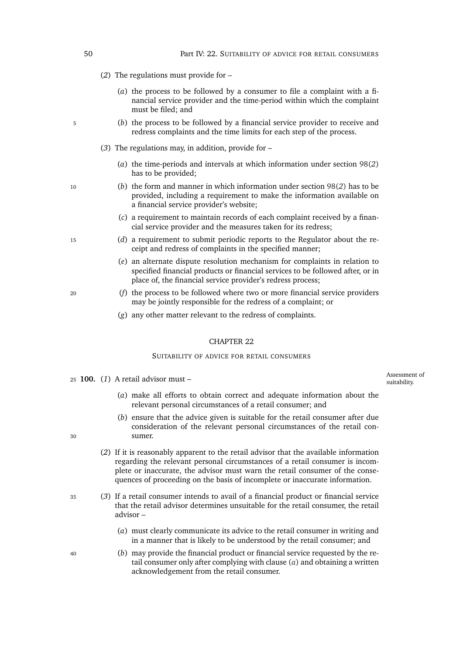- (*2*) The regulations must provide for
	- (*a*) the process to be followed by a consumer to file a complaint with a financial service provider and the time-period within which the complaint must be filed; and
- <sup>5</sup> (*b*) the process to be followed by a financial service provider to receive and redress complaints and the time limits for each step of the process.
	- (*3*) The regulations may, in addition, provide for
		- (*a*) the time-periods and intervals at which information under section [98\(](#page-70-0)*2*) has to be provided;
- <sup>10</sup> (*b*) the form and manner in which information under section [98\(](#page-70-0)*2*) has to be provided, including a requirement to make the information available on a financial service provider's website;
	- (*c*) a requirement to maintain records of each complaint received by a financial service provider and the measures taken for its redress;
- <sup>15</sup> (*d*) a requirement to submit periodic reports to the Regulator about the receipt and redress of complaints in the specified manner;
	- (*e*) an alternate dispute resolution mechanism for complaints in relation to specified financial products or financial services to be followed after, or in place of, the financial service provider's redress process;
- <sup>20</sup> (*f*) the process to be followed where two or more financial service providers may be jointly responsible for the redress of a complaint; or
	- (*g*) any other matter relevant to the redress of complaints.

#### SUITABILITY OF ADVICE FOR RETAIL CONSUMERS

suitability. <sup>25</sup> **100.** (*1*) A retail advisor must –

Assessment of

- (*a*) make all efforts to obtain correct and adequate information about the relevant personal circumstances of a retail consumer; and
- (*b*) ensure that the advice given is suitable for the retail consumer after due consideration of the relevant personal circumstances of the retail con-<sup>30</sup> sumer.
	- (*2*) If it is reasonably apparent to the retail advisor that the available information regarding the relevant personal circumstances of a retail consumer is incomplete or inaccurate, the advisor must warn the retail consumer of the consequences of proceeding on the basis of incomplete or inaccurate information.
- <sup>35</sup> (*3*) If a retail consumer intends to avail of a financial product or financial service that the retail advisor determines unsuitable for the retail consumer, the retail advisor –
	- (*a*) must clearly communicate its advice to the retail consumer in writing and in a manner that is likely to be understood by the retail consumer; and
- <sup>40</sup> (*b*) may provide the financial product or financial service requested by the retail consumer only after complying with clause (*[a](#page-71-0)*) and obtaining a written acknowledgement from the retail consumer.

<span id="page-71-0"></span>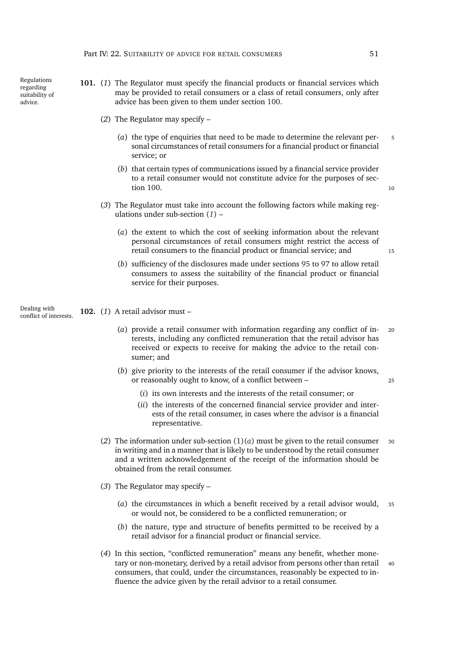- <span id="page-72-0"></span>**101.** (*1*) The Regulator must specify the financial products or financial services which may be provided to retail consumers or a class of retail consumers, only after advice has been given to them under section [100.](#page-71-0)
	- (*2*) The Regulator may specify
		- (*a*) the type of enquiries that need to be made to determine the relevant per- <sup>5</sup> sonal circumstances of retail consumers for a financial product or financial service; or
		- (*b*) that certain types of communications issued by a financial service provider to a retail consumer would not constitute advice for the purposes of sec-tion [100.](#page-71-0) 10
	- (*3*) The Regulator must take into account the following factors while making regulations under sub-section (*[1](#page-72-0)*) –
		- (*a*) the extent to which the cost of seeking information about the relevant personal circumstances of retail consumers might restrict the access of retail consumers to the financial product or financial service; and 15
		- (*b*) sufficiency of the disclosures made under sections [95](#page-69-0) to [97](#page-70-0) to allow retail consumers to assess the suitability of the financial product or financial service for their purposes.

Dealing with<br>conflict of interests. 102. (1) A retail advisor must –

- <span id="page-72-1"></span>(*a*) provide a retail consumer with information regarding any conflict of in- <sup>20</sup> terests, including any conflicted remuneration that the retail advisor has received or expects to receive for making the advice to the retail consumer; and
- (*b*) give priority to the interests of the retail consumer if the advisor knows, or reasonably ought to know, of a conflict between – <sup>25</sup>
	- (*i*) its own interests and the interests of the retail consumer; or
	- (*ii*) the interests of the concerned financial service provider and interests of the retail consumer, in cases where the advisor is a financial representative.
- (2) The information under sub-section  $(1)(a)$  $(1)(a)$  must be given to the retail consumer 30 in writing and in a manner that is likely to be understood by the retail consumer and a written acknowledgement of the receipt of the information should be obtained from the retail consumer.
- (*3*) The Regulator may specify
	- (*a*) the circumstances in which a benefit received by a retail advisor would, <sup>35</sup> or would not, be considered to be a conflicted remuneration; or
	- (*b*) the nature, type and structure of benefits permitted to be received by a retail advisor for a financial product or financial service.
- (*4*) In this section, "conflicted remuneration" means any benefit, whether monetary or non-monetary, derived by a retail advisor from persons other than retail 40 consumers, that could, under the circumstances, reasonably be expected to influence the advice given by the retail advisor to a retail consumer.

advice.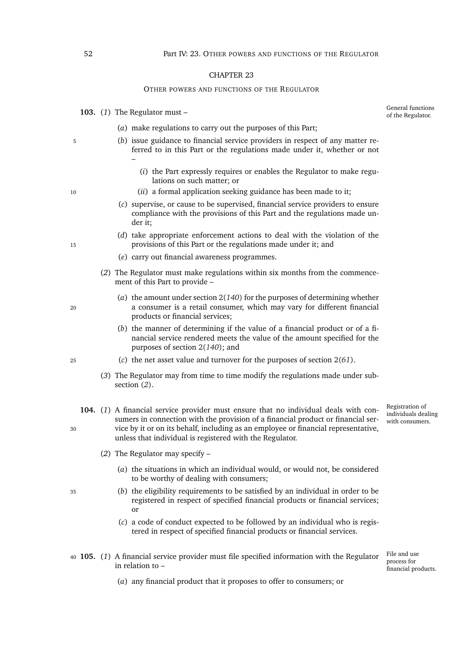#### OTHER POWERS AND FUNCTIONS OF THE REGULATOR

103.  $(1)$  The Regulator must –

General functions<br>of the Regulator.

- (*a*) make regulations to carry out the purposes of this Part;
- <sup>5</sup> (*b*) issue guidance to financial service providers in respect of any matter referred to in this Part or the regulations made under it, whether or not –
	- (*i*) the Part expressly requires or enables the Regulator to make regulations on such matter; or
- <sup>10</sup> (*ii*) a formal application seeking guidance has been made to it;
	- (*c*) supervise, or cause to be supervised, financial service providers to ensure compliance with the provisions of this Part and the regulations made under it;
- (*d*) take appropriate enforcement actions to deal with the violation of the 15 provisions of this Part or the regulations made under it; and
	- (*e*) carry out financial awareness programmes.
	- (*2*) The Regulator must make regulations within six months from the commencement of this Part to provide –
- <span id="page-73-0"></span>(*a*) the amount under section 2(*[140](#page-33-0)*) for the purposes of determining whether <sup>20</sup> a consumer is a retail consumer, which may vary for different financial products or financial services;
	- (*b*) the manner of determining if the value of a financial product or of a financial service rendered meets the value of the amount specified for the purposes of section 2(*[140](#page-33-0)*); and
- <sup>25</sup> (*c*) the net asset value and turnover for the purposes of section 2(*[61](#page-26-0)*).
	- (*3*) The Regulator may from time to time modify the regulations made under subsection (*[2](#page-73-0)*).
- <span id="page-73-2"></span>**104.** (*1*) A financial service provider must ensure that no individual deals with consumers in connection with the provision of a financial product or financial ser-<sup>30</sup> vice by it or on its behalf, including as an employee or financial representative, unless that individual is registered with the Regulator.
	- (*2*) The Regulator may specify
		- (*a*) the situations in which an individual would, or would not, be considered to be worthy of dealing with consumers;
- <sup>35</sup> (*b*) the eligibility requirements to be satisfied by an individual in order to be registered in respect of specified financial products or financial services; or
	- (*c*) a code of conduct expected to be followed by an individual who is registered in respect of specified financial products or financial services.
- <span id="page-73-3"></span><span id="page-73-1"></span><sup>40</sup> **105.** (*1*) A financial service provider must file specified information with the Regulator in relation to –

File and use process for financial products.

Registration of individuals dealing with consumers.

(*a*) any financial product that it proposes to offer to consumers; or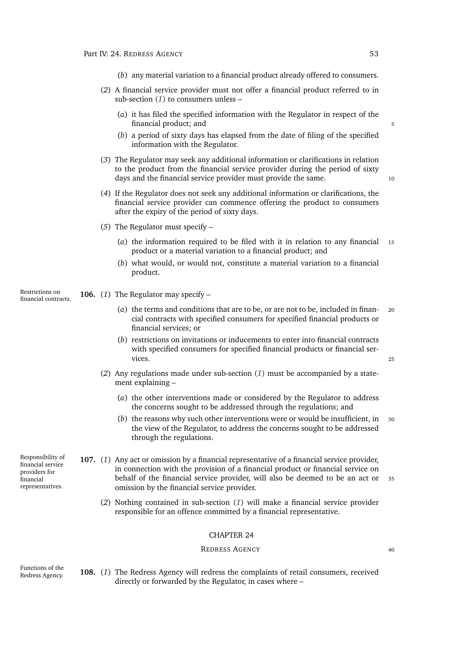- (*b*) any material variation to a financial product already offered to consumers.
- (*2*) A financial service provider must not offer a financial product referred to in sub-section (*[1](#page-73-1)*) to consumers unless –
	- (*a*) it has filed the specified information with the Regulator in respect of the financial product; and 5
	- (*b*) a period of sixty days has elapsed from the date of filing of the specified information with the Regulator.
- (*3*) The Regulator may seek any additional information or clarifications in relation to the product from the financial service provider during the period of sixty days and the financial service provider must provide the same. 10
- (*4*) If the Regulator does not seek any additional information or clarifications, the financial service provider can commence offering the product to consumers after the expiry of the period of sixty days.
- (*5*) The Regulator must specify
	- (*a*) the information required to be filed with it in relation to any financial <sup>15</sup> product or a material variation to a financial product; and
	- (*b*) what would, or would not, constitute a material variation to a financial product.
- <span id="page-74-0"></span>**106.** (1) The Regulator may specify –
	- (*a*) the terms and conditions that are to be, or are not to be, included in finan- <sup>20</sup> cial contracts with specified consumers for specified financial products or financial services; or
	- (*b*) restrictions on invitations or inducements to enter into financial contracts with specified consumers for specified financial products or financial services. 25
	- (*2*) Any regulations made under sub-section (*[1](#page-74-0)*) must be accompanied by a statement explaining –
		- (*a*) the other interventions made or considered by the Regulator to address the concerns sought to be addressed through the regulations; and
		- (*b*) the reasons why such other interventions were or would be insufficient, in <sup>30</sup> the view of the Regulator, to address the concerns sought to be addressed through the regulations.
- <span id="page-74-1"></span>Responsibility of financial service representatives. **107.** (*1*) Any act or omission by a financial representative of a financial service provider, in connection with the provision of a financial product or financial service on behalf of the financial service provider, will also be deemed to be an act or 35 omission by the financial service provider.
	- (*2*) Nothing contained in sub-section (*[1](#page-74-1)*) will make a financial service provider responsible for an offence committed by a financial representative.

#### REDRESS AGENCY 40

<span id="page-74-2"></span>Functions of the

providers for financial

Redress Agency. **108.** (*1*) The Redress Agency will redress the complaints of retail consumers, received directly or forwarded by the Regulator, in cases where –

Restrictions on<br>financial contracts.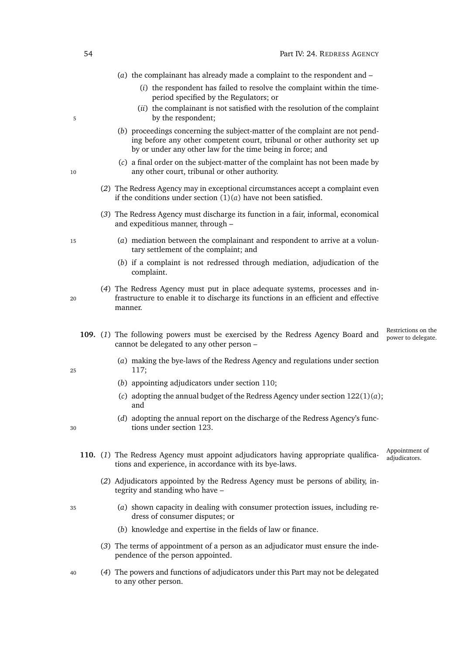- (*a*) the complainant has already made a complaint to the respondent and
	- (*i*) the respondent has failed to resolve the complaint within the timeperiod specified by the Regulators; or
- (*ii*) the complainant is not satisfied with the resolution of the complaint 5 by the respondent;
	- (*b*) proceedings concerning the subject-matter of the complaint are not pending before any other competent court, tribunal or other authority set up by or under any other law for the time being in force; and
- (*c*) a final order on the subject-matter of the complaint has not been made by 10 any other court, tribunal or other authority.
	- (*2*) The Redress Agency may in exceptional circumstances accept a complaint even if the conditions under section  $(1)(a)$  $(1)(a)$  have not been satisfied.
	- (*3*) The Redress Agency must discharge its function in a fair, informal, economical and expeditious manner, through –
- <sup>15</sup> (*a*) mediation between the complainant and respondent to arrive at a voluntary settlement of the complaint; and
	- (*b*) if a complaint is not redressed through mediation, adjudication of the complaint.
- (*4*) The Redress Agency must put in place adequate systems, processes and in-<sup>20</sup> frastructure to enable it to discharge its functions in an efficient and effective manner.
	- Restrictions on the<br>power to delegate. 109. (1) The following powers must be exercised by the Redress Agency Board and cannot be delegated to any other person –
- (*a*) making the bye-laws of the Redress Agency and regulations under section <sup>25</sup> [117;](#page-77-0)
	- (*b*) appointing adjudicators under section [110;](#page-75-1)
	- (*c*) adopting the annual budget of the Redress Agency under section [122\(1\)\(](#page-80-0)*a*); and
- <span id="page-75-1"></span>(*d*) adopting the annual report on the discharge of the Redress Agency's func-<sup>30</sup> tions under section [123.](#page-80-1)
	- Appointment of<br>adjudicators. 110. (1) The Redress Agency must appoint adjudicators having appropriate qualifications and experience, in accordance with its bye-laws.
		- (*2*) Adjudicators appointed by the Redress Agency must be persons of ability, integrity and standing who have –
- <sup>35</sup> (*a*) shown capacity in dealing with consumer protection issues, including redress of consumer disputes; or
	- (*b*) knowledge and expertise in the fields of law or finance.
	- (*3*) The terms of appointment of a person as an adjudicator must ensure the independence of the person appointed.
- <sup>40</sup> (*4*) The powers and functions of adjudicators under this Part may not be delegated to any other person.

<span id="page-75-0"></span>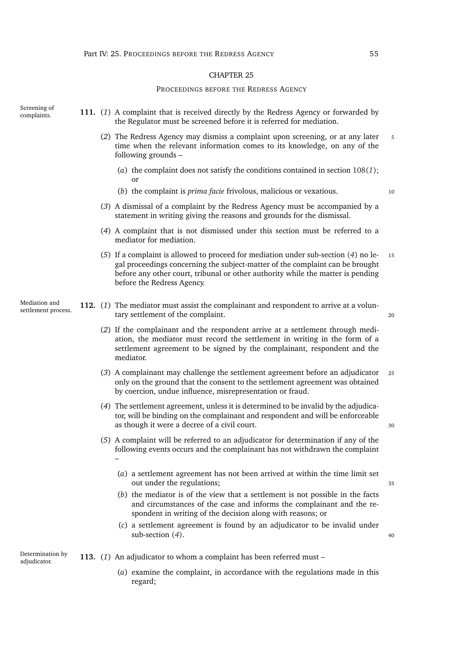#### PROCEEDINGS BEFORE THE REDRESS AGENCY

Screening of<br>complaints.

- 111. (1) A complaint that is received directly by the Redress Agency or forwarded by the Regulator must be screened before it is referred for mediation.
	- (*2*) The Redress Agency may dismiss a complaint upon screening, or at any later <sup>5</sup> time when the relevant information comes to its knowledge, on any of the following grounds –
		- (*a*) the complaint does not satisfy the conditions contained in section [108\(](#page-74-2)*1*); or
		- (*b*) the complaint is *prima facie* frivolous, malicious or vexatious. <sup>10</sup>
	- (*3*) A dismissal of a complaint by the Redress Agency must be accompanied by a statement in writing giving the reasons and grounds for the dismissal.
	- (*4*) A complaint that is not dismissed under this section must be referred to a mediator for mediation.
	- (*5*) If a complaint is allowed to proceed for mediation under sub-section (*[4](#page-76-0)*) no le- <sup>15</sup> gal proceedings concerning the subject-matter of the complaint can be brought before any other court, tribunal or other authority while the matter is pending before the Redress Agency.
- <span id="page-76-1"></span><span id="page-76-0"></span>Mediation and<br>settlement process. 112. (1) The mediator must assist the complainant and respondent to arrive at a voluntary settlement of the complaint. 20
	- (*2*) If the complainant and the respondent arrive at a settlement through mediation, the mediator must record the settlement in writing in the form of a settlement agreement to be signed by the complainant, respondent and the mediator.
	- (*3*) A complainant may challenge the settlement agreement before an adjudicator <sup>25</sup> only on the ground that the consent to the settlement agreement was obtained by coercion, undue influence, misrepresentation or fraud.
	- (*4*) The settlement agreement, unless it is determined to be invalid by the adjudicator, will be binding on the complainant and respondent and will be enforceable as though it were a decree of a civil court.  $\frac{30}{2}$
	- (*5*) A complaint will be referred to an adjudicator for determination if any of the following events occurs and the complainant has not withdrawn the complaint –
		- (*a*) a settlement agreement has not been arrived at within the time limit set out under the regulations;  $35$
		- (*b*) the mediator is of the view that a settlement is not possible in the facts and circumstances of the case and informs the complainant and the respondent in writing of the decision along with reasons; or
		- (*c*) a settlement agreement is found by an adjudicator to be invalid under  $\text{sub-section } (4)$ .  $\tag{4}$

Determination by

- <span id="page-76-2"></span>Determination by **113.** (1) An adjudicator to whom a complaint has been referred must –
	- (*a*) examine the complaint, in accordance with the regulations made in this regard;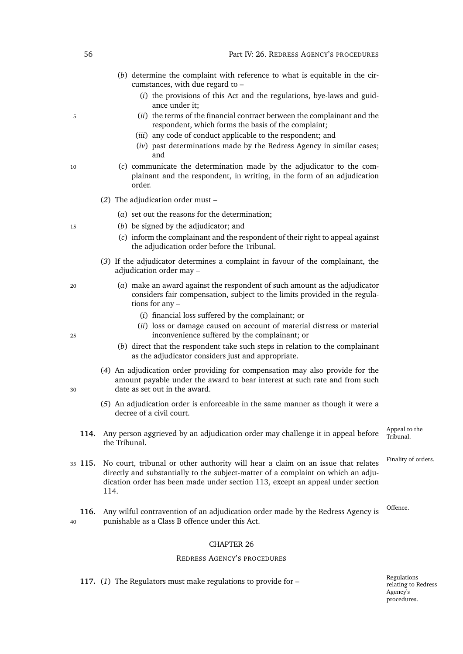- (*b*) determine the complaint with reference to what is equitable in the circumstances, with due regard to –
	- (*i*) the provisions of this Act and the regulations, bye-laws and guidance under it;
- <sup>5</sup> (*ii*) the terms of the financial contract between the complainant and the respondent, which forms the basis of the complaint;
	- (*iii*) any code of conduct applicable to the respondent; and
	- (*iv*) past determinations made by the Redress Agency in similar cases; and
- <sup>10</sup> (*c*) communicate the determination made by the adjudicator to the complainant and the respondent, in writing, in the form of an adjudication order.
	- (*2*) The adjudication order must
		- (*a*) set out the reasons for the determination;
- <sup>15</sup> (*b*) be signed by the adjudicator; and
	- (*c*) inform the complainant and the respondent of their right to appeal against the adjudication order before the Tribunal.
	- (*3*) If the adjudicator determines a complaint in favour of the complainant, the adjudication order may –
- <sup>20</sup> (*a*) make an award against the respondent of such amount as the adjudicator considers fair compensation, subject to the limits provided in the regulations for any –
	- (*i*) financial loss suffered by the complainant; or
- (*ii*) loss or damage caused on account of material distress or material <sup>25</sup> inconvenience suffered by the complainant; or
	- (*b*) direct that the respondent take such steps in relation to the complainant as the adjudicator considers just and appropriate.
- (*4*) An adjudication order providing for compensation may also provide for the amount payable under the award to bear interest at such rate and from such <sup>30</sup> date as set out in the award.
	- (*5*) An adjudication order is enforceable in the same manner as though it were a decree of a civil court.
	- Appeal to the<br>Tribunal 114. Any person aggrieved by an adjudication order may challenge it in appeal before the Tribunal.

Finality of orders.

- <span id="page-77-1"></span><sup>35</sup> **115.** No court, tribunal or other authority will hear a claim on an issue that relates directly and substantially to the subject-matter of a complaint on which an adjudication order has been made under section [113,](#page-76-2) except an appeal under section [114.](#page-77-1)
- 116. Any wilful contravention of an adjudication order made by the Redress Agency is <sup>Offence.</sup> <sup>40</sup> punishable as a Class B offence under this Act.

#### CHAPTER 26

#### REDRESS AGENCY'S PROCEDURES

<span id="page-77-2"></span><span id="page-77-0"></span>**117.** (*1*) The Regulators must make regulations to provide for –

Regulations relating to Redress Agency's procedures.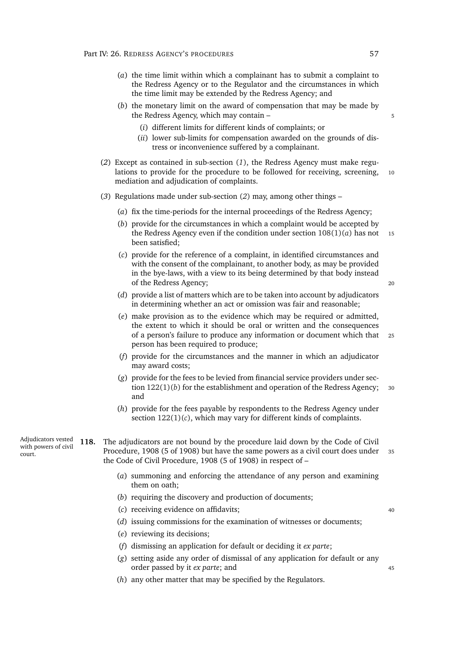- (*a*) the time limit within which a complainant has to submit a complaint to the Redress Agency or to the Regulator and the circumstances in which the time limit may be extended by the Redress Agency; and
- (*b*) the monetary limit on the award of compensation that may be made by the Redress Agency, which may contain – 5
	- (*i*) different limits for different kinds of complaints; or
	- (*ii*) lower sub-limits for compensation awarded on the grounds of distress or inconvenience suffered by a complainant.
- <span id="page-78-0"></span>(*2*) Except as contained in sub-section (*[1](#page-77-2)*), the Redress Agency must make regulations to provide for the procedure to be followed for receiving, screening, 10 mediation and adjudication of complaints.
- (*3*) Regulations made under sub-section (*[2](#page-78-0)*) may, among other things
	- (*a*) fix the time-periods for the internal proceedings of the Redress Agency;
	- (*b*) provide for the circumstances in which a complaint would be accepted by the Redress Agency even if the condition under section  $108(1)(a)$  $108(1)(a)$  has not 15 been satisfied;
	- (*c*) provide for the reference of a complaint, in identified circumstances and with the consent of the complainant, to another body, as may be provided in the bye-laws, with a view to its being determined by that body instead of the Redress Agency; <sup>20</sup>

- (*d*) provide a list of matters which are to be taken into account by adjudicators in determining whether an act or omission was fair and reasonable;
- (*e*) make provision as to the evidence which may be required or admitted, the extent to which it should be oral or written and the consequences of a person's failure to produce any information or document which that <sup>25</sup> person has been required to produce;
- (*f*) provide for the circumstances and the manner in which an adjudicator may award costs;
- (*g*) provide for the fees to be levied from financial service providers under section  $122(1)(b)$  $122(1)(b)$  for the establishment and operation of the Redress Agency;  $30$ and
- (*h*) provide for the fees payable by respondents to the Redress Agency under section [122\(1\)\(](#page-80-3)*c*), which may vary for different kinds of complaints.
- Adjudicators vested with powers of civil court.

**118.** The adjudicators are not bound by the procedure laid down by the Code of Civil Procedure, 1908 (5 of 1908) but have the same powers as a civil court does under <sup>35</sup> the Code of Civil Procedure, 1908 (5 of 1908) in respect of –

- (*a*) summoning and enforcing the attendance of any person and examining them on oath;
- (*b*) requiring the discovery and production of documents;
- (*c*) receiving evidence on affidavits; <sup>40</sup>
- (*d*) issuing commissions for the examination of witnesses or documents;
- (*e*) reviewing its decisions;
- (*f*) dismissing an application for default or deciding it *ex parte*;
- (*g*) setting aside any order of dismissal of any application for default or any order passed by it *ex parte*; and 45
- (*h*) any other matter that may be specified by the Regulators.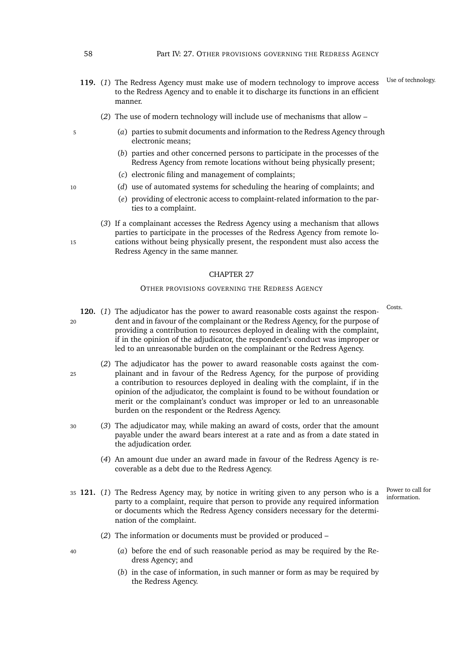- 119. (1) The Redress Agency must make use of modern technology to improve access <sup>Use of technology.</sup> to the Redress Agency and to enable it to discharge its functions in an efficient manner.
	- (*2*) The use of modern technology will include use of mechanisms that allow –
- <sup>5</sup> (*a*) parties to submit documents and information to the Redress Agency through electronic means;
	- (*b*) parties and other concerned persons to participate in the processes of the Redress Agency from remote locations without being physically present;
	- (*c*) electronic filing and management of complaints;
- <sup>10</sup> (*d*) use of automated systems for scheduling the hearing of complaints; and
	- (*e*) providing of electronic access to complaint-related information to the parties to a complaint.
- (*3*) If a complainant accesses the Redress Agency using a mechanism that allows parties to participate in the processes of the Redress Agency from remote lo-15 cations without being physically present, the respondent must also access the Redress Agency in the same manner.

#### OTHER PROVISIONS GOVERNING THE REDRESS AGENCY

- <span id="page-79-0"></span>120. (1) The adjudicator has the power to award reasonable costs against the respon-<sup>20</sup> dent and in favour of the complainant or the Redress Agency, for the purpose of providing a contribution to resources deployed in dealing with the complaint, if in the opinion of the adjudicator, the respondent's conduct was improper or led to an unreasonable burden on the complainant or the Redress Agency.
- (*2*) The adjudicator has the power to award reasonable costs against the com-<sup>25</sup> plainant and in favour of the Redress Agency, for the purpose of providing a contribution to resources deployed in dealing with the complaint, if in the opinion of the adjudicator, the complaint is found to be without foundation or merit or the complainant's conduct was improper or led to an unreasonable burden on the respondent or the Redress Agency.
- <sup>30</sup> (*3*) The adjudicator may, while making an award of costs, order that the amount payable under the award bears interest at a rate and as from a date stated in the adjudication order.
	- (*4*) An amount due under an award made in favour of the Redress Agency is recoverable as a debt due to the Redress Agency.
- 35 **121.** (1) The Redress Agency may, by notice in writing given to any person who is a party to a complaint, require that person to provide any required information or documents which the Redress Agency considers necessary for the determination of the complaint.

Power to call for<br>information.

- (*2*) The information or documents must be provided or produced –
- <sup>40</sup> (*a*) before the end of such reasonable period as may be required by the Redress Agency; and
	- (*b*) in the case of information, in such manner or form as may be required by the Redress Agency.

- 
-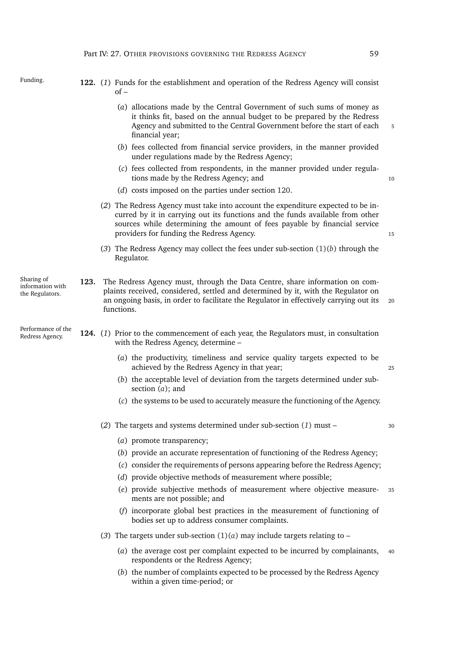<span id="page-80-3"></span><span id="page-80-2"></span><span id="page-80-1"></span><span id="page-80-0"></span>

| Funding.                                          |      | 122. (1) Funds for the establishment and operation of the Redress Agency will consist<br>of –                                                                                                                                                                                               |    |
|---------------------------------------------------|------|---------------------------------------------------------------------------------------------------------------------------------------------------------------------------------------------------------------------------------------------------------------------------------------------|----|
|                                                   |      | (a) allocations made by the Central Government of such sums of money as<br>it thinks fit, based on the annual budget to be prepared by the Redress<br>Agency and submitted to the Central Government before the start of each<br>financial year;                                            |    |
|                                                   |      | (b) fees collected from financial service providers, in the manner provided<br>under regulations made by the Redress Agency;                                                                                                                                                                |    |
|                                                   |      | (c) fees collected from respondents, in the manner provided under regula-<br>tions made by the Redress Agency; and                                                                                                                                                                          | 10 |
|                                                   |      | (d) costs imposed on the parties under section 120.                                                                                                                                                                                                                                         |    |
|                                                   |      | (2) The Redress Agency must take into account the expenditure expected to be in-<br>curred by it in carrying out its functions and the funds available from other<br>sources while determining the amount of fees payable by financial service<br>providers for funding the Redress Agency. | 15 |
|                                                   |      | (3) The Redress Agency may collect the fees under sub-section $(1)(b)$ through the<br>Regulator.                                                                                                                                                                                            |    |
| Sharing of<br>information with<br>the Regulators. | 123. | The Redress Agency must, through the Data Centre, share information on com-<br>plaints received, considered, settled and determined by it, with the Regulator on<br>an ongoing basis, in order to facilitate the Regulator in effectively carrying out its<br>functions.                    | 20 |
| Performance of the<br>Redress Agency.             |      | 124. (1) Prior to the commencement of each year, the Regulators must, in consultation<br>with the Redress Agency, determine -                                                                                                                                                               |    |
|                                                   |      | (a) the productivity, timeliness and service quality targets expected to be<br>achieved by the Redress Agency in that year;                                                                                                                                                                 | 25 |
|                                                   |      | (b) the acceptable level of deviation from the targets determined under sub-<br>section $(a)$ ; and                                                                                                                                                                                         |    |
|                                                   |      | (c) the systems to be used to accurately measure the functioning of the Agency.                                                                                                                                                                                                             |    |
|                                                   |      | (2) The targets and systems determined under sub-section $(1)$ must –                                                                                                                                                                                                                       | 30 |
|                                                   |      | (a) promote transparency;                                                                                                                                                                                                                                                                   |    |
|                                                   |      | (b) provide an accurate representation of functioning of the Redress Agency;                                                                                                                                                                                                                |    |
|                                                   |      | (c) consider the requirements of persons appearing before the Redress Agency;                                                                                                                                                                                                               |    |
|                                                   |      | (d) provide objective methods of measurement where possible;                                                                                                                                                                                                                                |    |
|                                                   |      | (e) provide subjective methods of measurement where objective measure-<br>ments are not possible; and                                                                                                                                                                                       | 35 |
|                                                   |      | (f) incorporate global best practices in the measurement of functioning of<br>bodies set up to address consumer complaints.                                                                                                                                                                 |    |
|                                                   |      | (3) The targets under sub-section $(1)(a)$ may include targets relating to -                                                                                                                                                                                                                |    |

- <span id="page-80-6"></span><span id="page-80-5"></span><span id="page-80-4"></span>(*a*) the average cost per complaint expected to be incurred by complainants, <sup>40</sup> respondents or the Redress Agency;
- (*b*) the number of complaints expected to be processed by the Redress Agency within a given time-period; or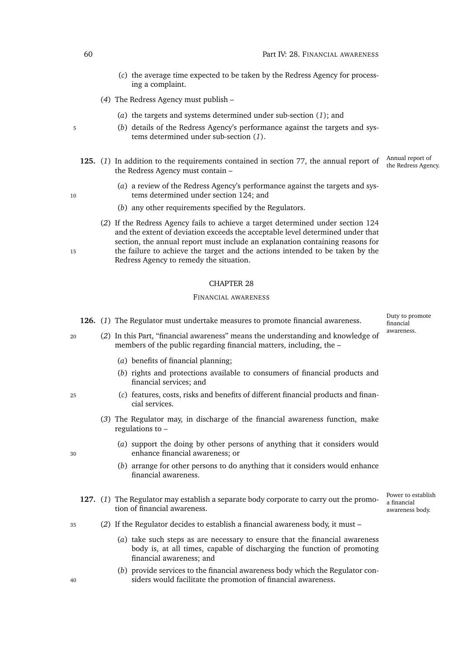- (*c*) the average time expected to be taken by the Redress Agency for processing a complaint.
- (*4*) The Redress Agency must publish
	- (*a*) the targets and systems determined under sub-section (*[1](#page-80-5)*); and
- <sup>5</sup> (*b*) details of the Redress Agency's performance against the targets and systems determined under sub-section (*[1](#page-80-5)*).
	- Annual report of<br>the Redress Agency. 125. (1) In addition to the requirements contained in section [77,](#page-60-0) the annual report of the Redress Agency must contain –
- (*a*) a review of the Redress Agency's performance against the targets and sys-10 tems determined under section [124;](#page-80-6) and
	- (*b*) any other requirements specified by the Regulators.
- (*2*) If the Redress Agency fails to achieve a target determined under section [124](#page-80-6) and the extent of deviation exceeds the acceptable level determined under that section, the annual report must include an explanation containing reasons for 15 the failure to achieve the target and the actions intended to be taken by the Redress Agency to remedy the situation.

#### FINANCIAL AWARENESS

- **126.** (*1*) The Regulator must undertake measures to promote financial awareness.
- <sup>20</sup> (*2*) In this Part, "financial awareness" means the understanding and knowledge of members of the public regarding financial matters, including, the –
	- (*a*) benefits of financial planning;
	- (*b*) rights and protections available to consumers of financial products and financial services; and
- <sup>25</sup> (*c*) features, costs, risks and benefits of different financial products and financial services.
	- (*3*) The Regulator may, in discharge of the financial awareness function, make regulations to –
- (*a*) support the doing by other persons of anything that it considers would <sup>30</sup> enhance financial awareness; or
	- (*b*) arrange for other persons to do anything that it considers would enhance financial awareness.
	- Power to establish a financial awareness body. **127.** (*1*) The Regulator may establish a separate body corporate to carry out the promotion of financial awareness.
- <sup>35</sup> (*2*) If the Regulator decides to establish a financial awareness body, it must
	- (*a*) take such steps as are necessary to ensure that the financial awareness body is, at all times, capable of discharging the function of promoting financial awareness; and
- (*b*) provide services to the financial awareness body which the Regulator con-<sup>40</sup> siders would facilitate the promotion of financial awareness.

Duty to promote financial awareness.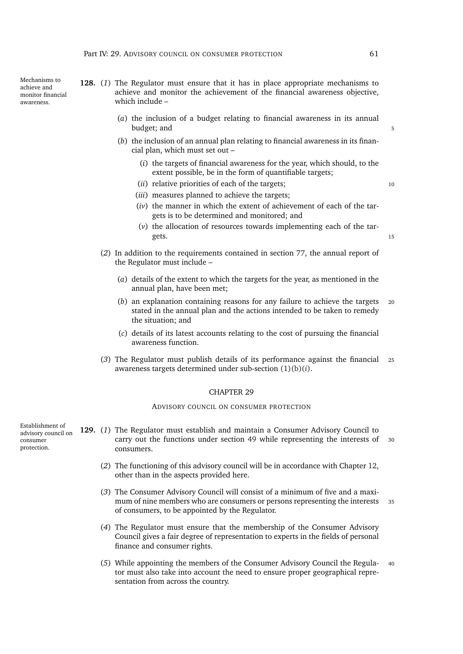Mechanisms to achieve and monitor financial awareness.

**128.** (*1*) The Regulator must ensure that it has in place appropriate mechanisms to achieve and monitor the achievement of the financial awareness objective, which include –

- (*a*) the inclusion of a budget relating to financial awareness in its annual budget; and 5
- <span id="page-82-0"></span>(*b*) the inclusion of an annual plan relating to financial awareness in its financial plan, which must set out –
	- (*i*) the targets of financial awareness for the year, which should, to the extent possible, be in the form of quantifiable targets;
	- (*ii*) relative priorities of each of the targets;  $10$
	- (*iii*) measures planned to achieve the targets;
	- (*iv*) the manner in which the extent of achievement of each of the targets is to be determined and monitored; and
	- (*v*) the allocation of resources towards implementing each of the targets. The set of the set of the set of the set of the set of the set of the set of the set of the set of the set of the set of the set of the set of the set of the set of the set of the set of the set of the set of the set
- (*2*) In addition to the requirements contained in section [77,](#page-60-0) the annual report of the Regulator must include –
	- (*a*) details of the extent to which the targets for the year, as mentioned in the annual plan, have been met;
	- (*b*) an explanation containing reasons for any failure to achieve the targets <sup>20</sup> stated in the annual plan and the actions intended to be taken to remedy the situation; and
	- (*c*) details of its latest accounts relating to the cost of pursuing the financial awareness function.
- (*3*) The Regulator must publish details of its performance against the financial <sup>25</sup> awareness targets determined under sub-section [\(1\)\(b\)\(](#page-82-0)*i*).

#### CHAPTER 29

ADVISORY COUNCIL ON CONSUMER PROTECTION

Establishment of advisory council on consumer protection.

- **129.** (*1*) The Regulator must establish and maintain a Consumer Advisory Council to carry out the functions under section [49](#page-50-0) while representing the interests of <sup>30</sup> consumers.
	- (*2*) The functioning of this advisory council will be in accordance with Chapter [12,](#page-49-0) other than in the aspects provided here.
	- (*3*) The Consumer Advisory Council will consist of a minimum of five and a maximum of nine members who are consumers or persons representing the interests 35 of consumers, to be appointed by the Regulator.
	- (*4*) The Regulator must ensure that the membership of the Consumer Advisory Council gives a fair degree of representation to experts in the fields of personal finance and consumer rights.
	- (*5*) While appointing the members of the Consumer Advisory Council the Regula- <sup>40</sup> tor must also take into account the need to ensure proper geographical representation from across the country.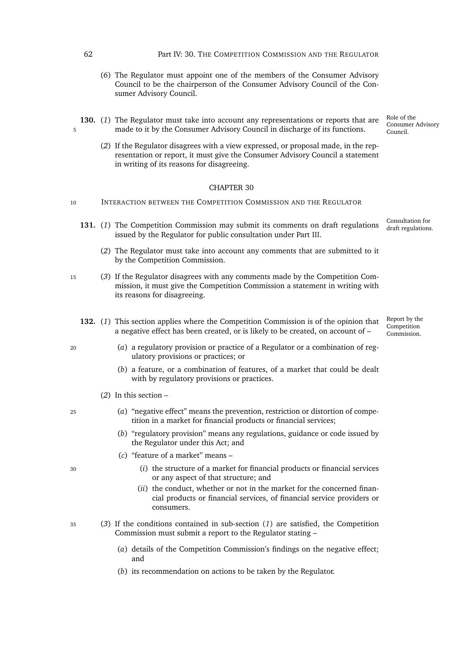62 Part IV: 30. THE COMPETITION COMMISSION AND THE REGULATOR

- (*6*) The Regulator must appoint one of the members of the Consumer Advisory Council to be the chairperson of the Consumer Advisory Council of the Consumer Advisory Council.
- **130.** (*1*) The Regulator must take into account any representations or reports that are 5 made to it by the Consumer Advisory Council in discharge of its functions.
	- (*2*) If the Regulator disagrees with a view expressed, or proposal made, in the representation or report, it must give the Consumer Advisory Council a statement in writing of its reasons for disagreeing.

#### CHAPTER 30

- 10 INTERACTION BETWEEN THE COMPETITION COMMISSION AND THE REGULATOR
	- Consultation for 131. (1) The Competition Commission may submit its comments on draft regulations draft regulations. issued by the Regulator for public consultation under Part [III.](#page-44-0)
		- (*2*) The Regulator must take into account any comments that are submitted to it by the Competition Commission.
- <sup>15</sup> (*3*) If the Regulator disagrees with any comments made by the Competition Commission, it must give the Competition Commission a statement in writing with its reasons for disagreeing.
	- Report by the **Competition** Commission. **132.** (*1*) This section applies where the Competition Commission is of the opinion that a negative effect has been created, or is likely to be created, on account of –
- <sup>20</sup> (*a*) a regulatory provision or practice of a Regulator or a combination of regulatory provisions or practices; or
	- (*b*) a feature, or a combination of features, of a market that could be dealt with by regulatory provisions or practices.
	- (*2*) In this section –
- <sup>25</sup> (*a*) "negative effect" means the prevention, restriction or distortion of competition in a market for financial products or financial services;
	- (*b*) "regulatory provision" means any regulations, guidance or code issued by the Regulator under this Act; and
	- (*c*) "feature of a market" means –
- <sup>30</sup> (*i*) the structure of a market for financial products or financial services or any aspect of that structure; and
	- (*ii*) the conduct, whether or not in the market for the concerned financial products or financial services, of financial service providers or consumers.
- <span id="page-83-2"></span><sup>35</sup> (*3*) If the conditions contained in sub-section (*[1](#page-83-0)*) are satisfied, the Competition Commission must submit a report to the Regulator stating –
	- (*a*) details of the Competition Commission's findings on the negative effect; and
	- (*b*) its recommendation on actions to be taken by the Regulator.

Role of the Consumer Advisory Council.

<span id="page-83-1"></span><span id="page-83-0"></span>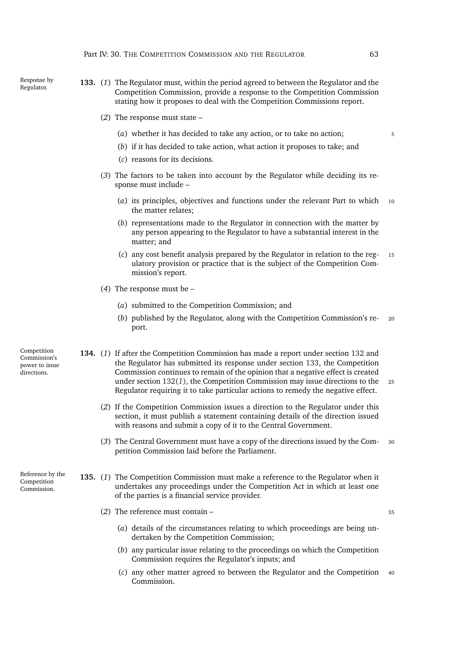- Response by Regulator. **133.** (*1*) The Regulator must, within the period agreed to between the Regulator and the Competition Commission, provide a response to the Competition Commission stating how it proposes to deal with the Competition Commissions report.
	- (*2*) The response must state
		- (*a*) whether it has decided to take any action, or to take no action; <sup>5</sup>
		- (*b*) if it has decided to take action, what action it proposes to take; and
		- (*c*) reasons for its decisions.
	- (*3*) The factors to be taken into account by the Regulator while deciding its response must include –
		- (*a*) its principles, objectives and functions under the relevant Part to which <sup>10</sup> the matter relates;
		- (*b*) representations made to the Regulator in connection with the matter by any person appearing to the Regulator to have a substantial interest in the matter; and
		- (*c*) any cost benefit analysis prepared by the Regulator in relation to the reg- <sup>15</sup> ulatory provision or practice that is the subject of the Competition Commission's report.
	- (*4*) The response must be
		- (*a*) submitted to the Competition Commission; and
		- (*b*) published by the Regulator, along with the Competition Commission's re- <sup>20</sup> port.
- Competition Commission's power to issue directions. **134.** (*1*) If after the Competition Commission has made a report under section [132](#page-83-1) and the Regulator has submitted its response under section [133,](#page-83-2) the Competition Commission continues to remain of the opinion that a negative effect is created under section [132\(](#page-83-0)*1*), the Competition Commission may issue directions to the <sup>25</sup> Regulator requiring it to take particular actions to remedy the negative effect.
	- (*2*) If the Competition Commission issues a direction to the Regulator under this section, it must publish a statement containing details of the direction issued with reasons and submit a copy of it to the Central Government.
	- (*3*) The Central Government must have a copy of the directions issued by the Com- <sup>30</sup> petition Commission laid before the Parliament.

Reference by the Competition Commission.

- <span id="page-84-0"></span>**135.** (*1*) The Competition Commission must make a reference to the Regulator when it undertakes any proceedings under the Competition Act in which at least one of the parties is a financial service provider.
	- (2) The reference must contain  $\frac{35}{2}$ 
		- (*a*) details of the circumstances relating to which proceedings are being undertaken by the Competition Commission;
		- (*b*) any particular issue relating to the proceedings on which the Competition Commission requires the Regulator's inputs; and
		- (*c*) any other matter agreed to between the Regulator and the Competition <sup>40</sup> Commission.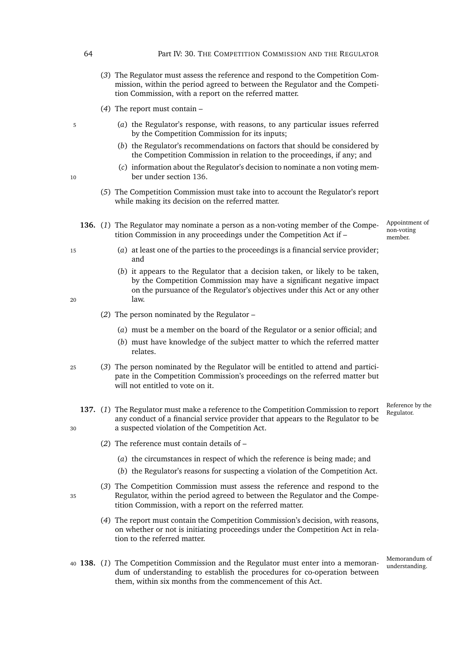- (*3*) The Regulator must assess the reference and respond to the Competition Commission, within the period agreed to between the Regulator and the Competition Commission, with a report on the referred matter.
- (*4*) The report must contain –
- <sup>5</sup> (*a*) the Regulator's response, with reasons, to any particular issues referred by the Competition Commission for its inputs;
	- (*b*) the Regulator's recommendations on factors that should be considered by the Competition Commission in relation to the proceedings, if any; and
- (*c*) information about the Regulator's decision to nominate a non voting mem-10 ber under section [136.](#page-85-0)
	- (*5*) The Competition Commission must take into to account the Regulator's report while making its decision on the referred matter.
	- **136.** (*1*) The Regulator may nominate a person as a non-voting member of the Competition Commission in any proceedings under the Competition Act if –
- Appointment of non-voting member.
- <span id="page-85-0"></span><sup>15</sup> (*a*) at least one of the parties to the proceedings is a financial service provider; and
- (*b*) it appears to the Regulator that a decision taken, or likely to be taken, by the Competition Commission may have a significant negative impact on the pursuance of the Regulator's objectives under this Act or any other <sup>20</sup> law.
- 
- (*2*) The person nominated by the Regulator
	- (*a*) must be a member on the board of the Regulator or a senior official; and
	- (*b*) must have knowledge of the subject matter to which the referred matter relates.
- <sup>25</sup> (*3*) The person nominated by the Regulator will be entitled to attend and participate in the Competition Commission's proceedings on the referred matter but will not entitled to vote on it.
- <span id="page-85-1"></span>137. (1) The Regulator must make a reference to the Competition Commission to report any conduct of a financial service provider that appears to the Regulator to be <sup>30</sup> a suspected violation of the Competition Act.
	- (*2*) The reference must contain details of
		- (*a*) the circumstances in respect of which the reference is being made; and
		- (*b*) the Regulator's reasons for suspecting a violation of the Competition Act.
- (*3*) The Competition Commission must assess the reference and respond to the <sup>35</sup> Regulator, within the period agreed to between the Regulator and the Competition Commission, with a report on the referred matter.
	- (*4*) The report must contain the Competition Commission's decision, with reasons, on whether or not is initiating proceedings under the Competition Act in relation to the referred matter.
- 40 **138.** (1) The Competition Commission and the Regulator must enter into a memoran-<br>understanding. dum of understanding to establish the procedures for co-operation between them, within six months from the commencement of this Act.

Reference by the<br>Regulator.

Memorandum of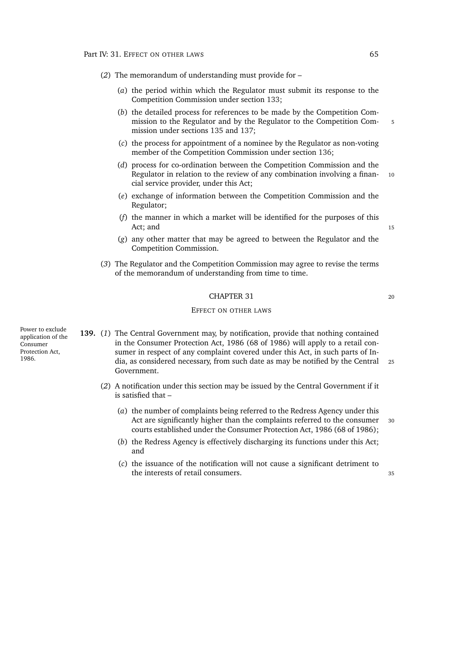(*2*) The memorandum of understanding must provide for –

- (*a*) the period within which the Regulator must submit its response to the Competition Commission under section [133;](#page-83-2)
- (*b*) the detailed process for references to be made by the Competition Commission to the Regulator and by the Regulator to the Competition Com- 5 mission under sections [135](#page-84-0) and [137;](#page-85-1)
- (*c*) the process for appointment of a nominee by the Regulator as non-voting member of the Competition Commission under section [136;](#page-85-0)
- (*d*) process for co-ordination between the Competition Commission and the Regulator in relation to the review of any combination involving a finan- 10 cial service provider, under this Act;
- (*e*) exchange of information between the Competition Commission and the Regulator;
- (*f*) the manner in which a market will be identified for the purposes of this Act; and 15
- (*g*) any other matter that may be agreed to between the Regulator and the Competition Commission.
- (*3*) The Regulator and the Competition Commission may agree to revise the terms of the memorandum of understanding from time to time.

#### CHAPTER 31 20

#### EFFECT ON OTHER LAWS

**139.** (*1*) The Central Government may, by notification, provide that nothing contained in the Consumer Protection Act, 1986 (68 of 1986) will apply to a retail consumer in respect of any complaint covered under this Act, in such parts of India, as considered necessary, from such date as may be notified by the Central <sup>25</sup> Government.

- (*2*) A notification under this section may be issued by the Central Government if it is satisfied that –
	- (*a*) the number of complaints being referred to the Redress Agency under this Act are significantly higher than the complaints referred to the consumer 30 courts established under the Consumer Protection Act, 1986 (68 of 1986);
	- (*b*) the Redress Agency is effectively discharging its functions under this Act; and
	- (*c*) the issuance of the notification will not cause a significant detriment to the interests of retail consumers. <sup>35</sup>

Power to exclude application of the Consumer Protection Act, 1986.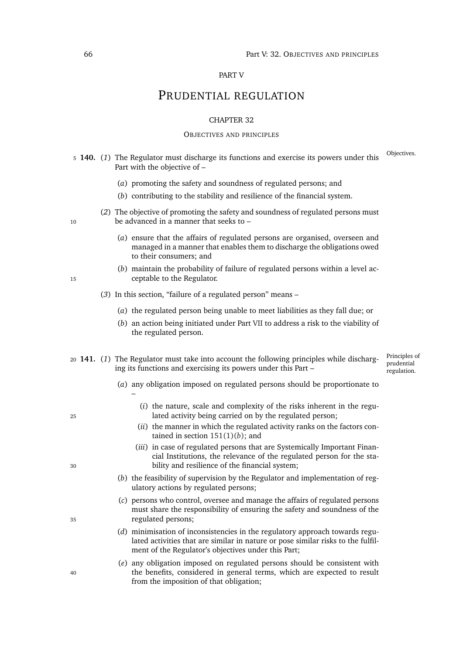#### PART V

## PRUDENTIAL REGULATION

#### CHAPTER 32

#### OBJECTIVES AND PRINCIPLES

- <span id="page-87-1"></span>Objectives. <sup>5</sup> **140.** (*1*) The Regulator must discharge its functions and exercise its powers under this Part with the objective of –
	- (*a*) promoting the safety and soundness of regulated persons; and
	- (*b*) contributing to the stability and resilience of the financial system.
- (*2*) The objective of promoting the safety and soundness of regulated persons must 10 be advanced in a manner that seeks to –
	- (*a*) ensure that the affairs of regulated persons are organised, overseen and managed in a manner that enables them to discharge the obligations owed to their consumers; and
- (*b*) maintain the probability of failure of regulated persons within a level ac-<sup>15</sup> ceptable to the Regulator.
	- (*3*) In this section, "failure of a regulated person" means
		- (*a*) the regulated person being unable to meet liabilities as they fall due; or
		- (*b*) an action being initiated under Part [VII](#page-117-0) to address a risk to the viability of the regulated person.
- <span id="page-87-2"></span><span id="page-87-0"></span><sup>20</sup> **141.** (*1*) The Regulator must take into account the following principles while discharging its functions and exercising its powers under this Part –

Principles of prudential regulation.

- (*a*) any obligation imposed on regulated persons should be proportionate to
- (*i*) the nature, scale and complexity of the risks inherent in the regu-<sup>25</sup> lated activity being carried on by the regulated person;
	- (*ii*) the manner in which the regulated activity ranks on the factors contained in section [151\(1\)\(](#page-91-0)*b*); and
- (*iii*) in case of regulated persons that are Systemically Important Financial Institutions, the relevance of the regulated person for the sta-<sup>30</sup> bility and resilience of the financial system;
	- (*b*) the feasibility of supervision by the Regulator and implementation of regulatory actions by regulated persons;
- (*c*) persons who control, oversee and manage the affairs of regulated persons must share the responsibility of ensuring the safety and soundness of the <sup>35</sup> regulated persons;
	- (*d*) minimisation of inconsistencies in the regulatory approach towards regulated activities that are similar in nature or pose similar risks to the fulfilment of the Regulator's objectives under this Part;
- (*e*) any obligation imposed on regulated persons should be consistent with <sup>40</sup> the benefits, considered in general terms, which are expected to result from the imposition of that obligation;

–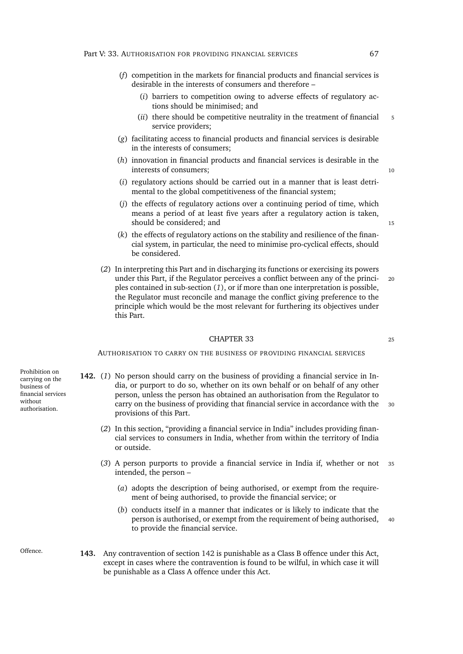- (*f*) competition in the markets for financial products and financial services is desirable in the interests of consumers and therefore –
	- (*i*) barriers to competition owing to adverse effects of regulatory actions should be minimised; and
	- $(iii)$  there should be competitive neutrality in the treatment of financial  $5$ service providers;
- (*g*) facilitating access to financial products and financial services is desirable in the interests of consumers;
- (*h*) innovation in financial products and financial services is desirable in the interests of consumers; 10
- (*i*) regulatory actions should be carried out in a manner that is least detrimental to the global competitiveness of the financial system;
- (*j*) the effects of regulatory actions over a continuing period of time, which means a period of at least five years after a regulatory action is taken, should be considered; and 15
- (*k*) the effects of regulatory actions on the stability and resilience of the financial system, in particular, the need to minimise pro-cyclical effects, should be considered.
- (*2*) In interpreting this Part and in discharging its functions or exercising its powers under this Part, if the Regulator perceives a conflict between any of the princi- <sup>20</sup> ples contained in sub-section (*[1](#page-87-0)*), or if more than one interpretation is possible, the Regulator must reconcile and manage the conflict giving preference to the principle which would be the most relevant for furthering its objectives under this Part.

#### $CHAPTFR$  33 25

<span id="page-88-1"></span>AUTHORISATION TO CARRY ON THE BUSINESS OF PROVIDING FINANCIAL SERVICES

Prohibition on carrying on the business of financial services without authorisation. **142.** (*1*) No person should carry on the business of providing a financial service in India, or purport to do so, whether on its own behalf or on behalf of any other

- <span id="page-88-0"></span>person, unless the person has obtained an authorisation from the Regulator to carry on the business of providing that financial service in accordance with the 30 provisions of this Part.
	- (*2*) In this section, "providing a financial service in India" includes providing financial services to consumers in India, whether from within the territory of India or outside.
	- (*3*) A person purports to provide a financial service in India if, whether or not <sup>35</sup> intended, the person –
		- (*a*) adopts the description of being authorised, or exempt from the requirement of being authorised, to provide the financial service; or
		- (*b*) conducts itself in a manner that indicates or is likely to indicate that the person is authorised, or exempt from the requirement of being authorised, <sup>40</sup> to provide the financial service.
- <span id="page-88-2"></span>Offence. **143.** Any contravention of section [142](#page-88-0) is punishable as a Class B offence under this Act, except in cases where the contravention is found to be wilful, in which case it will be punishable as a Class A offence under this Act.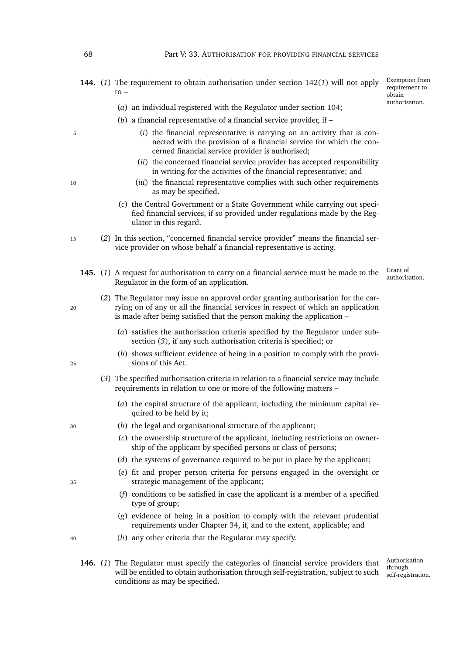**144.** (*1*) The requirement to obtain authorisation under section [142\(](#page-88-1)*1*) will not apply  $t_0$  –

Exemption from requirement to obtain authorisation.

- (*a*) an individual registered with the Regulator under section [104;](#page-73-2)
- (*b*) a financial representative of a financial service provider, if –
- <sup>5</sup> (*i*) the financial representative is carrying on an activity that is connected with the provision of a financial service for which the concerned financial service provider is authorised;
	- (*ii*) the concerned financial service provider has accepted responsibility in writing for the activities of the financial representative; and
- <sup>10</sup> (*iii*) the financial representative complies with such other requirements as may be specified.
	- (*c*) the Central Government or a State Government while carrying out specified financial services, if so provided under regulations made by the Regulator in this regard.
- <span id="page-89-2"></span><sup>15</sup> (*2*) In this section, "concerned financial service provider" means the financial service provider on whose behalf a financial representative is acting.
	- Grant of<br>authorisation. 145. (1) A request for authorisation to carry on a financial service must be made to the Regulator in the form of an application.
- - (*2*) The Regulator may issue an approval order granting authorisation for the car-<sup>20</sup> rying on of any or all the financial services in respect of which an application is made after being satisfied that the person making the application –
		- (*a*) satisfies the authorisation criteria specified by the Regulator under subsection (*[3](#page-89-0)*), if any such authorisation criteria is specified; or
	- (*b*) shows sufficient evidence of being in a position to comply with the provi-<sup>25</sup> sions of this Act.
		- (*3*) The specified authorisation criteria in relation to a financial service may include requirements in relation to one or more of the following matters –
			- (*a*) the capital structure of the applicant, including the minimum capital required to be held by it;
	- <sup>30</sup> (*b*) the legal and organisational structure of the applicant;
		- (*c*) the ownership structure of the applicant, including restrictions on ownership of the applicant by specified persons or class of persons;
		- (*d*) the systems of governance required to be put in place by the applicant;
	- (*e*) fit and proper person criteria for persons engaged in the oversight or <sup>35</sup> strategic management of the applicant;
		- (*f*) conditions to be satisfied in case the applicant is a member of a specified type of group;
		- (*g*) evidence of being in a position to comply with the relevant prudential requirements under Chapter [34,](#page-91-1) if, and to the extent, applicable; and
	- <sup>40</sup> (*h*) any other criteria that the Regulator may specify.
		- Authorisation through self-registration. **146.** (*1*) The Regulator must specify the categories of financial service providers that will be entitled to obtain authorisation through self-registration, subject to such conditions as may be specified.

<span id="page-89-0"></span>

<span id="page-89-1"></span>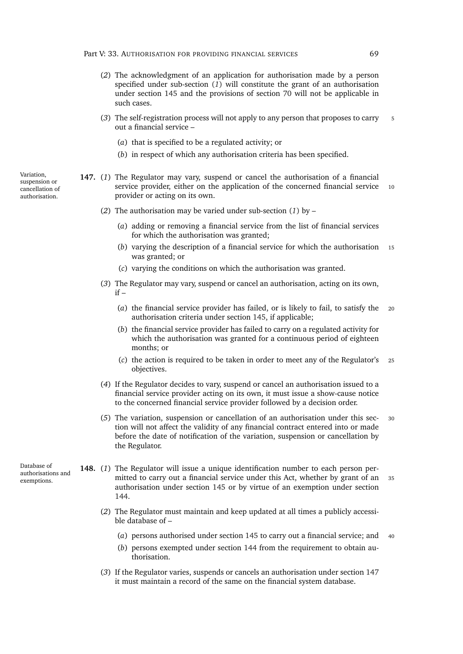- (*2*) The acknowledgment of an application for authorisation made by a person specified under sub-section (*[1](#page-89-1)*) will constitute the grant of an authorisation under section [145](#page-89-2) and the provisions of section [70](#page-56-0) will not be applicable in such cases.
- (*3*) The self-registration process will not apply to any person that proposes to carry <sup>5</sup> out a financial service –
	- (*a*) that is specified to be a regulated activity; or
	- (*b*) in respect of which any authorisation criteria has been specified.

<span id="page-90-1"></span><span id="page-90-0"></span>**147.** (*1*) The Regulator may vary, suspend or cancel the authorisation of a financial service provider, either on the application of the concerned financial service 10 provider or acting on its own.

- (*2*) The authorisation may be varied under sub-section (*[1](#page-90-0)*) by
	- (*a*) adding or removing a financial service from the list of financial services for which the authorisation was granted;
	- (*b*) varying the description of a financial service for which the authorisation <sup>15</sup> was granted; or
	- (*c*) varying the conditions on which the authorisation was granted.
- (*3*) The Regulator may vary, suspend or cancel an authorisation, acting on its own,  $if -$ 
	- (*a*) the financial service provider has failed, or is likely to fail, to satisfy the <sup>20</sup> authorisation criteria under section [145,](#page-89-2) if applicable;
	- (*b*) the financial service provider has failed to carry on a regulated activity for which the authorisation was granted for a continuous period of eighteen months; or
	- (*c*) the action is required to be taken in order to meet any of the Regulator's <sup>25</sup> objectives.
- (*4*) If the Regulator decides to vary, suspend or cancel an authorisation issued to a financial service provider acting on its own, it must issue a show-cause notice to the concerned financial service provider followed by a decision order.
- (*5*) The variation, suspension or cancellation of an authorisation under this sec- <sup>30</sup> tion will not affect the validity of any financial contract entered into or made before the date of notification of the variation, suspension or cancellation by the Regulator.
- **148.** (*1*) The Regulator will issue a unique identification number to each person permitted to carry out a financial service under this Act, whether by grant of an <sup>35</sup> authorisation under section [145](#page-89-2) or by virtue of an exemption under section [144.](#page-88-2)
	- (*2*) The Regulator must maintain and keep updated at all times a publicly accessible database of –
		- (*a*) persons authorised under section [145](#page-89-2) to carry out a financial service; and <sup>40</sup>
		- (*b*) persons exempted under section [144](#page-88-2) from the requirement to obtain authorisation.
	- (*3*) If the Regulator varies, suspends or cancels an authorisation under section [147](#page-90-1) it must maintain a record of the same on the financial system database.

Database of authorisations and exemptions.

Variation, suspension or cancellation of authorisation.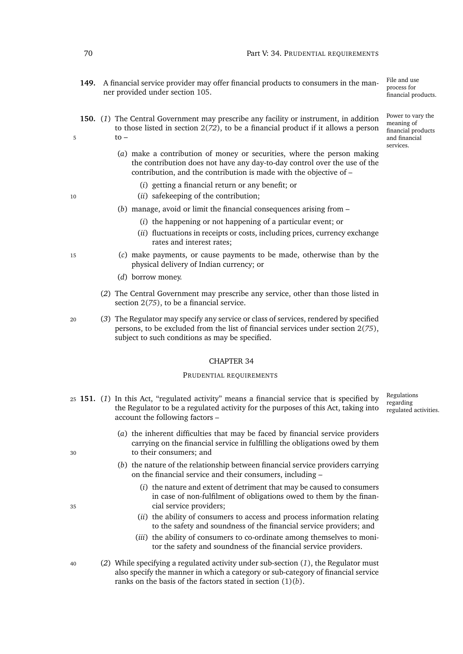File and use process for financial products.

Power to vary the meaning of financial products and financial services.

- **149.** A financial service provider may offer financial products to consumers in the manner provided under section [105.](#page-73-3)
- **150.** (*1*) The Central Government may prescribe any facility or instrument, in addition to those listed in section 2(*[72](#page-27-0)*), to be a financial product if it allows a person  $\overline{5}$  to –
	- (*a*) make a contribution of money or securities, where the person making the contribution does not have any day-to-day control over the use of the contribution, and the contribution is made with the objective of –
		- (*i*) getting a financial return or any benefit; or
- <sup>10</sup> (*ii*) safekeeping of the contribution;
	- (*b*) manage, avoid or limit the financial consequences arising from
		- (*i*) the happening or not happening of a particular event; or
		- (*ii*) fluctuations in receipts or costs, including prices, currency exchange rates and interest rates;
- <sup>15</sup> (*c*) make payments, or cause payments to be made, otherwise than by the physical delivery of Indian currency; or
	- (*d*) borrow money.
	- (*2*) The Central Government may prescribe any service, other than those listed in section 2(*[75](#page-27-1)*), to be a financial service.
- <sup>20</sup> (*3*) The Regulator may specify any service or class of services, rendered by specified persons, to be excluded from the list of financial services under section 2(*[75](#page-27-1)*), subject to such conditions as may be specified.

#### CHAPTER 34

#### PRUDENTIAL REQUIREMENTS

- <span id="page-91-2"></span>Regulations regarding regulated activities. <sup>25</sup> **151.** (*1*) In this Act, "regulated activity" means a financial service that is specified by the Regulator to be a regulated activity for the purposes of this Act, taking into account the following factors –
- (*a*) the inherent difficulties that may be faced by financial service providers carrying on the financial service in fulfilling the obligations owed by them <sup>30</sup> to their consumers; and
	- (*b*) the nature of the relationship between financial service providers carrying on the financial service and their consumers, including –
- <span id="page-91-0"></span>(*i*) the nature and extent of detriment that may be caused to consumers in case of non-fulfilment of obligations owed to them by the finan-<sup>35</sup> cial service providers;
	- (*ii*) the ability of consumers to access and process information relating to the safety and soundness of the financial service providers; and
	- (*iii*) the ability of consumers to co-ordinate among themselves to monitor the safety and soundness of the financial service providers.
- <sup>40</sup> (*2*) While specifying a regulated activity under sub-section (*[1](#page-91-2)*), the Regulator must also specify the manner in which a category or sub-category of financial service ranks on the basis of the factors stated in section [\(1\)\(](#page-91-0)*b*).

<span id="page-91-1"></span>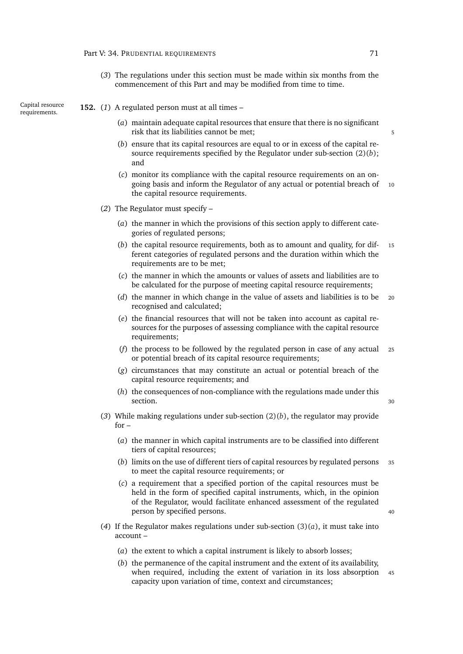<span id="page-92-2"></span>(*3*) The regulations under this section must be made within six months from the commencement of this Part and may be modified from time to time.

Capital resource

# Capital resource **152.** (1) A regulated person must at all times – requirements.

- (*a*) maintain adequate capital resources that ensure that there is no significant risk that its liabilities cannot be met; 5
- (*b*) ensure that its capital resources are equal to or in excess of the capital resource requirements specified by the Regulator under sub-section [\(2\)\(](#page-92-0)*b*); and
- (*c*) monitor its compliance with the capital resource requirements on an ongoing basis and inform the Regulator of any actual or potential breach of 10 the capital resource requirements.
- <span id="page-92-0"></span>(*2*) The Regulator must specify –
	- (*a*) the manner in which the provisions of this section apply to different categories of regulated persons;
	- (*b*) the capital resource requirements, both as to amount and quality, for dif- <sup>15</sup> ferent categories of regulated persons and the duration within which the requirements are to be met;
	- (*c*) the manner in which the amounts or values of assets and liabilities are to be calculated for the purpose of meeting capital resource requirements;
	- (*d*) the manner in which change in the value of assets and liabilities is to be <sup>20</sup> recognised and calculated;
	- (*e*) the financial resources that will not be taken into account as capital resources for the purposes of assessing compliance with the capital resource requirements;
	- (*f*) the process to be followed by the regulated person in case of any actual <sup>25</sup> or potential breach of its capital resource requirements;
	- (*g*) circumstances that may constitute an actual or potential breach of the capital resource requirements; and
	- (*h*) the consequences of non-compliance with the regulations made under this section. 30
- <span id="page-92-1"></span>(*3*) While making regulations under sub-section [\(2\)\(](#page-92-0)*b*), the regulator may provide  $for -$ 
	- (*a*) the manner in which capital instruments are to be classified into different tiers of capital resources;
	- (*b*) limits on the use of different tiers of capital resources by regulated persons <sup>35</sup> to meet the capital resource requirements; or
	- (*c*) a requirement that a specified portion of the capital resources must be held in the form of specified capital instruments, which, in the opinion of the Regulator, would facilitate enhanced assessment of the regulated person by specified persons. 40

- (4) If the Regulator makes regulations under sub-section  $(3)(a)$  $(3)(a)$ , it must take into account –
	- (*a*) the extent to which a capital instrument is likely to absorb losses;
	- (*b*) the permanence of the capital instrument and the extent of its availability, when required, including the extent of variation in its loss absorption 45 capacity upon variation of time, context and circumstances;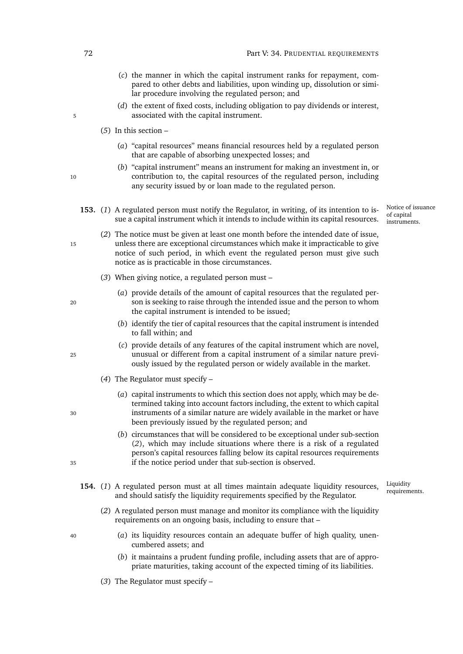- (*c*) the manner in which the capital instrument ranks for repayment, compared to other debts and liabilities, upon winding up, dissolution or similar procedure involving the regulated person; and
- (*d*) the extent of fixed costs, including obligation to pay dividends or interest, 5 associated with the capital instrument.
	- (*5*) In this section
		- (*a*) "capital resources" means financial resources held by a regulated person that are capable of absorbing unexpected losses; and
- (*b*) "capital instrument" means an instrument for making an investment in, or 10 contribution to, the capital resources of the regulated person, including any security issued by or loan made to the regulated person.
	- **153.** (*1*) A regulated person must notify the Regulator, in writing, of its intention to issue a capital instrument which it intends to include within its capital resources.

Notice of issuance of capital instruments.

- <span id="page-93-0"></span>(*2*) The notice must be given at least one month before the intended date of issue, 15 unless there are exceptional circumstances which make it impracticable to give notice of such period, in which event the regulated person must give such notice as is practicable in those circumstances.
	- (*3*) When giving notice, a regulated person must –
- (*a*) provide details of the amount of capital resources that the regulated per-<sup>20</sup> son is seeking to raise through the intended issue and the person to whom the capital instrument is intended to be issued;
	- (*b*) identify the tier of capital resources that the capital instrument is intended to fall within; and
- (*c*) provide details of any features of the capital instrument which are novel, <sup>25</sup> unusual or different from a capital instrument of a similar nature previously issued by the regulated person or widely available in the market.
	- (*4*) The Regulator must specify –
- (*a*) capital instruments to which this section does not apply, which may be determined taking into account factors including, the extent to which capital <sup>30</sup> instruments of a similar nature are widely available in the market or have been previously issued by the regulated person; and
- (*b*) circumstances that will be considered to be exceptional under sub-section (*[2](#page-93-0)*), which may include situations where there is a risk of a regulated person's capital resources falling below its capital resources requirements <sup>35</sup> if the notice period under that sub-section is observed.
	- Liquidity 154. (1) A regulated person must at all times maintain adequate liquidity resources, <sup>Liquidity</sup> requirements. and should satisfy the liquidity requirements specified by the Regulator.
		- (*2*) A regulated person must manage and monitor its compliance with the liquidity requirements on an ongoing basis, including to ensure that –
- <sup>40</sup> (*a*) its liquidity resources contain an adequate buffer of high quality, unencumbered assets; and
	- (*b*) it maintains a prudent funding profile, including assets that are of appropriate maturities, taking account of the expected timing of its liabilities.
	- (*3*) The Regulator must specify –

- 
- 
-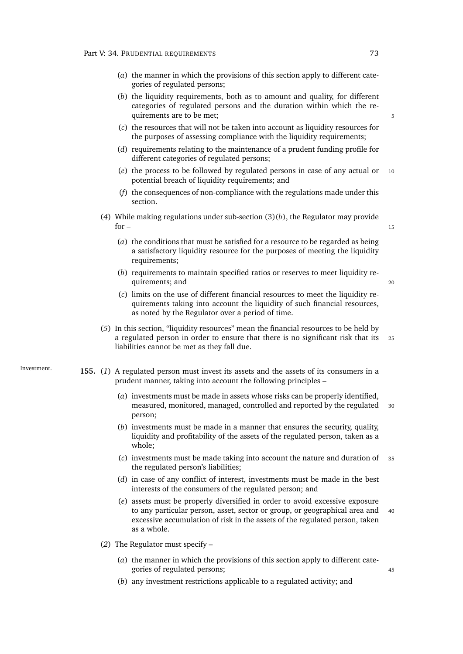- (*a*) the manner in which the provisions of this section apply to different categories of regulated persons;
- <span id="page-94-0"></span>(*b*) the liquidity requirements, both as to amount and quality, for different categories of regulated persons and the duration within which the requirements are to be met:
- (*c*) the resources that will not be taken into account as liquidity resources for the purposes of assessing compliance with the liquidity requirements;
- (*d*) requirements relating to the maintenance of a prudent funding profile for different categories of regulated persons;
- (*e*) the process to be followed by regulated persons in case of any actual or <sup>10</sup> potential breach of liquidity requirements; and
- (*f*) the consequences of non-compliance with the regulations made under this section.
- (*4*) While making regulations under sub-section [\(3\)\(](#page-94-0)*b*), the Regulator may provide  $for -$  15

- (*a*) the conditions that must be satisfied for a resource to be regarded as being a satisfactory liquidity resource for the purposes of meeting the liquidity requirements;
- (*b*) requirements to maintain specified ratios or reserves to meet liquidity requirements; and 20
- (*c*) limits on the use of different financial resources to meet the liquidity requirements taking into account the liquidity of such financial resources, as noted by the Regulator over a period of time.
- (*5*) In this section, "liquidity resources" mean the financial resources to be held by a regulated person in order to ensure that there is no significant risk that its <sup>25</sup> liabilities cannot be met as they fall due.
- <span id="page-94-1"></span>Investment. **155.** (*1*) A regulated person must invest its assets and the assets of its consumers in a prudent manner, taking into account the following principles –
	- (*a*) investments must be made in assets whose risks can be properly identified, measured, monitored, managed, controlled and reported by the regulated 30 person;
	- (*b*) investments must be made in a manner that ensures the security, quality, liquidity and profitability of the assets of the regulated person, taken as a whole;
	- (*c*) investments must be made taking into account the nature and duration of <sup>35</sup> the regulated person's liabilities;
	- (*d*) in case of any conflict of interest, investments must be made in the best interests of the consumers of the regulated person; and
	- (*e*) assets must be properly diversified in order to avoid excessive exposure to any particular person, asset, sector or group, or geographical area and 40 excessive accumulation of risk in the assets of the regulated person, taken as a whole.
	- (*2*) The Regulator must specify
		- (*a*) the manner in which the provisions of this section apply to different categories of regulated persons;  $\frac{45}{45}$
		- (*b*) any investment restrictions applicable to a regulated activity; and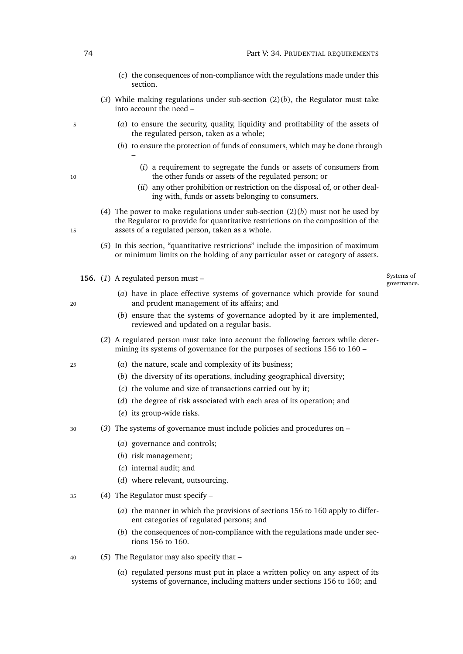- (*c*) the consequences of non-compliance with the regulations made under this section.
- (3) While making regulations under sub-section  $(2)(b)$  $(2)(b)$ , the Regulator must take into account the need –
- <sup>5</sup> (*a*) to ensure the security, quality, liquidity and profitability of the assets of the regulated person, taken as a whole;
	- (*b*) to ensure the protection of funds of consumers, which may be done through
- (*i*) a requirement to segregate the funds or assets of consumers from 10 the other funds or assets of the regulated person; or
	- (*ii*) any other prohibition or restriction on the disposal of, or other dealing with, funds or assets belonging to consumers.
- (*4*) The power to make regulations under sub-section [\(2\)\(](#page-94-1)*b*) must not be used by the Regulator to provide for quantitative restrictions on the composition of the 15 assets of a regulated person, taken as a whole.
	- (*5*) In this section, "quantitative restrictions" include the imposition of maximum or minimum limits on the holding of any particular asset or category of assets.
	- **156.** (*1*) A regulated person must –

–

Systems of governance.

- <span id="page-95-0"></span>(*a*) have in place effective systems of governance which provide for sound <sup>20</sup> and prudent management of its affairs; and
	- (*b*) ensure that the systems of governance adopted by it are implemented, reviewed and updated on a regular basis.
	- (*2*) A regulated person must take into account the following factors while determining its systems of governance for the purposes of sections [156](#page-95-0) to [160](#page-98-0) –
- <sup>25</sup> (*a*) the nature, scale and complexity of its business;
	- (*b*) the diversity of its operations, including geographical diversity;
	- (*c*) the volume and size of transactions carried out by it;
	- (*d*) the degree of risk associated with each area of its operation; and
	- (*e*) its group-wide risks.
- <sup>30</sup> (*3*) The systems of governance must include policies and procedures on
	- (*a*) governance and controls;
	- (*b*) risk management;
	- (*c*) internal audit; and
	- (*d*) where relevant, outsourcing.
- <sup>35</sup> (*4*) The Regulator must specify
	- (*a*) the manner in which the provisions of sections [156](#page-95-0) to [160](#page-98-0) apply to different categories of regulated persons; and
	- (*b*) the consequences of non-compliance with the regulations made under sections [156](#page-95-0) to [160.](#page-98-0)
- <span id="page-95-1"></span><sup>40</sup> (*5*) The Regulator may also specify that –
	- (*a*) regulated persons must put in place a written policy on any aspect of its systems of governance, including matters under sections [156](#page-95-0) to [160;](#page-98-0) and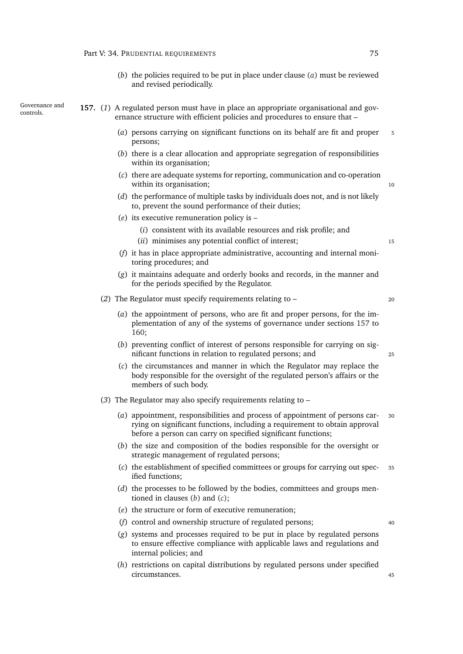<span id="page-96-0"></span>(*b*) the policies required to be put in place under clause (*[a](#page-95-1)*) must be reviewed and revised periodically.

Governance and

- Governance and **157.** (1) A regulated person must have in place an appropriate organisational and governance structure with efficient policies and procedures to ensure that –
	- (*a*) persons carrying on significant functions on its behalf are fit and proper <sup>5</sup> persons;
	- (*b*) there is a clear allocation and appropriate segregation of responsibilities within its organisation;
	- (*c*) there are adequate systems for reporting, communication and co-operation within its organisation; 10
	- (*d*) the performance of multiple tasks by individuals does not, and is not likely to, prevent the sound performance of their duties;
	- (*e*) its executive remuneration policy is
		- (*i*) consistent with its available resources and risk profile; and
		- (*ii*) minimises any potential conflict of interest; 15
	- (*f*) it has in place appropriate administrative, accounting and internal monitoring procedures; and
	- (*g*) it maintains adequate and orderly books and records, in the manner and for the periods specified by the Regulator.
	- (*2*) The Regulator must specify requirements relating to <sup>20</sup>
		- (*a*) the appointment of persons, who are fit and proper persons, for the implementation of any of the systems of governance under sections [157](#page-96-0) to [160;](#page-98-0)
		- (*b*) preventing conflict of interest of persons responsible for carrying on significant functions in relation to regulated persons; and 25
		- (*c*) the circumstances and manner in which the Regulator may replace the body responsible for the oversight of the regulated person's affairs or the members of such body.
	- (*3*) The Regulator may also specify requirements relating to
		- (*a*) appointment, responsibilities and process of appointment of persons car- <sup>30</sup> rying on significant functions, including a requirement to obtain approval before a person can carry on specified significant functions;
		- (*b*) the size and composition of the bodies responsible for the oversight or strategic management of regulated persons;
		- (*c*) the establishment of specified committees or groups for carrying out spec- <sup>35</sup> ified functions;
		- (*d*) the processes to be followed by the bodies, committees and groups mentioned in clauses (*[b](#page-96-1)*) and (*c*[\);](#page-96-2)
		- (*e*) the structure or form of executive remuneration;
		- (*f*) control and ownership structure of regulated persons; <sup>40</sup>
		- (*g*) systems and processes required to be put in place by regulated persons to ensure effective compliance with applicable laws and regulations and internal policies; and
		- (*h*) restrictions on capital distributions by regulated persons under specified circumstances. 45

<span id="page-96-3"></span><span id="page-96-2"></span><span id="page-96-1"></span>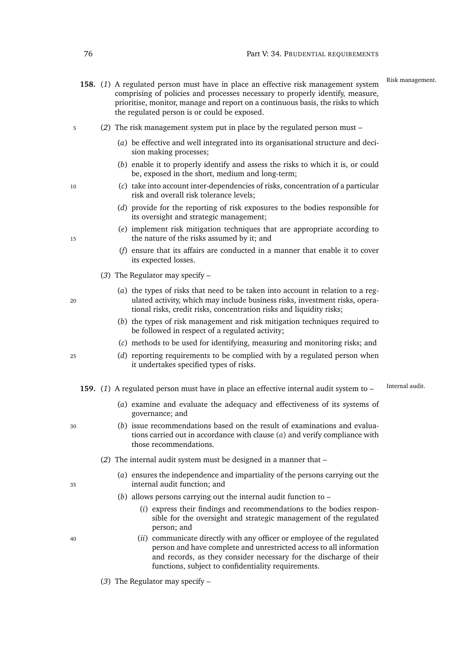- 158. (1) A regulated person must have in place an effective risk management system<sup>Risk management.</sup> comprising of policies and processes necessary to properly identify, measure, prioritise, monitor, manage and report on a continuous basis, the risks to which the regulated person is or could be exposed.
- <sup>5</sup> (*2*) The risk management system put in place by the regulated person must
	- (*a*) be effective and well integrated into its organisational structure and decision making processes;
	- (*b*) enable it to properly identify and assess the risks to which it is, or could be, exposed in the short, medium and long-term;
- <sup>10</sup> (*c*) take into account inter-dependencies of risks, concentration of a particular risk and overall risk tolerance levels;
	- (*d*) provide for the reporting of risk exposures to the bodies responsible for its oversight and strategic management;
- (*e*) implement risk mitigation techniques that are appropriate according to 15 the nature of the risks assumed by it; and
	- (*f*) ensure that its affairs are conducted in a manner that enable it to cover its expected losses.
	- (*3*) The Regulator may specify –
- (*a*) the types of risks that need to be taken into account in relation to a reg-<sup>20</sup> ulated activity, which may include business risks, investment risks, operational risks, credit risks, concentration risks and liquidity risks;
	- (*b*) the types of risk management and risk mitigation techniques required to be followed in respect of a regulated activity;
	- (*c*) methods to be used for identifying, measuring and monitoring risks; and
- <sup>25</sup> (*d*) reporting requirements to be complied with by a regulated person when it undertakes specified types of risks.
	- 159. (1) A regulated person must have in place an effective internal audit system to <sup>Internal audit.</sup>
		- (*a*) examine and evaluate the adequacy and effectiveness of its systems of governance; and
- <sup>30</sup> (*b*) issue recommendations based on the result of examinations and evaluations carried out in accordance with clause (*[a](#page-97-0)*) and verify compliance with those recommendations.
	- (*2*) The internal audit system must be designed in a manner that –
- (*a*) ensures the independence and impartiality of the persons carrying out the <sup>35</sup> internal audit function; and
	- (*b*) allows persons carrying out the internal audit function to
		- (*i*) express their findings and recommendations to the bodies responsible for the oversight and strategic management of the regulated person; and
- <sup>40</sup> (*ii*) communicate directly with any officer or employee of the regulated person and have complete and unrestricted access to all information and records, as they consider necessary for the discharge of their functions, subject to confidentiality requirements.
	- (*3*) The Regulator may specify –

- <span id="page-97-0"></span>
-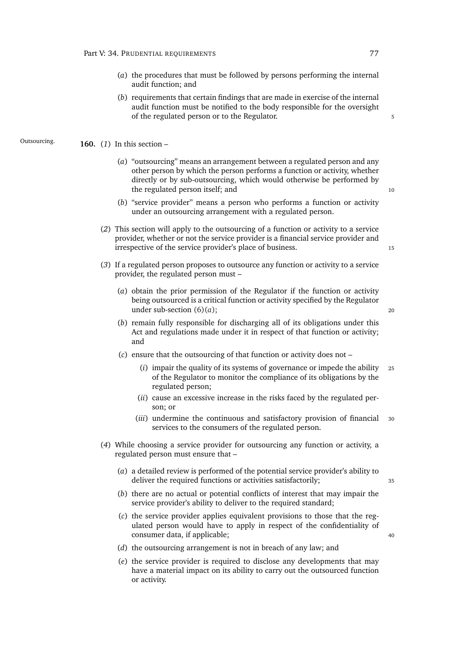- (*a*) the procedures that must be followed by persons performing the internal audit function; and
- (*b*) requirements that certain findings that are made in exercise of the internal audit function must be notified to the body responsible for the oversight of the regulated person or to the Regulator.

Outsourcing. **160.** (*1*) In this section –

- <span id="page-98-0"></span>(*a*) "outsourcing" means an arrangement between a regulated person and any other person by which the person performs a function or activity, whether directly or by sub-outsourcing, which would otherwise be performed by the regulated person itself; and 10
- (*b*) "service provider" means a person who performs a function or activity under an outsourcing arrangement with a regulated person.
- (*2*) This section will apply to the outsourcing of a function or activity to a service provider, whether or not the service provider is a financial service provider and irrespective of the service provider's place of business. 15
- (*3*) If a regulated person proposes to outsource any function or activity to a service provider, the regulated person must –
	- (*a*) obtain the prior permission of the Regulator if the function or activity being outsourced is a critical function or activity specified by the Regulator under sub-section  $(6)(a)$  $(6)(a)$ ; 20

- (*b*) remain fully responsible for discharging all of its obligations under this Act and regulations made under it in respect of that function or activity; and
- (*c*) ensure that the outsourcing of that function or activity does not
	- (*i*) impair the quality of its systems of governance or impede the ability <sup>25</sup> of the Regulator to monitor the compliance of its obligations by the regulated person;
	- (*ii*) cause an excessive increase in the risks faced by the regulated person; or
	- (*iii*) undermine the continuous and satisfactory provision of financial <sup>30</sup> services to the consumers of the regulated person.
- (*4*) While choosing a service provider for outsourcing any function or activity, a regulated person must ensure that –
	- (*a*) a detailed review is performed of the potential service provider's ability to deliver the required functions or activities satisfactorily; 35
	- (*b*) there are no actual or potential conflicts of interest that may impair the service provider's ability to deliver to the required standard;
	- (*c*) the service provider applies equivalent provisions to those that the regulated person would have to apply in respect of the confidentiality of consumer data, if applicable; 40
	- (*d*) the outsourcing arrangement is not in breach of any law; and
	- (*e*) the service provider is required to disclose any developments that may have a material impact on its ability to carry out the outsourced function or activity.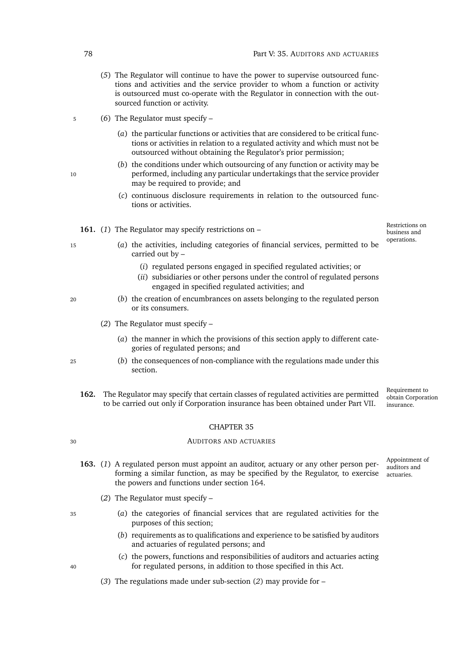- (*5*) The Regulator will continue to have the power to supervise outsourced functions and activities and the service provider to whom a function or activity is outsourced must co-operate with the Regulator in connection with the outsourced function or activity.
- <span id="page-99-0"></span><sup>5</sup> (*6*) The Regulator must specify –
	- (*a*) the particular functions or activities that are considered to be critical functions or activities in relation to a regulated activity and which must not be outsourced without obtaining the Regulator's prior permission;
- (*b*) the conditions under which outsourcing of any function or activity may be 10 performed, including any particular undertakings that the service provider may be required to provide; and
	- (*c*) continuous disclosure requirements in relation to the outsourced functions or activities.

**161.** (*1*) The Regulator may specify restrictions on –

Restrictions on business and operations.

- 
- <sup>15</sup> (*a*) the activities, including categories of financial services, permitted to be carried out by –
	- (*i*) regulated persons engaged in specified regulated activities; or
	- (*ii*) subsidiaries or other persons under the control of regulated persons engaged in specified regulated activities; and
- <sup>20</sup> (*b*) the creation of encumbrances on assets belonging to the regulated person or its consumers.
	- (*2*) The Regulator must specify
		- (*a*) the manner in which the provisions of this section apply to different categories of regulated persons; and
- <sup>25</sup> (*b*) the consequences of non-compliance with the regulations made under this section.
	- Requirement to obtain Corporation **162.** The Regulator may specify that certain classes of regulated activities are permitted to be carried out only if Corporation insurance has been obtained under Part [VII.](#page-117-0)

#### CHAPTER 35

#### <sup>30</sup> AUDITORS AND ACTUARIES

- forming a similar function, as may be specified by the Regulator, to exercise actuaries. **163.** (*1*) A regulated person must appoint an auditor, actuary or any other person perthe powers and functions under section [164.](#page-100-0)
	- (*2*) The Regulator must specify –
- <span id="page-99-1"></span><sup>35</sup> (*a*) the categories of financial services that are regulated activities for the purposes of this section;
	- (*b*) requirements as to qualifications and experience to be satisfied by auditors and actuaries of regulated persons; and
- (*c*) the powers, functions and responsibilities of auditors and actuaries acting <sup>40</sup> for regulated persons, in addition to those specified in this Act.
	- (*3*) The regulations made under sub-section (*[2](#page-99-1)*) may provide for –

insurance.

Appointment of auditors and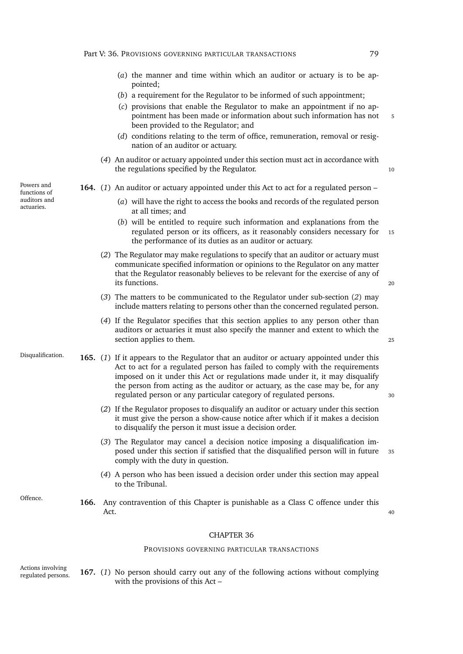- (*a*) the manner and time within which an auditor or actuary is to be appointed;
- (*b*) a requirement for the Regulator to be informed of such appointment;
- (*c*) provisions that enable the Regulator to make an appointment if no appointment has been made or information about such information has not 5 been provided to the Regulator; and
- (*d*) conditions relating to the term of office, remuneration, removal or resignation of an auditor or actuary.
- (*4*) An auditor or actuary appointed under this section must act in accordance with the regulations specified by the Regulator.  $10$

#### <span id="page-100-0"></span>**164.** (*1*) An auditor or actuary appointed under this Act to act for a regulated person –

- (*a*) will have the right to access the books and records of the regulated person at all times; and
- (*b*) will be entitled to require such information and explanations from the regulated person or its officers, as it reasonably considers necessary for 15 the performance of its duties as an auditor or actuary.
- <span id="page-100-1"></span>(*2*) The Regulator may make regulations to specify that an auditor or actuary must communicate specified information or opinions to the Regulator on any matter that the Regulator reasonably believes to be relevant for the exercise of any of its functions. <sup>20</sup>
- (*3*) The matters to be communicated to the Regulator under sub-section (*[2](#page-100-1)*) may include matters relating to persons other than the concerned regulated person.
- (*4*) If the Regulator specifies that this section applies to any person other than auditors or actuaries it must also specify the manner and extent to which the section applies to them. 25
- Disqualification. **165.** (*1*) If it appears to the Regulator that an auditor or actuary appointed under this Act to act for a regulated person has failed to comply with the requirements imposed on it under this Act or regulations made under it, it may disqualify the person from acting as the auditor or actuary, as the case may be, for any regulated person or any particular category of regulated persons. <sup>30</sup>
	- (*2*) If the Regulator proposes to disqualify an auditor or actuary under this section it must give the person a show-cause notice after which if it makes a decision to disqualify the person it must issue a decision order.
	- (*3*) The Regulator may cancel a decision notice imposing a disqualification imposed under this section if satisfied that the disqualified person will in future <sup>35</sup> comply with the duty in question.
	- (*4*) A person who has been issued a decision order under this section may appeal to the Tribunal.
- Offence. **166.** Any contravention of this Chapter is punishable as a Class C offence under this  $\det$ ,  $\det$

#### CHAPTER 36

#### <span id="page-100-2"></span>PROVISIONS GOVERNING PARTICULAR TRANSACTIONS

Actions involving regulated persons. **167.** (*1*) No person should carry out any of the following actions without complying with the provisions of this Act –

Powers and functions of auditors and actuaries.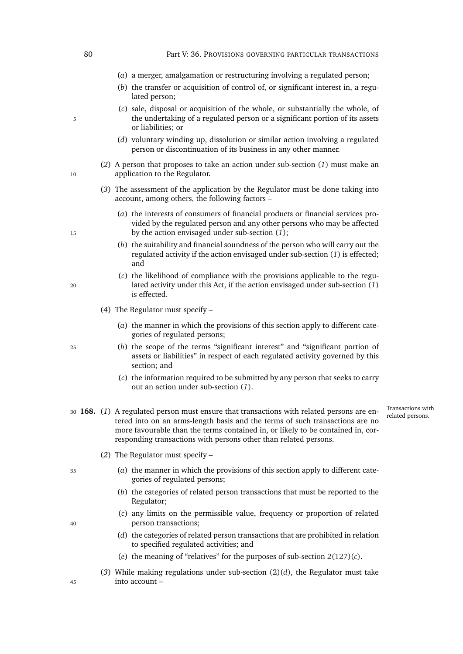#### 80 **Part V: 36. PROVISIONS GOVERNING PARTICULAR TRANSACTIONS**

- (*a*) a merger, amalgamation or restructuring involving a regulated person;
- (*b*) the transfer or acquisition of control of, or significant interest in, a regulated person;
- (*c*) sale, disposal or acquisition of the whole, or substantially the whole, of 5 the undertaking of a regulated person or a significant portion of its assets or liabilities; or
	- (*d*) voluntary winding up, dissolution or similar action involving a regulated person or discontinuation of its business in any other manner.
- (*2*) A person that proposes to take an action under sub-section (*[1](#page-100-2)*) must make an 10 application to the Regulator.
	- (*3*) The assessment of the application by the Regulator must be done taking into account, among others, the following factors –
- (*a*) the interests of consumers of financial products or financial services provided by the regulated person and any other persons who may be affected <sup>15</sup> by the action envisaged under sub-section (*[1](#page-100-2)*);
	- (*b*) the suitability and financial soundness of the person who will carry out the regulated activity if the action envisaged under sub-section (*[1](#page-100-2)*) is effected; and
- (*c*) the likelihood of compliance with the provisions applicable to the regu-<sup>20</sup> lated activity under this Act, if the action envisaged under sub-section (*[1](#page-100-2)*) is effected.
	- (*4*) The Regulator must specify
		- (*a*) the manner in which the provisions of this section apply to different categories of regulated persons;
- <sup>25</sup> (*b*) the scope of the terms "significant interest" and "significant portion of assets or liabilities" in respect of each regulated activity governed by this section; and
	- (*c*) the information required to be submitted by any person that seeks to carry out an action under sub-section (*[1](#page-100-2)*).
- 30 **168.** (1) A regulated person must ensure that transactions with related persons are en-<br>related persons. tered into on an arms-length basis and the terms of such transactions are no more favourable than the terms contained in, or likely to be contained in, corresponding transactions with persons other than related persons.

Transactions with

- (*2*) The Regulator must specify –
- <sup>35</sup> (*a*) the manner in which the provisions of this section apply to different categories of regulated persons;
	- (*b*) the categories of related person transactions that must be reported to the Regulator;
- <span id="page-101-0"></span>(*c*) any limits on the permissible value, frequency or proportion of related <sup>40</sup> person transactions;
	- (*d*) the categories of related person transactions that are prohibited in relation to specified regulated activities; and
	- (*e*) the meaning of "relatives" for the purposes of sub-section [2\(127\)\(](#page-32-0)*c*).
- (*3*) While making regulations under sub-section [\(2\)\(](#page-101-0)*d*), the Regulator must take <sup>45</sup> into account –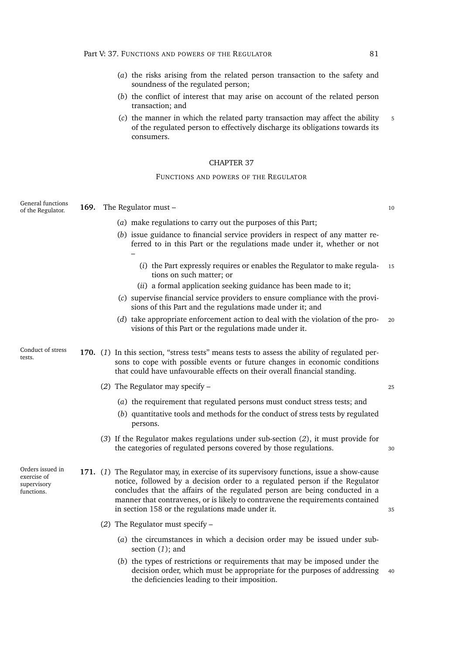- (*a*) the risks arising from the related person transaction to the safety and soundness of the regulated person;
- (*b*) the conflict of interest that may arise on account of the related person transaction; and
- (*c*) the manner in which the related party transaction may affect the ability 5 of the regulated person to effectively discharge its obligations towards its consumers.

#### FUNCTIONS AND POWERS OF THE REGULATOR

<span id="page-102-2"></span><span id="page-102-1"></span><span id="page-102-0"></span>

| General functions<br>of the Regulator.                       | 169. The Regulator must -                                                                                                                                                                                                                                                                                                                                                                    |    |  |
|--------------------------------------------------------------|----------------------------------------------------------------------------------------------------------------------------------------------------------------------------------------------------------------------------------------------------------------------------------------------------------------------------------------------------------------------------------------------|----|--|
|                                                              | (a) make regulations to carry out the purposes of this Part;                                                                                                                                                                                                                                                                                                                                 |    |  |
|                                                              | (b) issue guidance to financial service providers in respect of any matter re-<br>ferred to in this Part or the regulations made under it, whether or not                                                                                                                                                                                                                                    |    |  |
|                                                              | (i) the Part expressly requires or enables the Regulator to make regula-<br>tions on such matter; or                                                                                                                                                                                                                                                                                         | 15 |  |
|                                                              | (ii) a formal application seeking guidance has been made to it;                                                                                                                                                                                                                                                                                                                              |    |  |
|                                                              | (c) supervise financial service providers to ensure compliance with the provi-<br>sions of this Part and the regulations made under it; and                                                                                                                                                                                                                                                  |    |  |
|                                                              | (d) take appropriate enforcement action to deal with the violation of the pro-<br>visions of this Part or the regulations made under it.                                                                                                                                                                                                                                                     | 20 |  |
| Conduct of stress<br>tests.                                  | 170. (1) In this section, "stress tests" means tests to assess the ability of regulated per-<br>sons to cope with possible events or future changes in economic conditions<br>that could have unfavourable effects on their overall financial standing.                                                                                                                                      |    |  |
|                                                              | (2) The Regulator may specify $-$                                                                                                                                                                                                                                                                                                                                                            | 25 |  |
|                                                              | (a) the requirement that regulated persons must conduct stress tests; and                                                                                                                                                                                                                                                                                                                    |    |  |
|                                                              | (b) quantitative tools and methods for the conduct of stress tests by regulated<br>persons.                                                                                                                                                                                                                                                                                                  |    |  |
|                                                              | $(3)$ If the Regulator makes regulations under sub-section $(2)$ , it must provide for<br>the categories of regulated persons covered by those regulations.                                                                                                                                                                                                                                  | 30 |  |
| Orders issued in<br>exercise of<br>supervisory<br>functions. | 171. (1) The Regulator may, in exercise of its supervisory functions, issue a show-cause<br>notice, followed by a decision order to a regulated person if the Regulator<br>concludes that the affairs of the regulated person are being conducted in a<br>manner that contravenes, or is likely to contravene the requirements contained<br>in section 158 or the regulations made under it. | 35 |  |
|                                                              | (2) The Regulator must specify $-$                                                                                                                                                                                                                                                                                                                                                           |    |  |
|                                                              | (a) the circumstances in which a decision order may be issued under sub-<br>section $(1)$ ; and                                                                                                                                                                                                                                                                                              |    |  |
|                                                              | (b) the types of restrictions or requirements that may be imposed under the<br>decision order, which must be appropriate for the purposes of addressing<br>the deficiencies leading to their imposition.                                                                                                                                                                                     | 40 |  |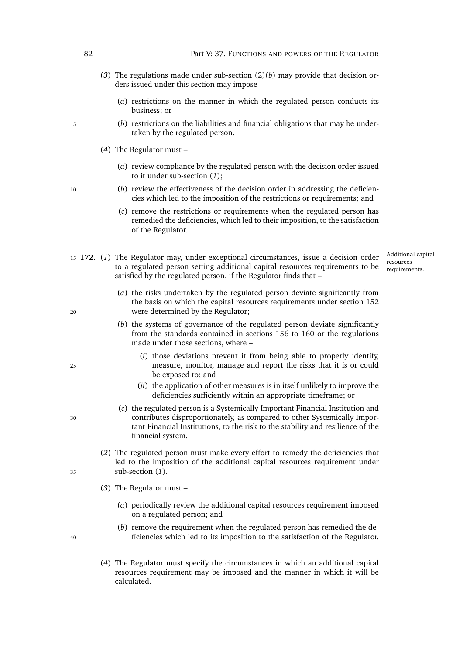- (*3*) The regulations made under sub-section [\(2\)\(](#page-102-2)*b*) may provide that decision orders issued under this section may impose –
	- (*a*) restrictions on the manner in which the regulated person conducts its business; or
- <sup>5</sup> (*b*) restrictions on the liabilities and financial obligations that may be undertaken by the regulated person.
	- (*4*) The Regulator must
		- (*a*) review compliance by the regulated person with the decision order issued to it under sub-section (*[1](#page-102-1)*);
- <sup>10</sup> (*b*) review the effectiveness of the decision order in addressing the deficiencies which led to the imposition of the restrictions or requirements; and
	- (*c*) remove the restrictions or requirements when the regulated person has remedied the deficiencies, which led to their imposition, to the satisfaction of the Regulator.
- <span id="page-103-0"></span>Additional capital resources requirements. <sup>15</sup> **172.** (*1*) The Regulator may, under exceptional circumstances, issue a decision order to a regulated person setting additional capital resources requirements to be satisfied by the regulated person, if the Regulator finds that –
- (*a*) the risks undertaken by the regulated person deviate significantly from the basis on which the capital resources requirements under section [152](#page-92-2) <sup>20</sup> were determined by the Regulator;
	- (*b*) the systems of governance of the regulated person deviate significantly from the standards contained in sections [156](#page-95-0) to [160](#page-98-0) or the regulations made under those sections, where –
- (*i*) those deviations prevent it from being able to properly identify, <sup>25</sup> measure, monitor, manage and report the risks that it is or could be exposed to; and
	- (*ii*) the application of other measures is in itself unlikely to improve the deficiencies sufficiently within an appropriate timeframe; or
- (*c*) the regulated person is a Systemically Important Financial Institution and <sup>30</sup> contributes disproportionately, as compared to other Systemically Important Financial Institutions, to the risk to the stability and resilience of the financial system.
- (*2*) The regulated person must make every effort to remedy the deficiencies that led to the imposition of the additional capital resources requirement under <sup>35</sup> sub-section (*[1](#page-103-0)*).
	- (*3*) The Regulator must
		- (*a*) periodically review the additional capital resources requirement imposed on a regulated person; and
- (*b*) remove the requirement when the regulated person has remedied the de-<sup>40</sup> ficiencies which led to its imposition to the satisfaction of the Regulator.
	- (*4*) The Regulator must specify the circumstances in which an additional capital resources requirement may be imposed and the manner in which it will be calculated.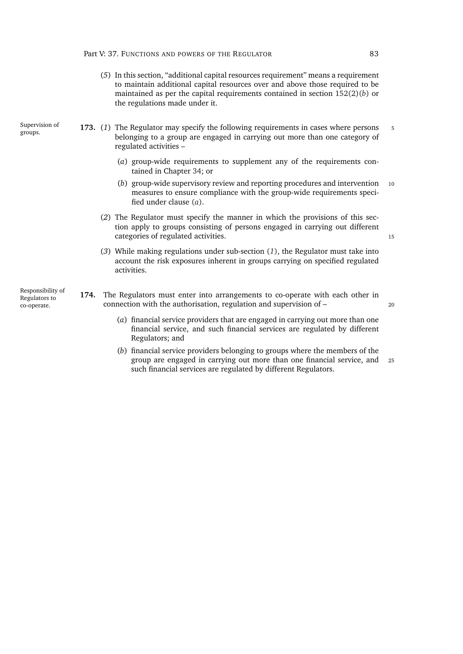(*5*) In this section, "additional capital resources requirement" means a requirement to maintain additional capital resources over and above those required to be maintained as per the capital requirements contained in section [152\(2\)\(](#page-92-0)*b*) or the regulations made under it.

Supervision of groups.

- <span id="page-104-1"></span><span id="page-104-0"></span>**173.** (1) The Regulator may specify the following requirements in cases where persons 5 belonging to a group are engaged in carrying out more than one category of regulated activities –
	- (*a*) group-wide requirements to supplement any of the requirements contained in Chapter [34;](#page-91-1) or
	- (*b*) group-wide supervisory review and reporting procedures and intervention <sup>10</sup> measures to ensure compliance with the group-wide requirements specified under clause (*a*[\).](#page-104-0)
	- (*2*) The Regulator must specify the manner in which the provisions of this section apply to groups consisting of persons engaged in carrying out different categories of regulated activities.
	- (*3*) While making regulations under sub-section (*[1](#page-104-1)*), the Regulator must take into account the risk exposures inherent in groups carrying on specified regulated activities.
- **174.** The Regulators must enter into arrangements to co-operate with each other in connection with the authorisation, regulation and supervision of – <sup>20</sup>
	- (*a*) financial service providers that are engaged in carrying out more than one financial service, and such financial services are regulated by different Regulators; and
	- (*b*) financial service providers belonging to groups where the members of the group are engaged in carrying out more than one financial service, and <sup>25</sup> such financial services are regulated by different Regulators.

Responsibility of Regulators to co-operate.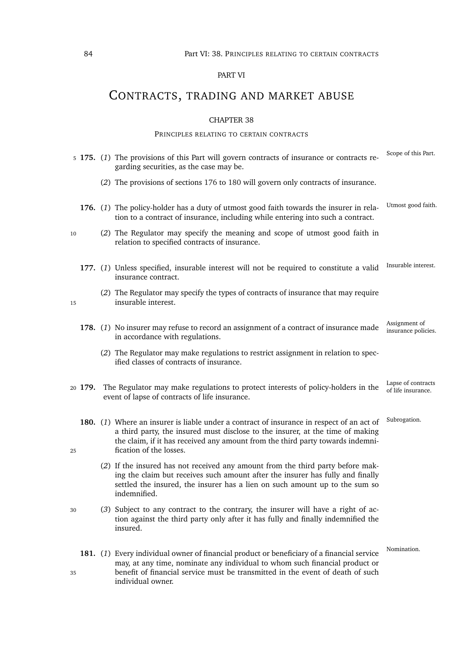#### 84 Part VI: 38. PRINCIPLES RELATING TO CERTAIN CONTRACTS

### PART VI

# CONTRACTS, TRADING AND MARKET ABUSE

#### CHAPTER 38

#### PRINCIPLES RELATING TO CERTAIN CONTRACTS

<span id="page-105-0"></span>

|    |         | 5 175. (1) The provisions of this Part will govern contracts of insurance or contracts re-<br>garding securities, as the case may be.                                                                                                                                                    | Scope of this Part.                      |
|----|---------|------------------------------------------------------------------------------------------------------------------------------------------------------------------------------------------------------------------------------------------------------------------------------------------|------------------------------------------|
|    |         | (2) The provisions of sections 176 to 180 will govern only contracts of insurance.                                                                                                                                                                                                       |                                          |
|    |         | 176. (1) The policy-holder has a duty of utmost good faith towards the insurer in rela-<br>tion to a contract of insurance, including while entering into such a contract.                                                                                                               | Utmost good faith.                       |
| 10 |         | (2) The Regulator may specify the meaning and scope of utmost good faith in<br>relation to specified contracts of insurance.                                                                                                                                                             |                                          |
|    |         | 177. (1) Unless specified, insurable interest will not be required to constitute a valid<br>insurance contract.                                                                                                                                                                          | Insurable interest.                      |
| 15 |         | (2) The Regulator may specify the types of contracts of insurance that may require<br>insurable interest.                                                                                                                                                                                |                                          |
|    |         | 178. (1) No insurer may refuse to record an assignment of a contract of insurance made<br>in accordance with regulations.                                                                                                                                                                | Assignment of<br>insurance policies.     |
|    |         | (2) The Regulator may make regulations to restrict assignment in relation to spec-<br>ified classes of contracts of insurance.                                                                                                                                                           |                                          |
|    | 20 179. | The Regulator may make regulations to protect interests of policy-holders in the<br>event of lapse of contracts of life insurance.                                                                                                                                                       | Lapse of contracts<br>of life insurance. |
| 25 |         | 180. (1) Where an insurer is liable under a contract of insurance in respect of an act of<br>a third party, the insured must disclose to the insurer, at the time of making<br>the claim, if it has received any amount from the third party towards indemni-<br>fication of the losses. | Subrogation.                             |
|    |         | (2) If the insured has not received any amount from the third party before mak-<br>ing the claim but receives such amount after the insurer has fully and finally<br>settled the insured, the insurer has a lien on such amount up to the sum so<br>indemnified.                         |                                          |
| 30 |         | (3) Subject to any contract to the contrary, the insurer will have a right of ac-<br>tion against the third party only after it has fully and finally indemnified the<br>insured.                                                                                                        |                                          |
| 35 |         | 181. (1) Every individual owner of financial product or beneficiary of a financial service<br>may, at any time, nominate any individual to whom such financial product or<br>benefit of financial service must be transmitted in the event of death of such                              | Nomination.                              |

<span id="page-105-1"></span>individual owner.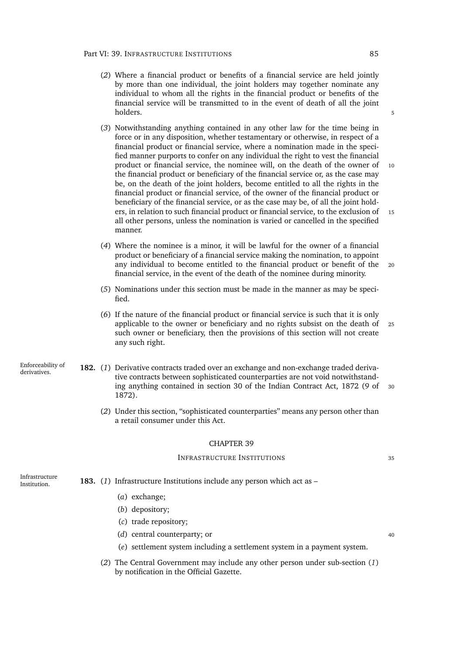- (*2*) Where a financial product or benefits of a financial service are held jointly by more than one individual, the joint holders may together nominate any individual to whom all the rights in the financial product or benefits of the financial service will be transmitted to in the event of death of all the joint holders. The set of the set of the set of the set of the set of the set of the set of the set of the set of the
- (*3*) Notwithstanding anything contained in any other law for the time being in force or in any disposition, whether testamentary or otherwise, in respect of a financial product or financial service, where a nomination made in the specified manner purports to confer on any individual the right to vest the financial product or financial service, the nominee will, on the death of the owner of 10 the financial product or beneficiary of the financial service or, as the case may be, on the death of the joint holders, become entitled to all the rights in the financial product or financial service, of the owner of the financial product or beneficiary of the financial service, or as the case may be, of all the joint holders, in relation to such financial product or financial service, to the exclusion of 15 all other persons, unless the nomination is varied or cancelled in the specified manner.
- (*4*) Where the nominee is a minor, it will be lawful for the owner of a financial product or beneficiary of a financial service making the nomination, to appoint any individual to become entitled to the financial product or benefit of the <sup>20</sup> financial service, in the event of the death of the nominee during minority.
- (*5*) Nominations under this section must be made in the manner as may be specified.
- (*6*) If the nature of the financial product or financial service is such that it is only applicable to the owner or beneficiary and no rights subsist on the death of <sup>25</sup> such owner or beneficiary, then the provisions of this section will not create any such right.
- Enforceability of derivatives. **182.** (*1*) Derivative contracts traded over an exchange and non-exchange traded derivative contracts between sophisticated counterparties are not void notwithstanding anything contained in section 30 of the Indian Contract Act, 1872 (9 of <sup>30</sup> 1872).
	- (*2*) Under this section, "sophisticated counterparties" means any person other than a retail consumer under this Act.

#### INFRASTRUCTURE INSTITUTIONS <sup>35</sup>

Infrastructure Institution. **183.** (*1*) Infrastructure Institutions include any person which act as –

- <span id="page-106-0"></span>(*a*) exchange;
- (*b*) depository;
- (*c*) trade repository;
- (*d*) central counterparty; or 40
- (*e*) settlement system including a settlement system in a payment system.
- (*2*) The Central Government may include any other person under sub-section (*[1](#page-106-0)*) by notification in the Official Gazette.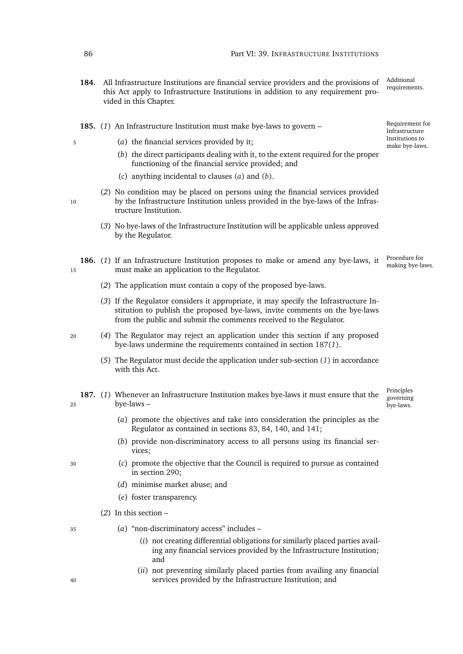- Additional 184. All Infrastructure Institutions are financial service providers and the provisions of Additional requirements. this Act apply to Infrastructure Institutions in addition to any requirement provided in this Chapter.
- **185.** (*1*) An Infrastructure Institution must make bye-laws to govern –
- <span id="page-107-1"></span><span id="page-107-0"></span><sup>5</sup> (*a*) the financial services provided by it;
	- (*b*) the direct participants dealing with it, to the extent required for the proper functioning of the financial service provided; and
	- (*c*) anything incidental to clauses (*[a](#page-107-0)*) and (*b*[\).](#page-107-1)
- (*2*) No condition may be placed on persons using the financial services provided 10 by the Infrastructure Institution unless provided in the bye-laws of the Infrastructure Institution.
	- (*3*) No bye-laws of the Infrastructure Institution will be applicable unless approved by the Regulator.
- <span id="page-107-3"></span>Procedure for **186.** (1) If an Infrastructure Institution proposes to make or amend any bye-laws, it <sup>Procedure for</sup> making bye-laws. <sup>15</sup> must make an application to the Regulator.
	- (*2*) The application must contain a copy of the proposed bye-laws.
	- (*3*) If the Regulator considers it appropriate, it may specify the Infrastructure Institution to publish the proposed bye-laws, invite comments on the bye-laws from the public and submit the comments received to the Regulator.
- <sup>20</sup> (*4*) The Regulator may reject an application under this section if any proposed bye-laws undermine the requirements contained in section [187\(](#page-107-2)*1*).
	- (*5*) The Regulator must decide the application under sub-section (*[1](#page-107-3)*) in accordance with this Act.
- <span id="page-107-2"></span>**187.** (*1*) Whenever an Infrastructure Institution makes bye-laws it must ensure that the <sup>25</sup> bye-laws –
	- (*a*) promote the objectives and take into consideration the principles as the Regulator as contained in sections [83,](#page-64-0) [84,](#page-64-1) [140,](#page-87-1) and [141;](#page-87-2)
	- (*b*) provide non-discriminatory access to all persons using its financial services;
- <sup>30</sup> (*c*) promote the objective that the Council is required to pursue as contained in section [290;](#page-143-0)
	- (*d*) minimise market abuse; and
	- (*e*) foster transparency.
	- (*2*) In this section –
- 
- <sup>35</sup> (*a*) "non-discriminatory access" includes
	- (*i*) not creating differential obligations for similarly placed parties availing any financial services provided by the Infrastructure Institution; and
- (*ii*) not preventing similarly placed parties from availing any financial <sup>40</sup> services provided by the Infrastructure Institution; and

Requirement for Infrastructure Institutions to make bye-laws.

Principles governing bye-laws.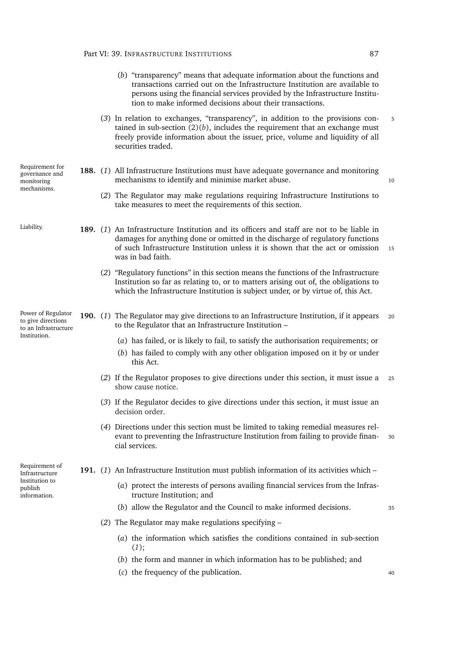- <span id="page-108-0"></span>(*b*) "transparency" means that adequate information about the functions and transactions carried out on the Infrastructure Institution are available to persons using the financial services provided by the Infrastructure Institution to make informed decisions about their transactions.
- (*3*) In relation to exchanges, "transparency", in addition to the provisions con- <sup>5</sup> tained in sub-section  $(2)(b)$  $(2)(b)$ , includes the requirement that an exchange must freely provide information about the issuer, price, volume and liquidity of all securities traded.

mechanisms to identify and minimise market abuse. 10

Requirement for governance and monitoring mechanisms.

Liability. **189.** (*1*) An Infrastructure Institution and its officers and staff are not to be liable in damages for anything done or omitted in the discharge of regulatory functions of such Infrastructure Institution unless it is shown that the act or omission 15 was in bad faith.

<span id="page-108-2"></span>(*2*) The Regulator may make regulations requiring Infrastructure Institutions to

**188.** (*1*) All Infrastructure Institutions must have adequate governance and monitoring

take measures to meet the requirements of this section.

to the Regulator that an Infrastructure Institution –

(*2*) "Regulatory functions" in this section means the functions of the Infrastructure Institution so far as relating to, or to matters arising out of, the obligations to which the Infrastructure Institution is subject under, or by virtue of, this Act.

Power of Regulator to give directions to an Infrastructure Institution.

(*a*) has failed, or is likely to fail, to satisfy the authorisation requirements; or

**190.** (*1*) The Regulator may give directions to an Infrastructure Institution, if it appears <sup>20</sup>

- (*b*) has failed to comply with any other obligation imposed on it by or under this Act.
- (*2*) If the Regulator proposes to give directions under this section, it must issue a <sup>25</sup> [show cause notice.](#page-0-0)
- (*3*) If the Regulator decides to give directions under this section, it must issue an [decision order.](#page-0-0)
- (*4*) Directions under this section must be limited to taking remedial measures relevant to preventing the Infrastructure Institution from failing to provide finan- <sup>30</sup> cial services.

Requirement of Infrastructure Institution to publish information.

- <span id="page-108-1"></span>**191.** (*1*) An Infrastructure Institution must publish information of its activities which –
	- (*a*) protect the interests of persons availing financial services from the Infrastructure Institution; and
	- (*b*) allow the Regulator and the Council to make informed decisions. <sup>35</sup>

- (*2*) The Regulator may make regulations specifying
	- (*a*) the information which satisfies the conditions contained in sub-section (*[1](#page-108-1)*);
	- (*b*) the form and manner in which information has to be published; and
	- (*c*) the frequency of the publication. <sup>40</sup>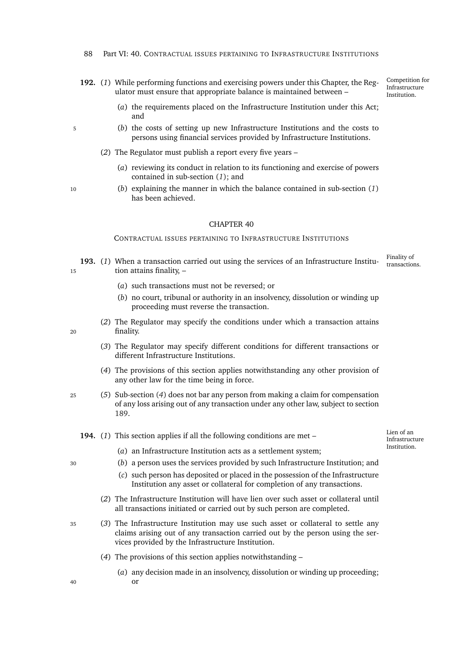- <span id="page-109-0"></span>**192.** (*1*) While performing functions and exercising powers under this Chapter, the Regulator must ensure that appropriate balance is maintained between –
	- (*a*) the requirements placed on the Infrastructure Institution under this Act; and
- <sup>5</sup> (*b*) the costs of setting up new Infrastructure Institutions and the costs to persons using financial services provided by Infrastructure Institutions.
	- (*2*) The Regulator must publish a report every five years
		- (*a*) reviewing its conduct in relation to its functioning and exercise of powers contained in sub-section (*[1](#page-109-0)*); and
- <sup>10</sup> (*b*) explaining the manner in which the balance contained in sub-section (*[1](#page-109-0)*) has been achieved.

#### CONTRACTUAL ISSUES PERTAINING TO INFRASTRUCTURE INSTITUTIONS

- Finality of 193. (1) When a transaction carried out using the services of an Infrastructure Institu-<sup>15</sup> tion attains finality, –
	- (*a*) such transactions must not be reversed; or
	- (*b*) no court, tribunal or authority in an insolvency, dissolution or winding up proceeding must reverse the transaction.
- (*2*) The Regulator may specify the conditions under which a transaction attains <sup>20</sup> finality.
	- (*3*) The Regulator may specify different conditions for different transactions or different Infrastructure Institutions.
	- (*4*) The provisions of this section applies notwithstanding any other provision of any other law for the time being in force.
- <span id="page-109-1"></span><sup>25</sup> (*5*) Sub-section (*[4](#page-109-1)*) does not bar any person from making a claim for compensation of any loss arising out of any transaction under any other law, subject to section [189.](#page-108-2)

#### **194.** (*1*) This section applies if all the following conditions are met –

Lien of an Infrastructure Institution.

- 
- (*a*) an Infrastructure Institution acts as a settlement system;
- <sup>30</sup> (*b*) a person uses the services provided by such Infrastructure Institution; and
	- (*c*) such person has deposited or placed in the possession of the Infrastructure Institution any asset or collateral for completion of any transactions.
	- (*2*) The Infrastructure Institution will have lien over such asset or collateral until all transactions initiated or carried out by such person are completed.
- <sup>35</sup> (*3*) The Infrastructure Institution may use such asset or collateral to settle any claims arising out of any transaction carried out by the person using the services provided by the Infrastructure Institution.
	- (*4*) The provisions of this section applies notwithstanding –
- (*a*) any decision made in an insolvency, dissolution or winding up proceeding; <sup>40</sup> or

Competition for Infrastructure Institution.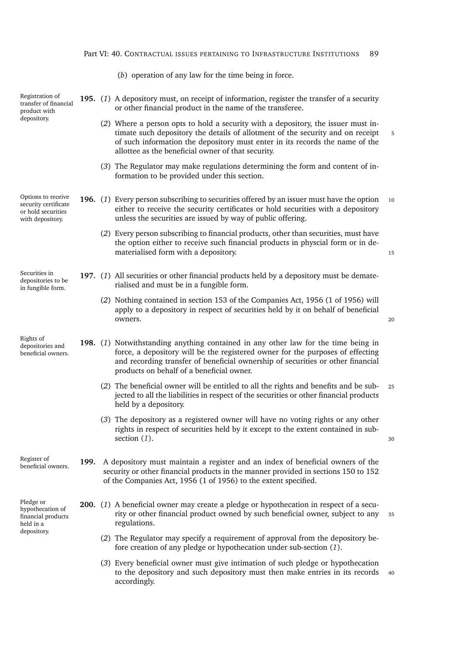| Part VI: 40. CONTRACTUAL ISSUES PERTAINING TO INFRASTRUCTURE INSTITUTIONS 89 |  |
|------------------------------------------------------------------------------|--|
|------------------------------------------------------------------------------|--|

|                                                                                      |      | (b) operation of any law for the time being in force.                                                                                                                                                                                                                                                     |    |
|--------------------------------------------------------------------------------------|------|-----------------------------------------------------------------------------------------------------------------------------------------------------------------------------------------------------------------------------------------------------------------------------------------------------------|----|
| Registration of<br>transfer of financial<br>product with                             |      | 195. (1) A depository must, on receipt of information, register the transfer of a security<br>or other financial product in the name of the transferee.                                                                                                                                                   |    |
| depository.                                                                          |      | (2) Where a person opts to hold a security with a depository, the issuer must in-<br>timate such depository the details of allotment of the security and on receipt<br>of such information the depository must enter in its records the name of the<br>allottee as the beneficial owner of that security. |    |
|                                                                                      |      | (3) The Regulator may make regulations determining the form and content of in-<br>formation to be provided under this section.                                                                                                                                                                            |    |
| Options to receive<br>security certificate<br>or hold securities<br>with depository. |      | 196. (1) Every person subscribing to securities offered by an issuer must have the option<br>either to receive the security certificates or hold securities with a depository<br>unless the securities are issued by way of public offering.                                                              | 10 |
|                                                                                      |      | (2) Every person subscribing to financial products, other than securities, must have<br>the option either to receive such financial products in physcial form or in de-<br>materialised form with a depository.                                                                                           | 15 |
| Securities in<br>depositories to be<br>in fungible form.                             |      | 197. (1) All securities or other financial products held by a depository must be demate-<br>rialised and must be in a fungible form.                                                                                                                                                                      |    |
|                                                                                      |      | (2) Nothing contained in section 153 of the Companies Act, 1956 (1 of 1956) will<br>apply to a depository in respect of securities held by it on behalf of beneficial<br>owners.                                                                                                                          | 20 |
| Rights of<br>depositories and<br>beneficial owners.                                  |      | 198. (1) Notwithstanding anything contained in any other law for the time being in<br>force, a depository will be the registered owner for the purposes of effecting<br>and recording transfer of beneficial ownership of securities or other financial<br>products on behalf of a beneficial owner.      |    |
|                                                                                      |      | (2) The beneficial owner will be entitled to all the rights and benefits and be sub-<br>jected to all the liabilities in respect of the securities or other financial products<br>held by a depository.                                                                                                   | 25 |
|                                                                                      |      | (3) The depository as a registered owner will have no voting rights or any other<br>rights in respect of securities held by it except to the extent contained in sub-<br>section $(1)$ .                                                                                                                  | 30 |
| Register of<br>beneficial owners.                                                    | 199. | A depository must maintain a register and an index of beneficial owners of the<br>security or other financial products in the manner provided in sections 150 to 152<br>of the Companies Act, 1956 (1 of 1956) to the extent specified.                                                                   |    |
| Pledge or<br>hypothecation of<br>financial products<br>held in a                     |      | <b>200.</b> (1) A beneficial owner may create a pledge or hypothecation in respect of a secu-<br>rity or other financial product owned by such beneficial owner, subject to any<br>regulations.                                                                                                           | 35 |
| depository.                                                                          |      | (2) The Regulator may specify a requirement of approval from the depository be-<br>fore creation of any pledge or hypothecation under sub-section (1).                                                                                                                                                    |    |
|                                                                                      |      | (3) Every beneficial owner must give intimation of such pledge or hypothecation<br>to the depository and such depository must then make entries in its records                                                                                                                                            | 40 |

<span id="page-110-2"></span><span id="page-110-1"></span><span id="page-110-0"></span>accordingly.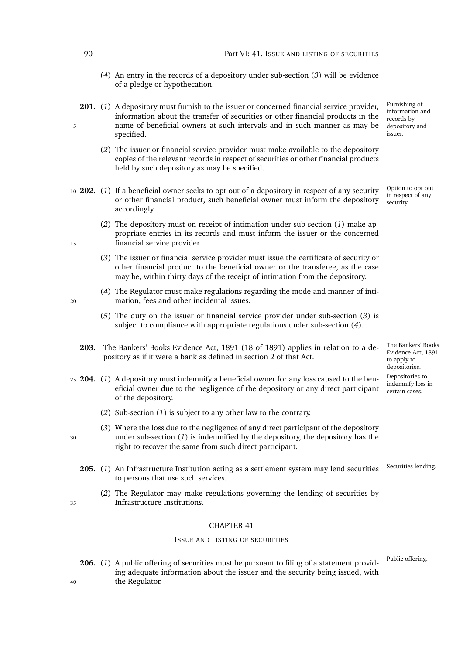### 90 Part VI: 41. ISSUE AND LISTING OF SECURITIES

- (*4*) An entry in the records of a depository under sub-section (*[3](#page-110-2)*) will be evidence of a pledge or hypothecation.
- **201.** (*1*) A depository must furnish to the issuer or concerned financial service provider, information about the transfer of securities or other financial products in the 5 name of beneficial owners at such intervals and in such manner as may be specified.
	- (*2*) The issuer or financial service provider must make available to the depository copies of the relevant records in respect of securities or other financial products held by such depository as may be specified.
- <span id="page-111-0"></span><sup>10</sup> **202.** (*1*) If a beneficial owner seeks to opt out of a depository in respect of any security or other financial product, such beneficial owner must inform the depository accordingly.
- <span id="page-111-1"></span>(*2*) The depository must on receipt of intimation under sub-section (*[1](#page-111-0)*) make appropriate entries in its records and must inform the issuer or the concerned 15 financial service provider.
	- (*3*) The issuer or financial service provider must issue the certificate of security or other financial product to the beneficial owner or the transferee, as the case may be, within thirty days of the receipt of intimation from the depository.
- <span id="page-111-2"></span>(*4*) The Regulator must make regulations regarding the mode and manner of inti-<sup>20</sup> mation, fees and other incidental issues.
	- (*5*) The duty on the issuer or financial service provider under sub-section (*[3](#page-111-1)*) is subject to compliance with appropriate regulations under sub-section (*[4](#page-111-2)*).
	- **203.** The Bankers' Books Evidence Act, 1891 (18 of 1891) applies in relation to a depository as if it were a bank as defined in section 2 of that Act.
- <span id="page-111-3"></span><sup>25</sup> **204.** (*1*) A depository must indemnify a beneficial owner for any loss caused to the beneficial owner due to the negligence of the depository or any direct participant of the depository.
	- (*2*) Sub-section (*[1](#page-111-3)*) is subject to any other law to the contrary.
- (*3*) Where the loss due to the negligence of any direct participant of the depository <sup>30</sup> under sub-section (*[1](#page-111-3)*) is indemnified by the depository, the depository has the right to recover the same from such direct participant.
	- 205. (1) An Infrastructure Institution acting as a settlement system may lend securities <sup>Securities lending.</sup> to persons that use such services.
- (*2*) The Regulator may make regulations governing the lending of securities by <sup>35</sup> Infrastructure Institutions.

# CHAPTER 41

# ISSUE AND LISTING OF SECURITIES

206. (1) A public offering of securities must be pursuant to filing of a statement providing adequate information about the issuer and the security being issued, with <sup>40</sup> the Regulator.

Furnishing of information and records by depository and issuer.

Option to opt out in respect of any security.

The Bankers' Books Evidence Act, 1891 to apply to depositories. Depositories to indemnify loss in certain cases.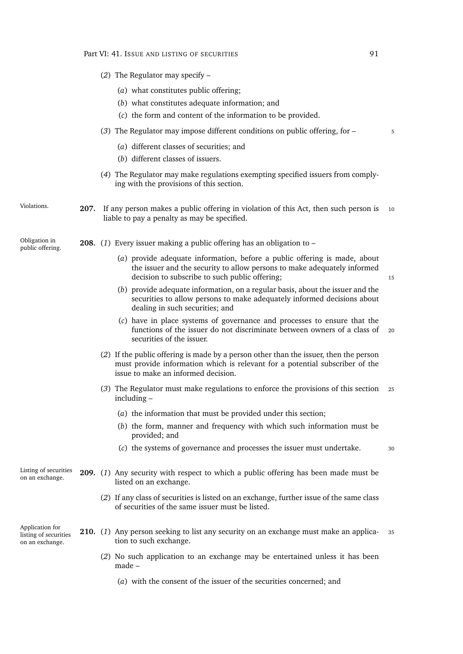|                                                             | (2) The Regulator may specify $-$                                                                                                                                                                             |
|-------------------------------------------------------------|---------------------------------------------------------------------------------------------------------------------------------------------------------------------------------------------------------------|
|                                                             | (a) what constitutes public offering;                                                                                                                                                                         |
|                                                             | (b) what constitutes adequate information; and                                                                                                                                                                |
|                                                             | (c) the form and content of the information to be provided.                                                                                                                                                   |
|                                                             | (3) The Regulator may impose different conditions on public offering, for -<br>5                                                                                                                              |
|                                                             | (a) different classes of securities; and                                                                                                                                                                      |
|                                                             | (b) different classes of issuers.                                                                                                                                                                             |
|                                                             | (4) The Regulator may make regulations exempting specified issuers from comply-<br>ing with the provisions of this section.                                                                                   |
| Violations.                                                 | 207. If any person makes a public offering in violation of this Act, then such person is<br>10<br>liable to pay a penalty as may be specified.                                                                |
| Obligation in<br>public offering.                           | <b>208.</b> (1) Every issuer making a public offering has an obligation to $-$                                                                                                                                |
|                                                             | (a) provide adequate information, before a public offering is made, about<br>the issuer and the security to allow persons to make adequately informed<br>decision to subscribe to such public offering;<br>15 |
|                                                             | (b) provide adequate information, on a regular basis, about the issuer and the<br>securities to allow persons to make adequately informed decisions about<br>dealing in such securities; and                  |
|                                                             | (c) have in place systems of governance and processes to ensure that the<br>functions of the issuer do not discriminate between owners of a class of<br>20<br>securities of the issuer.                       |
|                                                             | (2) If the public offering is made by a person other than the issuer, then the person<br>must provide information which is relevant for a potential subscriber of the<br>issue to make an informed decision.  |
|                                                             | (3) The Regulator must make regulations to enforce the provisions of this section<br>25<br>$including -$                                                                                                      |
|                                                             | (a) the information that must be provided under this section;                                                                                                                                                 |
|                                                             | (b) the form, manner and frequency with which such information must be<br>provided; and                                                                                                                       |
|                                                             | (c) the systems of governance and processes the issuer must undertake.<br>30                                                                                                                                  |
| Listing of securities<br>on an exchange.                    | <b>209.</b> (1) Any security with respect to which a public offering has been made must be<br>listed on an exchange.                                                                                          |
|                                                             | (2) If any class of securities is listed on an exchange, further issue of the same class<br>of securities of the same issuer must be listed.                                                                  |
| Application for<br>listing of securities<br>on an exchange. | 210. (1) Any person seeking to list any security on an exchange must make an applica-<br>35<br>tion to such exchange.                                                                                         |
|                                                             | (2) No such application to an exchange may be entertained unless it has been<br>$made -$                                                                                                                      |
|                                                             | (a) with the consent of the issuer of the securities concerned; and                                                                                                                                           |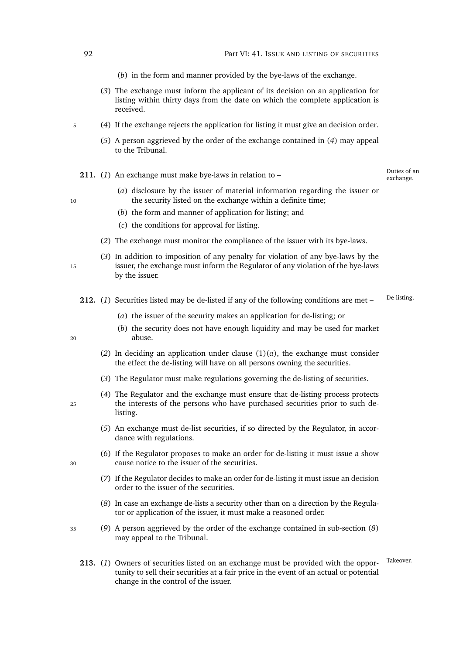- (*b*) in the form and manner provided by the bye-laws of the exchange.
- (*3*) The exchange must inform the applicant of its decision on an application for listing within thirty days from the date on which the complete application is received.
- <span id="page-113-0"></span><sup>5</sup> (*4*) If the exchange rejects the application for listing it must give an [decision order.](#page-0-0)
	- (*5*) A person aggrieved by the order of the exchange contained in (*[4](#page-113-0)*) may appeal to the Tribunal.
	- **211.** (1) An exchange must make bye-laws in relation to the constant exchange.

Duties of an

- (*a*) disclosure by the issuer of material information regarding the issuer or 10 the security listed on the exchange within a definite time;
	- (*b*) the form and manner of application for listing; and
	- (*c*) the conditions for approval for listing.
	- (*2*) The exchange must monitor the compliance of the issuer with its bye-laws.
- (*3*) In addition to imposition of any penalty for violation of any bye-laws by the <sup>15</sup> issuer, the exchange must inform the Regulator of any violation of the bye-laws by the issuer.
	- 212. (1) Securities listed may be de-listed if any of the following conditions are met <sup>De-listing</sup>
		- (*a*) the issuer of the security makes an application for de-listing; or
- <span id="page-113-1"></span>(*b*) the security does not have enough liquidity and may be used for market <sup>20</sup> abuse.
	- (2) In deciding an application under clause  $(1)(a)$  $(1)(a)$ , the exchange must consider the effect the de-listing will have on all persons owning the securities.
	- (*3*) The Regulator must make regulations governing the de-listing of securities.
- (*4*) The Regulator and the exchange must ensure that de-listing process protects <sup>25</sup> the interests of the persons who have purchased securities prior to such delisting.
	- (*5*) An exchange must de-list securities, if so directed by the Regulator, in accordance with regulations.
- (*6*) If the Regulator proposes to make an order for de-listing it must issue a [show](#page-0-0) <sup>30</sup> [cause notice](#page-0-0) to the issuer of the securities.
	- (*7*) If the Regulator decides to make an order for de-listing it must issue an [decision](#page-0-0) [order](#page-0-0) to the issuer of the securities.
	- (*8*) In case an exchange de-lists a security other than on a direction by the Regulator or application of the issuer, it must make a reasoned order.
- <span id="page-113-2"></span><sup>35</sup> (*9*) A person aggrieved by the order of the exchange contained in sub-section (*[8](#page-113-2)*) may appeal to the Tribunal.
	- 213. (1) Owners of securities listed on an exchange must be provided with the oppor-<br> tunity to sell their securities at a fair price in the event of an actual or potential change in the control of the issuer.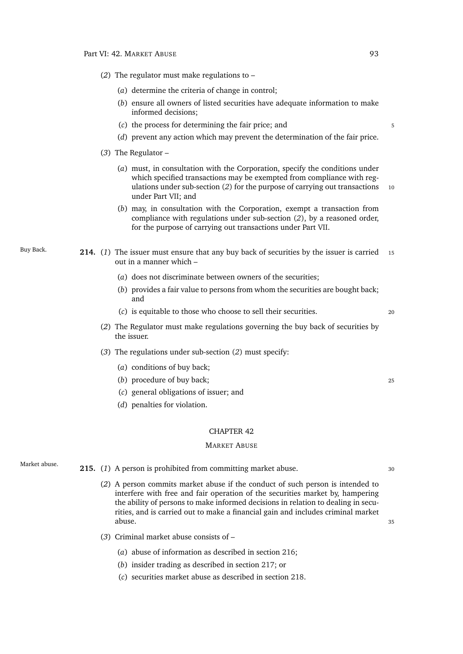- <span id="page-114-0"></span>(*2*) The regulator must make regulations to –
	- (*a*) determine the criteria of change in control;
	- (*b*) ensure all owners of listed securities have adequate information to make informed decisions;
	- (*c*) the process for determining the fair price; and  $\frac{1}{5}$
	- (*d*) prevent any action which may prevent the determination of the fair price.
- <span id="page-114-2"></span>(*3*) The Regulator –
	- (*a*) must, in consultation with the Corporation, specify the conditions under which specified transactions may be exempted from compliance with reg-ulations under sub-section ([2](#page-114-0)) for the purpose of carrying out transactions 10 under Part [VII;](#page-117-0) and
	- (*b*) may, in consultation with the Corporation, exempt a transaction from compliance with regulations under sub-section (*[2](#page-114-0)*), by a reasoned order, for the purpose of carrying out transactions under Part [VII.](#page-117-0)
- <span id="page-114-1"></span>Buy Back. **214.** (*1*) The issuer must ensure that any buy back of securities by the issuer is carried <sup>15</sup> out in a manner which –
	- (*a*) does not discriminate between owners of the securities;
	- (*b*) provides a fair value to persons from whom the securities are bought back; and
	- (*c*) is equitable to those who choose to sell their securities. <sup>20</sup>
	- (*2*) The Regulator must make regulations governing the buy back of securities by the issuer.
	- (*3*) The regulations under sub-section (*[2](#page-114-1)*) must specify:
		- (*a*) conditions of buy back;
		- (*b*) procedure of buy back; <sup>25</sup>
		- (*c*) general obligations of issuer; and
		- (*d*) penalties for violation.

#### MARKET ABUSE

- 
- Market abuse. **215.** (1) A person is prohibited from committing market abuse. 30
	- (*2*) A person commits market abuse if the conduct of such person is intended to interfere with free and fair operation of the securities market by, hampering the ability of persons to make informed decisions in relation to dealing in securities, and is carried out to make a financial gain and includes criminal market abuse. <sup>35</sup>
	- (*3*) Criminal market abuse consists of
		- (*a*) abuse of information as described in section [216;](#page-115-0)
		- (*b*) insider trading as described in section [217;](#page-115-1) or
		- (*c*) securities market abuse as described in section [218.](#page-115-2)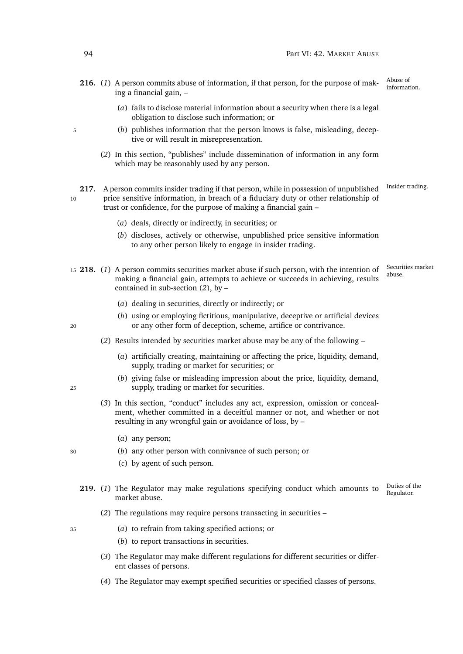- <span id="page-115-0"></span>Abuse of **216.** (1) A person commits abuse of information, if that person, for the purpose of mak- $\frac{\text{Abuse of}}{\text{information}}$ ing a financial gain, –
	- (*a*) fails to disclose material information about a security when there is a legal obligation to disclose such information; or
- <sup>5</sup> (*b*) publishes information that the person knows is false, misleading, deceptive or will result in misrepresentation.
	- (*2*) In this section, "publishes" include dissemination of information in any form which may be reasonably used by any person.

<span id="page-115-1"></span>217. A person commits insider trading if that person, while in possession of unpublished Insider trading. 10 price sensitive information, in breach of a fiduciary duty or other relationship of trust or confidence, for the purpose of making a financial gain –

- (*a*) deals, directly or indirectly, in securities; or
- (*b*) discloses, actively or otherwise, unpublished price sensitive information to any other person likely to engage in insider trading.
- <span id="page-115-2"></span>Securities market 15 **218.** (1) A person commits securities market abuse if such person, with the intention of  $\frac{3 \text{ e}^{-1} \text{ s}^{-1}}{3 \text{ e}^{-1} \text{ s}^{-1}}$ making a financial gain, attempts to achieve or succeeds in achieving, results contained in sub-section (*[2](#page-115-3)*), by –
	- (*a*) dealing in securities, directly or indirectly; or
- (*b*) using or employing fictitious, manipulative, deceptive or artificial devices <sup>20</sup> or any other form of deception, scheme, artifice or contrivance.

(*2*) Results intended by securities market abuse may be any of the following –

- (*a*) artificially creating, maintaining or affecting the price, liquidity, demand, supply, trading or market for securities; or
- (*b*) giving false or misleading impression about the price, liquidity, demand, <sup>25</sup> supply, trading or market for securities.
	- (*3*) In this section, "conduct" includes any act, expression, omission or concealment, whether committed in a deceitful manner or not, and whether or not resulting in any wrongful gain or avoidance of loss, by –
		- (*a*) any person;
- <sup>30</sup> (*b*) any other person with connivance of such person; or
	- (*c*) by agent of such person.
	- Duties of the<br>Regulator. Regulator. **219.** (*1*) The Regulator may make regulations specifying conduct which amounts to market abuse.
		- (*2*) The regulations may require persons transacting in securities –
- <sup>35</sup> (*a*) to refrain from taking specified actions; or
	- (*b*) to report transactions in securities.
	- (*3*) The Regulator may make different regulations for different securities or different classes of persons.
	- (*4*) The Regulator may exempt specified securities or specified classes of persons.

<span id="page-115-3"></span>

- 
-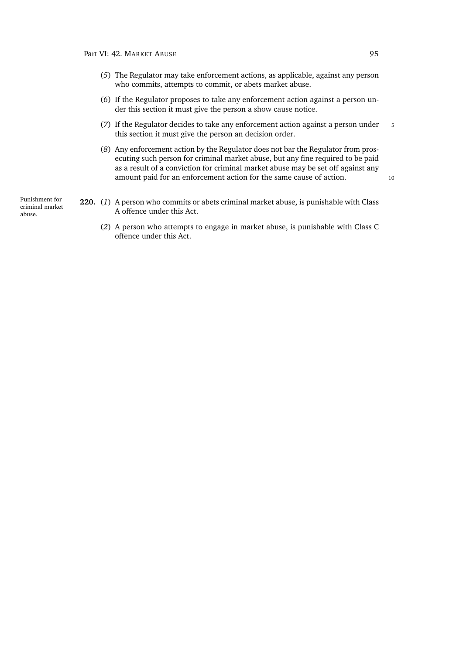- (*5*) The Regulator may take enforcement actions, as applicable, against any person who commits, attempts to commit, or abets market abuse.
- (*6*) If the Regulator proposes to take any enforcement action against a person under this section it must give the person a [show cause notice.](#page-0-0)
- (7) If the Regulator decides to take any enforcement action against a person under 5 this section it must give the person an [decision order.](#page-0-0)
- (*8*) Any enforcement action by the Regulator does not bar the Regulator from prosecuting such person for criminal market abuse, but any fine required to be paid as a result of a conviction for criminal market abuse may be set off against any amount paid for an enforcement action for the same cause of action. 10

Punishment for criminal market abuse.

- **220.** (*1*) A person who commits or abets criminal market abuse, is punishable with Class A offence under this Act.
	- (*2*) A person who attempts to engage in market abuse, is punishable with Class C offence under this Act.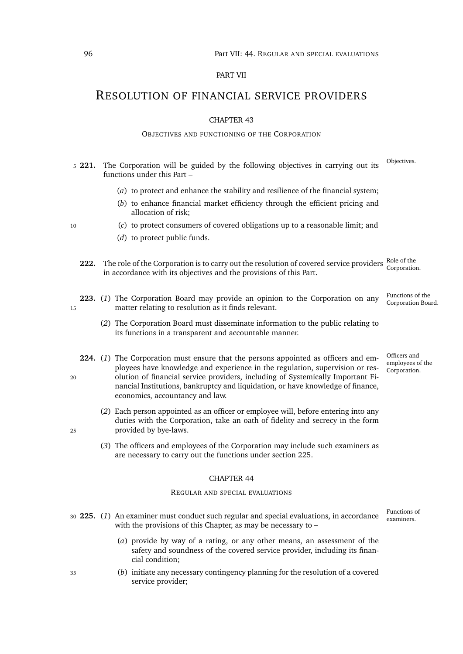### PART VII

# <span id="page-117-2"></span><span id="page-117-0"></span>RESOLUTION OF FINANCIAL SERVICE PROVIDERS

#### CHAPTER 43

#### OBJECTIVES AND FUNCTIONING OF THE CORPORATION

- Objectives. <sup>5</sup> **221.** The Corporation will be guided by the following objectives in carrying out its functions under this Part –
	- (*a*) to protect and enhance the stability and resilience of the financial system;
	- (*b*) to enhance financial market efficiency through the efficient pricing and allocation of risk;
- <sup>10</sup> (*c*) to protect consumers of covered obligations up to a reasonable limit; and
	- (*d*) to protect public funds.
	- Role of the<br>Corporation. **222.** The role of the Corporation is to carry out the resolution of covered service providers in accordance with its objectives and the provisions of this Part.
- Functions of the<br>Corporation Board. 223. (1) The Corporation Board may provide an opinion to the Corporation on any <sup>15</sup> matter relating to resolution as it finds relevant.
	- (*2*) The Corporation Board must disseminate information to the public relating to its functions in a transparent and accountable manner.
- **224.** (*1*) The Corporation must ensure that the persons appointed as officers and employees have knowledge and experience in the regulation, supervision or res-<sup>20</sup> olution of financial service providers, including of Systemically Important Financial Institutions, bankruptcy and liquidation, or have knowledge of finance, economics, accountancy and law.
- (*2*) Each person appointed as an officer or employee will, before entering into any duties with the Corporation, take an oath of fidelity and secrecy in the form <sup>25</sup> provided by bye-laws.
	- (*3*) The officers and employees of the Corporation may include such examiners as are necessary to carry out the functions under section [225.](#page-117-1)

#### CHAPTER 44

#### REGULAR AND SPECIAL EVALUATIONS

- <span id="page-117-1"></span>30 **225.** (1) An examiner must conduct such regular and special evaluations, in accordance  $\frac{r_{\text{unctions}}}{\text{examples}}$ with the provisions of this Chapter, as may be necessary to –
	- (*a*) provide by way of a rating, or any other means, an assessment of the safety and soundness of the covered service provider, including its financial condition;
- <sup>35</sup> (*b*) initiate any necessary contingency planning for the resolution of a covered service provider;

Officers and employees of the Corporation.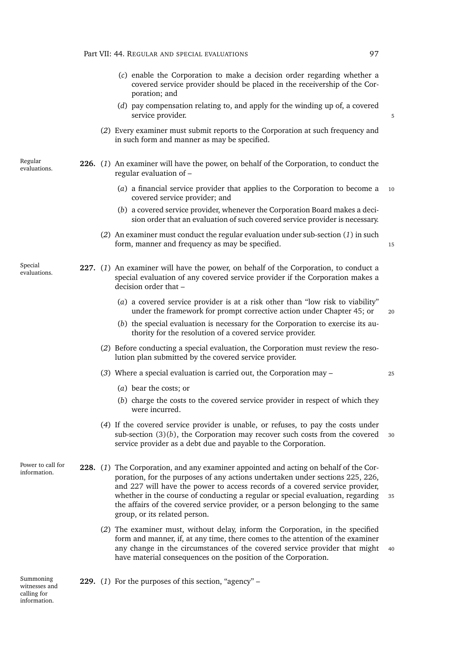- (*c*) enable the Corporation to make a decision order regarding whether a covered service provider should be placed in the receivership of the Corporation; and
- (*d*) pay compensation relating to, and apply for the winding up of, a covered service provider.
- (*2*) Every examiner must submit reports to the Corporation at such frequency and in such form and manner as may be specified.

Regular<br>evaluations.

Special<br>evaluations.

- <span id="page-118-2"></span><span id="page-118-0"></span>**226.** (1) An examiner will have the power, on behalf of the Corporation, to conduct the regular evaluation of –
	- (*a*) a financial service provider that applies to the Corporation to become a <sup>10</sup> covered service provider; and
	- (*b*) a covered service provider, whenever the Corporation Board makes a decision order that an evaluation of such covered service provider is necessary.
	- (*2*) An examiner must conduct the regular evaluation under sub-section (*[1](#page-118-0)*) in such form, manner and frequency as may be specified.
- <span id="page-118-4"></span><span id="page-118-3"></span>227. (1) An examiner will have the power, on behalf of the Corporation, to conduct a special evaluation of any covered service provider if the Corporation makes a decision order that –
	- (*a*) a covered service provider is at a risk other than "low risk to viability" under the framework for prompt corrective action under Chapter [45;](#page-120-0) or 20
	- (*b*) the special evaluation is necessary for the Corporation to exercise its authority for the resolution of a covered service provider.
	- (*2*) Before conducting a special evaluation, the Corporation must review the resolution plan submitted by the covered service provider.
	- (*3*) Where a special evaluation is carried out, the Corporation may <sup>25</sup>
		- (*a*) bear the costs; or
		- (*b*) charge the costs to the covered service provider in respect of which they were incurred.
	- (*4*) If the covered service provider is unable, or refuses, to pay the costs under sub-section  $(3)(b)$  $(3)(b)$ , the Corporation may recover such costs from the covered  $30$ service provider as a debt due and payable to the Corporation.

<span id="page-118-1"></span>Power to call for information. **228.** (*1*) The Corporation, and any examiner appointed and acting on behalf of the Corporation, for the purposes of any actions undertaken under sections [225,](#page-117-1) [226,](#page-118-2) and [227](#page-118-3) will have the power to access records of a covered service provider, whether in the course of conducting a regular or special evaluation, regarding 35 the affairs of the covered service provider, or a person belonging to the same group, or its related person.

> (*2*) The examiner must, without delay, inform the Corporation, in the specified form and manner, if, at any time, there comes to the attention of the examiner any change in the circumstances of the covered service provider that might 40 have material consequences on the position of the Corporation.

Summoning witnesses and calling for information.

**229.** (*1*) For the purposes of this section, "agency" –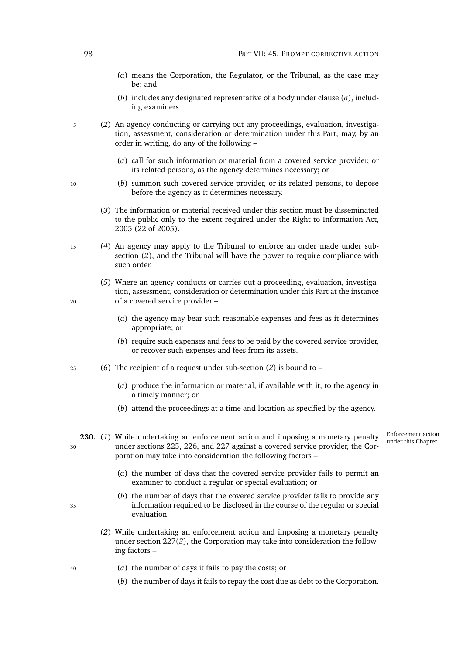- <span id="page-119-0"></span>(*a*) means the Corporation, the Regulator, or the Tribunal, as the case may be; and
- (*b*) includes any designated representative of a body under clause (*a*[\),](#page-119-0) including examiners.
- <span id="page-119-1"></span><sup>5</sup> (*2*) An agency conducting or carrying out any proceedings, evaluation, investigation, assessment, consideration or determination under this Part, may, by an order in writing, do any of the following –
	- (*a*) call for such information or material from a covered service provider, or its related persons, as the agency determines necessary; or
- <sup>10</sup> (*b*) summon such covered service provider, or its related persons, to depose before the agency as it determines necessary.
	- (*3*) The information or material received under this section must be disseminated to the public only to the extent required under the Right to Information Act, 2005 (22 of 2005).
- <sup>15</sup> (*4*) An agency may apply to the Tribunal to enforce an order made under subsection (*[2](#page-119-1)*), and the Tribunal will have the power to require compliance with such order.
- (*5*) Where an agency conducts or carries out a proceeding, evaluation, investigation, assessment, consideration or determination under this Part at the instance <sup>20</sup> of a covered service provider –
	- (*a*) the agency may bear such reasonable expenses and fees as it determines appropriate; or
	- (*b*) require such expenses and fees to be paid by the covered service provider, or recover such expenses and fees from its assets.
- <sup>25</sup> (*6*) The recipient of a request under sub-section (*[2](#page-119-1)*) is bound to
	- (*a*) produce the information or material, if available with it, to the agency in a timely manner; or
	- (*b*) attend the proceedings at a time and location as specified by the agency.
- Enforcement action 230. (1) While undertaking an enforcement action and imposing a monetary penalty Enforcement action <sup>30</sup> under sections [225,](#page-117-1) [226,](#page-118-2) and [227](#page-118-3) against a covered service provider, the Corporation may take into consideration the following factors –
	- (*a*) the number of days that the covered service provider fails to permit an examiner to conduct a regular or special evaluation; or
- (*b*) the number of days that the covered service provider fails to provide any <sup>35</sup> information required to be disclosed in the course of the regular or special evaluation.
	- (*2*) While undertaking an enforcement action and imposing a monetary penalty under section [227\(](#page-118-4)*3*), the Corporation may take into consideration the following factors –
- <sup>40</sup> (*a*) the number of days it fails to pay the costs; or
	- (*b*) the number of days it fails to repay the cost due as debt to the Corporation.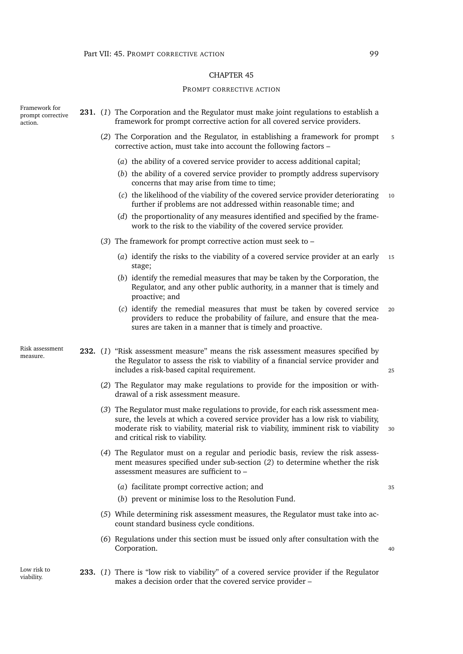#### PROMPT CORRECTIVE ACTION

<span id="page-120-0"></span>Framework for prompt corrective action. **231.** (*1*) The Corporation and the Regulator must make joint regulations to establish a framework for prompt corrective action for all covered service providers. (2) The Corporation and the Regulator, in establishing a framework for prompt 5 corrective action, must take into account the following factors – (*a*) the ability of a covered service provider to access additional capital; (*b*) the ability of a covered service provider to promptly address supervisory concerns that may arise from time to time; (*c*) the likelihood of the viability of the covered service provider deteriorating <sup>10</sup> further if problems are not addressed within reasonable time; and (*d*) the proportionality of any measures identified and specified by the framework to the risk to the viability of the covered service provider. (*3*) The framework for prompt corrective action must seek to – (*a*) identify the risks to the viability of a covered service provider at an early <sup>15</sup> stage; (*b*) identify the remedial measures that may be taken by the Corporation, the Regulator, and any other public authority, in a manner that is timely and proactive; and (*c*) identify the remedial measures that must be taken by covered service <sup>20</sup> providers to reduce the probability of failure, and ensure that the measures are taken in a manner that is timely and proactive. Risk assessment measure. **232.** (*1*) "Risk assessment measure" means the risk assessment measures specified by the Regulator to assess the risk to viability of a financial service provider and includes a risk-based capital requirement. <sup>25</sup> (*2*) The Regulator may make regulations to provide for the imposition or withdrawal of a risk assessment measure. (*3*) The Regulator must make regulations to provide, for each risk assessment measure, the levels at which a covered service provider has a low risk to viability, moderate risk to viability, material risk to viability, imminent risk to viability <sup>30</sup> and critical risk to viability. (*4*) The Regulator must on a regular and periodic basis, review the risk assessment measures specified under sub-section (*[2](#page-120-1)*) to determine whether the risk assessment measures are sufficient to – (*a*) facilitate prompt corrective action; and <sup>35</sup> (*b*) prevent or minimise loss to the Resolution Fund. (*5*) While determining risk assessment measures, the Regulator must take into account standard business cycle conditions. (*6*) Regulations under this section must be issued only after consultation with the Corporation. 40 Low risk to viability. **233.** (*1*) There is "low risk to viability" of a covered service provider if the Regulator

<span id="page-120-1"></span>makes a decision order that the covered service provider –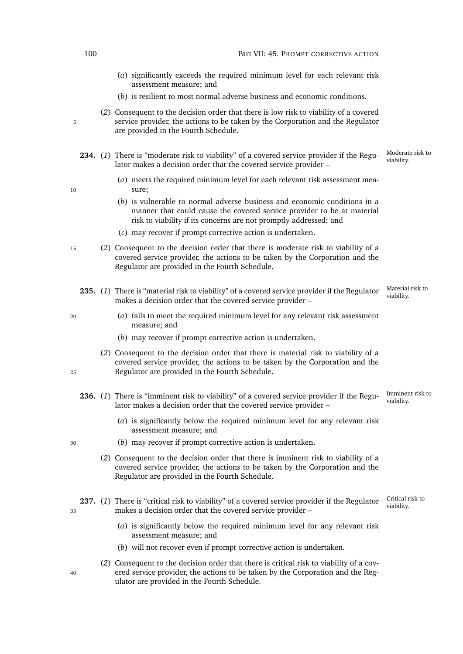<span id="page-121-2"></span><span id="page-121-1"></span>

| 100 | Part VII: 45. PROMPT CORRECTIVE ACTION                                                                                                                                                                                   |                                |
|-----|--------------------------------------------------------------------------------------------------------------------------------------------------------------------------------------------------------------------------|--------------------------------|
|     | (a) significantly exceeds the required minimum level for each relevant risk<br>assessment measure; and                                                                                                                   |                                |
|     | (b) is resilient to most normal adverse business and economic conditions.                                                                                                                                                |                                |
| 5   | (2) Consequent to the decision order that there is low risk to viability of a covered<br>service provider, the actions to be taken by the Corporation and the Regulator<br>are provided in the Fourth Schedule.          |                                |
|     | 234. (1) There is "moderate risk to viability" of a covered service provider if the Regu-<br>lator makes a decision order that the covered service provider -                                                            | Moderate risk to<br>viability. |
| 10  | (a) meets the required minimum level for each relevant risk assessment mea-<br>sure;                                                                                                                                     |                                |
|     | (b) is vulnerable to normal adverse business and economic conditions in a<br>manner that could cause the covered service provider to be at material<br>risk to viability if its concerns are not promptly addressed; and |                                |
|     | (c) may recover if prompt corrective action is undertaken.                                                                                                                                                               |                                |
| 15  | (2) Consequent to the decision order that there is moderate risk to viability of a<br>covered service provider, the actions to be taken by the Corporation and the<br>Regulator are provided in the Fourth Schedule.     |                                |
|     | 235. (1) There is "material risk to viability" of a covered service provider if the Regulator<br>makes a decision order that the covered service provider -                                                              | Material risk to<br>viability. |
| 20  | (a) fails to meet the required minimum level for any relevant risk assessment<br>measure; and                                                                                                                            |                                |
|     | (b) may recover if prompt corrective action is undertaken.                                                                                                                                                               |                                |
| 25  | (2) Consequent to the decision order that there is material risk to viability of a<br>covered service provider, the actions to be taken by the Corporation and the<br>Regulator are provided in the Fourth Schedule.     |                                |
|     | 236. (1) There is "imminent risk to viability" of a covered service provider if the Regu-<br>lator makes a decision order that the covered service provider -                                                            | Imminent risk to<br>viability. |
|     | (a) is significantly below the required minimum level for any relevant risk<br>assessment measure; and                                                                                                                   |                                |
| 30  | (b) may recover if prompt corrective action is undertaken.                                                                                                                                                               |                                |
|     | (2) Consequent to the decision order that there is imminent risk to viability of a<br>covered service provider, the actions to be taken by the Corporation and the<br>Regulator are provided in the Fourth Schedule.     |                                |
| 35  | 237. (1) There is "critical risk to viability" of a covered service provider if the Regulator<br>makes a decision order that the covered service provider -                                                              | Critical risk to<br>viability. |
|     | (a) is significantly below the required minimum level for any relevant risk<br>assessment measure; and                                                                                                                   |                                |
|     | (b) will not recover even if prompt corrective action is undertaken.                                                                                                                                                     |                                |

<span id="page-121-3"></span><span id="page-121-0"></span>(*2*) Consequent to the decision order that there is critical risk to viability of a cov-<sup>40</sup> ered service provider, the actions to be taken by the Corporation and the Regulator are provided in the Fourth Schedule.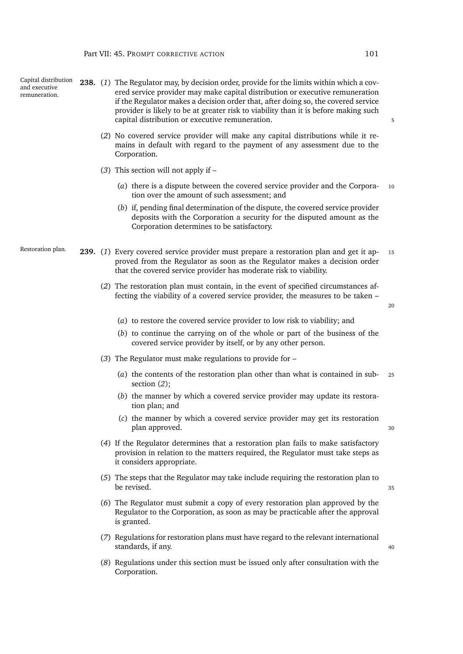Capital distribution

| and executive<br>remuneration. |  | 250. Try The Regulator may, by accision order, provide for the influs within which a cov-<br>ered service provider may make capital distribution or executive remuneration<br>if the Regulator makes a decision order that, after doing so, the covered service<br>provider is likely to be at greater risk to viability than it is before making such<br>capital distribution or executive remuneration. | 5  |
|--------------------------------|--|-----------------------------------------------------------------------------------------------------------------------------------------------------------------------------------------------------------------------------------------------------------------------------------------------------------------------------------------------------------------------------------------------------------|----|
|                                |  | (2) No covered service provider will make any capital distributions while it re-<br>mains in default with regard to the payment of any assessment due to the<br>Corporation.                                                                                                                                                                                                                              |    |
|                                |  | $(3)$ This section will not apply if $-$                                                                                                                                                                                                                                                                                                                                                                  |    |
|                                |  | (a) there is a dispute between the covered service provider and the Corpora-<br>tion over the amount of such assessment; and                                                                                                                                                                                                                                                                              | 10 |
|                                |  | (b) if, pending final determination of the dispute, the covered service provider<br>deposits with the Corporation a security for the disputed amount as the<br>Corporation determines to be satisfactory.                                                                                                                                                                                                 |    |
| Restoration plan.              |  | 239. (1) Every covered service provider must prepare a restoration plan and get it ap-<br>proved from the Regulator as soon as the Regulator makes a decision order<br>that the covered service provider has moderate risk to viability.                                                                                                                                                                  | 15 |
|                                |  | (2) The restoration plan must contain, in the event of specified circumstances af-<br>fecting the viability of a covered service provider, the measures to be taken -                                                                                                                                                                                                                                     | 20 |
|                                |  | (a) to restore the covered service provider to low risk to viability; and                                                                                                                                                                                                                                                                                                                                 |    |
|                                |  | (b) to continue the carrying on of the whole or part of the business of the<br>covered service provider by itself, or by any other person.                                                                                                                                                                                                                                                                |    |
|                                |  | (3) The Regulator must make regulations to provide for $-$                                                                                                                                                                                                                                                                                                                                                |    |
|                                |  | (a) the contents of the restoration plan other than what is contained in sub-<br>section $(2)$ ;                                                                                                                                                                                                                                                                                                          | 25 |
|                                |  | (b) the manner by which a covered service provider may update its restora-<br>tion plan; and                                                                                                                                                                                                                                                                                                              |    |
|                                |  | (c) the manner by which a covered service provider may get its restoration<br>plan approved.                                                                                                                                                                                                                                                                                                              | 30 |
|                                |  | (4) If the Regulator determines that a restoration plan fails to make satisfactory<br>provision in relation to the matters required, the Regulator must take steps as<br>it considers appropriate.                                                                                                                                                                                                        |    |
|                                |  | (5) The steps that the Regulator may take include requiring the restoration plan to<br>be revised.                                                                                                                                                                                                                                                                                                        | 35 |
|                                |  | (6) The Regulator must submit a copy of every restoration plan approved by the<br>Regulator to the Corporation, as soon as may be practicable after the approval<br>is granted.                                                                                                                                                                                                                           |    |

<span id="page-122-1"></span><span id="page-122-0"></span>**238.** (*1*) The Regulator may, by decision order, provide for the limits within which a cov-

- (*7*) Regulations for restoration plans must have regard to the relevant international standards, if any. 40
- (*8*) Regulations under this section must be issued only after consultation with the Corporation.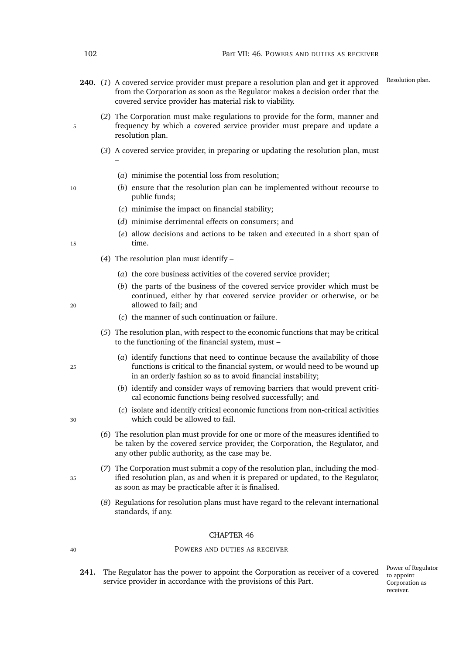- 240. (1) A covered service provider must prepare a resolution plan and get it approved Resolution plan. from the Corporation as soon as the Regulator makes a decision order that the covered service provider has material risk to viability.
- (*2*) The Corporation must make regulations to provide for the form, manner and 5 frequency by which a covered service provider must prepare and update a resolution plan.
	- (*3*) A covered service provider, in preparing or updating the resolution plan, must
		- (*a*) minimise the potential loss from resolution;
- <sup>10</sup> (*b*) ensure that the resolution plan can be implemented without recourse to public funds;
	- (*c*) minimise the impact on financial stability;
	- (*d*) minimise detrimental effects on consumers; and
- (*e*) allow decisions and actions to be taken and executed in a short span of 15 time.
	- (*4*) The resolution plan must identify
		- (*a*) the core business activities of the covered service provider;
- (*b*) the parts of the business of the covered service provider which must be continued, either by that covered service provider or otherwise, or be <sup>20</sup> allowed to fail; and
	- (*c*) the manner of such continuation or failure.
	- (*5*) The resolution plan, with respect to the economic functions that may be critical to the functioning of the financial system, must –
- (*a*) identify functions that need to continue because the availability of those <sup>25</sup> functions is critical to the financial system, or would need to be wound up in an orderly fashion so as to avoid financial instability;
	- (*b*) identify and consider ways of removing barriers that would prevent critical economic functions being resolved successfully; and
- (*c*) isolate and identify critical economic functions from non-critical activities <sup>30</sup> which could be allowed to fail.
	- (*6*) The resolution plan must provide for one or more of the measures identified to be taken by the covered service provider, the Corporation, the Regulator, and any other public authority, as the case may be.
- (*7*) The Corporation must submit a copy of the resolution plan, including the mod-<sup>35</sup> ified resolution plan, as and when it is prepared or updated, to the Regulator, as soon as may be practicable after it is finalised.
	- (*8*) Regulations for resolution plans must have regard to the relevant international standards, if any.

#### <span id="page-123-0"></span><sup>40</sup> POWERS AND DUTIES AS RECEIVER

**241.** The Regulator has the power to appoint the Corporation as receiver of a covered service provider in accordance with the provisions of this Part.

Power of Regulator to appoint Corporation as receiver.

–

- 
- 
-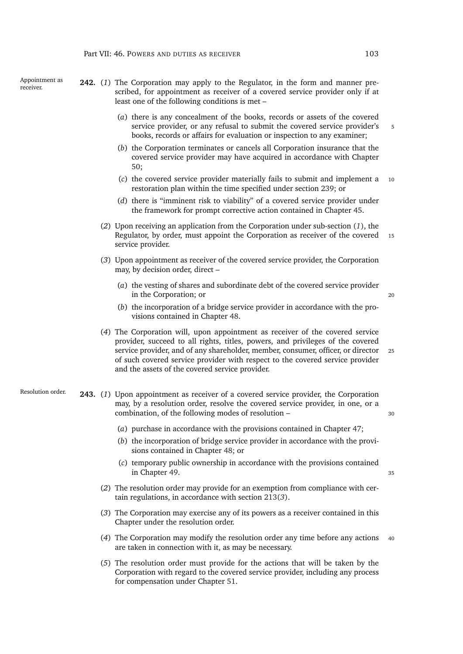Appointment as

- <span id="page-124-1"></span><span id="page-124-0"></span>Appointment as **242.** (1) The Corporation may apply to the Regulator, in the form and manner prescribed, for appointment as receiver of a covered service provider only if at least one of the following conditions is met –
	- (*a*) there is any concealment of the books, records or assets of the covered service provider, or any refusal to submit the covered service provider's 5 books, records or affairs for evaluation or inspection to any examiner;
	- (*b*) the Corporation terminates or cancels all Corporation insurance that the covered service provider may have acquired in accordance with Chapter [50;](#page-131-0)
	- (*c*) the covered service provider materially fails to submit and implement a <sup>10</sup> restoration plan within the time specified under section [239;](#page-122-1) or
	- (*d*) there is "imminent risk to viability" of a covered service provider under the framework for prompt corrective action contained in Chapter [45.](#page-120-0)
	- (*2*) Upon receiving an application from the Corporation under sub-section (*[1](#page-124-0)*), the Regulator, by order, must appoint the Corporation as receiver of the covered 15 service provider.
	- (*3*) Upon appointment as receiver of the covered service provider, the Corporation may, by decision order, direct –
		- (*a*) the vesting of shares and subordinate debt of the covered service provider in the Corporation; or 20
		- (*b*) the incorporation of a bridge service provider in accordance with the provisions contained in Chapter [48.](#page-128-0)
	- (*4*) The Corporation will, upon appointment as receiver of the covered service provider, succeed to all rights, titles, powers, and privileges of the covered service provider, and of any shareholder, member, consumer, officer, or director <sup>25</sup> of such covered service provider with respect to the covered service provider and the assets of the covered service provider.
- <span id="page-124-2"></span>Resolution order. **243.** (*1*) Upon appointment as receiver of a covered service provider, the Corporation may, by a resolution order, resolve the covered service provider, in one, or a combination, of the following modes of resolution – <sup>30</sup>
	- (*a*) purchase in accordance with the provisions contained in Chapter [47;](#page-126-0)
	- (*b*) the incorporation of bridge service provider in accordance with the provisions contained in Chapter [48;](#page-128-0) or
	- (*c*) temporary public ownership in accordance with the provisions contained in Chapter [49.](#page-130-0) 35
	- (*2*) The resolution order may provide for an exemption from compliance with certain regulations, in accordance with section [213\(](#page-114-2)*3*).
	- (*3*) The Corporation may exercise any of its powers as a receiver contained in this Chapter under the resolution order.
	- (*4*) The Corporation may modify the resolution order any time before any actions <sup>40</sup> are taken in connection with it, as may be necessary.
	- (*5*) The resolution order must provide for the actions that will be taken by the Corporation with regard to the covered service provider, including any process for compensation under Chapter [51.](#page-136-0)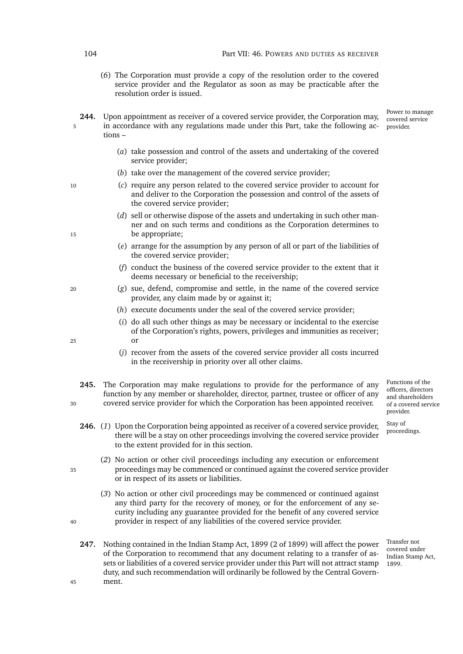- (*6*) The Corporation must provide a copy of the resolution order to the covered service provider and the Regulator as soon as may be practicable after the resolution order is issued.
- **244.** Upon appointment as receiver of a covered service provider, the Corporation may, 5 in accordance with any regulations made under this Part, take the following actions –
	- (*a*) take possession and control of the assets and undertaking of the covered service provider;
	- (*b*) take over the management of the covered service provider;
- <sup>10</sup> (*c*) require any person related to the covered service provider to account for and deliver to the Corporation the possession and control of the assets of the covered service provider;
- (*d*) sell or otherwise dispose of the assets and undertaking in such other manner and on such terms and conditions as the Corporation determines to 15 be appropriate;
	- (*e*) arrange for the assumption by any person of all or part of the liabilities of the covered service provider;
	- (*f*) conduct the business of the covered service provider to the extent that it deems necessary or beneficial to the receivership;
- <sup>20</sup> (*g*) sue, defend, compromise and settle, in the name of the covered service provider, any claim made by or against it;
	- (*h*) execute documents under the seal of the covered service provider;
- (*i*) do all such other things as may be necessary or incidental to the exercise of the Corporation's rights, powers, privileges and immunities as receiver; <sup>25</sup> or
	- (*j*) recover from the assets of the covered service provider all costs incurred in the receivership in priority over all other claims.
- Functions of the officers, directors and shareholders of a covered service provider. **245.** The Corporation may make regulations to provide for the performance of any function by any member or shareholder, director, partner, trustee or officer of any <sup>30</sup> covered service provider for which the Corporation has been appointed receiver.
	- **246.** (1) Upon the Corporation being appointed as receiver of a covered service provider, <sup>Stay of</sup> proceedings. there will be a stay on other proceedings involving the covered service provider to the extent provided for in this section.
- (*2*) No action or other civil proceedings including any execution or enforcement <sup>35</sup> proceedings may be commenced or continued against the covered service provider or in respect of its assets or liabilities.
- (*3*) No action or other civil proceedings may be commenced or continued against any third party for the recovery of money, or for the enforcement of any security including any guarantee provided for the benefit of any covered service <sup>40</sup> provider in respect of any liabilities of the covered service provider.
- **247.** Nothing contained in the Indian Stamp Act, 1899 (2 of 1899) will affect the power of the Corporation to recommend that any document relating to a transfer of assets or liabilities of a covered service provider under this Part will not attract stamp duty, and such recommendation will ordinarily be followed by the Central Govern-<sup>45</sup> ment.

Transfer not covered under Indian Stamp Act, 1899.

Stay of

Power to manage covered service provider.

- 
-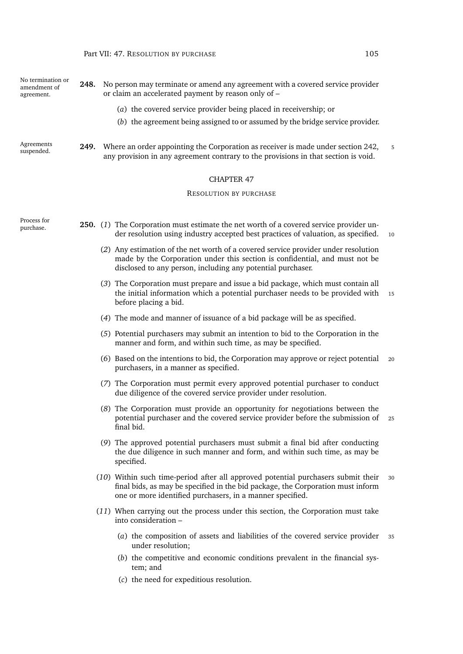<span id="page-126-1"></span><span id="page-126-0"></span>

| No termination or<br>amendment of<br>agreement. | No person may terminate or amend any agreement with a covered service provider<br>248.<br>or claim an accelerated payment by reason only of - |                                                                                                                                                                                                                                         |   |
|-------------------------------------------------|-----------------------------------------------------------------------------------------------------------------------------------------------|-----------------------------------------------------------------------------------------------------------------------------------------------------------------------------------------------------------------------------------------|---|
|                                                 |                                                                                                                                               | (a) the covered service provider being placed in receivership; or                                                                                                                                                                       |   |
|                                                 |                                                                                                                                               | (b) the agreement being assigned to or assumed by the bridge service provider.                                                                                                                                                          |   |
| Agreements<br>suspended.                        | 249.                                                                                                                                          | Where an order appointing the Corporation as receiver is made under section 242,<br>any provision in any agreement contrary to the provisions in that section is void.                                                                  | 5 |
|                                                 |                                                                                                                                               | <b>CHAPTER 47</b>                                                                                                                                                                                                                       |   |
|                                                 |                                                                                                                                               | <b>RESOLUTION BY PURCHASE</b>                                                                                                                                                                                                           |   |
| Process for<br>purchase.                        |                                                                                                                                               | 250. (1) The Corporation must estimate the net worth of a covered service provider un-<br>der resolution using industry accepted best practices of valuation, as specified.<br>10                                                       |   |
|                                                 |                                                                                                                                               | (2) Any estimation of the net worth of a covered service provider under resolution<br>made by the Corporation under this section is confidential, and must not be<br>disclosed to any person, including any potential purchaser.        |   |
|                                                 |                                                                                                                                               | (3) The Corporation must prepare and issue a bid package, which must contain all<br>the initial information which a potential purchaser needs to be provided with<br>15<br>before placing a bid.                                        |   |
|                                                 |                                                                                                                                               | (4) The mode and manner of issuance of a bid package will be as specified.                                                                                                                                                              |   |
|                                                 |                                                                                                                                               | (5) Potential purchasers may submit an intention to bid to the Corporation in the<br>manner and form, and within such time, as may be specified.                                                                                        |   |
|                                                 |                                                                                                                                               | (6) Based on the intentions to bid, the Corporation may approve or reject potential<br>20<br>purchasers, in a manner as specified.                                                                                                      |   |
|                                                 |                                                                                                                                               | (7) The Corporation must permit every approved potential purchaser to conduct<br>due diligence of the covered service provider under resolution.                                                                                        |   |
|                                                 |                                                                                                                                               | (8) The Corporation must provide an opportunity for negotiations between the<br>potential purchaser and the covered service provider before the submission of<br>25<br>final bid.                                                       |   |
|                                                 |                                                                                                                                               | (9) The approved potential purchasers must submit a final bid after conducting<br>the due diligence in such manner and form, and within such time, as may be<br>specified.                                                              |   |
|                                                 |                                                                                                                                               | (10) Within such time-period after all approved potential purchasers submit their<br>30<br>final bids, as may be specified in the bid package, the Corporation must inform<br>one or more identified purchasers, in a manner specified. |   |
|                                                 |                                                                                                                                               | (11) When carrying out the process under this section, the Corporation must take<br>into consideration -                                                                                                                                |   |
|                                                 |                                                                                                                                               | (a) the composition of assets and liabilities of the covered service provider<br>35<br>under resolution;                                                                                                                                |   |
|                                                 |                                                                                                                                               | (b) the competitive and economic conditions prevalent in the financial sys-<br>tem; and                                                                                                                                                 |   |
|                                                 |                                                                                                                                               | (c) the need for expeditious resolution.                                                                                                                                                                                                |   |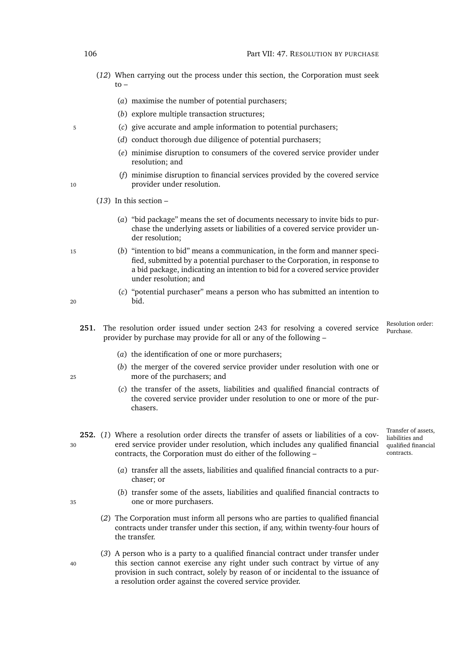- (*12*) When carrying out the process under this section, the Corporation must seek  $t_0$  –
	- (*a*) maximise the number of potential purchasers;
	- (*b*) explore multiple transaction structures;
- <sup>5</sup> (*c*) give accurate and ample information to potential purchasers;
	- (*d*) conduct thorough due diligence of potential purchasers;
	- (*e*) minimise disruption to consumers of the covered service provider under resolution; and
- (*f*) minimise disruption to financial services provided by the covered service 10 **provider under resolution.** 
	- (*13*) In this section
		- (*a*) "bid package" means the set of documents necessary to invite bids to purchase the underlying assets or liabilities of a covered service provider under resolution;
- <sup>15</sup> (*b*) "intention to bid" means a communication, in the form and manner specified, submitted by a potential purchaser to the Corporation, in response to a bid package, indicating an intention to bid for a covered service provider under resolution; and
- (*c*) "potential purchaser" means a person who has submitted an intention to <sup>20</sup> bid.
	- Resolution order:<br>Purchase 251. The resolution order issued under section [243](#page-124-2) for resolving a covered service provider by purchase may provide for all or any of the following –
		- (*a*) the identification of one or more purchasers;
- (*b*) the merger of the covered service provider under resolution with one or <sup>25</sup> more of the purchasers; and
	- (*c*) the transfer of the assets, liabilities and qualified financial contracts of the covered service provider under resolution to one or more of the purchasers.
- <span id="page-127-0"></span>Transfer of assets, liabilities and qualified financial contracts. **252.** (*1*) Where a resolution order directs the transfer of assets or liabilities of a cov-<sup>30</sup> ered service provider under resolution, which includes any qualified financial contracts, the Corporation must do either of the following –
	- (*a*) transfer all the assets, liabilities and qualified financial contracts to a purchaser; or
- (*b*) transfer some of the assets, liabilities and qualified financial contracts to <sup>35</sup> one or more purchasers.
	- (*2*) The Corporation must inform all persons who are parties to qualified financial contracts under transfer under this section, if any, within twenty-four hours of the transfer.
- (*3*) A person who is a party to a qualified financial contract under transfer under <sup>40</sup> this section cannot exercise any right under such contract by virtue of any provision in such contract, solely by reason of or incidental to the issuance of a resolution order against the covered service provider.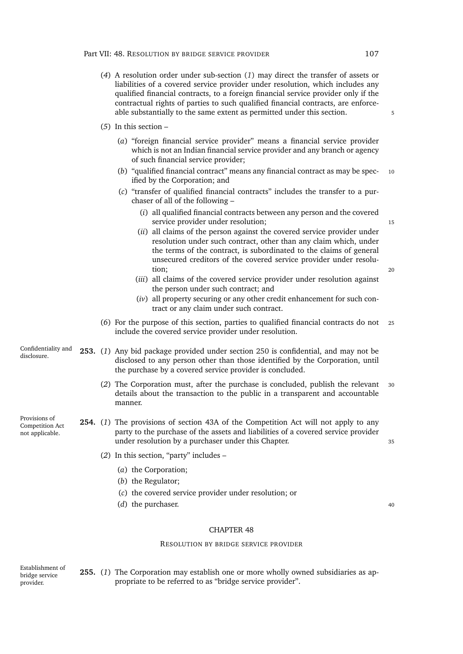- (*4*) A resolution order under sub-section (*[1](#page-127-0)*) may direct the transfer of assets or liabilities of a covered service provider under resolution, which includes any qualified financial contracts, to a foreign financial service provider only if the contractual rights of parties to such qualified financial contracts, are enforceable substantially to the same extent as permitted under this section.  $\frac{5}{5}$
- (*5*) In this section
	- (*a*) "foreign financial service provider" means a financial service provider which is not an Indian financial service provider and any branch or agency of such financial service provider;
	- (*b*) "qualified financial contract" means any financial contract as may be spec- <sup>10</sup> ified by the Corporation; and
	- (*c*) "transfer of qualified financial contracts" includes the transfer to a purchaser of all of the following –
		- (*i*) all qualified financial contracts between any person and the covered service provider under resolution; 15
		- (*ii*) all claims of the person against the covered service provider under resolution under such contract, other than any claim which, under the terms of the contract, is subordinated to the claims of general unsecured creditors of the covered service provider under resolution; <sup>20</sup>

- (*iii*) all claims of the covered service provider under resolution against the person under such contract; and
- (*iv*) all property securing or any other credit enhancement for such contract or any claim under such contract.
- (*6*) For the purpose of this section, parties to qualified financial contracts do not <sup>25</sup> include the covered service provider under resolution.
- Confidentiality and<br>disclosure. 253. (1) Any bid package provided under section [250](#page-126-1) is confidential, and may not be disclosed to any person other than those identified by the Corporation, until the purchase by a covered service provider is concluded.
	- (*2*) The Corporation must, after the purchase is concluded, publish the relevant <sup>30</sup> details about the transaction to the public in a transparent and accountable manner.
- Provisions of Competition Act not applicable. **254.** (*1*) The provisions of section 43A of the Competition Act will not apply to any party to the purchase of the assets and liabilities of a covered service provider under resolution by a purchaser under this Chapter.
	- (*2*) In this section, "party" includes
		- (*a*) the Corporation;
		- (*b*) the Regulator;
		- (*c*) the covered service provider under resolution; or
		- (*d*) the purchaser. <sup>40</sup>

#### RESOLUTION BY BRIDGE SERVICE PROVIDER

Establishment of bridge service provider. **255.** (*1*) The Corporation may establish one or more wholly owned subsidiaries as appropriate to be referred to as "bridge service provider".

<span id="page-128-0"></span>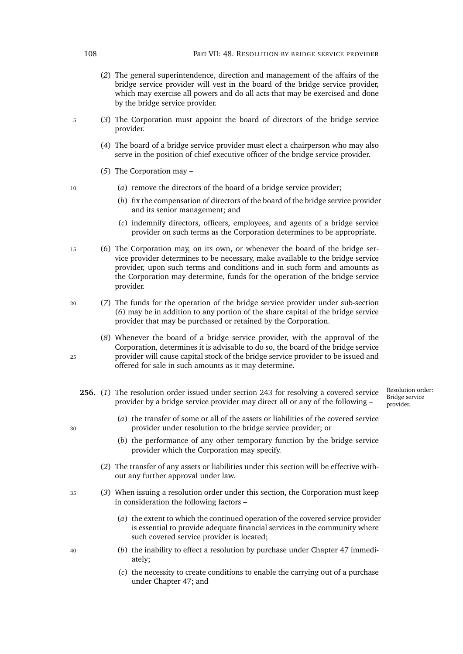- (*2*) The general superintendence, direction and management of the affairs of the bridge service provider will vest in the board of the bridge service provider, which may exercise all powers and do all acts that may be exercised and done by the bridge service provider.
- <sup>5</sup> (*3*) The Corporation must appoint the board of directors of the bridge service provider.
	- (*4*) The board of a bridge service provider must elect a chairperson who may also serve in the position of chief executive officer of the bridge service provider.
	- (*5*) The Corporation may –
- <sup>10</sup> (*a*) remove the directors of the board of a bridge service provider;
	- (*b*) fix the compensation of directors of the board of the bridge service provider and its senior management; and
	- (*c*) indemnify directors, officers, employees, and agents of a bridge service provider on such terms as the Corporation determines to be appropriate.
- <span id="page-129-0"></span><sup>15</sup> (*6*) The Corporation may, on its own, or whenever the board of the bridge service provider determines to be necessary, make available to the bridge service provider, upon such terms and conditions and in such form and amounts as the Corporation may determine, funds for the operation of the bridge service provider.
- <sup>20</sup> (*7*) The funds for the operation of the bridge service provider under sub-section (*[6](#page-129-0)*) may be in addition to any portion of the share capital of the bridge service provider that may be purchased or retained by the Corporation.
- (*8*) Whenever the board of a bridge service provider, with the approval of the Corporation, determines it is advisable to do so, the board of the bridge service <sup>25</sup> provider will cause capital stock of the bridge service provider to be issued and offered for sale in such amounts as it may determine.
	- **256.** (*1*) The resolution order issued under section [243](#page-124-2) for resolving a covered service provider by a bridge service provider may direct all or any of the following –
- Resolution order: Bridge service provider.

- 
- <span id="page-129-1"></span>(*a*) the transfer of some or all of the assets or liabilities of the covered service <sup>30</sup> provider under resolution to the bridge service provider; or
	- (*b*) the performance of any other temporary function by the bridge service provider which the Corporation may specify.
	- (*2*) The transfer of any assets or liabilities under this section will be effective without any further approval under law.
- <sup>35</sup> (*3*) When issuing a resolution order under this section, the Corporation must keep in consideration the following factors –
	- (*a*) the extent to which the continued operation of the covered service provider is essential to provide adequate financial services in the community where such covered service provider is located;
- <sup>40</sup> (*b*) the inability to effect a resolution by purchase under Chapter [47](#page-126-0) immediately;
	- (*c*) the necessity to create conditions to enable the carrying out of a purchase under Chapter [47;](#page-126-0) and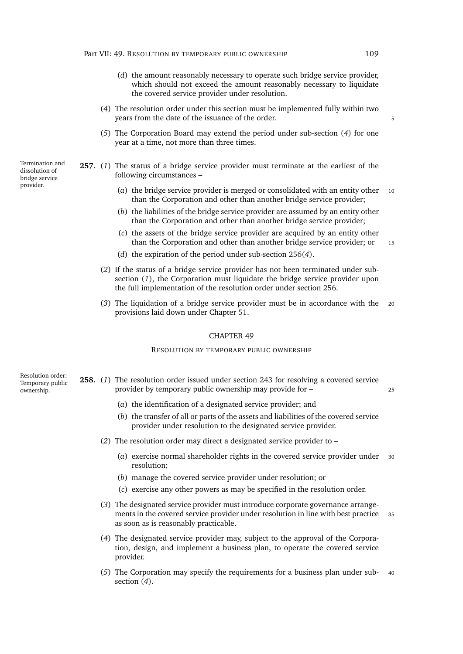- (*d*) the amount reasonably necessary to operate such bridge service provider, which should not exceed the amount reasonably necessary to liquidate the covered service provider under resolution.
- <span id="page-130-1"></span>(*4*) The resolution order under this section must be implemented fully within two years from the date of the issuance of the order.
- (*5*) The Corporation Board may extend the period under sub-section (*[4](#page-130-1)*) for one year at a time, not more than three times.
- <span id="page-130-5"></span><span id="page-130-2"></span>**257.** (*1*) The status of a bridge service provider must terminate at the earliest of the following circumstances –
	- (*a*) the bridge service provider is merged or consolidated with an entity other 10 than the Corporation and other than another bridge service provider;
	- (*b*) the liabilities of the bridge service provider are assumed by an entity other than the Corporation and other than another bridge service provider;
	- (*c*) the assets of the bridge service provider are acquired by an entity other than the Corporation and other than another bridge service provider; or 15
	- (*d*) the expiration of the period under sub-section [256\(](#page-130-1)*4*).
	- (*2*) If the status of a bridge service provider has not been terminated under subsection (*[1](#page-130-2)*), the Corporation must liquidate the bridge service provider upon the full implementation of the resolution order under section [256.](#page-129-1)
	- (*3*) The liquidation of a bridge service provider must be in accordance with the <sup>20</sup> provisions laid down under Chapter [51.](#page-136-0)

#### <span id="page-130-0"></span>RESOLUTION BY TEMPORARY PUBLIC OWNERSHIP

- <span id="page-130-4"></span><span id="page-130-3"></span>Resolution order: Temporary public ownership. **258.** (*1*) The resolution order issued under section [243](#page-124-2) for resolving a covered service provider by temporary public ownership may provide for – <sup>25</sup>
	- (*a*) the identification of a designated service provider; and
	- (*b*) the transfer of all or parts of the assets and liabilities of the covered service provider under resolution to the designated service provider.
	- (*2*) The resolution order may direct a designated service provider to
		- (*a*) exercise normal shareholder rights in the covered service provider under <sup>30</sup> resolution;
		- (*b*) manage the covered service provider under resolution; or
		- (*c*) exercise any other powers as may be specified in the resolution order.
	- (*3*) The designated service provider must introduce corporate governance arrangements in the covered service provider under resolution in line with best practice 35 as soon as is reasonably practicable.
	- (*4*) The designated service provider may, subject to the approval of the Corporation, design, and implement a business plan, to operate the covered service provider.
	- (*5*) The Corporation may specify the requirements for a business plan under sub- <sup>40</sup> section (*[4](#page-130-3)*).

Termination and dissolution of bridge service provider.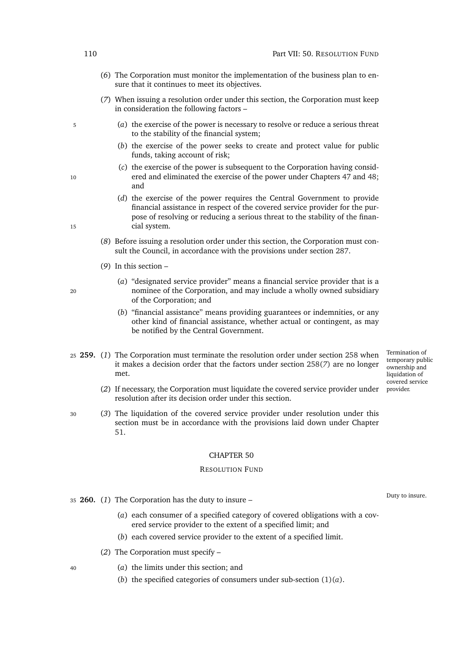- (*6*) The Corporation must monitor the implementation of the business plan to ensure that it continues to meet its objectives.
- <span id="page-131-1"></span>(*7*) When issuing a resolution order under this section, the Corporation must keep in consideration the following factors –
- <sup>5</sup> (*a*) the exercise of the power is necessary to resolve or reduce a serious threat to the stability of the financial system;
	- (*b*) the exercise of the power seeks to create and protect value for public funds, taking account of risk;
- (*c*) the exercise of the power is subsequent to the Corporation having consid-10 ered and eliminated the exercise of the power under Chapters [47](#page-126-0) and [48;](#page-128-0) and
- (*d*) the exercise of the power requires the Central Government to provide financial assistance in respect of the covered service provider for the purpose of resolving or reducing a serious threat to the stability of the finan-15 cial system.
	- (*8*) Before issuing a resolution order under this section, the Corporation must consult the Council, in accordance with the provisions under section [287.](#page-141-0)
	- (*9*) In this section –
- (*a*) "designated service provider" means a financial service provider that is a <sup>20</sup> nominee of the Corporation, and may include a wholly owned subsidiary of the Corporation; and
	- (*b*) "financial assistance" means providing guarantees or indemnities, or any other kind of financial assistance, whether actual or contingent, as may be notified by the Central Government.
- <span id="page-131-5"></span><sup>25</sup> **259.** (*1*) The Corporation must terminate the resolution order under section [258](#page-130-4) when it makes a decision order that the factors under section [258\(](#page-131-1)*7*) are no longer met.
	- covered service provider. (*2*) If necessary, the Corporation must liquidate the covered service provider under resolution after its decision order under this section.
- <span id="page-131-0"></span><sup>30</sup> (*3*) The liquidation of the covered service provider under resolution under this section must be in accordance with the provisions laid down under Chapter [51.](#page-136-0)

#### RESOLUTION FUND

- <span id="page-131-4"></span><span id="page-131-2"></span><sup>35</sup> **260.** (*1*) The Corporation has the duty to insure –
	- (*a*) each consumer of a specified category of covered obligations with a covered service provider to the extent of a specified limit; and
	- (*b*) each covered service provider to the extent of a specified limit.
	- (*2*) The Corporation must specify –
- <span id="page-131-3"></span><sup>40</sup> (*a*) the limits under this section; and
	- (*b*) the specified categories of consumers under sub-section  $(1)(a)$  $(1)(a)$ .

Duty to insure.

Termination of temporary public ownership and liquidation of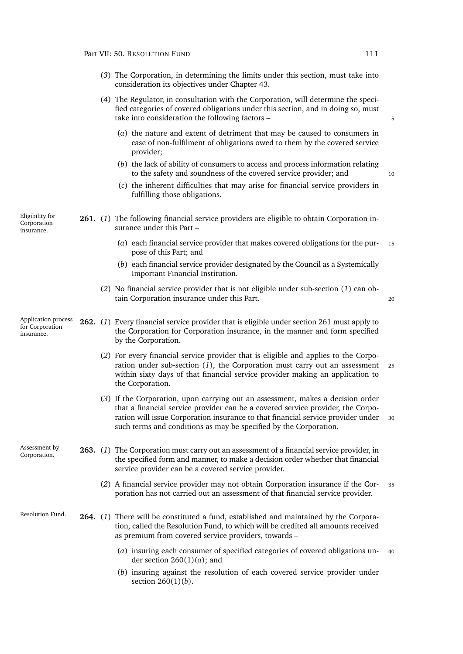Eligibility for Corporation insurance.

- (*3*) The Corporation, in determining the limits under this section, must take into consideration its objectives under Chapter [43.](#page-117-2)
- (*4*) The Regulator, in consultation with the Corporation, will determine the specified categories of covered obligations under this section, and in doing so, must take into consideration the following factors – 5
	- (*a*) the nature and extent of detriment that may be caused to consumers in case of non-fulfilment of obligations owed to them by the covered service provider;
	- (*b*) the lack of ability of consumers to access and process information relating to the safety and soundness of the covered service provider; and 10
	- (*c*) the inherent difficulties that may arise for financial service providers in fulfilling those obligations.
- <span id="page-132-1"></span><span id="page-132-0"></span>**261.** (*1*) The following financial service providers are eligible to obtain Corporation insurance under this Part –
	- (*a*) each financial service provider that makes covered obligations for the pur- <sup>15</sup> pose of this Part; and
	- (*b*) each financial service provider designated by the Council as a Systemically Important Financial Institution.
	- (*2*) No financial service provider that is not eligible under sub-section (*[1](#page-132-0)*) can obtain Corporation insurance under this Part. <sup>20</sup>

- <span id="page-132-2"></span>Application process for Corporation insurance. **262.** (*1*) Every financial service provider that is eligible under section [261](#page-132-1) must apply to the Corporation for Corporation insurance, in the manner and form specified by the Corporation.
	- (*2*) For every financial service provider that is eligible and applies to the Corporation under sub-section (*[1](#page-132-2)*), the Corporation must carry out an assessment <sup>25</sup> within sixty days of that financial service provider making an application to the Corporation.
	- (*3*) If the Corporation, upon carrying out an assessment, makes a decision order that a financial service provider can be a covered service provider, the Corporation will issue Corporation insurance to that financial service provider under <sup>30</sup> such terms and conditions as may be specified by the Corporation.

Assessment by Assessment by **263.** (1) The Corporation must carry out an assessment of a financial service provider, in Corporation. the specified form and manner, to make a decision order whether that financial service provider can be a covered service provider.

- (*2*) A financial service provider may not obtain Corporation insurance if the Cor- <sup>35</sup> poration has not carried out an assessment of that financial service provider.
- <span id="page-132-3"></span>Resolution Fund. **264.** (*1*) There will be constituted a fund, established and maintained by the Corporation, called the Resolution Fund, to which will be credited all amounts received as premium from covered service providers, towards –
	- (*a*) insuring each consumer of specified categories of covered obligations un- <sup>40</sup> der section [260\(1\)\(](#page-131-2)*a*); and
	- (*b*) insuring against the resolution of each covered service provider under section [260\(1\)\(](#page-131-3)*b*).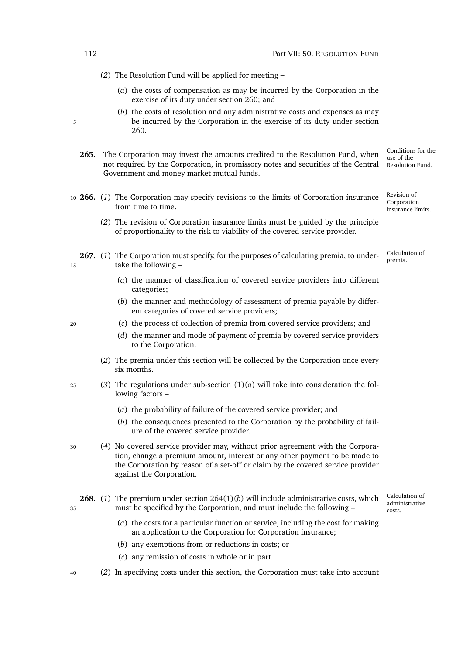<span id="page-133-2"></span>(*2*) The Resolution Fund will be applied for meeting –

- (*a*) the costs of compensation as may be incurred by the Corporation in the exercise of its duty under section [260;](#page-131-4) and
- <span id="page-133-1"></span>(*b*) the costs of resolution and any administrative costs and expenses as may 5 be incurred by the Corporation in the exercise of its duty under section [260.](#page-131-4)
	- Conditions for the use of the Resolution Fund. **265.** The Corporation may invest the amounts credited to the Resolution Fund, when not required by the Corporation, in promissory notes and securities of the Central Government and money market mutual funds.
- Revision of insurance limits. <sup>10</sup> **266.** (*1*) The Corporation may specify revisions to the limits of Corporation insurance from time to time.
	- (*2*) The revision of Corporation insurance limits must be guided by the principle of proportionality to the risk to viability of the covered service provider.
- <span id="page-133-0"></span>Calculation of 267. (1) The Corporation must specify, for the purposes of calculating premia, to under-<br>premia. <sup>15</sup> take the following –
	- (*a*) the manner of classification of covered service providers into different categories;
	- (*b*) the manner and methodology of assessment of premia payable by different categories of covered service providers;
- <sup>20</sup> (*c*) the process of collection of premia from covered service providers; and
	- (*d*) the manner and mode of payment of premia by covered service providers to the Corporation.
	- (*2*) The premia under this section will be collected by the Corporation once every six months.
- 25 (3) The regulations under sub-section  $(1)(a)$  $(1)(a)$  will take into consideration the following factors –
	- (*a*) the probability of failure of the covered service provider; and
	- (*b*) the consequences presented to the Corporation by the probability of failure of the covered service provider.
- <sup>30</sup> (*4*) No covered service provider may, without prior agreement with the Corporation, change a premium amount, interest or any other payment to be made to the Corporation by reason of a set-off or claim by the covered service provider against the Corporation.
- **268.** (*1*) The premium under section [264\(1\)\(](#page-132-3)*b*) will include administrative costs, which <sup>35</sup> must be specified by the Corporation, and must include the following –
- Calculation of administrative costs.

Corporation

- (*a*) the costs for a particular function or service, including the cost for making an application to the Corporation for Corporation insurance;
- (*b*) any exemptions from or reductions in costs; or
- (*c*) any remission of costs in whole or in part.
- <sup>40</sup> (*2*) In specifying costs under this section, the Corporation must take into account

–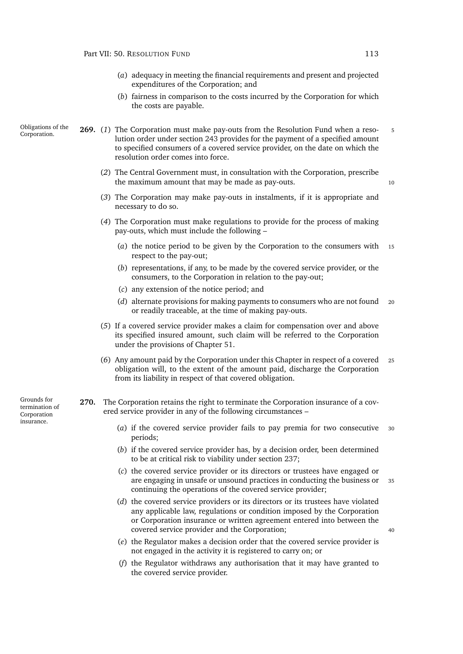- (*a*) adequacy in meeting the financial requirements and present and projected expenditures of the Corporation; and
- (*b*) fairness in comparison to the costs incurred by the Corporation for which the costs are payable.

Obligations of the Corporation. **269.** (*1*) The Corporation must make pay-outs from the Resolution Fund when a reso- <sup>5</sup> lution order under section [243](#page-124-2) provides for the payment of a specified amount to specified consumers of a covered service provider, on the date on which the resolution order comes into force.

- (*2*) The Central Government must, in consultation with the Corporation, prescribe the maximum amount that may be made as pay-outs. The maximum amount that may be made as pay-outs.
- (*3*) The Corporation may make pay-outs in instalments, if it is appropriate and necessary to do so.
- (*4*) The Corporation must make regulations to provide for the process of making pay-outs, which must include the following –
	- (*a*) the notice period to be given by the Corporation to the consumers with <sup>15</sup> respect to the pay-out;
	- (*b*) representations, if any, to be made by the covered service provider, or the consumers, to the Corporation in relation to the pay-out;
	- (*c*) any extension of the notice period; and
	- (*d*) alternate provisions for making payments to consumers who are not found <sup>20</sup> or readily traceable, at the time of making pay-outs.
- (*5*) If a covered service provider makes a claim for compensation over and above its specified insured amount, such claim will be referred to the Corporation under the provisions of Chapter [51.](#page-136-0)
- (*6*) Any amount paid by the Corporation under this Chapter in respect of a covered <sup>25</sup> obligation will, to the extent of the amount paid, discharge the Corporation from its liability in respect of that covered obligation.

<span id="page-134-1"></span><span id="page-134-0"></span>**270.** The Corporation retains the right to terminate the Corporation insurance of a covered service provider in any of the following circumstances –

- (*a*) if the covered service provider fails to pay premia for two consecutive <sup>30</sup> periods;
- (*b*) if the covered service provider has, by a decision order, been determined to be at critical risk to viability under section [237;](#page-121-0)
- (*c*) the covered service provider or its directors or trustees have engaged or are engaging in unsafe or unsound practices in conducting the business or <sup>35</sup> continuing the operations of the covered service provider;
- (*d*) the covered service providers or its directors or its trustees have violated any applicable law, regulations or condition imposed by the Corporation or Corporation insurance or written agreement entered into between the covered service provider and the Corporation; <sup>40</sup>
- (*e*) the Regulator makes a decision order that the covered service provider is not engaged in the activity it is registered to carry on; or
- (*f*) the Regulator withdraws any authorisation that it may have granted to the covered service provider.

Grounds for termination of Corporation insurance.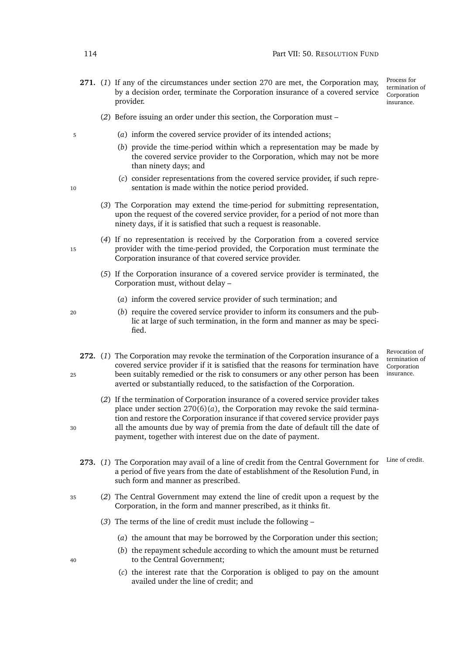**271.** (*1*) If any of the circumstances under section [270](#page-134-0) are met, the Corporation may, by a decision order, terminate the Corporation insurance of a covered service provider.

Process for termination of **Corporation** insurance.

- (*2*) Before issuing an order under this section, the Corporation must –
- <sup>5</sup> (*a*) inform the covered service provider of its intended actions;
	- (*b*) provide the time-period within which a representation may be made by the covered service provider to the Corporation, which may not be more than ninety days; and
- (*c*) consider representations from the covered service provider, if such repre-10 sentation is made within the notice period provided.
	- (*3*) The Corporation may extend the time-period for submitting representation, upon the request of the covered service provider, for a period of not more than ninety days, if it is satisfied that such a request is reasonable.
- (*4*) If no representation is received by the Corporation from a covered service 15 provider with the time-period provided, the Corporation must terminate the Corporation insurance of that covered service provider.
	- (*5*) If the Corporation insurance of a covered service provider is terminated, the Corporation must, without delay –
		- (*a*) inform the covered service provider of such termination; and
- <sup>20</sup> (*b*) require the covered service provider to inform its consumers and the public at large of such termination, in the form and manner as may be specified.
- **272.** (*1*) The Corporation may revoke the termination of the Corporation insurance of a covered service provider if it is satisfied that the reasons for termination have <sup>25</sup> been suitably remedied or the risk to consumers or any other person has been averted or substantially reduced, to the satisfaction of the Corporation.
- (*2*) If the termination of Corporation insurance of a covered service provider takes place under section  $270(6)(a)$  $270(6)(a)$ , the Corporation may revoke the said termination and restore the Corporation insurance if that covered service provider pays <sup>30</sup> all the amounts due by way of premia from the date of default till the date of payment, together with interest due on the date of payment.
	-

Revocation of termination of Corporation insurance.

- <span id="page-135-0"></span>273. (1) The Corporation may avail of a line of credit from the Central Government for Line of credit. a period of five years from the date of establishment of the Resolution Fund, in such form and manner as prescribed.
- <sup>35</sup> (*2*) The Central Government may extend the line of credit upon a request by the Corporation, in the form and manner prescribed, as it thinks fit.
	- (*3*) The terms of the line of credit must include the following
		- (*a*) the amount that may be borrowed by the Corporation under this section;
- (*b*) the repayment schedule according to which the amount must be returned <sup>40</sup> to the Central Government;
	- (*c*) the interest rate that the Corporation is obliged to pay on the amount availed under the line of credit; and

- 
- 

- 
- 

- 
-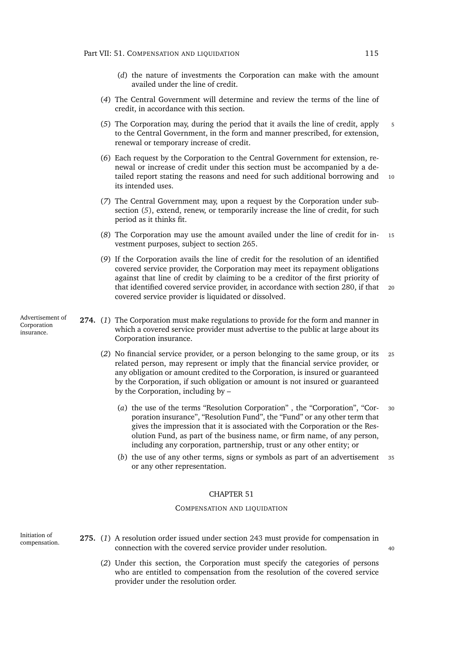- (*d*) the nature of investments the Corporation can make with the amount availed under the line of credit.
- (*4*) The Central Government will determine and review the terms of the line of credit, in accordance with this section.
- <span id="page-136-1"></span>(*5*) The Corporation may, during the period that it avails the line of credit, apply <sup>5</sup> to the Central Government, in the form and manner prescribed, for extension, renewal or temporary increase of credit.
- (*6*) Each request by the Corporation to the Central Government for extension, renewal or increase of credit under this section must be accompanied by a detailed report stating the reasons and need for such additional borrowing and 10 its intended uses.
- (*7*) The Central Government may, upon a request by the Corporation under subsection (*[5](#page-136-1)*), extend, renew, or temporarily increase the line of credit, for such period as it thinks fit.
- (*8*) The Corporation may use the amount availed under the line of credit for in- <sup>15</sup> vestment purposes, subject to section [265.](#page-133-1)
- (*9*) If the Corporation avails the line of credit for the resolution of an identified covered service provider, the Corporation may meet its repayment obligations against that line of credit by claiming to be a creditor of the first priority of that identified covered service provider, in accordance with section [280,](#page-138-0) if that <sup>20</sup> covered service provider is liquidated or dissolved.

Advertisement of Corporation insurance.

- **274.** (*1*) The Corporation must make regulations to provide for the form and manner in which a covered service provider must advertise to the public at large about its Corporation insurance.
	- (*2*) No financial service provider, or a person belonging to the same group, or its <sup>25</sup> related person, may represent or imply that the financial service provider, or any obligation or amount credited to the Corporation, is insured or guaranteed by the Corporation, if such obligation or amount is not insured or guaranteed by the Corporation, including by –
		- (*a*) the use of the terms "Resolution Corporation" , the "Corporation", "Cor- <sup>30</sup> poration insurance", "Resolution Fund", the "Fund" or any other term that gives the impression that it is associated with the Corporation or the Resolution Fund, as part of the business name, or firm name, of any person, including any corporation, partnership, trust or any other entity; or
		- (*b*) the use of any other terms, signs or symbols as part of an advertisement <sup>35</sup> or any other representation.

#### CHAPTER 51

#### COMPENSATION AND LIQUIDATION

<span id="page-136-0"></span>Initiation of

- <span id="page-136-2"></span>compensation. **275.** (*1*) A resolution order issued under section [243](#page-124-2) must provide for compensation in connection with the covered service provider under resolution. <sup>40</sup>
	- (*2*) Under this section, the Corporation must specify the categories of persons who are entitled to compensation from the resolution of the covered service provider under the resolution order.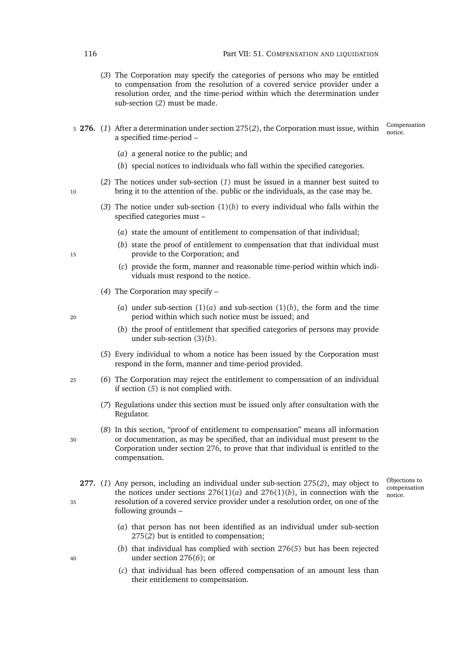- (*3*) The Corporation may specify the categories of persons who may be entitled to compensation from the resolution of a covered service provider under a resolution order, and the time-period within which the determination under sub-section (*[2](#page-136-2)*) must be made.
- <span id="page-137-5"></span><span id="page-137-2"></span><span id="page-137-0"></span>5 **276.** (1) After a determination under section [275\(](#page-136-2)2), the Corporation must issue, within  $\frac{\text{compare}}{\text{notice}}$ a specified time-period –

Compensation

- (*a*) a general notice to the public; and
- (*b*) special notices to individuals who fall within the specified categories.
- <span id="page-137-1"></span>(*2*) The notices under sub-section (*[1](#page-137-0)*) must be issued in a manner best suited to 10 bring it to the attention of the. public or the individuals, as the case may be.
	- (3) The notice under sub-section  $(1)(b)$  $(1)(b)$  to every individual who falls within the specified categories must –
		- (*a*) state the amount of entitlement to compensation of that individual;
- <span id="page-137-8"></span><span id="page-137-3"></span>(*b*) state the proof of entitlement to compensation that that individual must <sup>15</sup> provide to the Corporation; and
	- (*c*) provide the form, manner and reasonable time-period within which individuals must respond to the notice.
	- (*4*) The Corporation may specify –
- (*a*) under sub-section  $(1)(a)$  $(1)(a)$  and sub-section  $(1)(b)$ , the form and the time <sup>20</sup> period within which such notice must be issued; and
	- (*b*) the proof of entitlement that specified categories of persons may provide under sub-section [\(3\)\(](#page-137-3)*b*).
	- (*5*) Every individual to whom a notice has been issued by the Corporation must respond in the form, manner and time-period provided.
- <span id="page-137-6"></span><span id="page-137-4"></span><sup>25</sup> (*6*) The Corporation may reject the entitlement to compensation of an individual if section (*[5](#page-137-4)*) is not complied with.
	- (*7*) Regulations under this section must be issued only after consultation with the Regulator.
- (*8*) In this section, "proof of entitlement to compensation" means all information <sup>30</sup> or documentation, as may be specified, that an individual must present to the Corporation under section [276,](#page-137-5) to prove that that individual is entitled to the compensation.
- **277.** (*1*) Any person, including an individual under sub-section [275\(](#page-136-2)*2*), may object to the notices under sections  $276(1)(a)$  $276(1)(a)$  and  $276(1)(b)$ , in connection with the <sup>35</sup> resolution of a covered service provider under a resolution order, on one of the following grounds –

Objections to compensation notice.

- (*a*) that person has not been identified as an individual under sub-section [275\(](#page-136-2)*2*) but is entitled to compensation;
- (*b*) that individual has complied with section [276\(](#page-137-4)*5*) but has been rejected <sup>40</sup> under section [276\(](#page-137-6)*6*); or
	- (*c*) that individual has been offered compensation of an amount less than their entitlement to compensation.

<span id="page-137-7"></span>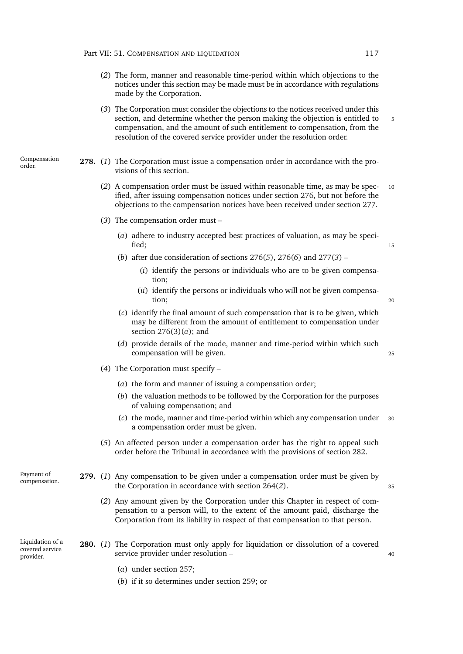- (*2*) The form, manner and reasonable time-period within which objections to the notices under this section may be made must be in accordance with regulations made by the Corporation.
- <span id="page-138-2"></span><span id="page-138-1"></span>(*3*) The Corporation must consider the objections to the notices received under this section, and determine whether the person making the objection is entitled to 5 compensation, and the amount of such entitlement to compensation, from the resolution of the covered service provider under the resolution order.
- Compensation<br>order. **278.** (1) The Corporation must issue a compensation order in accordance with the provisions of this section.
	- (*2*) A compensation order must be issued within reasonable time, as may be spec- <sup>10</sup> ified, after issuing compensation notices under section [276,](#page-137-5) but not before the objections to the compensation notices have been received under section [277.](#page-137-7)
	- (*3*) The compensation order must
		- (*a*) adhere to industry accepted best practices of valuation, as may be speci- $\text{fied};$  15
		- (*b*) after due consideration of sections [276\(](#page-137-4)*5*), [276\(](#page-137-6)*6*) and [277\(](#page-138-1)*3*)
			- (*i*) identify the persons or individuals who are to be given compensation;
			- (*ii*) identify the persons or individuals who will not be given compensation; <sup>20</sup>
		- (*c*) identify the final amount of such compensation that is to be given, which may be different from the amount of entitlement to compensation under section [276\(3\)\(](#page-137-8)*a*); and
		- (*d*) provide details of the mode, manner and time-period within which such compensation will be given.
	- (*4*) The Corporation must specify
		- (*a*) the form and manner of issuing a compensation order;
		- (*b*) the valuation methods to be followed by the Corporation for the purposes of valuing compensation; and
		- (*c*) the mode, manner and time-period within which any compensation under <sup>30</sup> a compensation order must be given.
	- (*5*) An affected person under a compensation order has the right to appeal such order before the Tribunal in accordance with the provisions of section [282.](#page-139-0)
- Payment of<br>compensation. 279. (1) Any compensation to be given under a compensation order must be given by the Corporation in accordance with section [264\(](#page-133-2)*2*). 35

- <span id="page-138-0"></span>(*2*) Any amount given by the Corporation under this Chapter in respect of compensation to a person will, to the extent of the amount paid, discharge the Corporation from its liability in respect of that compensation to that person.
- Liquidation of a covered service provider. **280.** (*1*) The Corporation must only apply for liquidation or dissolution of a covered service provider under resolution –  $\frac{40}{2}$ 
	- (*a*) under section [257;](#page-130-5)
	- (*b*) if it so determines under section [259;](#page-131-5) or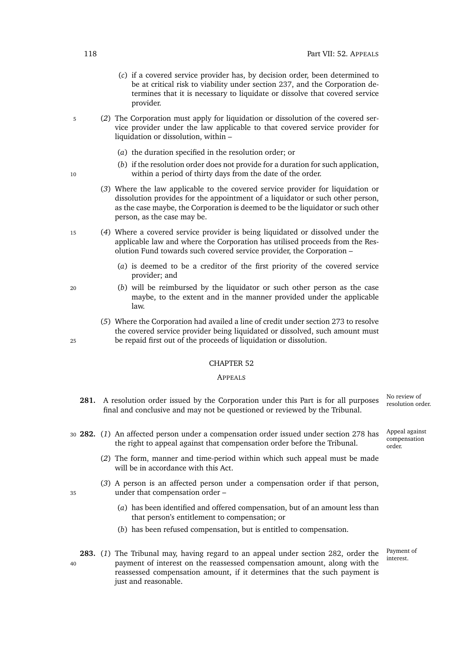- (*c*) if a covered service provider has, by decision order, been determined to be at critical risk to viability under section [237,](#page-121-0) and the Corporation determines that it is necessary to liquidate or dissolve that covered service provider.
- <sup>5</sup> (*2*) The Corporation must apply for liquidation or dissolution of the covered service provider under the law applicable to that covered service provider for liquidation or dissolution, within –
	- (*a*) the duration specified in the resolution order; or
- (*b*) if the resolution order does not provide for a duration for such application, 10 within a period of thirty days from the date of the order.
	- (*3*) Where the law applicable to the covered service provider for liquidation or dissolution provides for the appointment of a liquidator or such other person, as the case maybe, the Corporation is deemed to be the liquidator or such other person, as the case may be.
- <sup>15</sup> (*4*) Where a covered service provider is being liquidated or dissolved under the applicable law and where the Corporation has utilised proceeds from the Resolution Fund towards such covered service provider, the Corporation –
	- (*a*) is deemed to be a creditor of the first priority of the covered service provider; and
- <sup>20</sup> (*b*) will be reimbursed by the liquidator or such other person as the case maybe, to the extent and in the manner provided under the applicable law.
- (*5*) Where the Corporation had availed a line of credit under section [273](#page-135-0) to resolve the covered service provider being liquidated or dissolved, such amount must <sup>25</sup> be repaid first out of the proceeds of liquidation or dissolution.

# APPEALS

- **281.** A resolution order issued by the Corporation under this Part is for all purposes final and conclusive and may not be questioned or reviewed by the Tribunal.
- <span id="page-139-0"></span><sup>30</sup> **282.** (*1*) An affected person under a compensation order issued under section [278](#page-138-2) has the right to appeal against that compensation order before the Tribunal.
	- (*2*) The form, manner and time-period within which such appeal must be made will be in accordance with this Act.
- (*3*) A person is an affected person under a compensation order if that person, <sup>35</sup> under that compensation order –
	- (*a*) has been identified and offered compensation, but of an amount less than that person's entitlement to compensation; or
	- (*b*) has been refused compensation, but is entitled to compensation.
- **283.** (1) The Tribunal may, having regard to an appeal under section [282,](#page-139-0) order the <sup>40</sup> payment of interest on the reassessed compensation amount, along with the reassessed compensation amount, if it determines that the such payment is just and reasonable.

No review of<br>resolution order.

Appeal against compensation order.

Payment of<br>interest.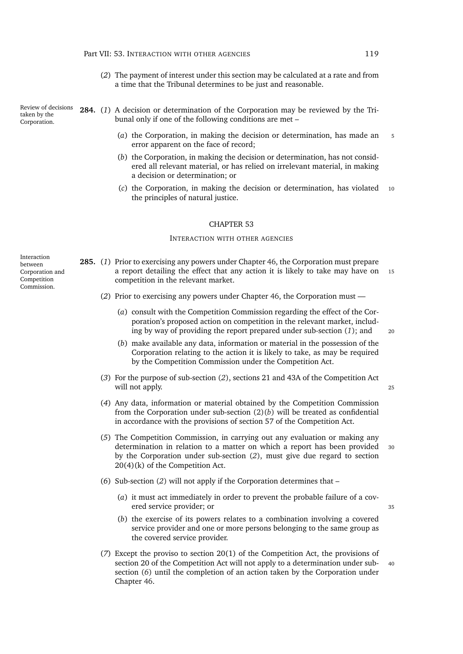(*2*) The payment of interest under this section may be calculated at a rate and from a time that the Tribunal determines to be just and reasonable.

**284.** (*1*) A decision or determination of the Corporation may be reviewed by the Tribunal only if one of the following conditions are met –

- (*a*) the Corporation, in making the decision or determination, has made an <sup>5</sup> error apparent on the face of record;
- (*b*) the Corporation, in making the decision or determination, has not considered all relevant material, or has relied on irrelevant material, in making a decision or determination; or
- (*c*) the Corporation, in making the decision or determination, has violated <sup>10</sup> the principles of natural justice.

#### CHAPTER 53

#### INTERACTION WITH OTHER AGENCIES

- <span id="page-140-4"></span><span id="page-140-3"></span><span id="page-140-2"></span><span id="page-140-1"></span><span id="page-140-0"></span>**285.** (*1*) Prior to exercising any powers under Chapter [46,](#page-123-0) the Corporation must prepare a report detailing the effect that any action it is likely to take may have on <sup>15</sup> competition in the relevant market.
	- (*2*) Prior to exercising any powers under Chapter [46,](#page-123-0) the Corporation must
		- (*a*) consult with the Competition Commission regarding the effect of the Corporation's proposed action on competition in the relevant market, including by way of providing the report prepared under sub-section (*1*[\);](#page-140-0) and <sup>20</sup>
		- (*b*) make available any data, information or material in the possession of the Corporation relating to the action it is likely to take, as may be required by the Competition Commission under the Competition Act.
	- (*3*) For the purpose of sub-section (*[2](#page-140-1)*), sections 21 and 43A of the Competition Act will not apply. 25
	- (*4*) Any data, information or material obtained by the Competition Commission from the Corporation under sub-section [\(2\)\(](#page-140-2)*b*) will be treated as confidential in accordance with the provisions of section 57 of the Competition Act.
	- (*5*) The Competition Commission, in carrying out any evaluation or making any determination in relation to a matter on which a report has been provided <sup>30</sup> by the Corporation under sub-section (*2*[\),](#page-140-1) must give due regard to section 20(4)(k) of the Competition Act.
	- (*6*) Sub-section (*[2](#page-140-1)*) will not apply if the Corporation determines that
		- (*a*) it must act immediately in order to prevent the probable failure of a covered service provider; or 35
		- (*b*) the exercise of its powers relates to a combination involving a covered service provider and one or more persons belonging to the same group as the covered service provider.
	- (*7*) Except the proviso to section 20(1) of the Competition Act, the provisions of section 20 of the Competition Act will not apply to a determination under sub- 40 section (*[6](#page-140-3)*) until the completion of an action taken by the Corporation under Chapter [46.](#page-123-0)

Interaction between Corporation and Competition Commission.

Review of decisions taken by the Corporation.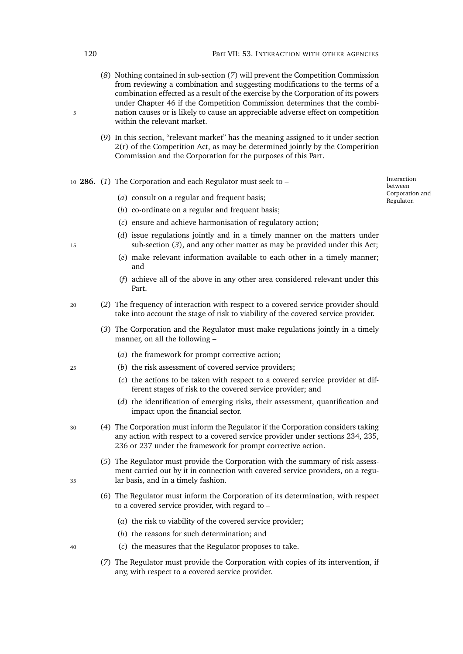- (*8*) Nothing contained in sub-section (*[7](#page-140-4)*) will prevent the Competition Commission from reviewing a combination and suggesting modifications to the terms of a combination effected as a result of the exercise by the Corporation of its powers under Chapter [46](#page-123-0) if the Competition Commission determines that the combi-5 nation causes or is likely to cause an appreciable adverse effect on competition within the relevant market.
	- (*9*) In this section, "relevant market" has the meaning assigned to it under section  $2(r)$  of the Competition Act, as may be determined jointly by the Competition Commission and the Corporation for the purposes of this Part.
- <sup>10</sup> **286.** (*1*) The Corporation and each Regulator must seek to
	- (*a*) consult on a regular and frequent basis;

Interaction between Corporation and Regulator.

- (*b*) co-ordinate on a regular and frequent basis:
- (*c*) ensure and achieve harmonisation of regulatory action;
- (*d*) issue regulations jointly and in a timely manner on the matters under <sup>15</sup> sub-section (*3*[\),](#page-141-1) and any other matter as may be provided under this Act;
	- (*e*) make relevant information available to each other in a timely manner; and
	- (*f*) achieve all of the above in any other area considered relevant under this Part.
- <span id="page-141-1"></span><sup>20</sup> (*2*) The frequency of interaction with respect to a covered service provider should take into account the stage of risk to viability of the covered service provider.
	- (*3*) The Corporation and the Regulator must make regulations jointly in a timely manner, on all the following –
		- (*a*) the framework for prompt corrective action;
- <sup>25</sup> (*b*) the risk assessment of covered service providers;
	- (*c*) the actions to be taken with respect to a covered service provider at different stages of risk to the covered service provider; and
	- (*d*) the identification of emerging risks, their assessment, quantification and impact upon the financial sector.
- <sup>30</sup> (*4*) The Corporation must inform the Regulator if the Corporation considers taking any action with respect to a covered service provider under sections [234,](#page-121-1) [235,](#page-121-2) [236](#page-121-3) or [237](#page-121-0) under the framework for prompt corrective action.
- (*5*) The Regulator must provide the Corporation with the summary of risk assessment carried out by it in connection with covered service providers, on a regu-<sup>35</sup> lar basis, and in a timely fashion.
	- (*6*) The Regulator must inform the Corporation of its determination, with respect to a covered service provider, with regard to –
		- (*a*) the risk to viability of the covered service provider;
		- (*b*) the reasons for such determination; and
- <span id="page-141-0"></span><sup>40</sup> (*c*) the measures that the Regulator proposes to take.
	- (*7*) The Regulator must provide the Corporation with copies of its intervention, if any, with respect to a covered service provider.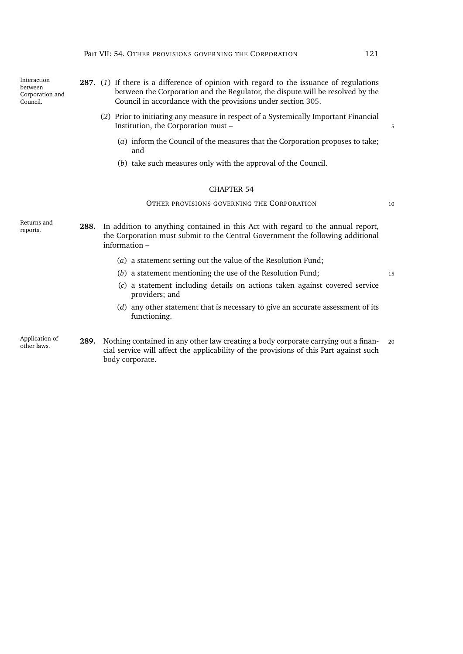Interaction between Corporation and Council.

- **287.** (*1*) If there is a difference of opinion with regard to the issuance of regulations between the Corporation and the Regulator, the dispute will be resolved by the Council in accordance with the provisions under section [305.](#page-147-0)
	- (*2*) Prior to initiating any measure in respect of a Systemically Important Financial Institution, the Corporation must – 5
		- (*a*) inform the Council of the measures that the Corporation proposes to take; and
		- (*b*) take such measures only with the approval of the Council.

#### CHAPTER 54

# OTHER PROVISIONS GOVERNING THE CORPORATION 10

reports. **288.** In addition to anything contained in this Act with regard to the annual report, the Corporation must submit to the Central Government the following additional information –

- (*a*) a statement setting out the value of the Resolution Fund;
- (*b*) a statement mentioning the use of the Resolution Fund; <sup>15</sup>

- (*c*) a statement including details on actions taken against covered service providers; and
- (*d*) any other statement that is necessary to give an accurate assessment of its functioning.

Application of

Returns and

Application of **289.** Nothing contained in any other law creating a body corporate carrying out a finan-<br>other laws. cial service will affect the applicability of the provisions of this Part against such body corporate.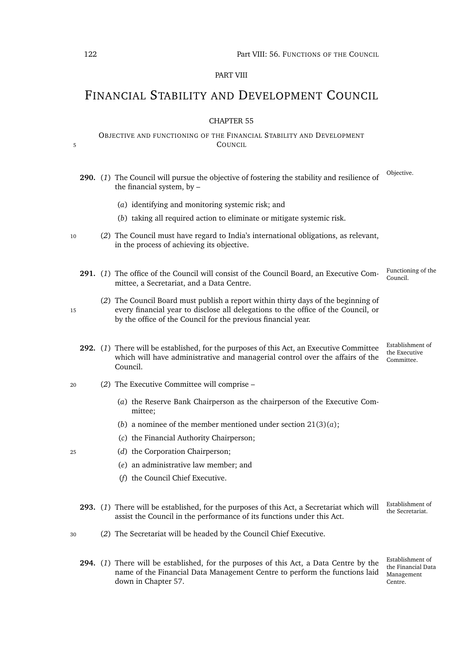# PART VIII

# FINANCIAL STABILITY AND DEVELOPMENT COUNCIL

# CHAPTER 55

# OBJECTIVE AND FUNCTIONING OF THE FINANCIAL STABILITY AND DEVELOPMENT 5 COUNCIL

|    |  | 290. (1) The Council will pursue the objective of fostering the stability and resilience of<br>the financial system, by -                                                                                                                | Objective.                                      |
|----|--|------------------------------------------------------------------------------------------------------------------------------------------------------------------------------------------------------------------------------------------|-------------------------------------------------|
|    |  | (a) identifying and monitoring systemic risk; and                                                                                                                                                                                        |                                                 |
|    |  | (b) taking all required action to eliminate or mitigate systemic risk.                                                                                                                                                                   |                                                 |
| 10 |  | (2) The Council must have regard to India's international obligations, as relevant,<br>in the process of achieving its objective.                                                                                                        |                                                 |
|    |  | 291. (1) The office of the Council will consist of the Council Board, an Executive Com-<br>mittee, a Secretariat, and a Data Centre.                                                                                                     | Functioning of the<br>Council.                  |
| 15 |  | (2) The Council Board must publish a report within thirty days of the beginning of<br>every financial year to disclose all delegations to the office of the Council, or<br>by the office of the Council for the previous financial year. |                                                 |
|    |  | 292. (1) There will be established, for the purposes of this Act, an Executive Committee<br>which will have administrative and managerial control over the affairs of the<br>Council.                                                    | Establishment of<br>the Executive<br>Committee. |
| 20 |  | (2) The Executive Committee will comprise -                                                                                                                                                                                              |                                                 |
|    |  | (a) the Reserve Bank Chairperson as the chairperson of the Executive Com-<br>mittee;                                                                                                                                                     |                                                 |
|    |  | (b) a nominee of the member mentioned under section $21(3)(a)$ ;                                                                                                                                                                         |                                                 |
|    |  | (c) the Financial Authority Chairperson;                                                                                                                                                                                                 |                                                 |
| 25 |  | (d) the Corporation Chairperson;                                                                                                                                                                                                         |                                                 |
|    |  | $(e)$ an administrative law member; and                                                                                                                                                                                                  |                                                 |
|    |  | (f) the Council Chief Executive.                                                                                                                                                                                                         |                                                 |
|    |  | 293. (1) There will be established, for the purposes of this Act, a Secretariat which will<br>assist the Council in the performance of its functions under this Act.                                                                     | Establishment of<br>the Secretariat.            |
| 30 |  | (2) The Secretariat will be headed by the Council Chief Executive.                                                                                                                                                                       |                                                 |
|    |  |                                                                                                                                                                                                                                          | $Eachli an + af$                                |

name of the Financial Data Management Centre to perform the functions laid Management **294.** (*1*) There will be established, for the purposes of this Act, a Data Centre by the down in Chapter [57.](#page-149-0)

Establishment of the Financial Data Centre.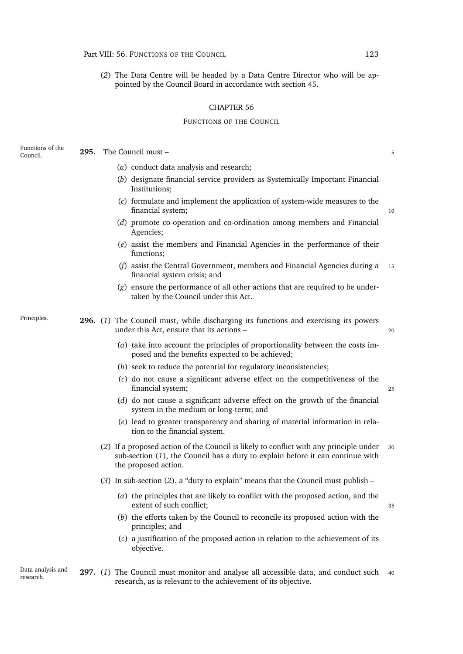(*2*) The Data Centre will be headed by a Data Centre Director who will be appointed by the Council Board in accordance with section [45.](#page-49-0)

#### CHAPTER 56

### FUNCTIONS OF THE COUNCIL

**295.** The Council must – 5

- (*a*) conduct data analysis and research;
- (*b*) designate financial service providers as Systemically Important Financial Institutions;
- (*c*) formulate and implement the application of system-wide measures to the financial system; 10
- (*d*) promote co-operation and co-ordination among members and Financial Agencies;
- (*e*) assist the members and Financial Agencies in the performance of their functions;
- (*f*) assist the Central Government, members and Financial Agencies during a <sup>15</sup> financial system crisis; and
- <span id="page-144-2"></span><span id="page-144-0"></span>(*g*) ensure the performance of all other actions that are required to be undertaken by the Council under this Act.

Functions of the<br>Council

Principles. **296.** (*1*) The Council must, while discharging its functions and exercising its powers under this Act, ensure that its actions – 20

- (*a*) take into account the principles of proportionality between the costs imposed and the benefits expected to be achieved;
- (*b*) seek to reduce the potential for regulatory inconsistencies;
- (*c*) do not cause a significant adverse effect on the competitiveness of the financial system; <sup>25</sup>
- (*d*) do not cause a significant adverse effect on the growth of the financial system in the medium or long-term; and
- (*e*) lead to greater transparency and sharing of material information in relation to the financial system.
- <span id="page-144-1"></span>(*2*) If a proposed action of the Council is likely to conflict with any principle under <sup>30</sup> sub-section (*1*[\),](#page-144-0) the Council has a duty to explain before it can continue with the proposed action.
- (*3*) In sub-section (*[2](#page-144-1)*), a "duty to explain" means that the Council must publish
	- (*a*) the principles that are likely to conflict with the proposed action, and the extent of such conflict; 35
	- (*b*) the efforts taken by the Council to reconcile its proposed action with the principles; and
	- (*c*) a justification of the proposed action in relation to the achievement of its objective.
- Data analysis and **297.** (1) The Council must monitor and analyse all accessible data, and conduct such 40 research, as is relevant to the achievement of its objective.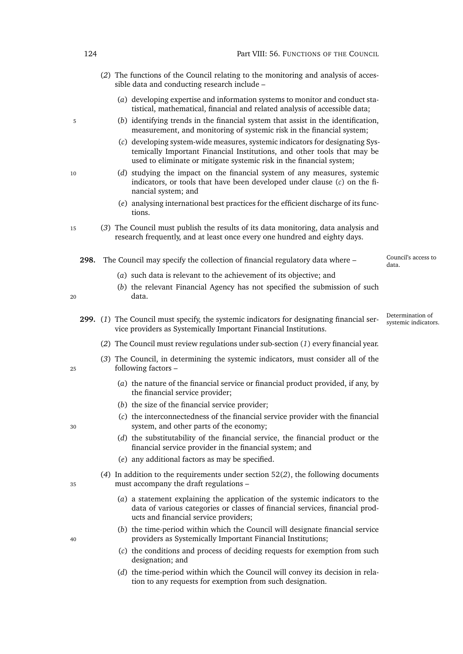- (*2*) The functions of the Council relating to the monitoring and analysis of accessible data and conducting research include –
	- (*a*) developing expertise and information systems to monitor and conduct statistical, mathematical, financial and related analysis of accessible data;
- <span id="page-145-0"></span><sup>5</sup> (*b*) identifying trends in the financial system that assist in the identification, measurement, and monitoring of systemic risk in the financial system;
	- (*c*) developing system-wide measures, systemic indicators for designating Systemically Important Financial Institutions, and other tools that may be used to eliminate or mitigate systemic risk in the financial system;
- <sup>10</sup> (*d*) studying the impact on the financial system of any measures, systemic indicators, or tools that have been developed under clause [\(](#page-145-0)*c*) on the financial system; and
	- (*e*) analysing international best practices for the efficient discharge of its functions.
- <sup>15</sup> (*3*) The Council must publish the results of its data monitoring, data analysis and research frequently, and at least once every one hundred and eighty days.
	- Council's access to **298.** The Council may specify the collection of financial regulatory data where  $-\frac{\text{Count}}{\text{data}}$ 
		- (*a*) such data is relevant to the achievement of its objective; and
- (*b*) the relevant Financial Agency has not specified the submission of such <sup>20</sup> data.
- 
- <span id="page-145-1"></span>Determination of 299. (1) The Council must specify, the systemic indicators for designating financial ser-<br>systemic indicators. vice providers as Systemically Important Financial Institutions.
	- (*2*) The Council must review regulations under sub-section (*[1](#page-145-1)*) every financial year.
- (*3*) The Council, in determining the systemic indicators, must consider all of the <sup>25</sup> following factors –
	- (*a*) the nature of the financial service or financial product provided, if any, by the financial service provider;
	- (*b*) the size of the financial service provider;
- (*c*) the interconnectedness of the financial service provider with the financial <sup>30</sup> system, and other parts of the economy;
	- (*d*) the substitutability of the financial service, the financial product or the financial service provider in the financial system; and
	- (*e*) any additional factors as may be specified.

(*4*) In addition to the requirements under section [52\(](#page-51-0)*2*), the following documents <sup>35</sup> must accompany the draft regulations –

- (*a*) a statement explaining the application of the systemic indicators to the data of various categories or classes of financial services, financial products and financial service providers;
- (*b*) the time-period within which the Council will designate financial service <sup>40</sup> providers as Systemically Important Financial Institutions;
	- (*c*) the conditions and process of deciding requests for exemption from such designation; and
	- (*d*) the time-period within which the Council will convey its decision in relation to any requests for exemption from such designation.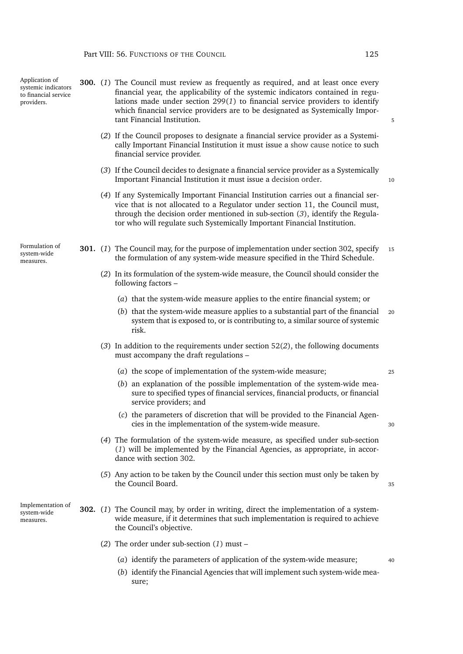<span id="page-146-4"></span><span id="page-146-3"></span><span id="page-146-2"></span><span id="page-146-1"></span><span id="page-146-0"></span>

| (2) If the Council proposes to designate a financial service provider as a Systemi-<br>cally Important Financial Institution it must issue a show cause notice to such<br>financial service provider.<br>(3) If the Council decides to designate a financial service provider as a Systemically<br>Important Financial Institution it must issue a decision order.<br>(4) If any Systemically Important Financial Institution carries out a financial ser-<br>vice that is not allocated to a Regulator under section 11, the Council must,<br>through the decision order mentioned in sub-section $(3)$ , identify the Regula-<br>tor who will regulate such Systemically Important Financial Institution.<br>Formulation of<br><b>301.</b> (1) The Council may, for the purpose of implementation under section 302, specify<br>system-wide<br>the formulation of any system-wide measure specified in the Third Schedule.<br>measures.<br>(2) In its formulation of the system-wide measure, the Council should consider the<br>following factors -<br>(a) that the system-wide measure applies to the entire financial system; or<br>(b) that the system-wide measure applies to a substantial part of the financial<br>system that is exposed to, or is contributing to, a similar source of systemic<br>risk.<br>$(3)$ In addition to the requirements under section 52(2), the following documents<br>must accompany the draft regulations -<br>(a) the scope of implementation of the system-wide measure;<br>(b) an explanation of the possible implementation of the system-wide mea-<br>sure to specified types of financial services, financial products, or financial<br>service providers; and<br>(c) the parameters of discretion that will be provided to the Financial Agen-<br>cies in the implementation of the system-wide measure.<br>(4) The formulation of the system-wide measure, as specified under sub-section<br>(1) will be implemented by the Financial Agencies, as appropriate, in accor-<br>dance with section 302.<br>(5) Any action to be taken by the Council under this section must only be taken by<br>the Council Board.<br>Implementation of<br><b>302.</b> (1) The Council may, by order in writing, direct the implementation of a system-<br>system-wide<br>wide measure, if it determines that such implementation is required to achieve<br>measures.<br>the Council's objective.<br>(2) The order under sub-section $(1)$ must –<br>(a) identify the parameters of application of the system-wide measure; | Application of<br>systemic indicators<br>to financial service<br>providers. |  | <b>300.</b> (1) The Council must review as frequently as required, and at least once every<br>financial year, the applicability of the systemic indicators contained in regu-<br>lations made under section $299(1)$ to financial service providers to identify<br>which financial service providers are to be designated as Systemically Impor-<br>tant Financial Institution. | 5  |
|-----------------------------------------------------------------------------------------------------------------------------------------------------------------------------------------------------------------------------------------------------------------------------------------------------------------------------------------------------------------------------------------------------------------------------------------------------------------------------------------------------------------------------------------------------------------------------------------------------------------------------------------------------------------------------------------------------------------------------------------------------------------------------------------------------------------------------------------------------------------------------------------------------------------------------------------------------------------------------------------------------------------------------------------------------------------------------------------------------------------------------------------------------------------------------------------------------------------------------------------------------------------------------------------------------------------------------------------------------------------------------------------------------------------------------------------------------------------------------------------------------------------------------------------------------------------------------------------------------------------------------------------------------------------------------------------------------------------------------------------------------------------------------------------------------------------------------------------------------------------------------------------------------------------------------------------------------------------------------------------------------------------------------------------------------------------------------------------------------------------------------------------------------------------------------------------------------------------------------------------------------------------------------------------------------------------------------------------------------------------------------------------------------------------------------------------------------------------------------------------------------------------------------------------------------------|-----------------------------------------------------------------------------|--|---------------------------------------------------------------------------------------------------------------------------------------------------------------------------------------------------------------------------------------------------------------------------------------------------------------------------------------------------------------------------------|----|
|                                                                                                                                                                                                                                                                                                                                                                                                                                                                                                                                                                                                                                                                                                                                                                                                                                                                                                                                                                                                                                                                                                                                                                                                                                                                                                                                                                                                                                                                                                                                                                                                                                                                                                                                                                                                                                                                                                                                                                                                                                                                                                                                                                                                                                                                                                                                                                                                                                                                                                                                                           |                                                                             |  |                                                                                                                                                                                                                                                                                                                                                                                 |    |
|                                                                                                                                                                                                                                                                                                                                                                                                                                                                                                                                                                                                                                                                                                                                                                                                                                                                                                                                                                                                                                                                                                                                                                                                                                                                                                                                                                                                                                                                                                                                                                                                                                                                                                                                                                                                                                                                                                                                                                                                                                                                                                                                                                                                                                                                                                                                                                                                                                                                                                                                                           |                                                                             |  |                                                                                                                                                                                                                                                                                                                                                                                 | 10 |
|                                                                                                                                                                                                                                                                                                                                                                                                                                                                                                                                                                                                                                                                                                                                                                                                                                                                                                                                                                                                                                                                                                                                                                                                                                                                                                                                                                                                                                                                                                                                                                                                                                                                                                                                                                                                                                                                                                                                                                                                                                                                                                                                                                                                                                                                                                                                                                                                                                                                                                                                                           |                                                                             |  |                                                                                                                                                                                                                                                                                                                                                                                 |    |
|                                                                                                                                                                                                                                                                                                                                                                                                                                                                                                                                                                                                                                                                                                                                                                                                                                                                                                                                                                                                                                                                                                                                                                                                                                                                                                                                                                                                                                                                                                                                                                                                                                                                                                                                                                                                                                                                                                                                                                                                                                                                                                                                                                                                                                                                                                                                                                                                                                                                                                                                                           |                                                                             |  |                                                                                                                                                                                                                                                                                                                                                                                 | 15 |
|                                                                                                                                                                                                                                                                                                                                                                                                                                                                                                                                                                                                                                                                                                                                                                                                                                                                                                                                                                                                                                                                                                                                                                                                                                                                                                                                                                                                                                                                                                                                                                                                                                                                                                                                                                                                                                                                                                                                                                                                                                                                                                                                                                                                                                                                                                                                                                                                                                                                                                                                                           |                                                                             |  |                                                                                                                                                                                                                                                                                                                                                                                 |    |
|                                                                                                                                                                                                                                                                                                                                                                                                                                                                                                                                                                                                                                                                                                                                                                                                                                                                                                                                                                                                                                                                                                                                                                                                                                                                                                                                                                                                                                                                                                                                                                                                                                                                                                                                                                                                                                                                                                                                                                                                                                                                                                                                                                                                                                                                                                                                                                                                                                                                                                                                                           |                                                                             |  |                                                                                                                                                                                                                                                                                                                                                                                 |    |
|                                                                                                                                                                                                                                                                                                                                                                                                                                                                                                                                                                                                                                                                                                                                                                                                                                                                                                                                                                                                                                                                                                                                                                                                                                                                                                                                                                                                                                                                                                                                                                                                                                                                                                                                                                                                                                                                                                                                                                                                                                                                                                                                                                                                                                                                                                                                                                                                                                                                                                                                                           |                                                                             |  |                                                                                                                                                                                                                                                                                                                                                                                 | 20 |
|                                                                                                                                                                                                                                                                                                                                                                                                                                                                                                                                                                                                                                                                                                                                                                                                                                                                                                                                                                                                                                                                                                                                                                                                                                                                                                                                                                                                                                                                                                                                                                                                                                                                                                                                                                                                                                                                                                                                                                                                                                                                                                                                                                                                                                                                                                                                                                                                                                                                                                                                                           |                                                                             |  |                                                                                                                                                                                                                                                                                                                                                                                 |    |
|                                                                                                                                                                                                                                                                                                                                                                                                                                                                                                                                                                                                                                                                                                                                                                                                                                                                                                                                                                                                                                                                                                                                                                                                                                                                                                                                                                                                                                                                                                                                                                                                                                                                                                                                                                                                                                                                                                                                                                                                                                                                                                                                                                                                                                                                                                                                                                                                                                                                                                                                                           |                                                                             |  |                                                                                                                                                                                                                                                                                                                                                                                 | 25 |
|                                                                                                                                                                                                                                                                                                                                                                                                                                                                                                                                                                                                                                                                                                                                                                                                                                                                                                                                                                                                                                                                                                                                                                                                                                                                                                                                                                                                                                                                                                                                                                                                                                                                                                                                                                                                                                                                                                                                                                                                                                                                                                                                                                                                                                                                                                                                                                                                                                                                                                                                                           |                                                                             |  |                                                                                                                                                                                                                                                                                                                                                                                 |    |
|                                                                                                                                                                                                                                                                                                                                                                                                                                                                                                                                                                                                                                                                                                                                                                                                                                                                                                                                                                                                                                                                                                                                                                                                                                                                                                                                                                                                                                                                                                                                                                                                                                                                                                                                                                                                                                                                                                                                                                                                                                                                                                                                                                                                                                                                                                                                                                                                                                                                                                                                                           |                                                                             |  |                                                                                                                                                                                                                                                                                                                                                                                 | 30 |
|                                                                                                                                                                                                                                                                                                                                                                                                                                                                                                                                                                                                                                                                                                                                                                                                                                                                                                                                                                                                                                                                                                                                                                                                                                                                                                                                                                                                                                                                                                                                                                                                                                                                                                                                                                                                                                                                                                                                                                                                                                                                                                                                                                                                                                                                                                                                                                                                                                                                                                                                                           |                                                                             |  |                                                                                                                                                                                                                                                                                                                                                                                 |    |
|                                                                                                                                                                                                                                                                                                                                                                                                                                                                                                                                                                                                                                                                                                                                                                                                                                                                                                                                                                                                                                                                                                                                                                                                                                                                                                                                                                                                                                                                                                                                                                                                                                                                                                                                                                                                                                                                                                                                                                                                                                                                                                                                                                                                                                                                                                                                                                                                                                                                                                                                                           |                                                                             |  |                                                                                                                                                                                                                                                                                                                                                                                 | 35 |
|                                                                                                                                                                                                                                                                                                                                                                                                                                                                                                                                                                                                                                                                                                                                                                                                                                                                                                                                                                                                                                                                                                                                                                                                                                                                                                                                                                                                                                                                                                                                                                                                                                                                                                                                                                                                                                                                                                                                                                                                                                                                                                                                                                                                                                                                                                                                                                                                                                                                                                                                                           |                                                                             |  |                                                                                                                                                                                                                                                                                                                                                                                 |    |
|                                                                                                                                                                                                                                                                                                                                                                                                                                                                                                                                                                                                                                                                                                                                                                                                                                                                                                                                                                                                                                                                                                                                                                                                                                                                                                                                                                                                                                                                                                                                                                                                                                                                                                                                                                                                                                                                                                                                                                                                                                                                                                                                                                                                                                                                                                                                                                                                                                                                                                                                                           |                                                                             |  |                                                                                                                                                                                                                                                                                                                                                                                 |    |
| sure;                                                                                                                                                                                                                                                                                                                                                                                                                                                                                                                                                                                                                                                                                                                                                                                                                                                                                                                                                                                                                                                                                                                                                                                                                                                                                                                                                                                                                                                                                                                                                                                                                                                                                                                                                                                                                                                                                                                                                                                                                                                                                                                                                                                                                                                                                                                                                                                                                                                                                                                                                     |                                                                             |  | (b) identify the Financial Agencies that will implement such system-wide mea-                                                                                                                                                                                                                                                                                                   | 40 |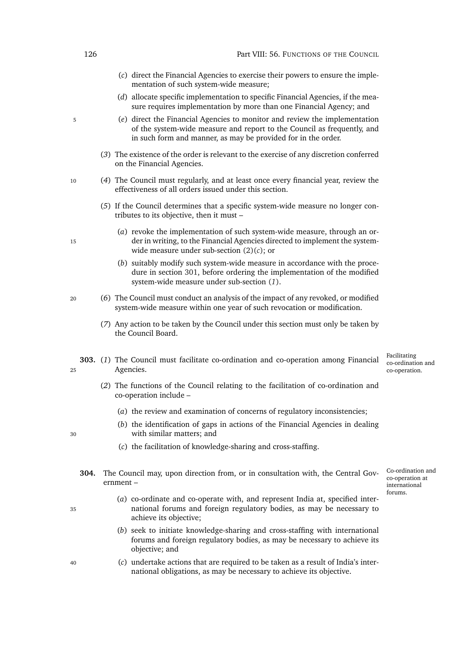<span id="page-147-0"></span>

|      |  |                                                                                              | (c) direct the Financial Agencies to exercise their powers to ensure the imple-<br>mentation of such system-wide measure;                                                                                              |                                                    |  |  |  |
|------|--|----------------------------------------------------------------------------------------------|------------------------------------------------------------------------------------------------------------------------------------------------------------------------------------------------------------------------|----------------------------------------------------|--|--|--|
|      |  |                                                                                              | (d) allocate specific implementation to specific Financial Agencies, if the mea-<br>sure requires implementation by more than one Financial Agency; and                                                                |                                                    |  |  |  |
| 5    |  |                                                                                              | (e) direct the Financial Agencies to monitor and review the implementation<br>of the system-wide measure and report to the Council as frequently, and<br>in such form and manner, as may be provided for in the order. |                                                    |  |  |  |
|      |  |                                                                                              | (3) The existence of the order is relevant to the exercise of any discretion conferred<br>on the Financial Agencies.                                                                                                   |                                                    |  |  |  |
| 10   |  |                                                                                              | (4) The Council must regularly, and at least once every financial year, review the<br>effectiveness of all orders issued under this section.                                                                           |                                                    |  |  |  |
|      |  |                                                                                              | (5) If the Council determines that a specific system-wide measure no longer con-<br>tributes to its objective, then it must -                                                                                          |                                                    |  |  |  |
| 15   |  |                                                                                              | (a) revoke the implementation of such system-wide measure, through an or-<br>der in writing, to the Financial Agencies directed to implement the system-<br>wide measure under sub-section $(2)(c)$ ; or               |                                                    |  |  |  |
|      |  |                                                                                              | (b) suitably modify such system-wide measure in accordance with the proce-<br>dure in section 301, before ordering the implementation of the modified<br>system-wide measure under sub-section (1).                    |                                                    |  |  |  |
| 20   |  |                                                                                              | (6) The Council must conduct an analysis of the impact of any revoked, or modified<br>system-wide measure within one year of such revocation or modification.                                                          |                                                    |  |  |  |
|      |  |                                                                                              | (7) Any action to be taken by the Council under this section must only be taken by<br>the Council Board.                                                                                                               |                                                    |  |  |  |
| 25   |  |                                                                                              | 303. (1) The Council must facilitate co-ordination and co-operation among Financial<br>Agencies.                                                                                                                       | Facilitating<br>co-ordination and<br>co-operation. |  |  |  |
|      |  |                                                                                              | (2) The functions of the Council relating to the facilitation of co-ordination and<br>co-operation include -                                                                                                           |                                                    |  |  |  |
|      |  |                                                                                              | (a) the review and examination of concerns of regulatory inconsistencies;                                                                                                                                              |                                                    |  |  |  |
| 30   |  |                                                                                              | (b) the identification of gaps in actions of the Financial Agencies in dealing<br>with similar matters; and                                                                                                            |                                                    |  |  |  |
|      |  |                                                                                              | (c) the facilitation of knowledge-sharing and cross-staffing.                                                                                                                                                          |                                                    |  |  |  |
| 304. |  | The Council may, upon direction from, or in consultation with, the Central Gov-<br>ernment – |                                                                                                                                                                                                                        |                                                    |  |  |  |
| 35   |  |                                                                                              | (a) co-ordinate and co-operate with, and represent India at, specified inter-<br>national forums and foreign regulatory bodies, as may be necessary to<br>achieve its objective;                                       | forums.                                            |  |  |  |

- (*b*) seek to initiate knowledge-sharing and cross-staffing with international forums and foreign regulatory bodies, as may be necessary to achieve its objective; and
- <sup>40</sup> (*c*) undertake actions that are required to be taken as a result of India's international obligations, as may be necessary to achieve its objective.

126 Part VIII: 56. FUNCTIONS OF THE COUNCIL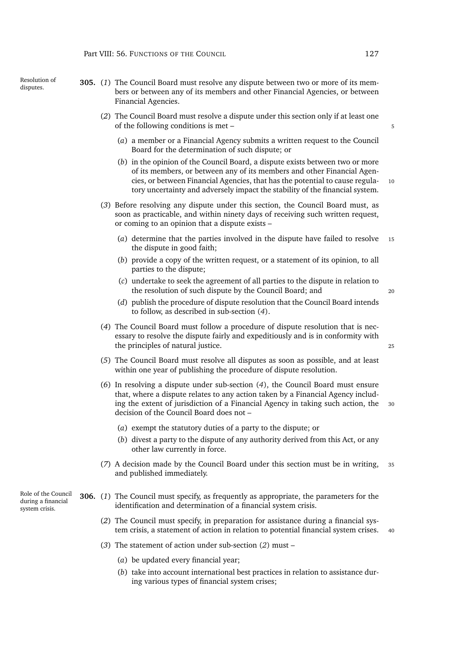- Resolution of
- Resolution of **305.** (1) The Council Board must resolve any dispute between two or more of its mem-<br>disputes. bers or between any of its members and other Financial Agencies, or between Financial Agencies.
	- (*2*) The Council Board must resolve a dispute under this section only if at least one of the following conditions is met – 5
		- (*a*) a member or a Financial Agency submits a written request to the Council Board for the determination of such dispute; or
		- (*b*) in the opinion of the Council Board, a dispute exists between two or more of its members, or between any of its members and other Financial Agencies, or between Financial Agencies, that has the potential to cause regula- 10 tory uncertainty and adversely impact the stability of the financial system.
	- (*3*) Before resolving any dispute under this section, the Council Board must, as soon as practicable, and within ninety days of receiving such written request, or coming to an opinion that a dispute exists –
		- (*a*) determine that the parties involved in the dispute have failed to resolve <sup>15</sup> the dispute in good faith;
		- (*b*) provide a copy of the written request, or a statement of its opinion, to all parties to the dispute;
		- (*c*) undertake to seek the agreement of all parties to the dispute in relation to the resolution of such dispute by the Council Board; and <sup>20</sup>
		- (*d*) publish the procedure of dispute resolution that the Council Board intends to follow, as described in sub-section (*[4](#page-148-0)*).
	- (*4*) The Council Board must follow a procedure of dispute resolution that is necessary to resolve the dispute fairly and expeditiously and is in conformity with the principles of natural justice. 25
	- (*5*) The Council Board must resolve all disputes as soon as possible, and at least within one year of publishing the procedure of dispute resolution.
	- (*6*) In resolving a dispute under sub-section (*[4](#page-148-0)*), the Council Board must ensure that, where a dispute relates to any action taken by a Financial Agency including the extent of jurisdiction of a Financial Agency in taking such action, the 30 decision of the Council Board does not –
		- (*a*) exempt the statutory duties of a party to the dispute; or
		- (*b*) divest a party to the dispute of any authority derived from this Act, or any other law currently in force.
	- (*7*) A decision made by the Council Board under this section must be in writing, <sup>35</sup> and published immediately.
	- **306.** (*1*) The Council must specify, as frequently as appropriate, the parameters for the identification and determination of a financial system crisis.
		- (*2*) The Council must specify, in preparation for assistance during a financial system crisis, a statement of action in relation to potential financial system crises. <sup>40</sup>
		- (*3*) The statement of action under sub-section (*[2](#page-148-1)*) must
			- (*a*) be updated every financial year;
			- (*b*) take into account international best practices in relation to assistance during various types of financial system crises;

<span id="page-148-1"></span><span id="page-148-0"></span>Role of the Council during a financial system crisis.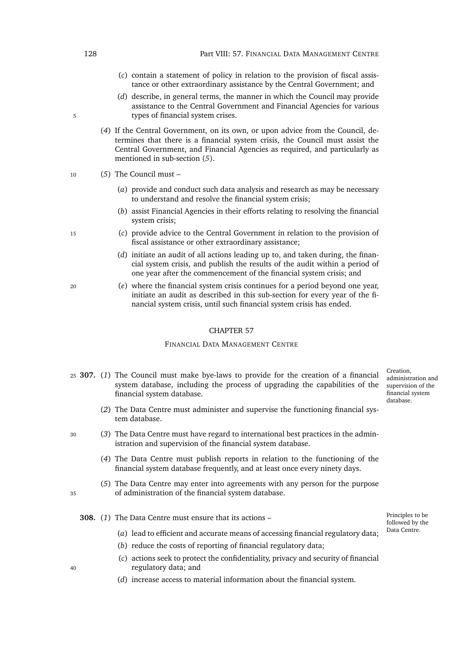- (*c*) contain a statement of policy in relation to the provision of fiscal assistance or other extraordinary assistance by the Central Government; and
- (*d*) describe, in general terms, the manner in which the Council may provide assistance to the Central Government and Financial Agencies for various 5 types of financial system crises.
	- (*4*) If the Central Government, on its own, or upon advice from the Council, determines that there is a financial system crisis, the Council must assist the Central Government, and Financial Agencies as required, and particularly as mentioned in sub-section (*[5](#page-149-0)*).
- <span id="page-149-0"></span><sup>10</sup> (*5*) The Council must –
	- (*a*) provide and conduct such data analysis and research as may be necessary to understand and resolve the financial system crisis;
	- (*b*) assist Financial Agencies in their efforts relating to resolving the financial system crisis;
- <sup>15</sup> (*c*) provide advice to the Central Government in relation to the provision of fiscal assistance or other extraordinary assistance;
	- (*d*) initiate an audit of all actions leading up to, and taken during, the financial system crisis, and publish the results of the audit within a period of one year after the commencement of the financial system crisis; and
- <sup>20</sup> (*e*) where the financial system crisis continues for a period beyond one year, initiate an audit as described in this sub-section for every year of the financial system crisis, until such financial system crisis has ended.

### CHAPTER 57

# FINANCIAL DATA MANAGEMENT CENTRE

- <sup>25</sup> **307.** (*1*) The Council must make bye-laws to provide for the creation of a financial system database, including the process of upgrading the capabilities of the financial system database.
	- (*2*) The Data Centre must administer and supervise the functioning financial system database.
- <sup>30</sup> (*3*) The Data Centre must have regard to international best practices in the administration and supervision of the financial system database.
	- (*4*) The Data Centre must publish reports in relation to the functioning of the financial system database frequently, and at least once every ninety days.
- (*5*) The Data Centre may enter into agreements with any person for the purpose <sup>35</sup> of administration of the financial system database.
	- **308.** (*1*) The Data Centre must ensure that its actions
		- (*a*) lead to efficient and accurate means of accessing financial regulatory data;
		- (*b*) reduce the costs of reporting of financial regulatory data;
- (*c*) actions seek to protect the confidentiality, privacy and security of financial <sup>40</sup> regulatory data; and
	- (*d*) increase access to material information about the financial system.

- 
- 

Principles to be followed by the Data Centre.

Creation, administration and supervision of the financial system database.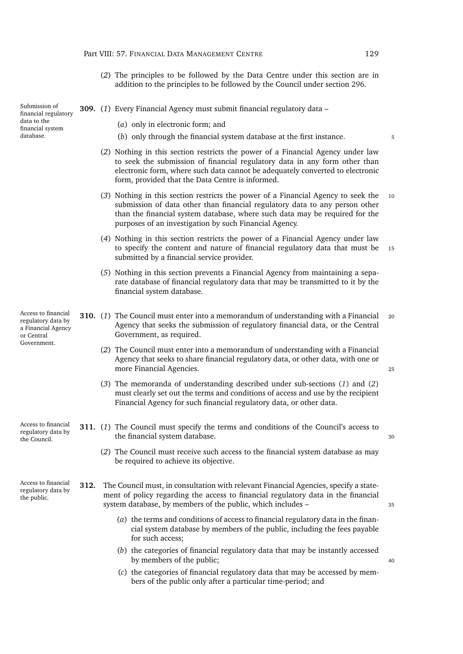<span id="page-150-1"></span><span id="page-150-0"></span>

|                                                                                              |      | 129<br>Part VIII: 57. FINANCIAL DATA MANAGEMENT CENTRE                                                                                                                                                                                                                                                    |    |
|----------------------------------------------------------------------------------------------|------|-----------------------------------------------------------------------------------------------------------------------------------------------------------------------------------------------------------------------------------------------------------------------------------------------------------|----|
|                                                                                              |      | (2) The principles to be followed by the Data Centre under this section are in<br>addition to the principles to be followed by the Council under section 296.                                                                                                                                             |    |
| Submission of<br>financial regulatory                                                        |      | 309. (1) Every Financial Agency must submit financial regulatory data -                                                                                                                                                                                                                                   |    |
| data to the<br>financial system                                                              |      | (a) only in electronic form; and                                                                                                                                                                                                                                                                          |    |
| database.                                                                                    |      | (b) only through the financial system database at the first instance.                                                                                                                                                                                                                                     | 5  |
|                                                                                              |      | (2) Nothing in this section restricts the power of a Financial Agency under law<br>to seek the submission of financial regulatory data in any form other than<br>electronic form, where such data cannot be adequately converted to electronic<br>form, provided that the Data Centre is informed.        |    |
|                                                                                              |      | (3) Nothing in this section restricts the power of a Financial Agency to seek the<br>submission of data other than financial regulatory data to any person other<br>than the financial system database, where such data may be required for the<br>purposes of an investigation by such Financial Agency. | 10 |
|                                                                                              |      | (4) Nothing in this section restricts the power of a Financial Agency under law<br>to specify the content and nature of financial regulatory data that must be<br>submitted by a financial service provider.                                                                                              | 15 |
|                                                                                              |      | (5) Nothing in this section prevents a Financial Agency from maintaining a sepa-<br>rate database of financial regulatory data that may be transmitted to it by the<br>financial system database.                                                                                                         |    |
| Access to financial<br>regulatory data by<br>a Financial Agency<br>or Central<br>Government. |      | <b>310.</b> (1) The Council must enter into a memorandum of understanding with a Financial<br>Agency that seeks the submission of regulatory financial data, or the Central<br>Government, as required.                                                                                                   | 20 |
|                                                                                              |      | (2) The Council must enter into a memorandum of understanding with a Financial<br>Agency that seeks to share financial regulatory data, or other data, with one or<br>more Financial Agencies.                                                                                                            | 25 |
|                                                                                              |      | (3) The memoranda of understanding described under sub-sections $(1)$ and $(2)$<br>must clearly set out the terms and conditions of access and use by the recipient<br>Financial Agency for such financial regulatory data, or other data.                                                                |    |
| Access to financial<br>regulatory data by<br>the Council.                                    |      | 311. (1) The Council must specify the terms and conditions of the Council's access to<br>the financial system database.                                                                                                                                                                                   | 30 |
|                                                                                              |      | (2) The Council must receive such access to the financial system database as may<br>be required to achieve its objective.                                                                                                                                                                                 |    |
| Access to financial<br>regulatory data by<br>the public.                                     | 312. | The Council must, in consultation with relevant Financial Agencies, specify a state-<br>ment of policy regarding the access to financial regulatory data in the financial<br>system database, by members of the public, which includes -                                                                  | 35 |
|                                                                                              |      | (a) the terms and conditions of access to financial regulatory data in the finan-<br>cial system database by members of the public, including the fees payable<br>for such access;                                                                                                                        |    |
|                                                                                              |      | (b) the categories of financial regulatory data that may be instantly accessed<br>by members of the public;                                                                                                                                                                                               | 40 |
|                                                                                              |      | (c) the categories of financial regulatory data that may be accessed by mem-<br>bers of the public only after a particular time-period; and                                                                                                                                                               |    |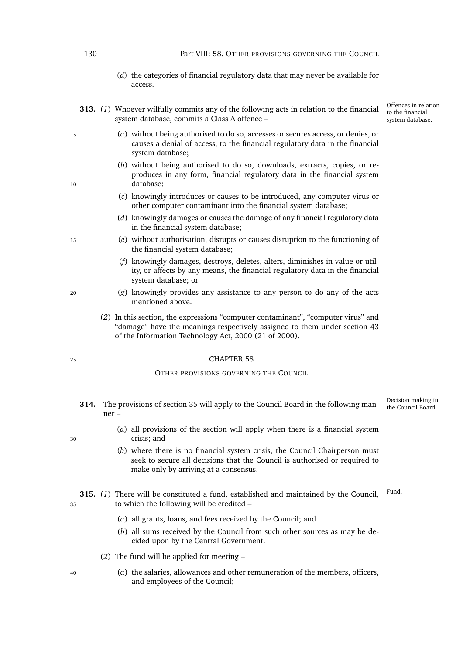### 130 Part VIII: 58. OTHER PROVISIONS GOVERNING THE COUNCIL

- (*d*) the categories of financial regulatory data that may never be available for access.
- **313.** (*1*) Whoever wilfully commits any of the following acts in relation to the financial system database, commits a Class A offence –

Offences in relation to the financial system database.

- <sup>5</sup> (*a*) without being authorised to do so, accesses or secures access, or denies, or causes a denial of access, to the financial regulatory data in the financial system database;
- (*b*) without being authorised to do so, downloads, extracts, copies, or reproduces in any form, financial regulatory data in the financial system 10 database;
	- (*c*) knowingly introduces or causes to be introduced, any computer virus or other computer contaminant into the financial system database;
	- (*d*) knowingly damages or causes the damage of any financial regulatory data in the financial system database;
- <sup>15</sup> (*e*) without authorisation, disrupts or causes disruption to the functioning of the financial system database;
	- (*f*) knowingly damages, destroys, deletes, alters, diminishes in value or utility, or affects by any means, the financial regulatory data in the financial system database; or
- <sup>20</sup> (*g*) knowingly provides any assistance to any person to do any of the acts mentioned above.
	- (*2*) In this section, the expressions "computer contaminant", "computer virus" and "damage" have the meanings respectively assigned to them under section 43 of the Information Technology Act, 2000 (21 of 2000).

### <sup>25</sup> CHAPTER 58

### OTHER PROVISIONS GOVERNING THE COUNCIL

- Decision making in<br>the Council Board. the Council Board. **314.** The provisions of section [35](#page-45-0) will apply to the Council Board in the following manner –
- (*a*) all provisions of the section will apply when there is a financial system <sup>30</sup> crisis; and
	- (*b*) where there is no financial system crisis, the Council Chairperson must seek to secure all decisions that the Council is authorised or required to make only by arriving at a consensus.

315. (1) There will be constituted a fund, established and maintained by the Council, Fund. <sup>35</sup> to which the following will be credited –

- (*a*) all grants, loans, and fees received by the Council; and
- (*b*) all sums received by the Council from such other sources as may be decided upon by the Central Government.
- (*2*) The fund will be applied for meeting –
- <sup>40</sup> (*a*) the salaries, allowances and other remuneration of the members, officers, and employees of the Council;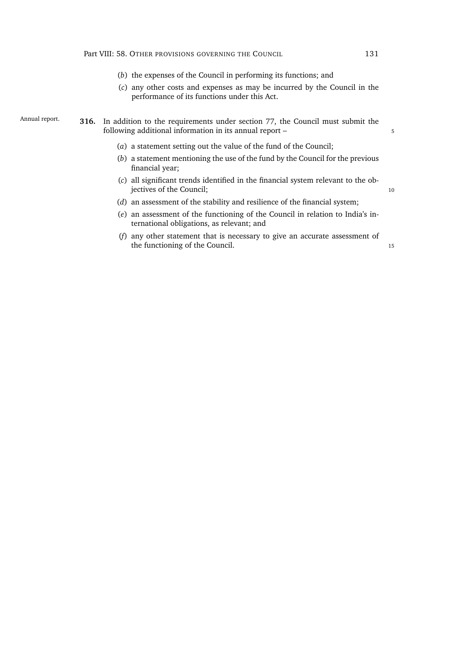- (*b*) the expenses of the Council in performing its functions; and
- (*c*) any other costs and expenses as may be incurred by the Council in the performance of its functions under this Act.
- Annual report. **316.** In addition to the requirements under section [77,](#page-60-0) the Council must submit the following additional information in its annual report –
	- (*a*) a statement setting out the value of the fund of the Council;
	- (*b*) a statement mentioning the use of the fund by the Council for the previous financial year;
	- (*c*) all significant trends identified in the financial system relevant to the objectives of the Council; 10
	- (*d*) an assessment of the stability and resilience of the financial system;
	- (*e*) an assessment of the functioning of the Council in relation to India's international obligations, as relevant; and
	- (*f*) any other statement that is necessary to give an accurate assessment of the functioning of the Council. 15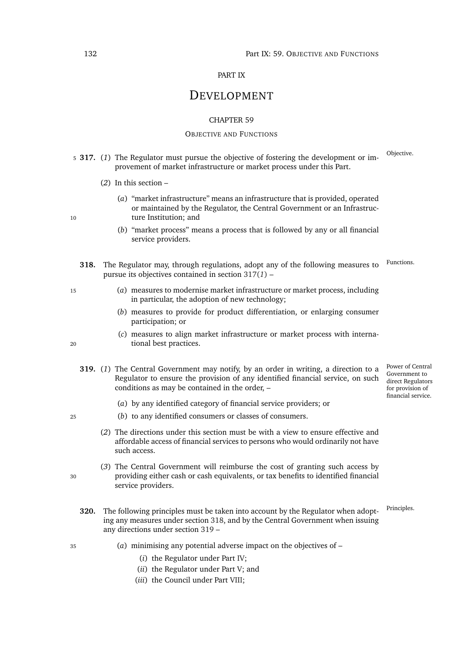# PART IX

# DEVELOPMENT

### CHAPTER 59

### OBJECTIVE AND FUNCTIONS

- <span id="page-153-0"></span>Objective. <sup>5</sup> **317.** (*1*) The Regulator must pursue the objective of fostering the development or improvement of market infrastructure or market process under this Part.
	- (*2*) In this section –
- (*a*) "market infrastructure" means an infrastructure that is provided, operated or maintained by the Regulator, the Central Government or an Infrastruc-10 ture Institution; and
	- (*b*) "market process" means a process that is followed by any or all financial service providers.
	- **318.** The Regulator may, through regulations, adopt any of the following measures to Functions. pursue its objectives contained in section [317\(](#page-153-0)*1*) –
- <span id="page-153-1"></span><sup>15</sup> (*a*) measures to modernise market infrastructure or market process, including in particular, the adoption of new technology;
	- (*b*) measures to provide for product differentiation, or enlarging consumer participation; or
- (*c*) measures to align market infrastructure or market process with interna-<sup>20</sup> tional best practices.
	- Power of Central **319.** (*1*) The Central Government may notify, by an order in writing, a direction to a Regulator to ensure the provision of any identified financial service, on such conditions as may be contained in the order, –
		- (*a*) by any identified category of financial service providers; or
- <sup>25</sup> (*b*) to any identified consumers or classes of consumers.
	- (*2*) The directions under this section must be with a view to ensure effective and affordable access of financial services to persons who would ordinarily not have such access.
- (*3*) The Central Government will reimburse the cost of granting such access by <sup>30</sup> providing either cash or cash equivalents, or tax benefits to identified financial service providers.
	- **320.** The following principles must be taken into account by the Regulator when adopt-Principles. ing any measures under section [318,](#page-153-1) and by the Central Government when issuing any directions under section [319](#page-153-2) –
- <sup>35</sup> (*a*) minimising any potential adverse impact on the objectives of
	- (*i*) the Regulator under Part [IV;](#page-64-0)
	- (*ii*) the Regulator under Part [V;](#page-87-0) and
	- (*iii*) the Council under Part [VIII;](#page-143-0)

- 
- <span id="page-153-2"></span>

Government to direct Regulators for provision of financial service.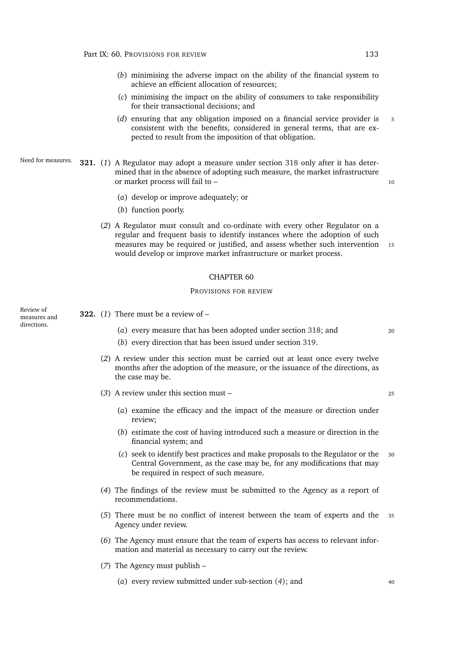- (*b*) minimising the adverse impact on the ability of the financial system to achieve an efficient allocation of resources;
- (*c*) minimising the impact on the ability of consumers to take responsibility for their transactional decisions; and
- (*d*) ensuring that any obligation imposed on a financial service provider is 5 consistent with the benefits, considered in general terms, that are expected to result from the imposition of that obligation.
- Need for measures. **321.** (*1*) A Regulator may adopt a measure under section [318](#page-153-1) only after it has determined that in the absence of adopting such measure, the market infrastructure or market process will fail to – 10

- (*a*) develop or improve adequately; or
- (*b*) function poorly.
- (*2*) A Regulator must consult and co-ordinate with every other Regulator on a regular and frequent basis to identify instances where the adoption of such measures may be required or justified, and assess whether such intervention 15 would develop or improve market infrastructure or market process.

### CHAPTER 60

### PROVISIONS FOR REVIEW

Review of measures and directions.

<span id="page-154-1"></span>**322.** (*1*) There must be a review of –

- (*a*) every measure that has been adopted under section [318;](#page-153-1) and <sup>20</sup>
- (*b*) every direction that has been issued under section [319.](#page-153-2)
- (*2*) A review under this section must be carried out at least once every twelve months after the adoption of the measure, or the issuance of the directions, as the case may be.
- (*3*) A review under this section must <sup>25</sup>

- (*a*) examine the efficacy and the impact of the measure or direction under review;
- (*b*) estimate the cost of having introduced such a measure or direction in the financial system; and
- (*c*) seek to identify best practices and make proposals to the Regulator or the <sup>30</sup> Central Government, as the case may be, for any modifications that may be required in respect of such measure.
- <span id="page-154-0"></span>(*4*) The findings of the review must be submitted to the Agency as a report of recommendations.
- (*5*) There must be no conflict of interest between the team of experts and the <sup>35</sup> Agency under review.
- (*6*) The Agency must ensure that the team of experts has access to relevant information and material as necessary to carry out the review.
- (*7*) The Agency must publish
	- (*a*) every review submitted under sub-section (*[4](#page-154-0)*); and <sup>40</sup>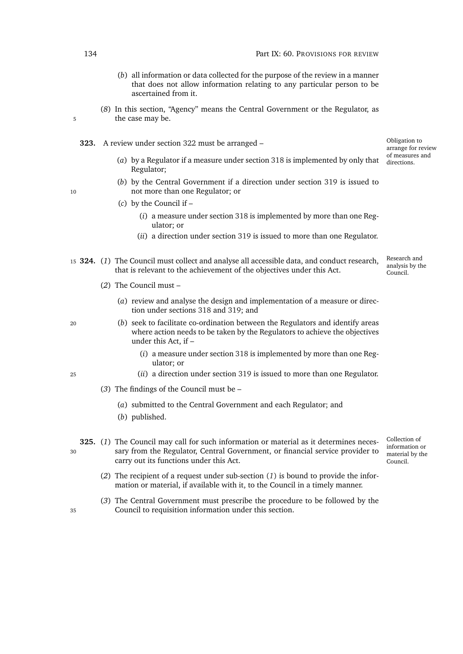- (*b*) all information or data collected for the purpose of the review in a manner that does not allow information relating to any particular person to be ascertained from it.
- (*8*) In this section, "Agency" means the Central Government or the Regulator, as 5 the case may be.
	- **323.** A review under section [322](#page-154-1) must be arranged
		- of measures and (*a*) by a Regulator if a measure under section [318](#page-153-1) is implemented by only that  $\frac{d}{d}$  directions. Regulator;
- (*b*) by the Central Government if a direction under section [319](#page-153-2) is issued to 10 not more than one Regulator; or

- (*c*) by the Council if
	- (*i*) a measure under section [318](#page-153-1) is implemented by more than one Regulator; or
	- (*ii*) a direction under section [319](#page-153-2) is issued to more than one Regulator.
- Research and analysis by the Council. <sup>15</sup> **324.** (*1*) The Council must collect and analyse all accessible data, and conduct research, that is relevant to the achievement of the objectives under this Act.
	- (*2*) The Council must
		- (*a*) review and analyse the design and implementation of a measure or direction under sections [318](#page-153-1) and [319;](#page-153-2) and
- <sup>20</sup> (*b*) seek to facilitate co-ordination between the Regulators and identify areas where action needs to be taken by the Regulators to achieve the objectives under this Act, if –
	- (*i*) a measure under section [318](#page-153-1) is implemented by more than one Regulator; or
- <sup>25</sup> (*ii*) a direction under section [319](#page-153-2) is issued to more than one Regulator.
	- (*3*) The findings of the Council must be
		- (*a*) submitted to the Central Government and each Regulator; and
		- (*b*) published.
- <span id="page-155-0"></span>**325.** (*1*) The Council may call for such information or material as it determines neces-<sup>30</sup> sary from the Regulator, Central Government, or financial service provider to carry out its functions under this Act.
- Collection of information or material by the Council.

Obligation to arrange for review

- (*2*) The recipient of a request under sub-section (*[1](#page-155-0)*) is bound to provide the information or material, if available with it, to the Council in a timely manner.
- (*3*) The Central Government must prescribe the procedure to be followed by the <sup>35</sup> Council to requisition information under this section.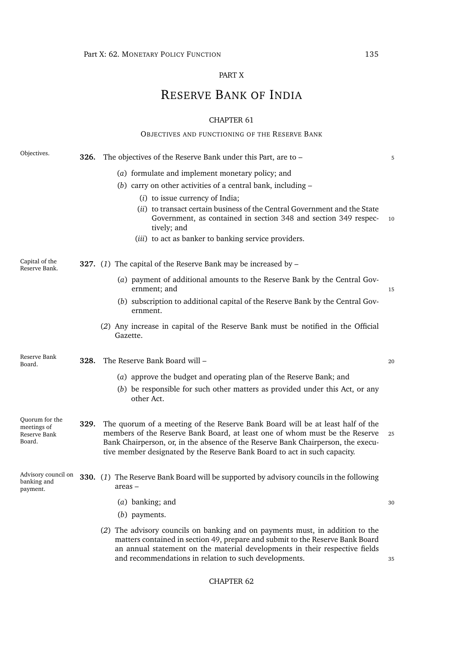# PART X

# RESERVE BANK OF INDIA

# CHAPTER 61

|                                                         |      | OBJECTIVES AND FUNCTIONING OF THE RESERVE BANK                                                                                                                                                                                                                                                                                 |    |
|---------------------------------------------------------|------|--------------------------------------------------------------------------------------------------------------------------------------------------------------------------------------------------------------------------------------------------------------------------------------------------------------------------------|----|
| Objectives.                                             | 326. | The objectives of the Reserve Bank under this Part, are to -                                                                                                                                                                                                                                                                   | 5  |
|                                                         |      | (a) formulate and implement monetary policy; and                                                                                                                                                                                                                                                                               |    |
|                                                         |      | (b) carry on other activities of a central bank, including $-$                                                                                                                                                                                                                                                                 |    |
|                                                         |      | $(i)$ to issue currency of India;                                                                                                                                                                                                                                                                                              |    |
|                                                         |      | (ii) to transact certain business of the Central Government and the State<br>Government, as contained in section 348 and section 349 respec-<br>tively; and                                                                                                                                                                    | 10 |
|                                                         |      | (iii) to act as banker to banking service providers.                                                                                                                                                                                                                                                                           |    |
| Capital of the<br>Reserve Bank.                         |      | <b>327.</b> (1) The capital of the Reserve Bank may be increased by $-$                                                                                                                                                                                                                                                        |    |
|                                                         |      | (a) payment of additional amounts to the Reserve Bank by the Central Gov-<br>ernment; and                                                                                                                                                                                                                                      | 15 |
|                                                         |      | (b) subscription to additional capital of the Reserve Bank by the Central Gov-<br>ernment.                                                                                                                                                                                                                                     |    |
|                                                         |      | (2) Any increase in capital of the Reserve Bank must be notified in the Official<br>Gazette.                                                                                                                                                                                                                                   |    |
| Reserve Bank<br>Board.                                  | 328. | The Reserve Bank Board will -                                                                                                                                                                                                                                                                                                  | 20 |
|                                                         |      | (a) approve the budget and operating plan of the Reserve Bank; and                                                                                                                                                                                                                                                             |    |
|                                                         |      | (b) be responsible for such other matters as provided under this Act, or any<br>other Act.                                                                                                                                                                                                                                     |    |
| Quorum for the<br>meetings of<br>Reserve Bank<br>Board. | 329. | The quorum of a meeting of the Reserve Bank Board will be at least half of the<br>members of the Reserve Bank Board, at least one of whom must be the Reserve<br>Bank Chairperson, or, in the absence of the Reserve Bank Chairperson, the execu-<br>tive member designated by the Reserve Bank Board to act in such capacity. | 25 |
| banking and<br>payment.                                 |      | Advisory council on $330.$ (1) The Reserve Bank Board will be supported by advisory councils in the following<br>areas –                                                                                                                                                                                                       |    |
|                                                         |      | (a) banking; and<br>(b) payments.                                                                                                                                                                                                                                                                                              | 30 |
|                                                         |      | (2) The advisory councils on banking and on payments must, in addition to the<br>matters contained in section 49, prepare and submit to the Reserve Bank Board<br>an annual statement on the material developments in their respective fields<br>and recommendations in relation to such developments.                         | 35 |

# CHAPTER 62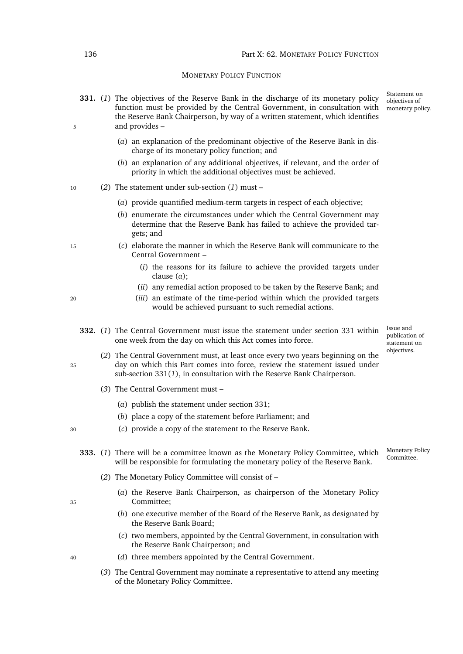### MONETARY POLICY FUNCTION

- <span id="page-157-2"></span><span id="page-157-0"></span>**331.** (*1*) The objectives of the Reserve Bank in the discharge of its monetary policy function must be provided by the Central Government, in consultation with the Reserve Bank Chairperson, by way of a written statement, which identifies 5 and provides –
	- (*a*) an explanation of the predominant objective of the Reserve Bank in discharge of its monetary policy function; and
	- (*b*) an explanation of any additional objectives, if relevant, and the order of priority in which the additional objectives must be achieved.
- <span id="page-157-1"></span><sup>10</sup> (*2*) The statement under sub-section (*[1](#page-157-0)*) must –
	- (*a*) provide quantified medium-term targets in respect of each objective;
	- (*b*) enumerate the circumstances under which the Central Government may determine that the Reserve Bank has failed to achieve the provided targets; and
- <sup>15</sup> (*c*) elaborate the manner in which the Reserve Bank will communicate to the Central Government –
	- (*i*) the reasons for its failure to achieve the provided targets under clause (*a*[\);](#page-157-1)
	- (*ii*) any remedial action proposed to be taken by the Reserve Bank; and
- <sup>20</sup> (*iii*) an estimate of the time-period within which the provided targets would be achieved pursuant to such remedial actions.
	- **332.** (*1*) The Central Government must issue the statement under section [331](#page-157-2) within one week from the day on which this Act comes into force.

Issue and publication of statement on objectives.

Statement on objectives of monetary policy.

- (*2*) The Central Government must, at least once every two years beginning on the <sup>25</sup> day on which this Part comes into force, review the statement issued under sub-section [331\(](#page-157-0)*1*), in consultation with the Reserve Bank Chairperson.
	- (*3*) The Central Government must
		- (*a*) publish the statement under section [331;](#page-157-2)
		- (*b*) place a copy of the statement before Parliament; and
- <sup>30</sup> (*c*) provide a copy of the statement to the Reserve Bank.
	- Monetary Policy 333. (1) There will be a committee known as the Monetary Policy Committee, which will be responsible for formulating the monetary policy of the Reserve Bank.
		- (*2*) The Monetary Policy Committee will consist of –
- (*a*) the Reserve Bank Chairperson, as chairperson of the Monetary Policy <sup>35</sup> Committee;
	- (*b*) one executive member of the Board of the Reserve Bank, as designated by the Reserve Bank Board;
	- (*c*) two members, appointed by the Central Government, in consultation with the Reserve Bank Chairperson; and
- <span id="page-157-4"></span><span id="page-157-3"></span><sup>40</sup> (*d*) three members appointed by the Central Government.
	- (*3*) The Central Government may nominate a representative to attend any meeting of the Monetary Policy Committee.

<span id="page-157-5"></span>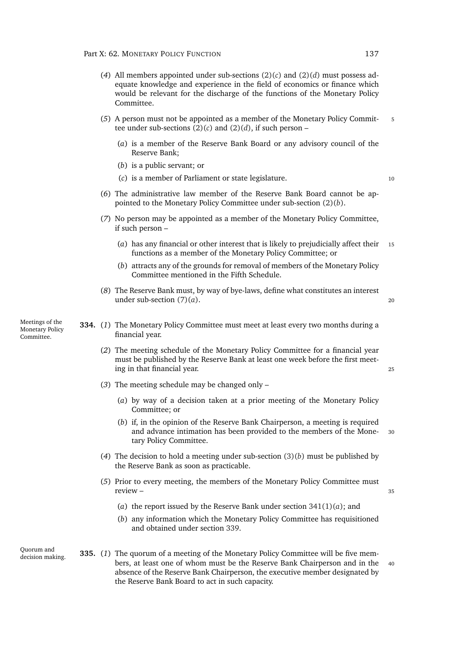- (*4*) All members appointed under sub-sections [\(2\)\(](#page-157-3)*c*) and [\(2\)\(](#page-157-4)*d*) must possess adequate knowledge and experience in the field of economics or finance which would be relevant for the discharge of the functions of the Monetary Policy Committee.
- (*5*) A person must not be appointed as a member of the Monetary Policy Commit- <sup>5</sup> tee under sub-sections  $(2)(c)$  $(2)(c)$  and  $(2)(d)$ , if such person –
	- (*a*) is a member of the Reserve Bank Board or any advisory council of the Reserve Bank;
	- (*b*) is a public servant; or
	- (*c*) is a member of Parliament or state legislature. <sup>10</sup>
- (*6*) The administrative law member of the Reserve Bank Board cannot be appointed to the Monetary Policy Committee under sub-section [\(2\)\(](#page-157-5)*b*).
- <span id="page-158-0"></span>(*7*) No person may be appointed as a member of the Monetary Policy Committee, if such person –
	- (*a*) has any financial or other interest that is likely to prejudicially affect their <sup>15</sup> functions as a member of the Monetary Policy Committee; or
	- (*b*) attracts any of the grounds for removal of members of the Monetary Policy Committee mentioned in the Fifth Schedule.
- (*8*) The Reserve Bank must, by way of bye-laws, define what constitutes an interest under sub-section  $(7)(a)$  $(7)(a)$ . 20

Meetings of the Monetary Policy Committee.

- <span id="page-158-2"></span><span id="page-158-1"></span>**334.** (*1*) The Monetary Policy Committee must meet at least every two months during a financial year.
	- (*2*) The meeting schedule of the Monetary Policy Committee for a financial year must be published by the Reserve Bank at least one week before the first meeting in that financial year. <sup>25</sup>
	- (*3*) The meeting schedule may be changed only
		- (*a*) by way of a decision taken at a prior meeting of the Monetary Policy Committee; or
		- (*b*) if, in the opinion of the Reserve Bank Chairperson, a meeting is required and advance intimation has been provided to the members of the Mone- <sup>30</sup> tary Policy Committee.
	- (*4*) The decision to hold a meeting under sub-section [\(3\)\(](#page-158-1)*b*) must be published by the Reserve Bank as soon as practicable.
	- (*5*) Prior to every meeting, the members of the Monetary Policy Committee must review – 35
		- (*a*) the report issued by the Reserve Bank under section [341\(1\)\(](#page-160-0)*a*); and
		- (*b*) any information which the Monetary Policy Committee has requisitioned and obtained under section [339.](#page-159-0)

Quorum and

decision making. **335.** (*1*) The quorum of a meeting of the Monetary Policy Committee will be five members, at least one of whom must be the Reserve Bank Chairperson and in the <sup>40</sup> absence of the Reserve Bank Chairperson, the executive member designated by the Reserve Bank Board to act in such capacity.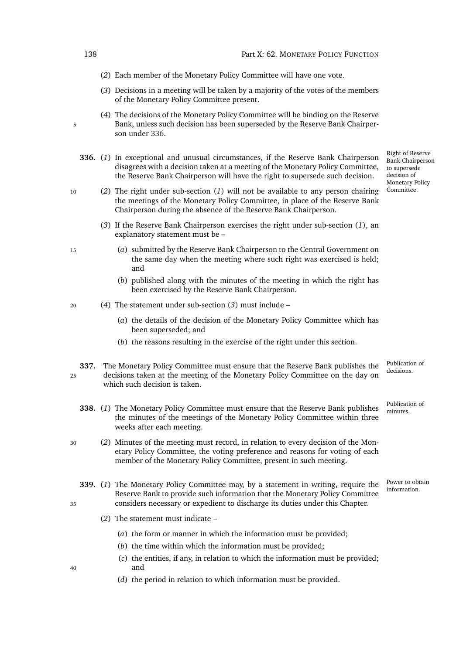- (*2*) Each member of the Monetary Policy Committee will have one vote.
- (*3*) Decisions in a meeting will be taken by a majority of the votes of the members of the Monetary Policy Committee present.
- <span id="page-159-2"></span><span id="page-159-1"></span>(*4*) The decisions of the Monetary Policy Committee will be binding on the Reserve 5 Bank, unless such decision has been superseded by the Reserve Bank Chairperson under [336.](#page-159-1)
	- **336.** (*1*) In exceptional and unusual circumstances, if the Reserve Bank Chairperson disagrees with a decision taken at a meeting of the Monetary Policy Committee, the Reserve Bank Chairperson will have the right to supersede such decision.
- <sup>10</sup> (*2*) The right under sub-section (*[1](#page-159-2)*) will not be available to any person chairing the meetings of the Monetary Policy Committee, in place of the Reserve Bank Chairperson during the absence of the Reserve Bank Chairperson.
	- (*3*) If the Reserve Bank Chairperson exercises the right under sub-section (*[1](#page-159-2)*), an explanatory statement must be –
- <span id="page-159-3"></span><sup>15</sup> (*a*) submitted by the Reserve Bank Chairperson to the Central Government on the same day when the meeting where such right was exercised is held; and
	- (*b*) published along with the minutes of the meeting in which the right has been exercised by the Reserve Bank Chairperson.
- <sup>20</sup> (*4*) The statement under sub-section (*[3](#page-159-3)*) must include
	- (*a*) the details of the decision of the Monetary Policy Committee which has been superseded; and
	- (*b*) the reasons resulting in the exercise of the right under this section.
- <span id="page-159-5"></span><span id="page-159-4"></span>**337.** The Monetary Policy Committee must ensure that the Reserve Bank publishes the <sup>25</sup> decisions taken at the meeting of the Monetary Policy Committee on the day on which such decision is taken.
	- 338. (1) The Monetary Policy Committee must ensure that the Reserve Bank publishes the minutes of the meetings of the Monetary Policy Committee within three weeks after each meeting.
- <sup>30</sup> (*2*) Minutes of the meeting must record, in relation to every decision of the Monetary Policy Committee, the voting preference and reasons for voting of each member of the Monetary Policy Committee, present in such meeting.
- <span id="page-159-0"></span>**339.** (1) The Monetary Policy Committee may, by a statement in writing, require the <sup>Power to obt</sup> Reserve Bank to provide such information that the Monetary Policy Committee <sup>35</sup> considers necessary or expedient to discharge its duties under this Chapter.
	- (*2*) The statement must indicate
		- (*a*) the form or manner in which the information must be provided;
		- (*b*) the time within which the information must be provided;
- (*c*) the entities, if any, in relation to which the information must be provided; <sup>40</sup> and
	- (*d*) the period in relation to which information must be provided.

Bank Chairperson to supersede decision of Monetary Policy Committee.

Right of Reserve

Publication of<br>decisions.

Publication of

Power to obtain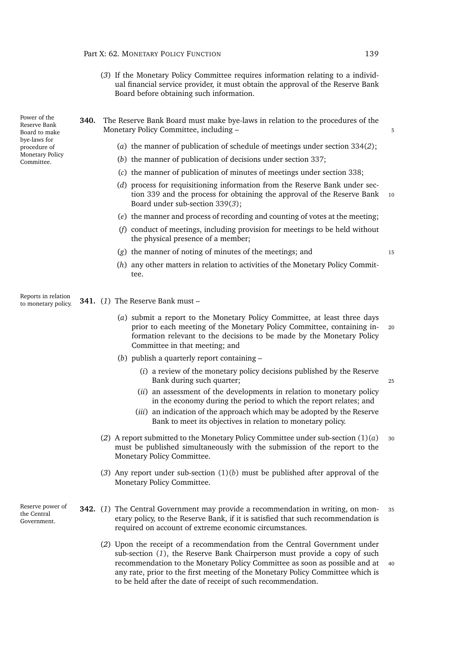- <span id="page-160-1"></span>(*3*) If the Monetary Policy Committee requires information relating to a individual financial service provider, it must obtain the approval of the Reserve Bank Board before obtaining such information.
- **340.** The Reserve Bank Board must make bye-laws in relation to the procedures of the Monetary Policy Committee, including – 5
	- (*a*) the manner of publication of schedule of meetings under section [334\(](#page-158-2)*2*);
	- (*b*) the manner of publication of decisions under section [337;](#page-159-4)
	- (*c*) the manner of publication of minutes of meetings under section [338;](#page-159-5)
	- (*d*) process for requisitioning information from the Reserve Bank under sec-tion [339](#page-159-0) and the process for obtaining the approval of the Reserve Bank 10 Board under sub-section [339\(](#page-160-1)*3*);
	- (*e*) the manner and process of recording and counting of votes at the meeting;
	- (*f*) conduct of meetings, including provision for meetings to be held without the physical presence of a member;
	- (*g*) the manner of noting of minutes of the meetings; and <sup>15</sup>

(*h*) any other matters in relation to activities of the Monetary Policy Committee.

Reports in relation to monetary policy. **341.** (*1*) The Reserve Bank must –

- <span id="page-160-0"></span>(*a*) submit a report to the Monetary Policy Committee, at least three days prior to each meeting of the Monetary Policy Committee, containing in- <sup>20</sup> formation relevant to the decisions to be made by the Monetary Policy Committee in that meeting; and
- <span id="page-160-2"></span>(*b*) publish a quarterly report containing –
	- (*i*) a review of the monetary policy decisions published by the Reserve Bank during such quarter; 25
	- (*ii*) an assessment of the developments in relation to monetary policy in the economy during the period to which the report relates; and
	- (*iii*) an indication of the approach which may be adopted by the Reserve Bank to meet its objectives in relation to monetary policy.
- (2) A report submitted to the Monetary Policy Committee under sub-section  $(1)(a)$  $(1)(a)$  30 must be published simultaneously with the submission of the report to the Monetary Policy Committee.
- (*3*) Any report under sub-section [\(1\)\(](#page-160-2)*b*) must be published after approval of the Monetary Policy Committee.

Reserve power of the Central Government.

- <span id="page-160-3"></span>**342.** (*1*) The Central Government may provide a recommendation in writing, on mon- <sup>35</sup> etary policy, to the Reserve Bank, if it is satisfied that such recommendation is required on account of extreme economic circumstances.
	- (*2*) Upon the receipt of a recommendation from the Central Government under sub-section (*[1](#page-160-3)*), the Reserve Bank Chairperson must provide a copy of such recommendation to the Monetary Policy Committee as soon as possible and at <sup>40</sup> any rate, prior to the first meeting of the Monetary Policy Committee which is to be held after the date of receipt of such recommendation.

Power of the Reserve Bank Board to make bye-laws for procedure of Monetary Policy Committee.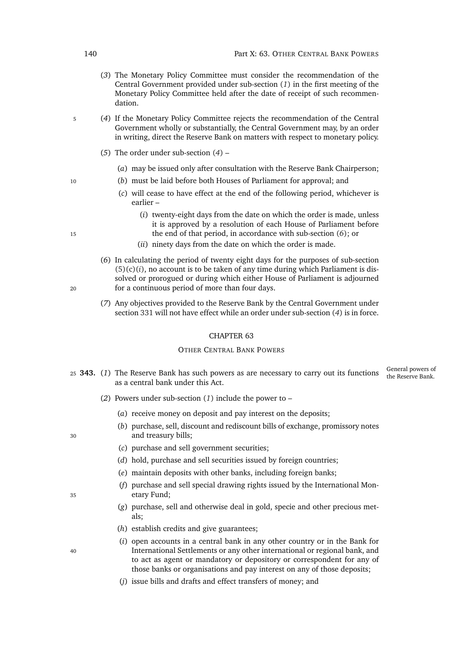- (*3*) The Monetary Policy Committee must consider the recommendation of the Central Government provided under sub-section (*[1](#page-160-3)*) in the first meeting of the Monetary Policy Committee held after the date of receipt of such recommendation.
- <span id="page-161-0"></span><sup>5</sup> (*4*) If the Monetary Policy Committee rejects the recommendation of the Central Government wholly or substantially, the Central Government may, by an order in writing, direct the Reserve Bank on matters with respect to monetary policy.
	- (*5*) The order under sub-section (*[4](#page-161-0)*)
		- (*a*) may be issued only after consultation with the Reserve Bank Chairperson;
- <sup>10</sup> (*b*) must be laid before both Houses of Parliament for approval; and
	- (*c*) will cease to have effect at the end of the following period, whichever is earlier –
- <span id="page-161-2"></span>(*i*) twenty-eight days from the date on which the order is made, unless it is approved by a resolution of each House of Parliament before <sup>15</sup> the end of that period, in accordance with sub-section (*[6](#page-161-1)*); or
	- (*ii*) ninety days from the date on which the order is made.
- <span id="page-161-1"></span>(*6*) In calculating the period of twenty eight days for the purposes of sub-section  $(5)(c)(i)$  $(5)(c)(i)$ , no account is to be taken of any time during which Parliament is dissolved or prorogued or during which either House of Parliament is adjourned <sup>20</sup> for a continuous period of more than four days.
	- (*7*) Any objectives provided to the Reserve Bank by the Central Government under section [331](#page-157-2) will not have effect while an order under sub-section (*[4](#page-161-0)*) is in force.

### CHAPTER 63

## OTHER CENTRAL BANK POWERS

- <span id="page-161-3"></span>General powers of 25 **343.** (1) The Reserve Bank has such powers as are necessary to carry out its functions the Reserve Bank. as a central bank under this Act.
	- (*2*) Powers under sub-section (*[1](#page-161-3)*) include the power to
		- (*a*) receive money on deposit and pay interest on the deposits;
- (*b*) purchase, sell, discount and rediscount bills of exchange, promissory notes <sup>30</sup> and treasury bills;
	- (*c*) purchase and sell government securities;
	- (*d*) hold, purchase and sell securities issued by foreign countries;
	- (*e*) maintain deposits with other banks, including foreign banks;
- (*f*) purchase and sell special drawing rights issued by the International Mon-<sup>35</sup> etary Fund;
	- (*g*) purchase, sell and otherwise deal in gold, specie and other precious metals;
	- (*h*) establish credits and give guarantees;
- (*i*) open accounts in a central bank in any other country or in the Bank for <sup>40</sup> International Settlements or any other international or regional bank, and to act as agent or mandatory or depository or correspondent for any of those banks or organisations and pay interest on any of those deposits;
	- (*j*) issue bills and drafts and effect transfers of money; and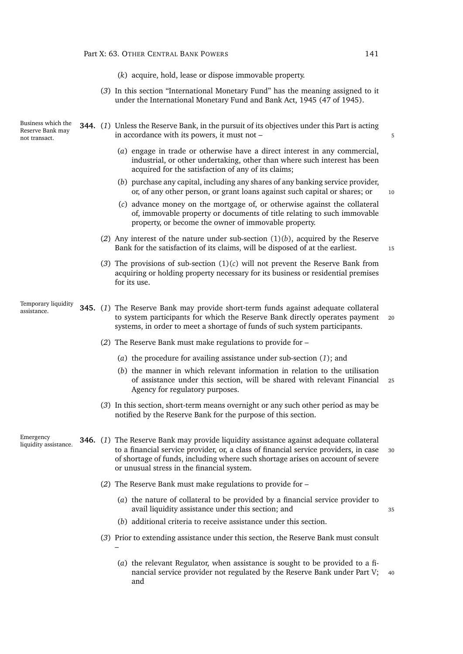| $(k)$ acquire, hold, lease or dispose immovable property.                        |
|----------------------------------------------------------------------------------|
| (3) In this section "International Monetary Fund" has the meaning assigned to it |
| under the International Monetary Fund and Bank Act, 1945 (47 of 1945).           |

<span id="page-162-2"></span><span id="page-162-1"></span><span id="page-162-0"></span>Business which the Reserve Bank may not transact. **344.** (*1*) Unless the Reserve Bank, in the pursuit of its objectives under this Part is acting in accordance with its powers, it must not – 5 (*a*) engage in trade or otherwise have a direct interest in any commercial, industrial, or other undertaking, other than where such interest has been acquired for the satisfaction of any of its claims; (*b*) purchase any capital, including any shares of any banking service provider, or, of any other person, or grant loans against such capital or shares; or 10 (*c*) advance money on the mortgage of, or otherwise against the collateral of, immovable property or documents of title relating to such immovable property, or become the owner of immovable property. (*2*) Any interest of the nature under sub-section [\(1\)\(](#page-162-0)*b*), acquired by the Reserve Bank for the satisfaction of its claims, will be disposed of at the earliest. 15 (3) The provisions of sub-section  $(1)(c)$  $(1)(c)$  will not prevent the Reserve Bank from acquiring or holding property necessary for its business or residential premises for its use. Temporary liquidity assistance. **345.** (*1*) The Reserve Bank may provide short-term funds against adequate collateral to system participants for which the Reserve Bank directly operates payment 20 systems, in order to meet a shortage of funds of such system participants. (*2*) The Reserve Bank must make regulations to provide for – (*a*) the procedure for availing assistance under sub-section (*[1](#page-162-2)*); and (*b*) the manner in which relevant information in relation to the utilisation of assistance under this section, will be shared with relevant Financial <sup>25</sup> Agency for regulatory purposes. (*3*) In this section, short-term means overnight or any such other period as may be notified by the Reserve Bank for the purpose of this section. Emergency liquidity assistance. **346.** (*1*) The Reserve Bank may provide liquidity assistance against adequate collateral to a financial service provider, or, a class of financial service providers, in case <sup>30</sup> of shortage of funds, including where such shortage arises on account of severe or unusual stress in the financial system. (*2*) The Reserve Bank must make regulations to provide for – (*a*) the nature of collateral to be provided by a financial service provider to avail liquidity assistance under this section; and 35 (*b*) additional criteria to receive assistance under this section. (*3*) Prior to extending assistance under this section, the Reserve Bank must consult – (*a*) the relevant Regulator, when assistance is sought to be provided to a fi-

<span id="page-162-4"></span><span id="page-162-3"></span>nancial service provider not regulated by the Reserve Bank under Part [V;](#page-87-0) 40 and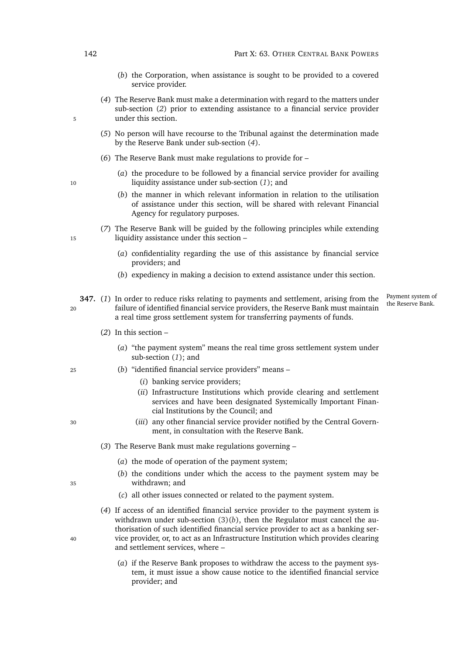- (*b*) the Corporation, when assistance is sought to be provided to a covered service provider.
- <span id="page-163-0"></span>(*4*) The Reserve Bank must make a determination with regard to the matters under sub-section (*[2](#page-162-3)*) prior to extending assistance to a financial service provider 5 under this section.
	- (*5*) No person will have recourse to the Tribunal against the determination made by the Reserve Bank under sub-section (*[4](#page-163-0)*).
	- (*6*) The Reserve Bank must make regulations to provide for –
- (*a*) the procedure to be followed by a financial service provider for availing <sup>10</sup> liquidity assistance under sub-section (*[1](#page-162-4)*); and
	- (*b*) the manner in which relevant information in relation to the utilisation of assistance under this section, will be shared with relevant Financial Agency for regulatory purposes.
- (*7*) The Reserve Bank will be guided by the following principles while extending 15 liquidity assistance under this section –
	- (*a*) confidentiality regarding the use of this assistance by financial service providers; and
	- (*b*) expediency in making a decision to extend assistance under this section.

<span id="page-163-1"></span>**347.** (1) In order to reduce risks relating to payments and settlement, arising from the <sup>20</sup> failure of identified financial service providers, the Reserve Bank must maintain a real time gross settlement system for transferring payments of funds.

Payment system of<br>the Reserve Bank.

- (*2*) In this section
	- (*a*) "the payment system" means the real time gross settlement system under sub-section (*1*[\);](#page-163-1) and
- <sup>25</sup> (*b*) "identified financial service providers" means
	- (*i*) banking service providers;
	- (*ii*) Infrastructure Institutions which provide clearing and settlement services and have been designated Systemically Important Financial Institutions by the Council; and
- <sup>30</sup> (*iii*) any other financial service provider notified by the Central Government, in consultation with the Reserve Bank.
	- (*3*) The Reserve Bank must make regulations governing
		- (*a*) the mode of operation of the payment system;
- <span id="page-163-2"></span>(*b*) the conditions under which the access to the payment system may be <sup>35</sup> withdrawn; and
	- (*c*) all other issues connected or related to the payment system.
- (*4*) If access of an identified financial service provider to the payment system is withdrawn under sub-section [\(3\)\(](#page-163-2)*b*), then the Regulator must cancel the authorisation of such identified financial service provider to act as a banking ser-<sup>40</sup> vice provider, or, to act as an Infrastructure Institution which provides clearing and settlement services, where –
	- (*a*) if the Reserve Bank proposes to withdraw the access to the payment system, it must issue a show cause notice to the identified financial service provider; and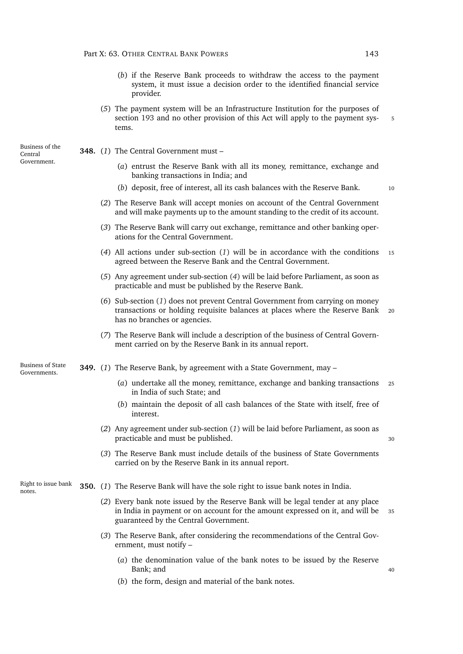- (*b*) if the Reserve Bank proceeds to withdraw the access to the payment system, it must issue a decision order to the identified financial service provider.
- (*5*) The payment system will be an Infrastructure Institution for the purposes of section [193](#page-109-0) and no other provision of this Act will apply to the payment systems.

<span id="page-164-2"></span><span id="page-164-0"></span>**348.** (*1*) The Central Government must –

- (*a*) entrust the Reserve Bank with all its money, remittance, exchange and banking transactions in India; and
- (*b*) deposit, free of interest, all its cash balances with the Reserve Bank. <sup>10</sup>

- (*2*) The Reserve Bank will accept monies on account of the Central Government and will make payments up to the amount standing to the credit of its account.
- (*3*) The Reserve Bank will carry out exchange, remittance and other banking operations for the Central Government.
- <span id="page-164-3"></span>(*4*) All actions under sub-section (*[1](#page-164-2)*) will be in accordance with the conditions <sup>15</sup> agreed between the Reserve Bank and the Central Government.
- (*5*) Any agreement under sub-section (*[4](#page-164-3)*) will be laid before Parliament, as soon as practicable and must be published by the Reserve Bank.
- (*6*) Sub-section (*[1](#page-164-2)*) does not prevent Central Government from carrying on money transactions or holding requisite balances at places where the Reserve Bank <sup>20</sup> has no branches or agencies.
- (*7*) The Reserve Bank will include a description of the business of Central Government carried on by the Reserve Bank in its annual report.

Business of State Governments.

Business of the Central Government.

- <span id="page-164-4"></span><span id="page-164-1"></span>**349.** (*1*) The Reserve Bank, by agreement with a State Government, may –
	- (*a*) undertake all the money, remittance, exchange and banking transactions <sup>25</sup> in India of such State; and
	- (*b*) maintain the deposit of all cash balances of the State with itself, free of interest.
	- (*2*) Any agreement under sub-section (*[1](#page-164-4)*) will be laid before Parliament, as soon as practicable and must be published.  $30$
	- (*3*) The Reserve Bank must include details of the business of State Governments carried on by the Reserve Bank in its annual report.

Right to issue bank notes. **350.** (*1*) The Reserve Bank will have the sole right to issue bank notes in India.

- (*2*) Every bank note issued by the Reserve Bank will be legal tender at any place in India in payment or on account for the amount expressed on it, and will be <sup>35</sup> guaranteed by the Central Government.
- (*3*) The Reserve Bank, after considering the recommendations of the Central Government, must notify –
	- (*a*) the denomination value of the bank notes to be issued by the Reserve Bank: and 40
	- (*b*) the form, design and material of the bank notes.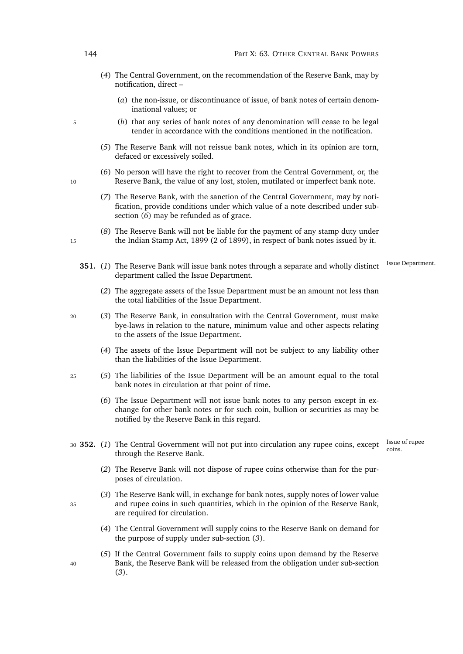- (*4*) The Central Government, on the recommendation of the Reserve Bank, may by notification, direct –
	- (*a*) the non-issue, or discontinuance of issue, of bank notes of certain denominational values; or
- <sup>5</sup> (*b*) that any series of bank notes of any denomination will cease to be legal tender in accordance with the conditions mentioned in the notification.
	- (*5*) The Reserve Bank will not reissue bank notes, which in its opinion are torn, defaced or excessively soiled.
- <span id="page-165-0"></span>(*6*) No person will have the right to recover from the Central Government, or, the 10 Reserve Bank, the value of any lost, stolen, mutilated or imperfect bank note.
	- (*7*) The Reserve Bank, with the sanction of the Central Government, may by notification, provide conditions under which value of a note described under subsection (*[6](#page-165-0)*) may be refunded as of grace.
- (*8*) The Reserve Bank will not be liable for the payment of any stamp duty under 15 the Indian Stamp Act, 1899 (2 of 1899), in respect of bank notes issued by it.
	- **351.** (1) The Reserve Bank will issue bank notes through a separate and wholly distinct <sup>Issue Department.</sup> department called the Issue Department.
		- (*2*) The aggregate assets of the Issue Department must be an amount not less than the total liabilities of the Issue Department.
- <sup>20</sup> (*3*) The Reserve Bank, in consultation with the Central Government, must make bye-laws in relation to the nature, minimum value and other aspects relating to the assets of the Issue Department.
	- (*4*) The assets of the Issue Department will not be subject to any liability other than the liabilities of the Issue Department.
- <sup>25</sup> (*5*) The liabilities of the Issue Department will be an amount equal to the total bank notes in circulation at that point of time.
	- (*6*) The Issue Department will not issue bank notes to any person except in exchange for other bank notes or for such coin, bullion or securities as may be notified by the Reserve Bank in this regard.
		- Issue of rupee
- 30 **352.** (1) The Central Government will not put into circulation any rupee coins, except  $\frac{1}{100}$ through the Reserve Bank.
	- (*2*) The Reserve Bank will not dispose of rupee coins otherwise than for the purposes of circulation.
- <span id="page-165-1"></span>(*3*) The Reserve Bank will, in exchange for bank notes, supply notes of lower value <sup>35</sup> and rupee coins in such quantities, which in the opinion of the Reserve Bank, are required for circulation.
	- (*4*) The Central Government will supply coins to the Reserve Bank on demand for the purpose of supply under sub-section (*[3](#page-165-1)*).
- (*5*) If the Central Government fails to supply coins upon demand by the Reserve <sup>40</sup> Bank, the Reserve Bank will be released from the obligation under sub-section (*[3](#page-165-1)*).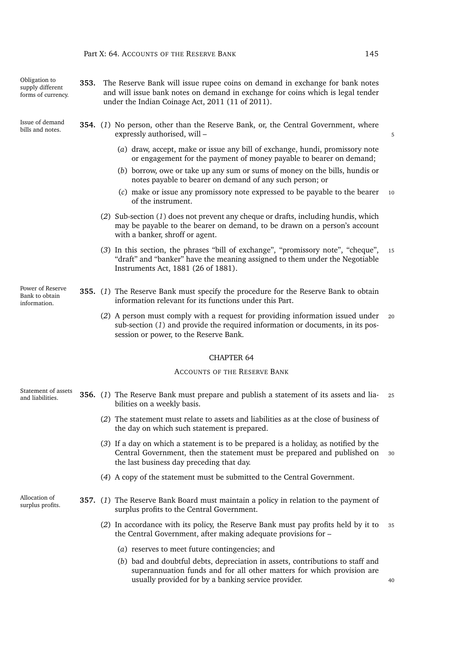<span id="page-166-2"></span><span id="page-166-1"></span><span id="page-166-0"></span>

| Obligation to<br>supply different<br>forms of currency. | 353. | The Reserve Bank will issue rupee coins on demand in exchange for bank notes<br>and will issue bank notes on demand in exchange for coins which is legal tender<br>under the Indian Coinage Act, 2011 (11 of 2011). |    |
|---------------------------------------------------------|------|---------------------------------------------------------------------------------------------------------------------------------------------------------------------------------------------------------------------|----|
| Issue of demand<br>bills and notes.                     |      | <b>354.</b> (1) No person, other than the Reserve Bank, or, the Central Government, where<br>expressly authorised, will -                                                                                           | 5  |
|                                                         |      | (a) draw, accept, make or issue any bill of exchange, hundi, promissory note<br>or engagement for the payment of money payable to bearer on demand;                                                                 |    |
|                                                         |      | (b) borrow, owe or take up any sum or sums of money on the bills, hundis or<br>notes payable to bearer on demand of any such person; or                                                                             |    |
|                                                         |      | (c) make or issue any promissory note expressed to be payable to the bearer<br>of the instrument.                                                                                                                   | 10 |
|                                                         |      | (2) Sub-section (1) does not prevent any cheque or drafts, including hundis, which<br>may be payable to the bearer on demand, to be drawn on a person's account<br>with a banker, shroff or agent.                  |    |
|                                                         |      | (3) In this section, the phrases "bill of exchange", "promissory note", "cheque",<br>"draft" and "banker" have the meaning assigned to them under the Negotiable<br>Instruments Act, 1881 (26 of 1881).             | 15 |
| Power of Reserve<br>Bank to obtain<br>information.      |      | 355. (1) The Reserve Bank must specify the procedure for the Reserve Bank to obtain<br>information relevant for its functions under this Part.                                                                      |    |
|                                                         |      | (2) A person must comply with a request for providing information issued under<br>sub-section $(1)$ and provide the required information or documents, in its pos-<br>session or power, to the Reserve Bank.        | 20 |
|                                                         |      | <b>CHAPTER 64</b>                                                                                                                                                                                                   |    |
|                                                         |      | <b>ACCOUNTS OF THE RESERVE BANK</b>                                                                                                                                                                                 |    |
| Statement of assets<br>and liabilities.                 |      | 356. (1) The Reserve Bank must prepare and publish a statement of its assets and lia-<br>bilities on a weekly basis.                                                                                                | 25 |
|                                                         |      | (2) The statement must relate to assets and liabilities as at the close of business of<br>the day on which such statement is prepared.                                                                              |    |
|                                                         |      | (3) If a day on which a statement is to be prepared is a holiday, as notified by the<br>Central Government, then the statement must be prepared and published on<br>the last business day preceding that day.       | 30 |
|                                                         |      | (4) A copy of the statement must be submitted to the Central Government.                                                                                                                                            |    |
| Allocation of<br>surplus profits.                       |      | 357. (1) The Reserve Bank Board must maintain a policy in relation to the payment of<br>surplus profits to the Central Government.                                                                                  |    |
|                                                         |      | (2) In accordance with its policy, the Reserve Bank must pay profits held by it to<br>the Central Government, after making adequate provisions for -                                                                | 35 |
|                                                         |      | (a) reserves to meet future contingencies; and                                                                                                                                                                      |    |
|                                                         |      | (b) bad and doubtful debts, depreciation in assets, contributions to staff and<br>superannuation funds and for all other matters for which provision are<br>usually provided for by a banking service provider.     | 40 |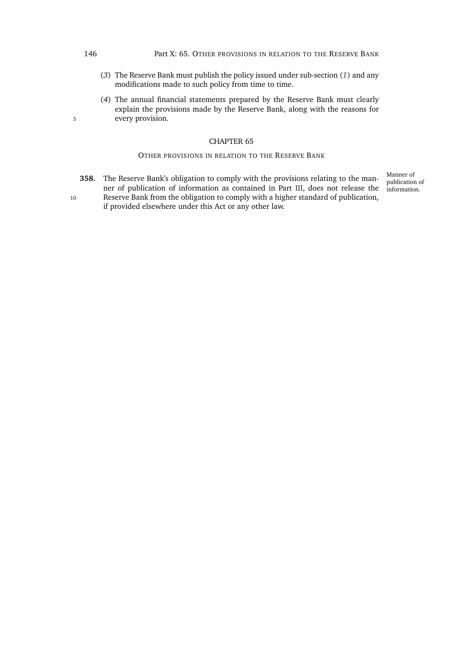### 146 **Part X: 65. OTHER PROVISIONS IN RELATION TO THE RESERVE BANK**

- (*3*) The Reserve Bank must publish the policy issued under sub-section (*[1](#page-166-2)*) and any modifications made to such policy from time to time.
- (*4*) The annual financial statements prepared by the Reserve Bank must clearly explain the provisions made by the Reserve Bank, along with the reasons for 5 every provision.

### CHAPTER 65

### OTHER PROVISIONS IN RELATION TO THE RESERVE BANK

**358.** The Reserve Bank's obligation to comply with the provisions relating to the manner of publication of information as contained in Part [III,](#page-44-0) does not release the

10 Reserve Bank from the obligation to comply with a higher standard of publication, if provided elsewhere under this Act or any other law.

Manner of publication of information.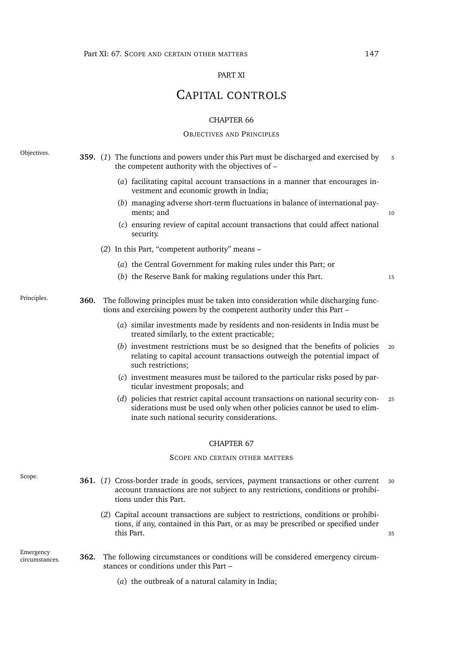### PART XI

# <span id="page-168-1"></span>CAPITAL CONTROLS

### CHAPTER 66

## OBJECTIVES AND PRINCIPLES

<span id="page-168-0"></span>Objectives. **359.** (*1*) The functions and powers under this Part must be discharged and exercised by <sup>5</sup> the competent authority with the objectives of – (*a*) facilitating capital account transactions in a manner that encourages investment and economic growth in India; (*b*) managing adverse short-term fluctuations in balance of international payments; and 10 (*c*) ensuring review of capital account transactions that could affect national security. (*2*) In this Part, "competent authority" means – (*a*) the Central Government for making rules under this Part; or (*b*) the Reserve Bank for making regulations under this Part. <sup>15</sup> Principles. **360.** The following principles must be taken into consideration while discharging functions and exercising powers by the competent authority under this Part – (*a*) similar investments made by residents and non-residents in India must be treated similarly, to the extent practicable; (*b*) investment restrictions must be so designed that the benefits of policies <sup>20</sup> relating to capital account transactions outweigh the potential impact of such restrictions; (*c*) investment measures must be tailored to the particular risks posed by particular investment proposals; and (*d*) policies that restrict capital account transactions on national security con- <sup>25</sup> siderations must be used only when other policies cannot be used to eliminate such national security considerations. CHAPTER 67 SCOPE AND CERTAIN OTHER MATTERS Scope. **361.** (*1*) Cross-border trade in goods, services, payment transactions or other current <sup>30</sup> account transactions are not subject to any restrictions, conditions or prohibitions under this Part. (*2*) Capital account transactions are subject to restrictions, conditions or prohibitions, if any, contained in this Part, or as may be prescribed or specified under this Part. 25 assume that the contract of the contract of the contract of the contract of the contract of the contract of the contract of the contract of the contract of the contract of the contract of the contract of the Emergency circumstances. **362.** The following circumstances or conditions will be considered emergency circumstances or conditions under this Part – (*a*) the outbreak of a natural calamity in India;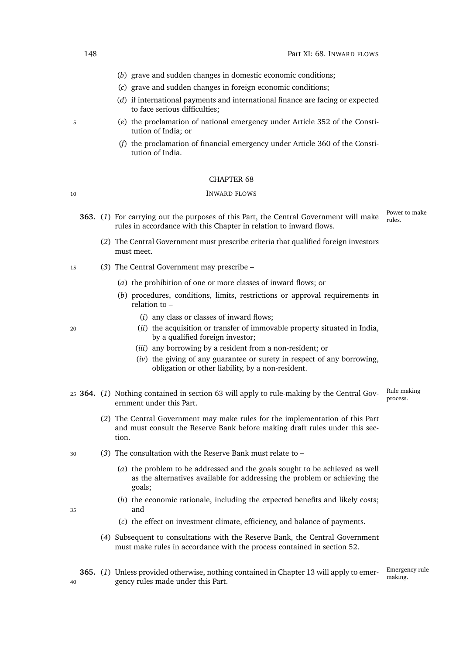- (*b*) grave and sudden changes in domestic economic conditions;
- (*c*) grave and sudden changes in foreign economic conditions;
- (*d*) if international payments and international finance are facing or expected to face serious difficulties;
- <sup>5</sup> (*e*) the proclamation of national emergency under Article 352 of the Constitution of India; or
	- (*f*) the proclamation of financial emergency under Article 360 of the Constitution of India.

### CHAPTER 68

### 10 INWARD FLOWS

- Power to make **363.** (1) For carrying out the purposes of this Part, the Central Government will make  $\frac{100 \text{ N}}{\text{mles}}$ rules in accordance with this Chapter in relation to inward flows.
	- (*2*) The Central Government must prescribe criteria that qualified foreign investors must meet.
- <sup>15</sup> (*3*) The Central Government may prescribe
	- (*a*) the prohibition of one or more classes of inward flows; or
	- (*b*) procedures, conditions, limits, restrictions or approval requirements in relation to –
		- (*i*) any class or classes of inward flows;
- <sup>20</sup> (*ii*) the acquisition or transfer of immovable property situated in India, by a qualified foreign investor;
	- (*iii*) any borrowing by a resident from a non-resident; or
	- (*iv*) the giving of any guarantee or surety in respect of any borrowing, obligation or other liability, by a non-resident.
- <span id="page-169-0"></span>Rule making process. <sup>25</sup> **364.** (*1*) Nothing contained in section [63](#page-55-0) will apply to rule-making by the Central Government under this Part.
	- (*2*) The Central Government may make rules for the implementation of this Part and must consult the Reserve Bank before making draft rules under this section.
- <span id="page-169-1"></span><sup>30</sup> (*3*) The consultation with the Reserve Bank must relate to –
	- (*a*) the problem to be addressed and the goals sought to be achieved as well as the alternatives available for addressing the problem or achieving the goals;
- (*b*) the economic rationale, including the expected benefits and likely costs; <sup>35</sup> and
	- (*c*) the effect on investment climate, efficiency, and balance of payments.
	- (*4*) Subsequent to consultations with the Reserve Bank, the Central Government must make rules in accordance with the process contained in section [52.](#page-51-1)
- **365.** (1) Unless provided otherwise, nothing contained in Chapter [13](#page-51-2) will apply to emer- $\frac{\text{emerge}}{\text{making}}$ <sup>40</sup> gency rules made under this Part.

Emergency rule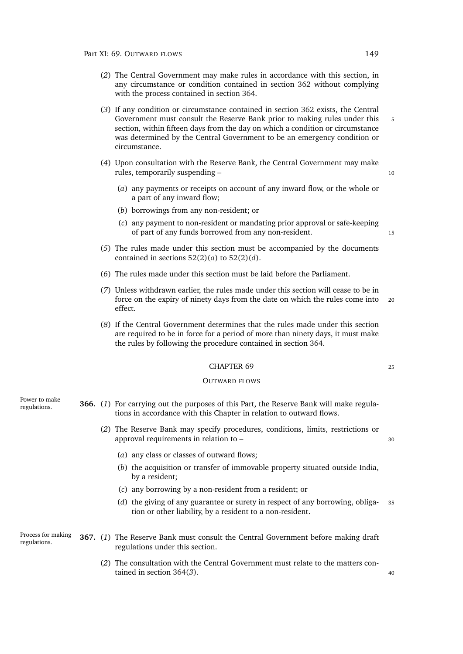- (*2*) The Central Government may make rules in accordance with this section, in any circumstance or condition contained in section [362](#page-168-0) without complying with the process contained in section [364.](#page-169-0)
- (*3*) If any condition or circumstance contained in section [362](#page-168-0) exists, the Central Government must consult the Reserve Bank prior to making rules under this 5 section, within fifteen days from the day on which a condition or circumstance was determined by the Central Government to be an emergency condition or circumstance.
- (*4*) Upon consultation with the Reserve Bank, the Central Government may make rules, temporarily suspending – 10
	- (*a*) any payments or receipts on account of any inward flow, or the whole or a part of any inward flow;
	- (*b*) borrowings from any non-resident; or
	- (*c*) any payment to non-resident or mandating prior approval or safe-keeping of part of any funds borrowed from any non-resident. 15
- (*5*) The rules made under this section must be accompanied by the documents contained in sections  $52(2)(a)$  $52(2)(a)$  to  $52(2)(d)$ .
- (*6*) The rules made under this section must be laid before the Parliament.
- (*7*) Unless withdrawn earlier, the rules made under this section will cease to be in force on the expiry of ninety days from the date on which the rules come into <sup>20</sup> effect.
- (*8*) If the Central Government determines that the rules made under this section are required to be in force for a period of more than ninety days, it must make the rules by following the procedure contained in section [364.](#page-169-0)

### CHAPTER 69 25

### OUTWARD FLOWS

<span id="page-170-0"></span>

| Power to make<br>regulations.      |     | <b>366.</b> (1) For carrying out the purposes of this Part, the Reserve Bank will make regula-<br>tions in accordance with this Chapter in relation to outward flows. |    |  |
|------------------------------------|-----|-----------------------------------------------------------------------------------------------------------------------------------------------------------------------|----|--|
|                                    |     | (2) The Reserve Bank may specify procedures, conditions, limits, restrictions or<br>approval requirements in relation to -                                            | 30 |  |
|                                    |     | (a) any class or classes of outward flows;                                                                                                                            |    |  |
|                                    |     | (b) the acquisition or transfer of immovable property situated outside India,<br>by a resident;                                                                       |    |  |
|                                    |     | (c) any borrowing by a non-resident from a resident; or                                                                                                               |    |  |
|                                    |     | (d) the giving of any guarantee or surety in respect of any borrowing, obliga-<br>tion or other liability, by a resident to a non-resident.                           | 35 |  |
| Process for making<br>regulations. |     | <b>367.</b> (1) The Reserve Bank must consult the Central Government before making draft<br>regulations under this section.                                           |    |  |
|                                    | (2) | The consultation with the Central Government must relate to the matters con-<br>tained in section $364(3)$ .                                                          | 40 |  |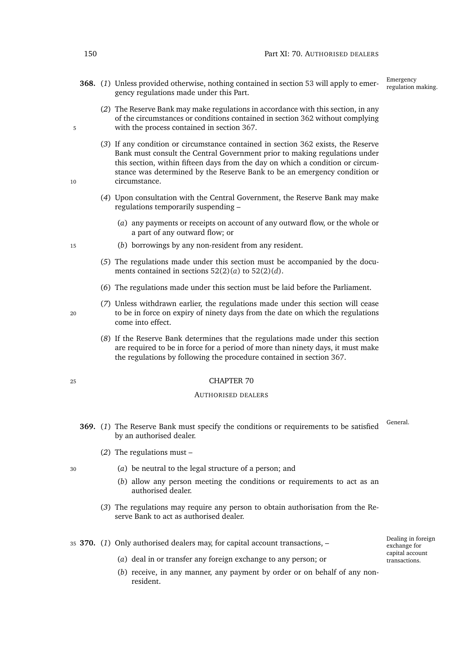**368.** (1) Unless provided otherwise, nothing contained in section [53](#page-52-0) will apply to emergency regulations made under this Part.

Emergency<br>regulation making.

- (*2*) The Reserve Bank may make regulations in accordance with this section, in any of the circumstances or conditions contained in section [362](#page-168-0) without complying 5 with the process contained in section [367.](#page-170-0)
- (*3*) If any condition or circumstance contained in section [362](#page-168-0) exists, the Reserve Bank must consult the Central Government prior to making regulations under this section, within fifteen days from the day on which a condition or circumstance was determined by the Reserve Bank to be an emergency condition or 10 circumstance.
	- (*4*) Upon consultation with the Central Government, the Reserve Bank may make regulations temporarily suspending –
		- (*a*) any payments or receipts on account of any outward flow, or the whole or a part of any outward flow; or
- <sup>15</sup> (*b*) borrowings by any non-resident from any resident.
	- (*5*) The regulations made under this section must be accompanied by the documents contained in sections [52\(2\)\(](#page-51-3)*a*) to [52\(2\)\(](#page-51-4)*d*).
	- (*6*) The regulations made under this section must be laid before the Parliament.
- (*7*) Unless withdrawn earlier, the regulations made under this section will cease <sup>20</sup> to be in force on expiry of ninety days from the date on which the regulations come into effect.
	- (*8*) If the Reserve Bank determines that the regulations made under this section are required to be in force for a period of more than ninety days, it must make the regulations by following the procedure contained in section [367.](#page-170-0)

### <sup>25</sup> CHAPTER 70

### AUTHORISED DEALERS

- **369.** (1) The Reserve Bank must specify the conditions or requirements to be satisfied <sup>General.</sup> by an authorised dealer.
	- (*2*) The regulations must –

resident.

- 
- <sup>30</sup> (*a*) be neutral to the legal structure of a person; and
	- (*b*) allow any person meeting the conditions or requirements to act as an authorised dealer.

(*b*) receive, in any manner, any payment by order or on behalf of any non-

(*3*) The regulations may require any person to obtain authorisation from the Reserve Bank to act as authorised dealer.

<sup>35</sup> **370.** (*1*) Only authorised dealers may, for capital account transactions, –

(*a*) deal in or transfer any foreign exchange to any person; or

Dealing in foreign exchange for capital account transactions.

<span id="page-171-0"></span>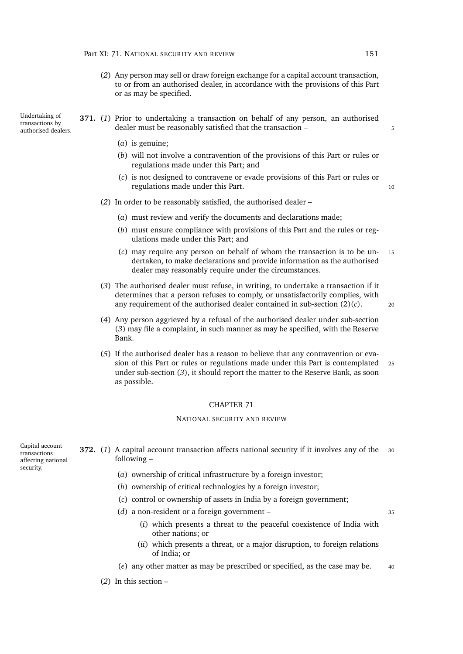- (*2*) Any person may sell or draw foreign exchange for a capital account transaction, to or from an authorised dealer, in accordance with the provisions of this Part or as may be specified.
- Undertaking of transactions by authorised dealers. **371.** (*1*) Prior to undertaking a transaction on behalf of any person, an authorised dealer must be reasonably satisfied that the transaction –  $\frac{1}{5}$ 
	- (*a*) is genuine;
	- (*b*) will not involve a contravention of the provisions of this Part or rules or regulations made under this Part; and
	- (*c*) is not designed to contravene or evade provisions of this Part or rules or regulations made under this Part. 10

### (*2*) In order to be reasonably satisfied, the authorised dealer –

- (*a*) must review and verify the documents and declarations made;
- (*b*) must ensure compliance with provisions of this Part and the rules or regulations made under this Part; and
- <span id="page-172-0"></span>(*c*) may require any person on behalf of whom the transaction is to be un- <sup>15</sup> dertaken, to make declarations and provide information as the authorised dealer may reasonably require under the circumstances.
- <span id="page-172-1"></span>(*3*) The authorised dealer must refuse, in writing, to undertake a transaction if it determines that a person refuses to comply, or unsatisfactorily complies, with any requirement of the authorised dealer contained in sub-section  $(2)(c)$  $(2)(c)$ . 20

- (*4*) Any person aggrieved by a refusal of the authorised dealer under sub-section (*[3](#page-172-1)*) may file a complaint, in such manner as may be specified, with the Reserve Bank.
- (*5*) If the authorised dealer has a reason to believe that any contravention or evasion of this Part or rules or regulations made under this Part is contemplated <sup>25</sup> under sub-section (*[3](#page-172-1)*), it should report the matter to the Reserve Bank, as soon as possible.

### CHAPTER 71

#### NATIONAL SECURITY AND REVIEW

Capital account transactions affecting national security.

- <span id="page-172-2"></span>**372.** (1) A capital account transaction affects national security if it involves any of the 30 following –
	- (*a*) ownership of critical infrastructure by a foreign investor;
	- (*b*) ownership of critical technologies by a foreign investor;
	- (*c*) control or ownership of assets in India by a foreign government;
	- (*d*) a non-resident or a foreign government <sup>35</sup>
		- (*i*) which presents a threat to the peaceful coexistence of India with other nations; or
		- (*ii*) which presents a threat, or a major disruption, to foreign relations of India; or
	- (*e*) any other matter as may be prescribed or specified, as the case may be. <sup>40</sup>
	- (*2*) In this section –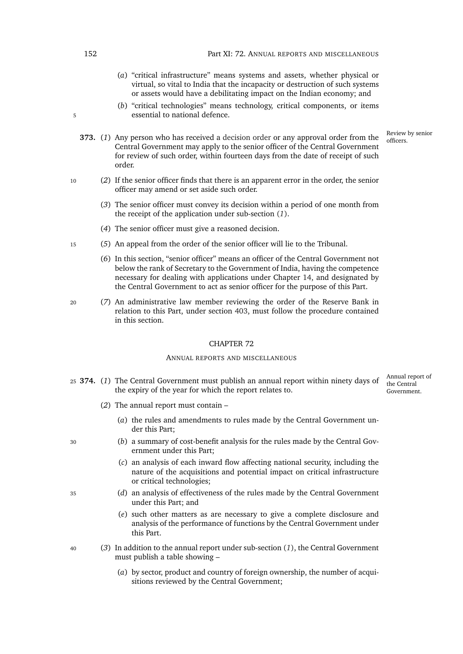- (*a*) "critical infrastructure" means systems and assets, whether physical or virtual, so vital to India that the incapacity or destruction of such systems or assets would have a debilitating impact on the Indian economy; and
- (*b*) "critical technologies" means technology, critical components, or items 5 essential to national defence.

Review by senior

- <span id="page-173-0"></span>**373.** (1) Any person who has received a [decision order](#page-0-0) or any approval order from the  $\frac{R_{\text{e}}}{\text{off}}$ Central Government may apply to the senior officer of the Central Government for review of such order, within fourteen days from the date of receipt of such order.
- <sup>10</sup> (*2*) If the senior officer finds that there is an apparent error in the order, the senior officer may amend or set aside such order.
	- (*3*) The senior officer must convey its decision within a period of one month from the receipt of the application under sub-section (*1*[\).](#page-173-0)
	- (*4*) The senior officer must give a reasoned decision.
- <sup>15</sup> (*5*) An appeal from the order of the senior officer will lie to the Tribunal.
	- (*6*) In this section, "senior officer" means an officer of the Central Government not below the rank of Secretary to the Government of India, having the competence necessary for dealing with applications under Chapter [14,](#page-56-0) and designated by the Central Government to act as senior officer for the purpose of this Part.
- <sup>20</sup> (*7*) An administrative law member reviewing the order of the Reserve Bank in relation to this Part, under section [403,](#page-188-0) must follow the procedure contained in this section.

### CHAPTER 72

### ANNUAL REPORTS AND MISCELLANEOUS

<span id="page-173-1"></span><sup>25</sup> **374.** (*1*) The Central Government must publish an annual report within ninety days of the expiry of the year for which the report relates to.

Annual report of the Central Government.

- (*2*) The annual report must contain
	- (*a*) the rules and amendments to rules made by the Central Government under this Part;
- <sup>30</sup> (*b*) a summary of cost-benefit analysis for the rules made by the Central Government under this Part;
	- (*c*) an analysis of each inward flow affecting national security, including the nature of the acquisitions and potential impact on critical infrastructure or critical technologies;
- <sup>35</sup> (*d*) an analysis of effectiveness of the rules made by the Central Government under this Part; and
	- (*e*) such other matters as are necessary to give a complete disclosure and analysis of the performance of functions by the Central Government under this Part.
- <sup>40</sup> (*3*) In addition to the annual report under sub-section (*[1](#page-173-1)*), the Central Government must publish a table showing –
	- (*a*) by sector, product and country of foreign ownership, the number of acquisitions reviewed by the Central Government;

152 Part XI: 72. ANNUAL REPORTS AND MISCELLANEOUS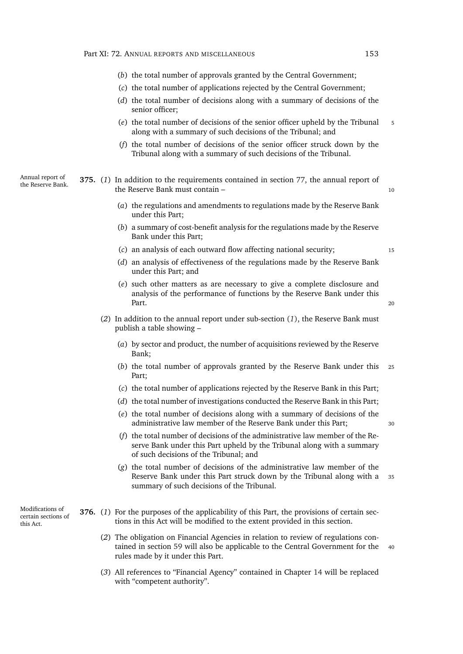- (*b*) the total number of approvals granted by the Central Government;
- (*c*) the total number of applications rejected by the Central Government;
- (*d*) the total number of decisions along with a summary of decisions of the senior officer;
- (*e*) the total number of decisions of the senior officer upheld by the Tribunal <sup>5</sup> along with a summary of such decisions of the Tribunal; and
- (*f*) the total number of decisions of the senior officer struck down by the Tribunal along with a summary of such decisions of the Tribunal.

Annual report of Annual report of **375.** (1) In addition to the requirements contained in section [77,](#page-60-0) the annual report of the Reserve Bank. the Reserve Bank must contain – 10

- <span id="page-174-0"></span>(*a*) the regulations and amendments to regulations made by the Reserve Bank under this Part;
- (*b*) a summary of cost-benefit analysis for the regulations made by the Reserve Bank under this Part;
- (*c*) an analysis of each outward flow affecting national security; <sup>15</sup>
- (*d*) an analysis of effectiveness of the regulations made by the Reserve Bank under this Part; and
- (*e*) such other matters as are necessary to give a complete disclosure and analysis of the performance of functions by the Reserve Bank under this Part. 20
- (*2*) In addition to the annual report under sub-section (*[1](#page-174-0)*), the Reserve Bank must publish a table showing –
	- (*a*) by sector and product, the number of acquisitions reviewed by the Reserve Bank;
	- (*b*) the total number of approvals granted by the Reserve Bank under this <sup>25</sup> Part;
	- (*c*) the total number of applications rejected by the Reserve Bank in this Part;
	- (*d*) the total number of investigations conducted the Reserve Bank in this Part;
	- (*e*) the total number of decisions along with a summary of decisions of the administrative law member of the Reserve Bank under this Part; <sup>30</sup>
	- (*f*) the total number of decisions of the administrative law member of the Reserve Bank under this Part upheld by the Tribunal along with a summary of such decisions of the Tribunal; and
	- (*g*) the total number of decisions of the administrative law member of the Reserve Bank under this Part struck down by the Tribunal along with a <sup>35</sup> summary of such decisions of the Tribunal.

Modifications of certain sections of this Act.

- **376.** (*1*) For the purposes of the applicability of this Part, the provisions of certain sections in this Act will be modified to the extent provided in this section.
	- (*2*) The obligation on Financial Agencies in relation to review of regulations con-tained in section [59](#page-54-0) will also be applicable to the Central Government for the rules made by it under this Part.
	- (*3*) All references to "Financial Agency" contained in Chapter [14](#page-56-0) will be replaced with "competent authority".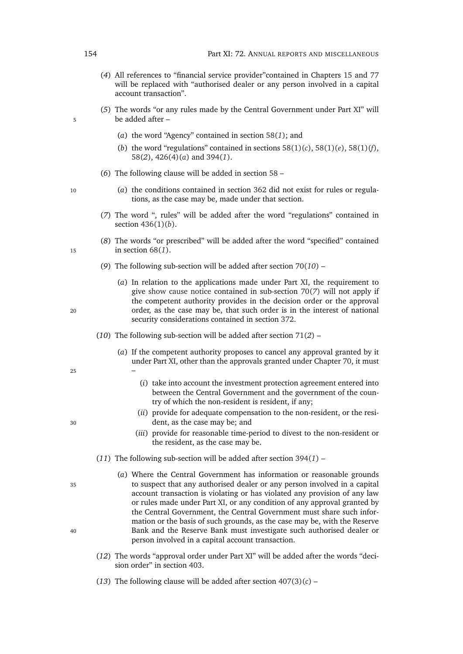- (*4*) All references to "financial service provider"contained in Chapters [15](#page-57-0) and [77](#page-184-0) will be replaced with "authorised dealer or any person involved in a capital account transaction".
- (*5*) The words "or any rules made by the Central Government under Part [XI"](#page-168-1) will 5 be added after –
	- (*a*) the word "Agency" contained in section [58\(](#page-53-0)*1*); and
	- (*b*) the word "regulations" contained in sections  $58(1)(c)$  $58(1)(c)$ ,  $58(1)(e)$ ,  $58(1)(f)$ , [58\(](#page-54-3)*2*), [426\(4\)\(](#page-197-0)*a*) and [394\(](#page-184-1)*1*).
	- (*6*) The following clause will be added in section [58](#page-53-2) –
- <sup>10</sup> (*a*) the conditions contained in section [362](#page-168-0) did not exist for rules or regulations, as the case may be, made under that section.
	- (*7*) The word ", rules" will be added after the word "regulations" contained in section [436\(1\)\(](#page-199-0)*b*).
- (*8*) The words "or prescribed" will be added after the word "specified" contained <sup>15</sup> in section [68\(](#page-56-1)*1*).
	- (*9*) The following sub-section will be added after section [70\(](#page-57-1)*10*) –
- (*a*) In relation to the applications made under Part [XI,](#page-168-1) the requirement to give [show cause notice](#page-0-0) contained in sub-section [70\(](#page-57-2)*7*) will not apply if the competent authority provides in the decision order or the approval <sup>20</sup> order, as the case may be, that such order is in the interest of national security considerations contained in section [372.](#page-172-2)
	- (*10*) The following sub-section will be added after section [71\(](#page-57-3)*2*)
		- (*a*) If the competent authority proposes to cancel any approval granted by it under Part [XI,](#page-168-1) other than the approvals granted under Chapter [70,](#page-171-0) it must
- $25$  –
- (*i*) take into account the investment protection agreement entered into between the Central Government and the government of the country of which the non-resident is resident, if any;
- (*ii*) provide for adequate compensation to the non-resident, or the resi-<sup>30</sup> dent, as the case may be; and
	- (*iii*) provide for reasonable time-period to divest to the non-resident or the resident, as the case may be.
	- (*11*) The following sub-section will be added after section [394\(](#page-184-1)*1*) –
- (*a*) Where the Central Government has information or reasonable grounds <sup>35</sup> to suspect that any authorised dealer or any person involved in a capital account transaction is violating or has violated any provision of any law or rules made under Part [XI,](#page-168-1) or any condition of any approval granted by the Central Government, the Central Government must share such information or the basis of such grounds, as the case may be, with the Reserve <sup>40</sup> Bank and the Reserve Bank must investigate such authorised dealer or person involved in a capital account transaction.
	- (*12*) The words "approval order under Part [XI"](#page-168-1) will be added after the words "decision order" in section [403.](#page-188-0)
	- (13) The following clause will be added after section  $407(3)(c)$  $407(3)(c)$  –

- 
-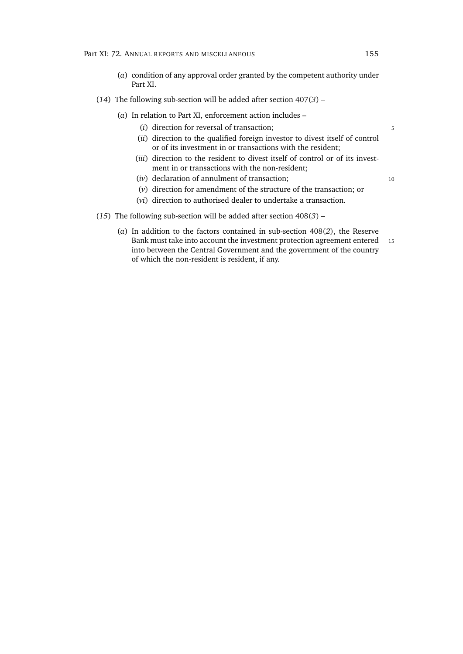- (*a*) condition of any approval order granted by the competent authority under Part [XI.](#page-168-1)
- (*14*) The following sub-section will be added after section [407\(](#page-189-1)*3*)
	- (*a*) In relation to Part [XI,](#page-168-1) enforcement action includes
		- (*i*) direction for reversal of transaction; 5
		- (*ii*) direction to the qualified foreign investor to divest itself of control or of its investment in or transactions with the resident;
		- (*iii*) direction to the resident to divest itself of control or of its investment in or transactions with the non-resident;
		- (*iv*) declaration of annulment of transaction; 10
			-
		- (*v*) direction for amendment of the structure of the transaction; or
		- (*vi*) direction to authorised dealer to undertake a transaction.
- (*15*) The following sub-section will be added after section [408\(](#page-190-0)*3*)
	- (*a*) In addition to the factors contained in sub-section [408\(](#page-190-1)*2*), the Reserve Bank must take into account the investment protection agreement entered 15 into between the Central Government and the government of the country of which the non-resident is resident, if any.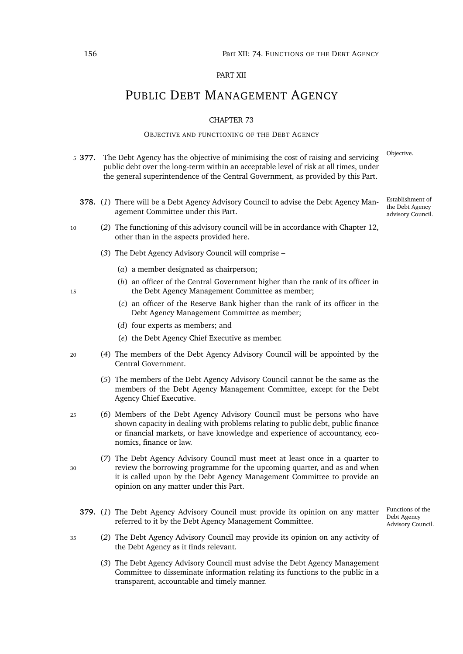### PART XII

# PUBLIC DEBT MANAGEMENT AGENCY

### CHAPTER 73

### OBJECTIVE AND FUNCTIONING OF THE DEBT AGENCY

- Objective. <sup>5</sup> **377.** The Debt Agency has the objective of minimising the cost of raising and servicing public debt over the long-term within an acceptable level of risk at all times, under the general superintendence of the Central Government, as provided by this Part.
	- **378.** (*1*) There will be a Debt Agency Advisory Council to advise the Debt Agency Management Committee under this Part.
- <sup>10</sup> (*2*) The functioning of this advisory council will be in accordance with Chapter [12,](#page-49-1) other than in the aspects provided here.
	- (*3*) The Debt Agency Advisory Council will comprise
		- (*a*) a member designated as chairperson;
- (*b*) an officer of the Central Government higher than the rank of its officer in <sup>15</sup> the Debt Agency Management Committee as member;
	- (*c*) an officer of the Reserve Bank higher than the rank of its officer in the Debt Agency Management Committee as member;
	- (*d*) four experts as members; and
	- (*e*) the Debt Agency Chief Executive as member.
- <sup>20</sup> (*4*) The members of the Debt Agency Advisory Council will be appointed by the Central Government.
	- (*5*) The members of the Debt Agency Advisory Council cannot be the same as the members of the Debt Agency Management Committee, except for the Debt Agency Chief Executive.
- <sup>25</sup> (*6*) Members of the Debt Agency Advisory Council must be persons who have shown capacity in dealing with problems relating to public debt, public finance or financial markets, or have knowledge and experience of accountancy, economics, finance or law.
- (*7*) The Debt Agency Advisory Council must meet at least once in a quarter to <sup>30</sup> review the borrowing programme for the upcoming quarter, and as and when it is called upon by the Debt Agency Management Committee to provide an opinion on any matter under this Part.
	- **379.** (*1*) The Debt Agency Advisory Council must provide its opinion on any matter referred to it by the Debt Agency Management Committee.
- <span id="page-177-0"></span><sup>35</sup> (*2*) The Debt Agency Advisory Council may provide its opinion on any activity of the Debt Agency as it finds relevant.
	- (*3*) The Debt Agency Advisory Council must advise the Debt Agency Management Committee to disseminate information relating its functions to the public in a transparent, accountable and timely manner.

Establishment of the Debt Agency advisory Council.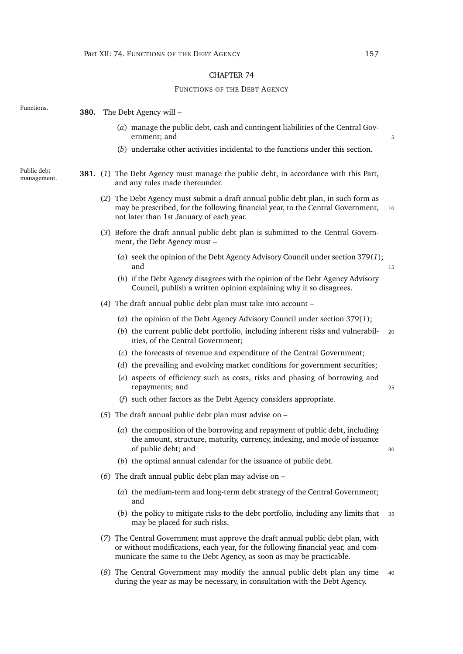# CHAPTER 74

### FUNCTIONS OF THE DEBT AGENCY

| Functions.                 | 380. | The Debt Agency will -                                                                                                                                                                                                                     |    |
|----------------------------|------|--------------------------------------------------------------------------------------------------------------------------------------------------------------------------------------------------------------------------------------------|----|
|                            |      | (a) manage the public debt, cash and contingent liabilities of the Central Gov-<br>ernment; and                                                                                                                                            |    |
|                            |      | (b) undertake other activities incidental to the functions under this section.                                                                                                                                                             |    |
| Public debt<br>management. |      | <b>381.</b> (1) The Debt Agency must manage the public debt, in accordance with this Part,<br>and any rules made thereunder.                                                                                                               |    |
|                            |      | (2) The Debt Agency must submit a draft annual public debt plan, in such form as<br>may be prescribed, for the following financial year, to the Central Government,<br>not later than 1st January of each year.                            | 10 |
|                            |      | (3) Before the draft annual public debt plan is submitted to the Central Govern-<br>ment, the Debt Agency must -                                                                                                                           |    |
|                            |      | (a) seek the opinion of the Debt Agency Advisory Council under section 379(1);<br>and                                                                                                                                                      | 15 |
|                            |      | (b) if the Debt Agency disagrees with the opinion of the Debt Agency Advisory<br>Council, publish a written opinion explaining why it so disagrees.                                                                                        |    |
|                            |      | (4) The draft annual public debt plan must take into account –                                                                                                                                                                             |    |
|                            |      | (a) the opinion of the Debt Agency Advisory Council under section $379(1)$ ;                                                                                                                                                               |    |
|                            |      | (b) the current public debt portfolio, including inherent risks and vulnerabil-<br>ities, of the Central Government;                                                                                                                       | 20 |
|                            |      | (c) the forecasts of revenue and expenditure of the Central Government;                                                                                                                                                                    |    |
|                            |      | (d) the prevailing and evolving market conditions for government securities;                                                                                                                                                               |    |
|                            |      | (e) aspects of efficiency such as costs, risks and phasing of borrowing and<br>repayments; and                                                                                                                                             | 25 |
|                            |      | (f) such other factors as the Debt Agency considers appropriate.                                                                                                                                                                           |    |
|                            |      | (5) The draft annual public debt plan must advise on $-$                                                                                                                                                                                   |    |
|                            |      | (a) the composition of the borrowing and repayment of public debt, including<br>the amount, structure, maturity, currency, indexing, and mode of issuance<br>of public debt; and                                                           | 30 |
|                            |      | (b) the optimal annual calendar for the issuance of public debt.                                                                                                                                                                           |    |
|                            |      | (6) The draft annual public debt plan may advise on $-$                                                                                                                                                                                    |    |
|                            |      | (a) the medium-term and long-term debt strategy of the Central Government;<br>and                                                                                                                                                          |    |
|                            |      | (b) the policy to mitigate risks to the debt portfolio, including any limits that<br>may be placed for such risks.                                                                                                                         | 35 |
|                            |      | (7) The Central Government must approve the draft annual public debt plan, with<br>or without modifications, each year, for the following financial year, and com-<br>municate the same to the Debt Agency, as soon as may be practicable. |    |
|                            |      |                                                                                                                                                                                                                                            |    |

(*8*) The Central Government may modify the annual public debt plan any time <sup>40</sup> during the year as may be necessary, in consultation with the Debt Agency.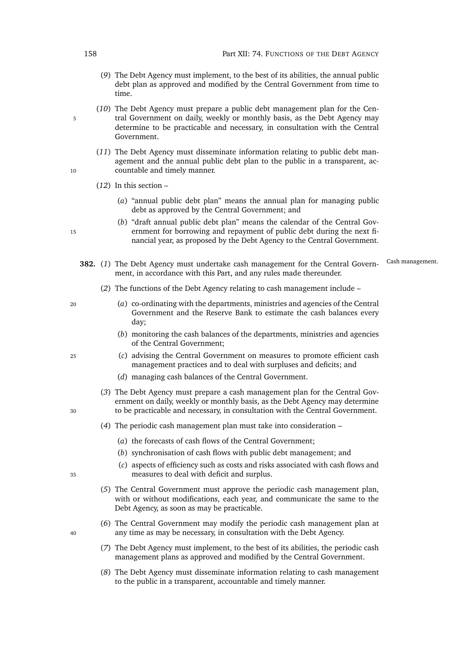- (*9*) The Debt Agency must implement, to the best of its abilities, the annual public debt plan as approved and modified by the Central Government from time to time.
- (*10*) The Debt Agency must prepare a public debt management plan for the Cen-5 tral Government on daily, weekly or monthly basis, as the Debt Agency may determine to be practicable and necessary, in consultation with the Central Government.
- (*11*) The Debt Agency must disseminate information relating to public debt management and the annual public debt plan to the public in a transparent, ac-10 countable and timely manner.
	- (*12*) In this section
		- (*a*) "annual public debt plan" means the annual plan for managing public debt as approved by the Central Government; and
- (*b*) "draft annual public debt plan" means the calendar of the Central Gov-15 ernment for borrowing and repayment of public debt during the next financial year, as proposed by the Debt Agency to the Central Government.
	- 382. (1) The Debt Agency must undertake cash management for the Central Govern-Cash management. ment, in accordance with this Part, and any rules made thereunder.
		- (*2*) The functions of the Debt Agency relating to cash management include –
- <sup>20</sup> (*a*) co-ordinating with the departments, ministries and agencies of the Central Government and the Reserve Bank to estimate the cash balances every day;
	- (*b*) monitoring the cash balances of the departments, ministries and agencies of the Central Government;
- <sup>25</sup> (*c*) advising the Central Government on measures to promote efficient cash management practices and to deal with surpluses and deficits; and
	- (*d*) managing cash balances of the Central Government.
- (*3*) The Debt Agency must prepare a cash management plan for the Central Government on daily, weekly or monthly basis, as the Debt Agency may determine <sup>30</sup> to be practicable and necessary, in consultation with the Central Government.
	- (*4*) The periodic cash management plan must take into consideration
		- (*a*) the forecasts of cash flows of the Central Government;
		- (*b*) synchronisation of cash flows with public debt management; and
- (*c*) aspects of efficiency such as costs and risks associated with cash flows and <sup>35</sup> measures to deal with deficit and surplus.
	- (*5*) The Central Government must approve the periodic cash management plan, with or without modifications, each year, and communicate the same to the Debt Agency, as soon as may be practicable.
- (*6*) The Central Government may modify the periodic cash management plan at <sup>40</sup> any time as may be necessary, in consultation with the Debt Agency.
	- (*7*) The Debt Agency must implement, to the best of its abilities, the periodic cash management plans as approved and modified by the Central Government.
	- (*8*) The Debt Agency must disseminate information relating to cash management to the public in a transparent, accountable and timely manner.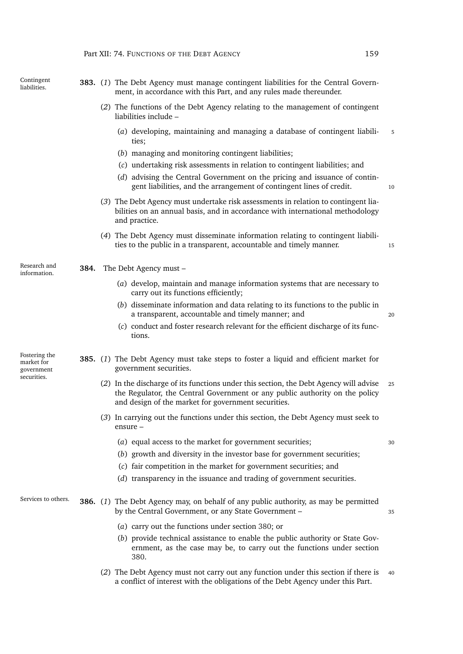Contingent<br>liabilities.

Research and

Fostering the market for government securities.

- <span id="page-180-0"></span>liabilities. **383.** (*1*) The Debt Agency must manage contingent liabilities for the Central Government, in accordance with this Part, and any rules made thereunder.
	- (*2*) The functions of the Debt Agency relating to the management of contingent liabilities include –
		- (*a*) developing, maintaining and managing a database of contingent liabili- <sup>5</sup> ties;
		- (*b*) managing and monitoring contingent liabilities;
		- (*c*) undertaking risk assessments in relation to contingent liabilities; and
		- (*d*) advising the Central Government on the pricing and issuance of contingent liabilities, and the arrangement of contingent lines of credit.  $10$
	- (*3*) The Debt Agency must undertake risk assessments in relation to contingent liabilities on an annual basis, and in accordance with international methodology and practice.
	- (*4*) The Debt Agency must disseminate information relating to contingent liabilities to the public in a transparent, accountable and timely manner. 15

Research and **384.** The Debt Agency must –

tions.

- (*a*) develop, maintain and manage information systems that are necessary to carry out its functions efficiently;
- (*b*) disseminate information and data relating to its functions to the public in a transparent, accountable and timely manner; and <sup>20</sup>
- (*c*) conduct and foster research relevant for the efficient discharge of its func-

**385.** (*1*) The Debt Agency must take steps to foster a liquid and efficient market for government securities.

- (*2*) In the discharge of its functions under this section, the Debt Agency will advise <sup>25</sup> the Regulator, the Central Government or any public authority on the policy and design of the market for government securities.
- (*3*) In carrying out the functions under this section, the Debt Agency must seek to ensure –
	- (*a*) equal access to the market for government securities; <sup>30</sup>
	- (*b*) growth and diversity in the investor base for government securities;
	- (*c*) fair competition in the market for government securities; and
	- (*d*) transparency in the issuance and trading of government securities.

### Services to others. **386.** (*1*) The Debt Agency may, on behalf of any public authority, as may be permitted by the Central Government, or any State Government – 35

- <span id="page-180-1"></span>(*a*) carry out the functions under section [380;](#page-178-0) or
- (*b*) provide technical assistance to enable the public authority or State Government, as the case may be, to carry out the functions under section [380.](#page-178-0)
- (*2*) The Debt Agency must not carry out any function under this section if there is <sup>40</sup> a conflict of interest with the obligations of the Debt Agency under this Part.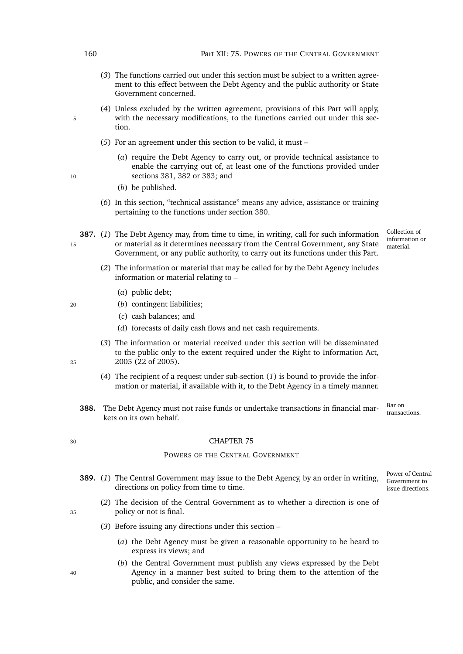- (*3*) The functions carried out under this section must be subject to a written agreement to this effect between the Debt Agency and the public authority or State Government concerned.
- (*4*) Unless excluded by the written agreement, provisions of this Part will apply, 5 with the necessary modifications, to the functions carried out under this section.
	- (*5*) For an agreement under this section to be valid, it must –
- (*a*) require the Debt Agency to carry out, or provide technical assistance to enable the carrying out of, at least one of the functions provided under 10 sections [381,](#page-178-1) [382](#page-179-0) or [383;](#page-180-0) and
	- (*b*) be published.
	- (*6*) In this section, "technical assistance" means any advice, assistance or training pertaining to the functions under section [380.](#page-178-0)
- <span id="page-181-0"></span>Collection of information or material. **387.** (*1*) The Debt Agency may, from time to time, in writing, call for such information 15 or material as it determines necessary from the Central Government, any State Government, or any public authority, to carry out its functions under this Part.
	- (*2*) The information or material that may be called for by the Debt Agency includes information or material relating to –
		- (*a*) public debt;
- <sup>20</sup> (*b*) contingent liabilities;
	- (*c*) cash balances; and
	- (*d*) forecasts of daily cash flows and net cash requirements.
- (*3*) The information or material received under this section will be disseminated to the public only to the extent required under the Right to Information Act, <sup>25</sup> 2005 (22 of 2005).
	- (*4*) The recipient of a request under sub-section (*[1](#page-181-0)*) is bound to provide the information or material, if available with it, to the Debt Agency in a timely manner.
	- **388.** The Debt Agency must not raise funds or undertake transactions in financial markets on its own behalf.

Bar on

#### <sup>30</sup> CHAPTER 75

#### POWERS OF THE CENTRAL GOVERNMENT

- Power of Central Government to issue directions. **389.** (*1*) The Central Government may issue to the Debt Agency, by an order in writing, directions on policy from time to time.
- (*2*) The decision of the Central Government as to whether a direction is one of <sup>35</sup> policy or not is final.
	- (*3*) Before issuing any directions under this section
		- (*a*) the Debt Agency must be given a reasonable opportunity to be heard to express its views; and
- (*b*) the Central Government must publish any views expressed by the Debt <sup>40</sup> Agency in a manner best suited to bring them to the attention of the public, and consider the same.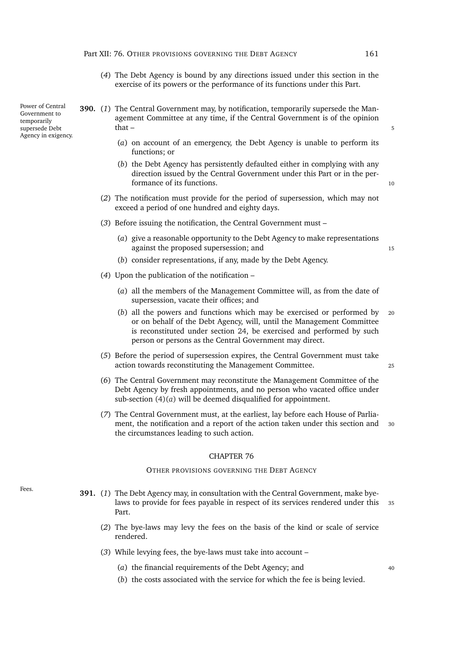- (*4*) The Debt Agency is bound by any directions issued under this section in the exercise of its powers or the performance of its functions under this Part.
- <span id="page-182-0"></span>**390.** (*1*) The Central Government may, by notification, temporarily supersede the Management Committee at any time, if the Central Government is of the opinion  $\text{that}$  –  $\sim$  5
	- (*a*) on account of an emergency, the Debt Agency is unable to perform its functions; or
	- (*b*) the Debt Agency has persistently defaulted either in complying with any direction issued by the Central Government under this Part or in the performance of its functions. 10
	- (*2*) The notification must provide for the period of supersession, which may not exceed a period of one hundred and eighty days.
	- (*3*) Before issuing the notification, the Central Government must
		- (*a*) give a reasonable opportunity to the Debt Agency to make representations against the proposed supersession; and 15
		- (*b*) consider representations, if any, made by the Debt Agency.
	- (*4*) Upon the publication of the notification
		- (*a*) all the members of the Management Committee will, as from the date of supersession, vacate their offices; and
		- (*b*) all the powers and functions which may be exercised or performed by <sup>20</sup> or on behalf of the Debt Agency, will, until the Management Committee is reconstituted under section [24,](#page-41-0) be exercised and performed by such person or persons as the Central Government may direct.
	- (*5*) Before the period of supersession expires, the Central Government must take action towards reconstituting the Management Committee. <sup>25</sup>
	- (*6*) The Central Government may reconstitute the Management Committee of the Debt Agency by fresh appointments, and no person who vacated office under sub-section [\(4\)\(](#page-182-0)*a*) will be deemed disqualified for appointment.
	- (*7*) The Central Government must, at the earliest, lay before each House of Parliament, the notification and a report of the action taken under this section and <sup>30</sup> the circumstances leading to such action.

#### OTHER PROVISIONS GOVERNING THE DEBT AGENCY

- Fees. **391.** (*1*) The Debt Agency may, in consultation with the Central Government, make byelaws to provide for fees payable in respect of its services rendered under this <sup>35</sup> Part.
	- (*2*) The bye-laws may levy the fees on the basis of the kind or scale of service rendered.
	- (*3*) While levying fees, the bye-laws must take into account
		- (*a*) the financial requirements of the Debt Agency; and  $40$
		- (*b*) the costs associated with the service for which the fee is being levied.

Power of Central Government to temporarily supersede Debt Agency in exigency.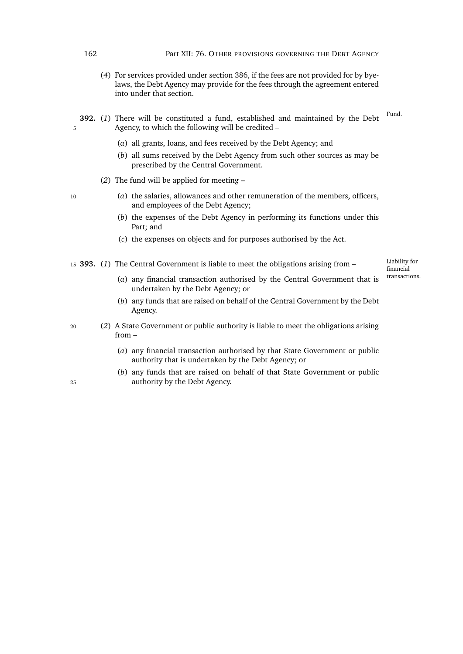- (*4*) For services provided under section [386,](#page-180-1) if the fees are not provided for by byelaws, the Debt Agency may provide for the fees through the agreement entered into under that section.
- Fund. **392.** (*1*) There will be constituted a fund, established and maintained by the Debt 5 Agency, to which the following will be credited –
	- (*a*) all grants, loans, and fees received by the Debt Agency; and
	- (*b*) all sums received by the Debt Agency from such other sources as may be prescribed by the Central Government.
	- (*2*) The fund will be applied for meeting –
- <sup>10</sup> (*a*) the salaries, allowances and other remuneration of the members, officers, and employees of the Debt Agency;
	- (*b*) the expenses of the Debt Agency in performing its functions under this Part; and
	- (*c*) the expenses on objects and for purposes authorised by the Act.

<sup>15</sup> **393.** (*1*) The Central Government is liable to meet the obligations arising from –

Liability for financial transactions.

- (*a*) any financial transaction authorised by the Central Government that is undertaken by the Debt Agency; or
- (*b*) any funds that are raised on behalf of the Central Government by the Debt Agency.
- <sup>20</sup> (*2*) A State Government or public authority is liable to meet the obligations arising from –
	- (*a*) any financial transaction authorised by that State Government or public authority that is undertaken by the Debt Agency; or
- (*b*) any funds that are raised on behalf of that State Government or public <sup>25</sup> authority by the Debt Agency.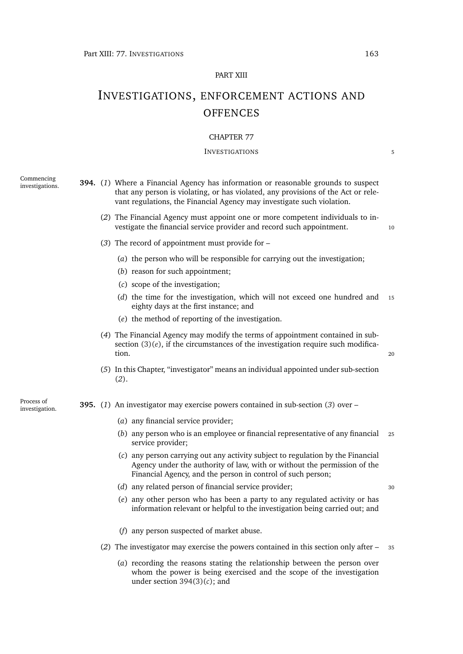#### PART XIII

# INVESTIGATIONS, ENFORCEMENT ACTIONS AND **OFFENCES**

#### CHAPTER 77

#### INVESTIGATIONS 5

Commencing

- <span id="page-184-2"></span><span id="page-184-1"></span>investigations. **394.** (*1*) Where a Financial Agency has information or reasonable grounds to suspect that any person is violating, or has violated, any provisions of the Act or relevant regulations, the Financial Agency may investigate such violation.
	- (*2*) The Financial Agency must appoint one or more competent individuals to investigate the financial service provider and record such appointment. 10
	- (*3*) The record of appointment must provide for
		- (*a*) the person who will be responsible for carrying out the investigation;
		- (*b*) reason for such appointment;
		- (*c*) scope of the investigation;
		- (*d*) the time for the investigation, which will not exceed one hundred and <sup>15</sup> eighty days at the first instance; and
		- (*e*) the method of reporting of the investigation.
	- (*4*) The Financial Agency may modify the terms of appointment contained in subsection  $(3)(e)$  $(3)(e)$ , if the circumstances of the investigation require such modification. <sup>20</sup>
	- (*5*) In this Chapter, "investigator" means an individual appointed under sub-section (*[2](#page-184-1)*).
- investigation. **395.** (*1*) An investigator may exercise powers contained in sub-section (*[3](#page-185-0)*) over
	- (*a*) any financial service provider;
	- (*b*) any person who is an employee or financial representative of any financial <sup>25</sup> service provider;
	- (*c*) any person carrying out any activity subject to regulation by the Financial Agency under the authority of law, with or without the permission of the Financial Agency, and the person in control of such person;
	- (*d*) any related person of financial service provider; <sup>30</sup>
	- (*e*) any other person who has been a party to any regulated activity or has information relevant or helpful to the investigation being carried out; and
	- (*f*) any person suspected of market abuse.
	- (*2*) The investigator may exercise the powers contained in this section only after <sup>35</sup>
		- (*a*) recording the reasons stating the relationship between the person over whom the power is being exercised and the scope of the investigation under section [394\(3\)\(](#page-184-2)*c*); and

<span id="page-184-4"></span><span id="page-184-3"></span><span id="page-184-0"></span>Process of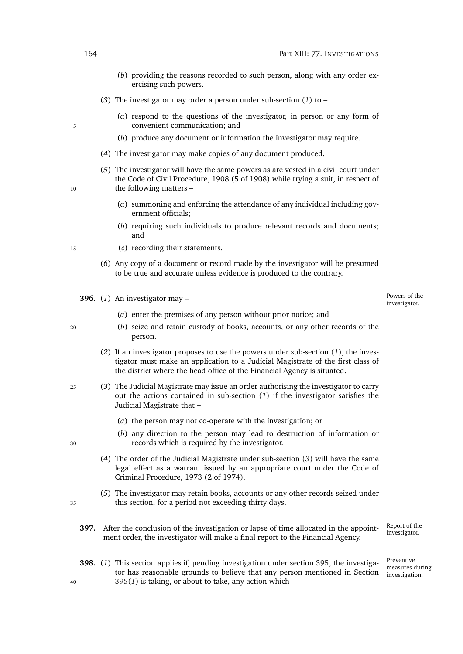- (*b*) providing the reasons recorded to such person, along with any order exercising such powers.
- <span id="page-185-0"></span>(*3*) The investigator may order a person under sub-section (*[1](#page-184-3)*) to –
- (*a*) respond to the questions of the investigator, in person or any form of 5 convenient communication; and
	- (*b*) produce any document or information the investigator may require.
	- (*4*) The investigator may make copies of any document produced.
- (*5*) The investigator will have the same powers as are vested in a civil court under the Code of Civil Procedure, 1908 (5 of 1908) while trying a suit, in respect of 10 the following matters –
	- (*a*) summoning and enforcing the attendance of any individual including government officials;
	- (*b*) requiring such individuals to produce relevant records and documents; and
- <sup>15</sup> (*c*) recording their statements.
	- (*6*) Any copy of a document or record made by the investigator will be presumed to be true and accurate unless evidence is produced to the contrary.
	- investigator. **396.** (*1*) An investigator may –

Powers of the<br>investigator.

- 
- (*a*) enter the premises of any person without prior notice; and
- <span id="page-185-1"></span><sup>20</sup> (*b*) seize and retain custody of books, accounts, or any other records of the person.
	- (*2*) If an investigator proposes to use the powers under sub-section (*1*[\),](#page-185-1) the investigator must make an application to a Judicial Magistrate of the first class of the district where the head office of the Financial Agency is situated.
- <span id="page-185-2"></span><sup>25</sup> (*3*) The Judicial Magistrate may issue an order authorising the investigator to carry out the actions contained in sub-section (*[1](#page-185-1)*) if the investigator satisfies the Judicial Magistrate that –
	- (*a*) the person may not co-operate with the investigation; or
- (*b*) any direction to the person may lead to destruction of information or <sup>30</sup> records which is required by the investigator.
	- (*4*) The order of the Judicial Magistrate under sub-section (*[3](#page-185-2)*) will have the same legal effect as a warrant issued by an appropriate court under the Code of Criminal Procedure, 1973 (2 of 1974).
- (*5*) The investigator may retain books, accounts or any other records seized under <sup>35</sup> this section, for a period not exceeding thirty days.
	- Report of the **397.** After the conclusion of the investigation or lapse of time allocated in the appoint-<br>investigator. ment order, the investigator will make a final report to the Financial Agency.
- **398.** (*1*) This section applies if, pending investigation under section [395,](#page-184-4) the investigator has reasonable grounds to believe that any person mentioned in Section <sup>40</sup> [395\(](#page-184-3)*1*) is taking, or about to take, any action which –

Preventive measures during investigation.

- 
-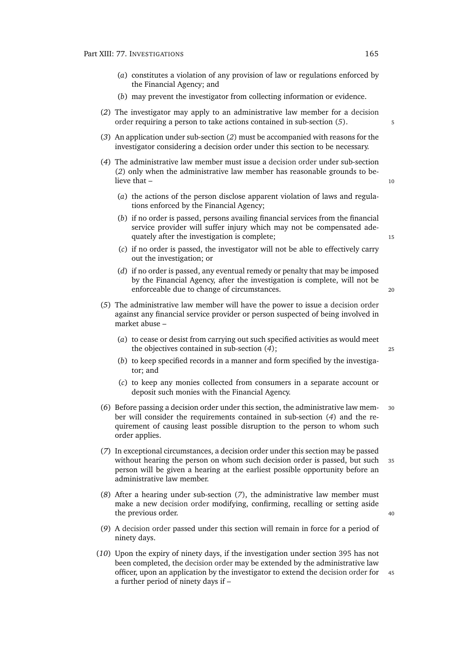- (*a*) constitutes a violation of any provision of law or regulations enforced by the Financial Agency; and
- (*b*) may prevent the investigator from collecting information or evidence.
- <span id="page-186-1"></span>(*2*) The investigator may apply to an administrative law member for a [decision](#page-0-0) [order](#page-0-0) requiring a person to take actions contained in sub-section (*[5](#page-186-0)*). <sup>5</sup>
- (*3*) An application under sub-section (*[2](#page-186-1)*) must be accompanied with reasons for the investigator considering a decision order under this section to be necessary.
- <span id="page-186-2"></span>(*4*) The administrative law member must issue a [decision order](#page-0-0) under sub-section (*[2](#page-186-1)*) only when the administrative law member has reasonable grounds to believe that  $-$  10
	- (*a*) the actions of the person disclose apparent violation of laws and regulations enforced by the Financial Agency;
	- (*b*) if no order is passed, persons availing financial services from the financial service provider will suffer injury which may not be compensated adequately after the investigation is complete;<br>15
	- (*c*) if no order is passed, the investigator will not be able to effectively carry out the investigation; or
	- (*d*) if no order is passed, any eventual remedy or penalty that may be imposed by the Financial Agency, after the investigation is complete, will not be enforceable due to change of circumstances.
- <span id="page-186-0"></span>(*5*) The administrative law member will have the power to issue a [decision order](#page-0-0) against any financial service provider or person suspected of being involved in market abuse –
	- (*a*) to cease or desist from carrying out such specified activities as would meet the objectives contained in sub-section (*[4](#page-186-2)*); <sup>25</sup>
	- (*b*) to keep specified records in a manner and form specified by the investigator; and
	- (*c*) to keep any monies collected from consumers in a separate account or deposit such monies with the Financial Agency.
- (*6*) Before passing a decision order under this section, the administrative law mem- <sup>30</sup> ber will consider the requirements contained in sub-section (*[4](#page-186-2)*) and the requirement of causing least possible disruption to the person to whom such order applies.
- <span id="page-186-3"></span>(*7*) In exceptional circumstances, a decision order under this section may be passed without hearing the person on whom such decision order is passed, but such 35 person will be given a hearing at the earliest possible opportunity before an administrative law member.
- (*8*) After a hearing under sub-section (*[7](#page-186-3)*), the administrative law member must make a new [decision order](#page-0-0) modifying, confirming, recalling or setting aside the previous order.  $40$
- (*9*) A [decision order](#page-0-0) passed under this section will remain in force for a period of ninety days.
- (*10*) Upon the expiry of ninety days, if the investigation under section [395](#page-184-4) has not been completed, the [decision order](#page-0-0) may be extended by the administrative law officer, upon an application by the investigator to extend the [decision order](#page-0-0) for <sup>45</sup> a further period of ninety days if –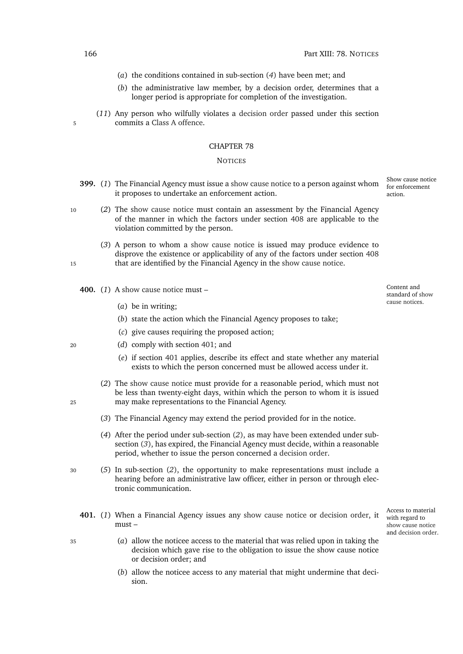- (*a*) the conditions contained in sub-section (*[4](#page-186-2)*) have been met; and
- (*b*) the administrative law member, by a decision order, determines that a longer period is appropriate for completion of the investigation.
- (*11*) Any person who wilfully violates a [decision order](#page-0-0) passed under this section 5 commits a [Class A offence.](#page-0-0)

#### **NOTICES**

- Show cause notice **399.** (*1*) The Financial Agency must issue a [show cause notice](#page-0-0) to a person against whom it proposes to undertake an enforcement action.
- <sup>10</sup> (*2*) The [show cause notice](#page-0-0) must contain an assessment by the Financial Agency of the manner in which the factors under section [408](#page-189-0) are applicable to the violation committed by the person.
- (*3*) A person to whom a [show cause notice](#page-0-0) is issued may produce evidence to disprove the existence or applicability of any of the factors under section [408](#page-189-0) <sup>15</sup> that are identified by the Financial Agency in the [show cause notice.](#page-0-0)
	- **400.** (*1*) A [show cause notice](#page-0-0) must
		- (*a*) be in writing;
		- (*b*) state the action which the Financial Agency proposes to take;
		- (*c*) give causes requiring the proposed action;
- <sup>20</sup> (*d*) comply with section [401;](#page-187-0) and
	- (*e*) if section [401](#page-187-0) applies, describe its effect and state whether any material exists to which the person concerned must be allowed access under it.
- <span id="page-187-2"></span><span id="page-187-1"></span>(*2*) The [show cause notice](#page-0-0) must provide for a reasonable period, which must not be less than twenty-eight days, within which the person to whom it is issued <sup>25</sup> may make representations to the Financial Agency.
	- (*3*) The Financial Agency may extend the period provided for in the notice.
	- (*4*) After the period under sub-section (*[2](#page-187-1)*), as may have been extended under subsection (*[3](#page-187-2)*), has expired, the Financial Agency must decide, within a reasonable period, whether to issue the person concerned a [decision order.](#page-0-0)
- <sup>30</sup> (*5*) In sub-section (*[2](#page-187-1)*), the opportunity to make representations must include a hearing before an administrative law officer, either in person or through electronic communication.
	- **401.** (*1*) When a Financial Agency issues any [show cause notice](#page-0-0) or [decision order,](#page-0-0) it must –
- <sup>35</sup> (*a*) allow the noticee access to the material that was relied upon in taking the decision which gave rise to the obligation to issue the show cause notice or decision order; and
	- (*b*) allow the noticee access to any material that might undermine that decision.

for enforcement action.

Content and standard of [show](#page-0-0) [cause notices](#page-0-0).

Access to material with regard to [show cause notice](#page-0-0) and [decision order.](#page-0-0)

<span id="page-187-0"></span>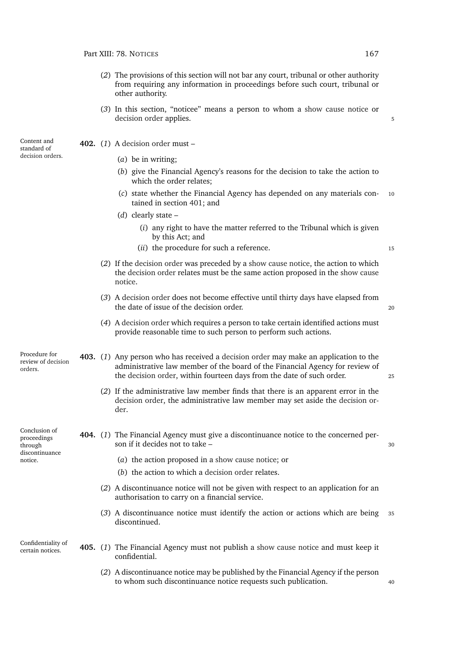- (*2*) The provisions of this section will not bar any court, tribunal or other authority from requiring any information in proceedings before such court, tribunal or other authority.
- (*3*) In this section, "noticee" means a person to whom a [show cause notice](#page-0-0) or [decision order](#page-0-0) applies.  $\overline{\phantom{0}}$

Content and standard of [decision orders](#page-0-0).

- **402.** (*1*) A [decision order](#page-0-0) must (*a*) be in writing;
	- (*b*) give the Financial Agency's reasons for the decision to take the action to which the order relates;
	- (*c*) state whether the Financial Agency has depended on any materials con- <sup>10</sup> tained in section [401;](#page-187-0) and
	- (*d*) clearly state
		- (*i*) any right to have the matter referred to the Tribunal which is given by this Act; and
		- (*ii*) the procedure for such a reference.

- (*2*) If the [decision order](#page-0-0) was preceded by a [show cause notice,](#page-0-0) the action to which the [decision order](#page-0-0) relates must be the same action proposed in the [show cause](#page-0-0) [notice.](#page-0-0)
- (*3*) A [decision order](#page-0-0) does not become effective until thirty days have elapsed from the date of issue of the decision order. 20

- (*4*) A [decision order](#page-0-0) which requires a person to take certain identified actions must provide reasonable time to such person to perform such actions.
- Procedure for review of [decision](#page-0-0) [orders](#page-0-0). **403.** (*1*) Any person who has received a [decision order](#page-0-0) may make an application to the administrative law member of the board of the Financial Agency for review of the [decision order,](#page-0-0) within fourteen days from the date of such order. <sup>25</sup>
	- (*2*) If the administrative law member finds that there is an apparent error in the [decision order,](#page-0-0) the administrative law member may set aside the [decision or](#page-0-0)[der.](#page-0-0)
- Conclusion of proceedings through **404.** (*1*) The Financial Agency must give a discontinuance notice to the concerned person if it decides not to take – 30

- (*a*) the action proposed in a [show cause notice;](#page-0-0) or
- (*b*) the action to which a [decision order](#page-0-0) relates.
- (*2*) A discontinuance notice will not be given with respect to an application for an authorisation to carry on a financial service.
- (*3*) A discontinuance notice must identify the action or actions which are being <sup>35</sup> discontinued.

Confidentiality of

discontinuance notice.

- certain notices. **405.** (*1*) The Financial Agency must not publish a [show cause notice](#page-0-0) and must keep it confidential.
	- (*2*) A discontinuance notice may be published by the Financial Agency if the person to whom such discontinuance notice requests such publication. <sup>40</sup>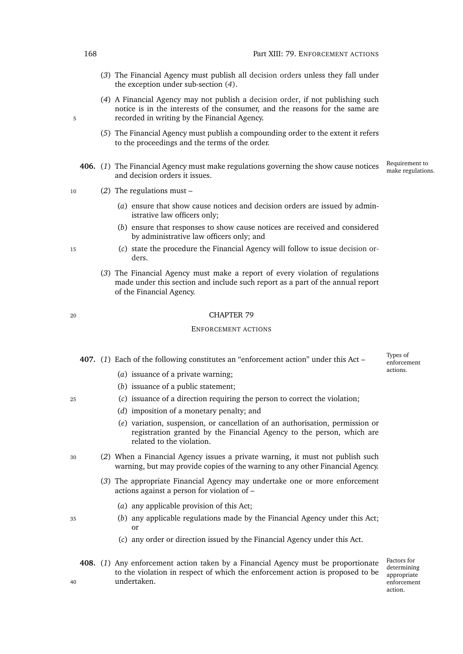- (*3*) The Financial Agency must publish all [decision orders](#page-0-0) unless they fall under the exception under sub-section (*[4](#page-189-1)*).
- <span id="page-189-1"></span>(*4*) A Financial Agency may not publish a [decision order,](#page-0-0) if not publishing such notice is in the interests of the consumer, and the reasons for the same are 5 recorded in writing by the Financial Agency.
	- (*5*) The Financial Agency must publish a compounding order to the extent it refers to the proceedings and the terms of the order.
	- Requirement to 406. (1) The Financial Agency must make regulations governing the show cause notices Requirement to make regulations. and decision orders it issues.
- <sup>10</sup> (*2*) The regulations must
	- (*a*) ensure that show cause notices and decision orders are issued by administrative law officers only;
	- (*b*) ensure that responses to show cause notices are received and considered by administrative law officers only; and
- <sup>15</sup> (*c*) state the procedure the Financial Agency will follow to issue [decision or](#page-0-0)[ders](#page-0-0).
	- (*3*) The Financial Agency must make a report of every violation of regulations made under this section and include such report as a part of the annual report of the Financial Agency.

#### ENFORCEMENT ACTIONS

**407.** (*1*) Each of the following constitutes an "enforcement action" under this Act –

- (*a*) issuance of a private warning;
- (*b*) issuance of a public statement;
- <span id="page-189-3"></span><span id="page-189-2"></span><sup>25</sup> (*c*) issuance of a direction requiring the person to correct the violation;
	- (*d*) imposition of a monetary penalty; and
	- (*e*) variation, suspension, or cancellation of an authorisation, permission or registration granted by the Financial Agency to the person, which are related to the violation.
- <span id="page-189-4"></span><sup>30</sup> (*2*) When a Financial Agency issues a private warning, it must not publish such warning, but may provide copies of the warning to any other Financial Agency.
	- (*3*) The appropriate Financial Agency may undertake one or more enforcement actions against a person for violation of –
		- (*a*) any applicable provision of this Act;
- <sup>35</sup> (*b*) any applicable regulations made by the Financial Agency under this Act; or
	- (*c*) any order or direction issued by the Financial Agency under this Act.
- <span id="page-189-0"></span>**408.** (*1*) Any enforcement action taken by a Financial Agency must be proportionate to the violation in respect of which the enforcement action is proposed to be <sup>40</sup> undertaken.

Factors for determining appropriate enforcement action.

Types of enforcement actions.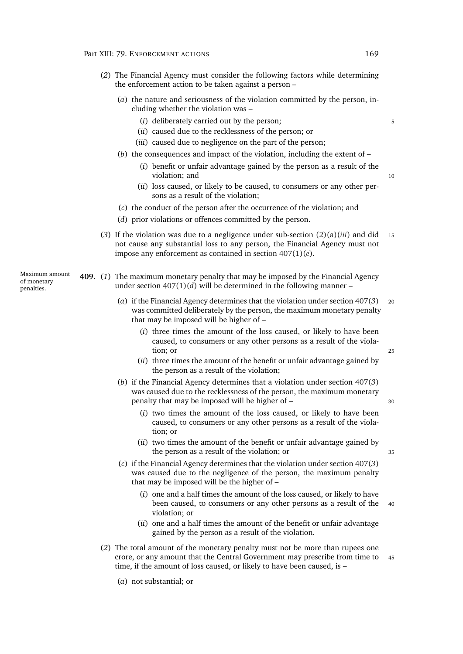- <span id="page-190-1"></span><span id="page-190-0"></span>(*2*) The Financial Agency must consider the following factors while determining the enforcement action to be taken against a person –
	- (*a*) the nature and seriousness of the violation committed by the person, including whether the violation was –
		- (*i*) deliberately carried out by the person; 5
		- (*ii*) caused due to the recklessness of the person; or
		- (*iii*) caused due to negligence on the part of the person;
	- (*b*) the consequences and impact of the violation, including the extent of
		- (*i*) benefit or unfair advantage gained by the person as a result of the violation; and 10
		- (*ii*) loss caused, or likely to be caused, to consumers or any other persons as a result of the violation;
	- (*c*) the conduct of the person after the occurrence of the violation; and
	- (*d*) prior violations or offences committed by the person.
- <span id="page-190-3"></span><span id="page-190-2"></span>(3) If the violation was due to a negligence under sub-section  $(2)(a)(iii)$  $(2)(a)(iii)$  and did 15 not cause any substantial loss to any person, the Financial Agency must not impose any enforcement as contained in section [407\(1\)\(](#page-189-2)*e*).

Maximum amount **409.** (*1*) The maximum monetary penalty that may be imposed by the Financial Agency under section [407\(1\)\(](#page-189-3)*d*) will be determined in the following manner –

- (*a*) if the Financial Agency determines that the violation under section [407\(](#page-189-4)*3*) <sup>20</sup> was committed deliberately by the person, the maximum monetary penalty that may be imposed will be higher of –
	- (*i*) three times the amount of the loss caused, or likely to have been caused, to consumers or any other persons as a result of the violation; or 25
	- (*ii*) three times the amount of the benefit or unfair advantage gained by the person as a result of the violation;
- (*b*) if the Financial Agency determines that a violation under section [407\(](#page-189-4)*3*) was caused due to the recklessness of the person, the maximum monetary penalty that may be imposed will be higher of – <sup>30</sup>
	- (*i*) two times the amount of the loss caused, or likely to have been caused, to consumers or any other persons as a result of the violation; or
	- (*ii*) two times the amount of the benefit or unfair advantage gained by the person as a result of the violation; or  $35$
- (*c*) if the Financial Agency determines that the violation under section [407\(](#page-189-4)*3*) was caused due to the negligence of the person, the maximum penalty that may be imposed will be the higher of –
	- (*i*) one and a half times the amount of the loss caused, or likely to have been caused, to consumers or any other persons as a result of the 40 violation; or
	- (*ii*) one and a half times the amount of the benefit or unfair advantage gained by the person as a result of the violation.
- (*2*) The total amount of the monetary penalty must not be more than rupees one crore, or any amount that the Central Government may prescribe from time to <sup>45</sup> time, if the amount of loss caused, or likely to have been caused, is –
	- (*a*) not substantial; or

of monetary penalties.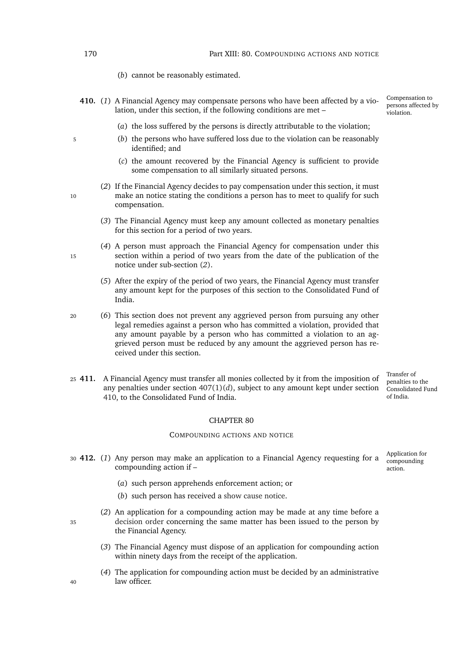- (*b*) cannot be reasonably estimated.
- <span id="page-191-1"></span>**410.** (*1*) A Financial Agency may compensate persons who have been affected by a violation, under this section, if the following conditions are met –
	- (*a*) the loss suffered by the persons is directly attributable to the violation;
- <sup>5</sup> (*b*) the persons who have suffered loss due to the violation can be reasonably identified; and
	- (*c*) the amount recovered by the Financial Agency is sufficient to provide some compensation to all similarly situated persons.
- <span id="page-191-0"></span>(*2*) If the Financial Agency decides to pay compensation under this section, it must 10 make an notice stating the conditions a person has to meet to qualify for such compensation.
	- (*3*) The Financial Agency must keep any amount collected as monetary penalties for this section for a period of two years.
- (*4*) A person must approach the Financial Agency for compensation under this 15 section within a period of two years from the date of the publication of the notice under sub-section (*[2](#page-191-0)*).
	- (*5*) After the expiry of the period of two years, the Financial Agency must transfer any amount kept for the purposes of this section to the Consolidated Fund of India.

<sup>20</sup> (*6*) This section does not prevent any aggrieved person from pursuing any other legal remedies against a person who has committed a violation, provided that any amount payable by a person who has committed a violation to an aggrieved person must be reduced by any amount the aggrieved person has received under this section.

<sup>25</sup> **411.** A Financial Agency must transfer all monies collected by it from the imposition of any penalties under section [407\(1\)\(](#page-189-3)*d*), subject to any amount kept under section [410,](#page-191-1) to the Consolidated Fund of India.

Transfer of penalties to the Consolidated Fund of India.

Compensation to persons affected by violation.

#### CHAPTER 80

#### COMPOUNDING ACTIONS AND NOTICE

<sup>30</sup> **412.** (*1*) Any person may make an application to a Financial Agency requesting for a compounding action if –

Application for compounding action.

- (*a*) such person apprehends enforcement action; or
- (*b*) such person has received a [show cause notice.](#page-0-0)
- (*2*) An application for a compounding action may be made at any time before a <sup>35</sup> [decision order](#page-0-0) concerning the same matter has been issued to the person by the Financial Agency.
	- (*3*) The Financial Agency must dispose of an application for compounding action within ninety days from the receipt of the application.
- (*4*) The application for compounding action must be decided by an administrative <sup>40</sup> law officer.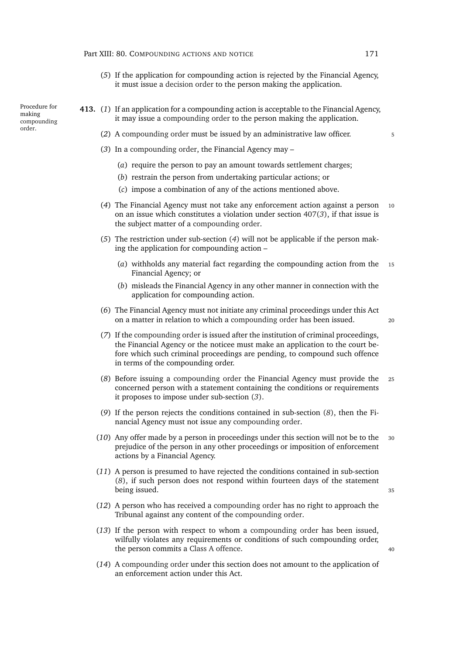- (*5*) If the application for compounding action is rejected by the Financial Agency, it must issue a [decision order](#page-0-0) to the person making the application.
- <span id="page-192-2"></span><span id="page-192-1"></span><span id="page-192-0"></span>**413.** (*1*) If an application for a compounding action is acceptable to the Financial Agency, it may issue a [compounding order](#page-0-0) to the person making the application.
	- (*2*) A [compounding order](#page-0-0) must be issued by an administrative law officer. <sup>5</sup>
	- (*3*) In a [compounding order,](#page-0-0) the Financial Agency may
		- (*a*) require the person to pay an amount towards settlement charges;
		- (*b*) restrain the person from undertaking particular actions; or
		- (*c*) impose a combination of any of the actions mentioned above.
	- (*4*) The Financial Agency must not take any enforcement action against a person <sup>10</sup> on an issue which constitutes a violation under section [407\(](#page-189-4)*3*), if that issue is the subject matter of a [compounding order.](#page-0-0)
	- (*5*) The restriction under sub-section (*[4](#page-192-0)*) will not be applicable if the person making the application for compounding action –
		- (*a*) withholds any material fact regarding the compounding action from the <sup>15</sup> Financial Agency; or
		- (*b*) misleads the Financial Agency in any other manner in connection with the application for compounding action.
	- (*6*) The Financial Agency must not initiate any criminal proceedings under this Act on a matter in relation to which a [compounding order](#page-0-0) has been issued. <sup>20</sup>
		-
	- (*7*) If the [compounding order](#page-0-0) is issued after the institution of criminal proceedings, the Financial Agency or the noticee must make an application to the court before which such criminal proceedings are pending, to compound such offence in terms of the compounding order.
	- (*8*) Before issuing a [compounding order](#page-0-0) the Financial Agency must provide the <sup>25</sup> concerned person with a statement containing the conditions or requirements it proposes to impose under sub-section (*[3](#page-192-1)*).
	- (*9*) If the person rejects the conditions contained in sub-section (*[8](#page-192-2)*), then the Financial Agency must not issue any [compounding order.](#page-0-0)
	- (10) Any offer made by a person in proceedings under this section will not be to the prejudice of the person in any other proceedings or imposition of enforcement actions by a Financial Agency.
	- (*11*) A person is presumed to have rejected the conditions contained in sub-section (*[8](#page-192-2)*), if such person does not respond within fourteen days of the statement being issued.  $35$
	- (*12*) A person who has received a [compounding order](#page-0-0) has no right to approach the Tribunal against any content of the [compounding order.](#page-0-0)
	- (*13*) If the person with respect to whom a [compounding order](#page-0-0) has been issued, wilfully violates any requirements or conditions of such compounding order, the person commits a [Class A offence.](#page-0-0) <sup>40</sup>
	- (*14*) A [compounding order](#page-0-0) under this section does not amount to the application of an enforcement action under this Act.

Procedure for making [compounding](#page-0-0) [order.](#page-0-0)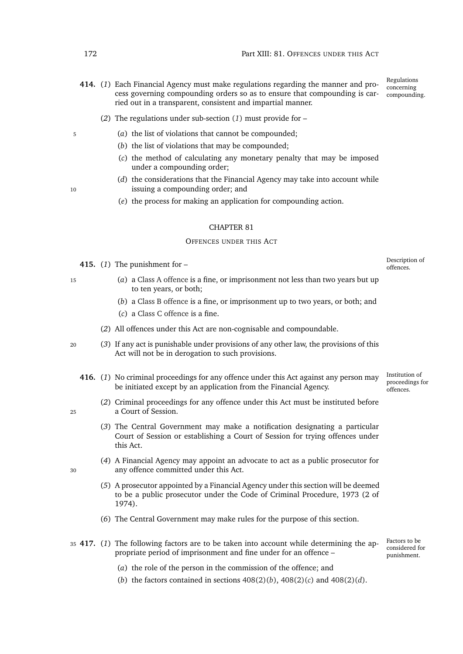- <span id="page-193-0"></span>Regulations concerning compounding. **414.** (*1*) Each Financial Agency must make regulations regarding the manner and process governing compounding orders so as to ensure that compounding is carried out in a transparent, consistent and impartial manner.
	- (*2*) The regulations under sub-section (*[1](#page-193-0)*) must provide for –
- <sup>5</sup> (*a*) the list of violations that cannot be compounded;
	- (*b*) the list of violations that may be compounded;
	- (*c*) the method of calculating any monetary penalty that may be imposed under a compounding order;
- (*d*) the considerations that the Financial Agency may take into account while 10 issuing a compounding order; and
- 
- (*e*) the process for making an application for compounding action.

#### OFFENCES UNDER THIS ACT

- 415. (1) The punishment for  $-$
- <sup>15</sup> (*a*) a [Class A offence](#page-0-0) is a fine, or imprisonment not less than two years but up to ten years, or both;
	- (*b*) a [Class B offence](#page-0-0) is a fine, or imprisonment up to two years, or both; and
	- (*c*) a [Class C offence](#page-0-0) is a fine.
	- (*2*) All offences under this Act are non-cognisable and compoundable.
- <sup>20</sup> (*3*) If any act is punishable under provisions of any other law, the provisions of this Act will not be in derogation to such provisions.
	- **416.** (*1*) No criminal proceedings for any offence under this Act against any person may be initiated except by an application from the Financial Agency.
- (*2*) Criminal proceedings for any offence under this Act must be instituted before <sup>25</sup> a Court of Session.
	- (*3*) The Central Government may make a notification designating a particular Court of Session or establishing a Court of Session for trying offences under this Act.
- (*4*) A Financial Agency may appoint an advocate to act as a public prosecutor for <sup>30</sup> any offence committed under this Act.
	- (*5*) A prosecutor appointed by a Financial Agency under this section will be deemed to be a public prosecutor under the Code of Criminal Procedure, 1973 (2 of 1974).
	- (*6*) The Central Government may make rules for the purpose of this section.
- <sup>35</sup> **417.** (*1*) The following factors are to be taken into account while determining the appropriate period of imprisonment and fine under for an offence –
	- (*a*) the role of the person in the commission of the offence; and
	- (*b*) the factors contained in sections [408\(2\)\(](#page-190-1)*b*), [408\(2\)\(](#page-190-2)*c*) and [408\(2\)\(](#page-190-3)*d*).

Description of<br>offences.

Institution of proceedings for offences.

Factors to be considered for punishment.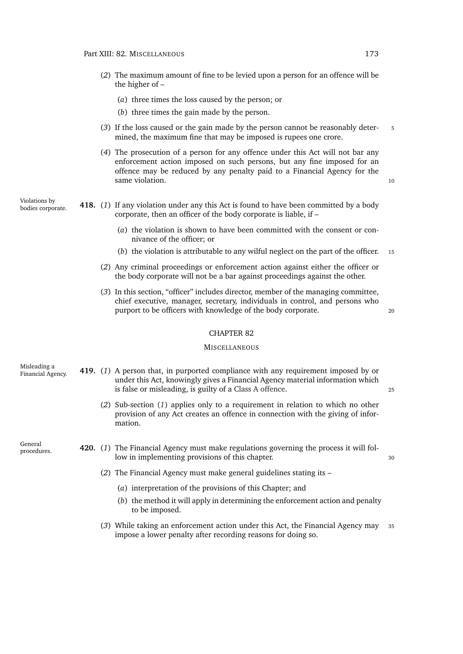- (*2*) The maximum amount of fine to be levied upon a person for an offence will be the higher of –
	- (*a*) three times the loss caused by the person; or
	- (*b*) three times the gain made by the person.
- (*3*) If the loss caused or the gain made by the person cannot be reasonably deter- <sup>5</sup> mined, the maximum fine that may be imposed is rupees one crore.
- (*4*) The prosecution of a person for any offence under this Act will not bar any enforcement action imposed on such persons, but any fine imposed for an offence may be reduced by any penalty paid to a Financial Agency for the same violation. 10

Violations by<br>bodies corporate.

- **418.** (1) If any violation under any this Act is found to have been committed by a body corporate, then an officer of the body corporate is liable, if –
	- (*a*) the violation is shown to have been committed with the consent or connivance of the officer; or
	- (*b*) the violation is attributable to any wilful neglect on the part of the officer. <sup>15</sup>
	- (*2*) Any criminal proceedings or enforcement action against either the officer or the body corporate will not be a bar against proceedings against the other.
	- (*3*) In this section, "officer" includes director, member of the managing committee, chief executive, manager, secretary, individuals in control, and persons who purport to be officers with knowledge of the body corporate.

#### CHAPTER 82

#### **MISCELLANEOUS**

<span id="page-194-0"></span>

| Misleading a<br>Financial Agency. |  | 419. (1) A person that, in purported compliance with any requirement imposed by or<br>under this Act, knowingly gives a Financial Agency material information which<br>is false or misleading, is guilty of a Class A offence. | 25 |
|-----------------------------------|--|--------------------------------------------------------------------------------------------------------------------------------------------------------------------------------------------------------------------------------|----|
|                                   |  | (2) Sub-section (1) applies only to a requirement in relation to which no other<br>provision of any Act creates an offence in connection with the giving of infor-<br>mation.                                                  |    |
| General<br>procedures.            |  | 420. (1) The Financial Agency must make regulations governing the process it will fol-<br>low in implementing provisions of this chapter.                                                                                      | 30 |
|                                   |  | (2) The Financial Agency must make general guidelines stating its $-$                                                                                                                                                          |    |
|                                   |  | (a) interpretation of the provisions of this Chapter; and                                                                                                                                                                      |    |
|                                   |  | (b) the method it will apply in determining the enforcement action and penalty<br>to be imposed.                                                                                                                               |    |
|                                   |  | (3) While taking an enforcement action under this Act, the Financial Agency may                                                                                                                                                | 35 |

(*3*) While taking an enforcement action under this Act, the Financial Agency may <sup>35</sup> impose a lower penalty after recording reasons for doing so.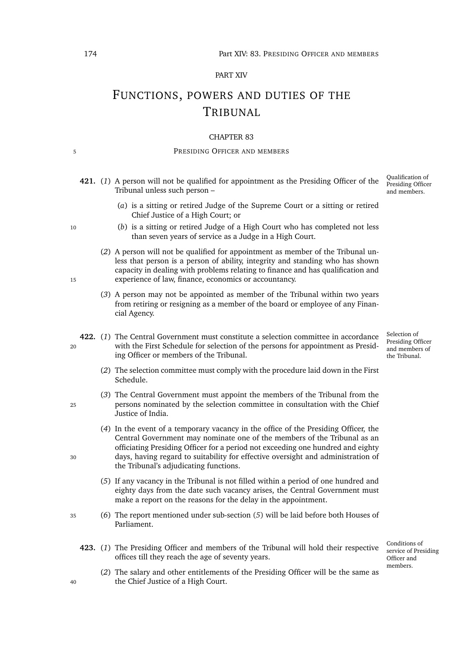#### PART XIV

# FUNCTIONS, POWERS AND DUTIES OF THE TRIBUNAL

#### CHAPTER 83

#### 5 PRESIDING OFFICER AND MEMBERS

Qualification of Presiding Officer and members. **421.** (*1*) A person will not be qualified for appointment as the Presiding Officer of the Tribunal unless such person –

- (*a*) is a sitting or retired Judge of the Supreme Court or a sitting or retired Chief Justice of a High Court; or
- <sup>10</sup> (*b*) is a sitting or retired Judge of a High Court who has completed not less than seven years of service as a Judge in a High Court.
- (*2*) A person will not be qualified for appointment as member of the Tribunal unless that person is a person of ability, integrity and standing who has shown capacity in dealing with problems relating to finance and has qualification and <sup>15</sup> experience of law, finance, economics or accountancy.
	- (*3*) A person may not be appointed as member of the Tribunal within two years from retiring or resigning as a member of the board or employee of any Financial Agency.
- **422.** (*1*) The Central Government must constitute a selection committee in accordance <sup>20</sup> with the First Schedule for selection of the persons for appointment as Presiding Officer or members of the Tribunal.
	- (*2*) The selection committee must comply with the procedure laid down in the First Schedule.
- (*3*) The Central Government must appoint the members of the Tribunal from the <sup>25</sup> persons nominated by the selection committee in consultation with the Chief Justice of India.
- (*4*) In the event of a temporary vacancy in the office of the Presiding Officer, the Central Government may nominate one of the members of the Tribunal as an officiating Presiding Officer for a period not exceeding one hundred and eighty <sup>30</sup> days, having regard to suitability for effective oversight and administration of the Tribunal's adjudicating functions.
	- (*5*) If any vacancy in the Tribunal is not filled within a period of one hundred and eighty days from the date such vacancy arises, the Central Government must make a report on the reasons for the delay in the appointment.
- <sup>35</sup> (*6*) The report mentioned under sub-section (*[5](#page-195-0)*) will be laid before both Houses of Parliament.
	- **423.** (*1*) The Presiding Officer and members of the Tribunal will hold their respective offices till they reach the age of seventy years.

Conditions of service of Presiding Officer and members.

Selection of Presiding Officer and members of the Tribunal.

(*2*) The salary and other entitlements of the Presiding Officer will be the same as <sup>40</sup> the Chief Justice of a High Court.

- 
- 
- 
- <span id="page-195-0"></span>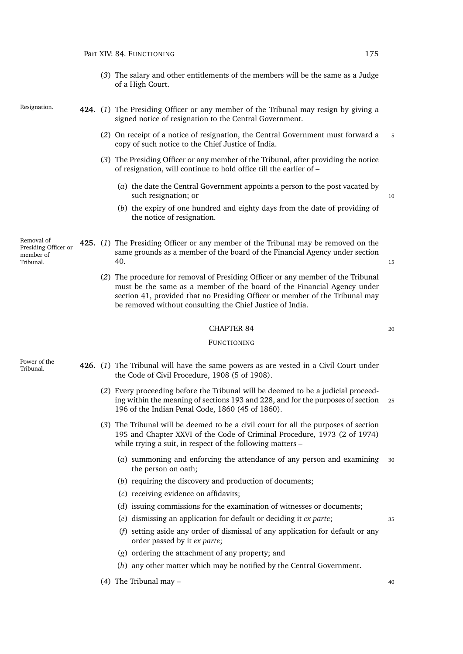(*3*) The salary and other entitlements of the members will be the same as a Judge of a High Court.

- Resignation. **424.** (*1*) The Presiding Officer or any member of the Tribunal may resign by giving a signed notice of resignation to the Central Government.
	- (*2*) On receipt of a notice of resignation, the Central Government must forward a <sup>5</sup> copy of such notice to the Chief Justice of India.
	- (*3*) The Presiding Officer or any member of the Tribunal, after providing the notice of resignation, will continue to hold office till the earlier of –
		- (*a*) the date the Central Government appoints a person to the post vacated by such resignation; or 10
		- (*b*) the expiry of one hundred and eighty days from the date of providing of the notice of resignation.

Removal of Presiding Officer or member of Tribunal.

- **425.** (*1*) The Presiding Officer or any member of the Tribunal may be removed on the same grounds as a member of the board of the Financial Agency under section [40.](#page-47-0) <sup>15</sup>
	- (*2*) The procedure for removal of Presiding Officer or any member of the Tribunal must be the same as a member of the board of the Financial Agency under section [41,](#page-47-1) provided that no Presiding Officer or member of the Tribunal may be removed without consulting the Chief Justice of India.

#### CHAPTER 84 20

#### FUNCTIONING

Power of the<br>Tribunal

- Tribunal. **426.** (*1*) The Tribunal will have the same powers as are vested in a Civil Court under the Code of Civil Procedure, 1908 (5 of 1908).
	- (*2*) Every proceeding before the Tribunal will be deemed to be a judicial proceeding within the meaning of sections 193 and 228, and for the purposes of section <sup>25</sup> 196 of the Indian Penal Code, 1860 (45 of 1860).
	- (*3*) The Tribunal will be deemed to be a civil court for all the purposes of section 195 and Chapter XXVI of the Code of Criminal Procedure, 1973 (2 of 1974) while trying a suit, in respect of the following matters –
		- (*a*) summoning and enforcing the attendance of any person and examining <sup>30</sup> the person on oath;
		- (*b*) requiring the discovery and production of documents;
		- (*c*) receiving evidence on affidavits;
		- (*d*) issuing commissions for the examination of witnesses or documents;
		- (*e*) dismissing an application for default or deciding it *ex parte*; <sup>35</sup>
		- (*f*) setting aside any order of dismissal of any application for default or any order passed by it *ex parte*;
		- (*g*) ordering the attachment of any property; and
		- (*h*) any other matter which may be notified by the Central Government.
	- (*4*) The Tribunal may <sup>40</sup>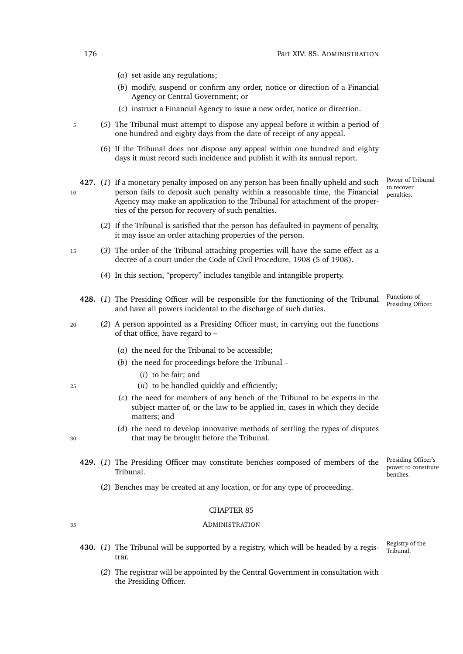- (*a*) set aside any regulations;
- (*b*) modify, suspend or confirm any order, notice or direction of a Financial Agency or Central Government; or
- (*c*) instruct a Financial Agency to issue a new order, notice or direction.
- <sup>5</sup> (*5*) The Tribunal must attempt to dispose any appeal before it within a period of one hundred and eighty days from the date of receipt of any appeal.
	- (*6*) If the Tribunal does not dispose any appeal within one hundred and eighty days it must record such incidence and publish it with its annual report.
- **427.** (*1*) If a monetary penalty imposed on any person has been finally upheld and such 10 person fails to deposit such penalty within a reasonable time, the Financial Agency may make an application to the Tribunal for attachment of the properties of the person for recovery of such penalties.
	- (*2*) If the Tribunal is satisfied that the person has defaulted in payment of penalty, it may issue an order attaching properties of the person.
- <sup>15</sup> (*3*) The order of the Tribunal attaching properties will have the same effect as a decree of a court under the Code of Civil Procedure, 1908 (5 of 1908).
	- (*4*) In this section, "property" includes tangible and intangible property.
	- Presiding Officer. **428.** (*1*) The Presiding Officer will be responsible for the functioning of the Tribunal and have all powers incidental to the discharge of such duties.
- <sup>20</sup> (*2*) A person appointed as a Presiding Officer must, in carrying out the functions of that office, have regard to –
	- (*a*) the need for the Tribunal to be accessible;
	- (*b*) the need for proceedings before the Tribunal
		- (*i*) to be fair; and
- <sup>25</sup> (*ii*) to be handled quickly and efficiently;
	- (*c*) the need for members of any bench of the Tribunal to be experts in the subject matter of, or the law to be applied in, cases in which they decide matters; and
- (*d*) the need to develop innovative methods of settling the types of disputes <sup>30</sup> that may be brought before the Tribunal.
- 
- Presiding Officer's **429.** (*1*) The Presiding Officer may constitute benches composed of members of the Tribunal.
	- (*2*) Benches may be created at any location, or for any type of proceeding.

#### <sup>35</sup> ADMINISTRATION

- Registry of the<br>Tribunal 430. (1) The Tribunal will be supported by a registry, which will be headed by a registrar.
	- (*2*) The registrar will be appointed by the Central Government in consultation with the Presiding Officer.

Power of Tribunal to recover penalties.

Functions of<br>Presiding Officer.

power to constitute benches.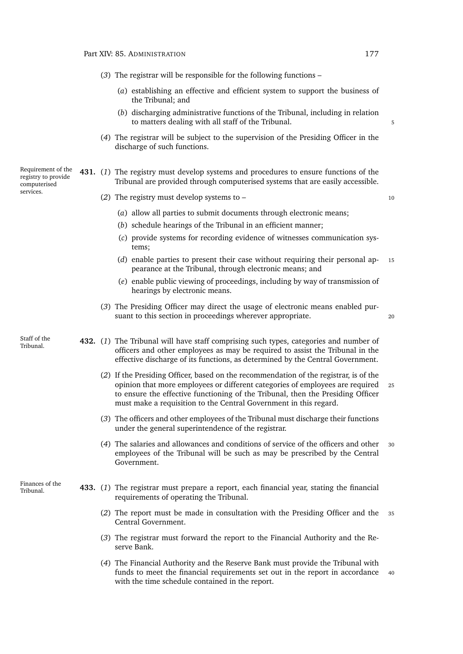the Tribunal; and

- (*b*) discharging administrative functions of the Tribunal, including in relation to matters dealing with all staff of the Tribunal. (*4*) The registrar will be subject to the supervision of the Presiding Officer in the discharge of such functions. Requirement of the registry to provide computerised services. **431.** (*1*) The registry must develop systems and procedures to ensure functions of the Tribunal are provided through computerised systems that are easily accessible. (*2*) The registry must develop systems to – <sup>10</sup> (*a*) allow all parties to submit documents through electronic means; (*b*) schedule hearings of the Tribunal in an efficient manner; (*c*) provide systems for recording evidence of witnesses communication systems; (*d*) enable parties to present their case without requiring their personal ap- <sup>15</sup> pearance at the Tribunal, through electronic means; and (*e*) enable public viewing of proceedings, including by way of transmission of hearings by electronic means. (*3*) The Presiding Officer may direct the usage of electronic means enabled pursuant to this section in proceedings wherever appropriate. 20 Staff of the Tribunal. **432.** (*1*) The Tribunal will have staff comprising such types, categories and number of officers and other employees as may be required to assist the Tribunal in the effective discharge of its functions, as determined by the Central Government. (*2*) If the Presiding Officer, based on the recommendation of the registrar, is of the opinion that more employees or different categories of employees are required <sup>25</sup> to ensure the effective functioning of the Tribunal, then the Presiding Officer must make a requisition to the Central Government in this regard. (*3*) The officers and other employees of the Tribunal must discharge their functions under the general superintendence of the registrar. (*4*) The salaries and allowances and conditions of service of the officers and other <sup>30</sup> employees of the Tribunal will be such as may be prescribed by the Central Government. Finances of the **433.** (1) The registrar must prepare a report, each financial year, stating the financial requirements of operating the Tribunal. (*2*) The report must be made in consultation with the Presiding Officer and the <sup>35</sup> Central Government. (*3*) The registrar must forward the report to the Financial Authority and the Reserve Bank.
	- (*4*) The Financial Authority and the Reserve Bank must provide the Tribunal with funds to meet the financial requirements set out in the report in accordance 40 with the time schedule contained in the report.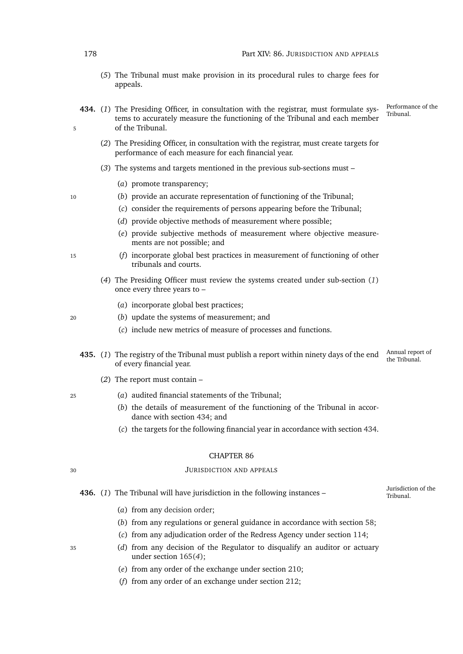- (*5*) The Tribunal must make provision in its procedural rules to charge fees for appeals.
- <span id="page-199-1"></span><span id="page-199-0"></span>Performance of the<br>Tribunal 434. (1) The Presiding Officer, in consultation with the registrar, must formulate systems to accurately measure the functioning of the Tribunal and each member 5 of the Tribunal.
	- (*2*) The Presiding Officer, in consultation with the registrar, must create targets for performance of each measure for each financial year.
	- (*3*) The systems and targets mentioned in the previous sub-sections must
		- (*a*) promote transparency;
- <sup>10</sup> (*b*) provide an accurate representation of functioning of the Tribunal;
	- (*c*) consider the requirements of persons appearing before the Tribunal;
	- (*d*) provide objective methods of measurement where possible;
	- (*e*) provide subjective methods of measurement where objective measurements are not possible; and
- <sup>15</sup> (*f*) incorporate global best practices in measurement of functioning of other tribunals and courts.
	- (*4*) The Presiding Officer must review the systems created under sub-section (*[1](#page-199-0)*) once every three years to –
		- (*a*) incorporate global best practices;
- <sup>20</sup> (*b*) update the systems of measurement; and
	- (*c*) include new metrics of measure of processes and functions.
	- Annual report of **435.** (1) The registry of the Tribunal must publish a report within ninety days of the end the Tribunal report of every financial year.
		- (*2*) The report must contain –
- <sup>25</sup> (*a*) audited financial statements of the Tribunal;
	- (*b*) the details of measurement of the functioning of the Tribunal in accordance with section [434;](#page-199-1) and
	- (*c*) the targets for the following financial year in accordance with section [434.](#page-199-1)

#### <sup>30</sup> JURISDICTION AND APPEALS

436. (1) The Tribunal will have jurisdiction in the following instances – <sup>Jurisdiction</sup>

Jurisdiction of the

- (*a*) from any [decision order;](#page-0-0)
- (*b*) from any regulations or general guidance in accordance with section [58;](#page-53-0)
- (*c*) from any adjudication order of the Redress Agency under section [114;](#page-77-0)
- <sup>35</sup> (*d*) from any decision of the Regulator to disqualify an auditor or actuary under section [165\(](#page-100-0)*4*);
	- (*e*) from any order of the exchange under section [210;](#page-112-0)
	- (*f*) from any order of an exchange under section [212;](#page-113-0)

- 
- 
-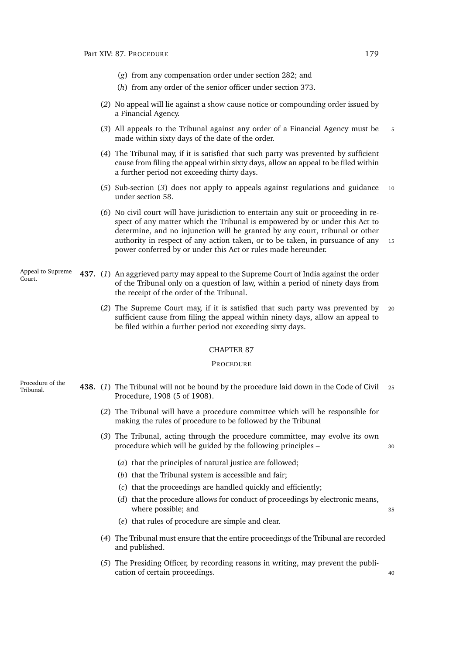- (*g*) from any compensation order under section [282;](#page-139-0) and
- (*h*) from any order of the senior officer under section [373.](#page-173-0)
- (*2*) No appeal will lie against a [show cause notice](#page-0-0) or [compounding order](#page-0-0) issued by a Financial Agency.
- <span id="page-200-0"></span>(*3*) All appeals to the Tribunal against any order of a Financial Agency must be <sup>5</sup> made within sixty days of the date of the order.
- (*4*) The Tribunal may, if it is satisfied that such party was prevented by sufficient cause from filing the appeal within sixty days, allow an appeal to be filed within a further period not exceeding thirty days.
- (*5*) Sub-section (*[3](#page-200-0)*) does not apply to appeals against regulations and guidance <sup>10</sup> under section [58.](#page-53-0)
- (*6*) No civil court will have jurisdiction to entertain any suit or proceeding in respect of any matter which the Tribunal is empowered by or under this Act to determine, and no injunction will be granted by any court, tribunal or other authority in respect of any action taken, or to be taken, in pursuance of any 15 power conferred by or under this Act or rules made hereunder.
- Appeal to Supreme Court. **437.** (*1*) An aggrieved party may appeal to the Supreme Court of India against the order of the Tribunal only on a question of law, within a period of ninety days from the receipt of the order of the Tribunal.
	- (*2*) The Supreme Court may, if it is satisfied that such party was prevented by <sup>20</sup> sufficient cause from filing the appeal within ninety days, allow an appeal to be filed within a further period not exceeding sixty days.

#### **PROCEDURE**

- Procedure of the
- Tribunal. **438.** (*1*) The Tribunal will not be bound by the procedure laid down in the Code of Civil <sup>25</sup> Procedure, 1908 (5 of 1908).
	- (*2*) The Tribunal will have a procedure committee which will be responsible for making the rules of procedure to be followed by the Tribunal
	- (*3*) The Tribunal, acting through the procedure committee, may evolve its own procedure which will be guided by the following principles –  $\frac{30}{2}$

- (*a*) that the principles of natural justice are followed;
- (*b*) that the Tribunal system is accessible and fair;
- (*c*) that the proceedings are handled quickly and efficiently;
- (*d*) that the procedure allows for conduct of proceedings by electronic means, where possible; and 35
- (*e*) that rules of procedure are simple and clear.
- (*4*) The Tribunal must ensure that the entire proceedings of the Tribunal are recorded and published.
- (*5*) The Presiding Officer, by recording reasons in writing, may prevent the publication of certain proceedings.  $\frac{40}{2}$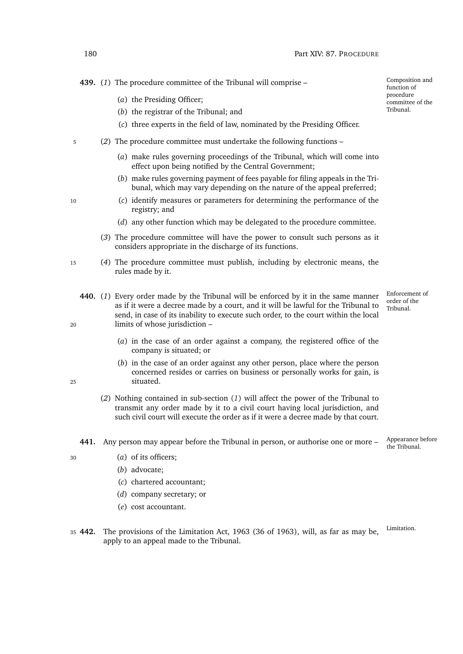**439.** (*1*) The procedure committee of the Tribunal will comprise –

- (*a*) the Presiding Officer;
- (*b*) the registrar of the Tribunal; and
- (*c*) three experts in the field of law, nominated by the Presiding Officer.
- <sup>5</sup> (*2*) The procedure committee must undertake the following functions
	- (*a*) make rules governing proceedings of the Tribunal, which will come into effect upon being notified by the Central Government;
	- (*b*) make rules governing payment of fees payable for filing appeals in the Tribunal, which may vary depending on the nature of the appeal preferred;
- <sup>10</sup> (*c*) identify measures or parameters for determining the performance of the registry; and
	- (*d*) any other function which may be delegated to the procedure committee.
	- (*3*) The procedure committee will have the power to consult such persons as it considers appropriate in the discharge of its functions.
- <sup>15</sup> (*4*) The procedure committee must publish, including by electronic means, the rules made by it.
- <span id="page-201-0"></span>**440.** (*1*) Every order made by the Tribunal will be enforced by it in the same manner as if it were a decree made by a court, and it will be lawful for the Tribunal to send, in case of its inability to execute such order, to the court within the local <sup>20</sup> limits of whose jurisdiction –
	- (*a*) in the case of an order against a company, the registered office of the company is situated; or
- (*b*) in the case of an order against any other person, place where the person concerned resides or carries on business or personally works for gain, is <sup>25</sup> situated.
	- (*2*) Nothing contained in sub-section (*[1](#page-201-0)*) will affect the power of the Tribunal to transmit any order made by it to a civil court having local jurisdiction, and such civil court will execute the order as if it were a decree made by that court.
	- **441.** Any person may appear before the Tribunal in person, or authorise one or more –
- 

<sup>30</sup> (*a*) of its officers;

- (*b*) advocate;
- (*c*) chartered accountant;
- (*d*) company secretary; or
- (*e*) cost accountant.
- <sup>35</sup> **442.** The provisions of the Limitation Act, 1963 (36 of 1963), will, as far as may be, apply to an appeal made to the Tribunal.

Composition and function of procedure committee of the Tribunal.

Enforcement of order of the Tribunal.

Appearance before<br>the Tribunal

Limitation.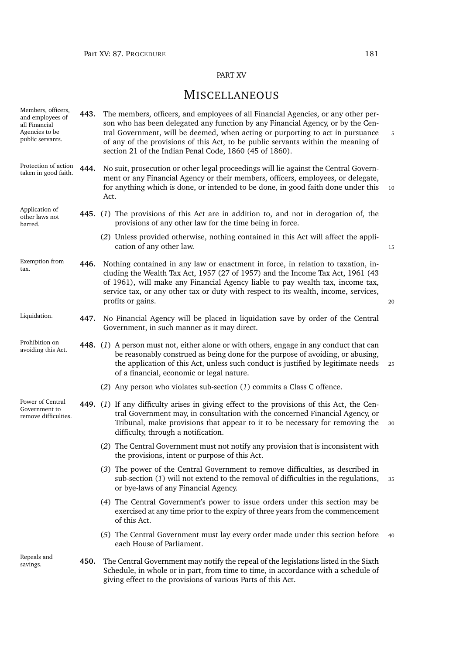# PART XV

# **MISCELLANEOUS**

<span id="page-202-3"></span><span id="page-202-2"></span><span id="page-202-1"></span><span id="page-202-0"></span>

| Members, officers,<br>and employees of<br>all Financial<br>Agencies to be<br>public servants. | 443. | The members, officers, and employees of all Financial Agencies, or any other per-<br>son who has been delegated any function by any Financial Agency, or by the Cen-<br>tral Government, will be deemed, when acting or purporting to act in pursuance<br>of any of the provisions of this Act, to be public servants within the meaning of<br>section 21 of the Indian Penal Code, 1860 (45 of 1860). | 5  |
|-----------------------------------------------------------------------------------------------|------|--------------------------------------------------------------------------------------------------------------------------------------------------------------------------------------------------------------------------------------------------------------------------------------------------------------------------------------------------------------------------------------------------------|----|
| Protection of action<br>taken in good faith.                                                  | 444. | No suit, prosecution or other legal proceedings will lie against the Central Govern-<br>ment or any Financial Agency or their members, officers, employees, or delegate,<br>for anything which is done, or intended to be done, in good faith done under this<br>Act.                                                                                                                                  | 10 |
| Application of<br>other laws not<br>barred.                                                   |      | 445. (1) The provisions of this Act are in addition to, and not in derogation of, the<br>provisions of any other law for the time being in force.                                                                                                                                                                                                                                                      |    |
|                                                                                               |      | (2) Unless provided otherwise, nothing contained in this Act will affect the appli-<br>cation of any other law.                                                                                                                                                                                                                                                                                        | 15 |
| Exemption from<br>tax.                                                                        | 446. | Nothing contained in any law or enactment in force, in relation to taxation, in-<br>cluding the Wealth Tax Act, 1957 (27 of 1957) and the Income Tax Act, 1961 (43<br>of 1961), will make any Financial Agency liable to pay wealth tax, income tax,<br>service tax, or any other tax or duty with respect to its wealth, income, services,<br>profits or gains.                                       | 20 |
| Liquidation.                                                                                  | 447. | No Financial Agency will be placed in liquidation save by order of the Central<br>Government, in such manner as it may direct.                                                                                                                                                                                                                                                                         |    |
| Prohibition on<br>avoiding this Act.                                                          |      | 448. (1) A person must not, either alone or with others, engage in any conduct that can<br>be reasonably construed as being done for the purpose of avoiding, or abusing,<br>the application of this Act, unless such conduct is justified by legitimate needs<br>of a financial, economic or legal nature.                                                                                            | 25 |
|                                                                                               |      | (2) Any person who violates sub-section (1) commits a Class C offence.                                                                                                                                                                                                                                                                                                                                 |    |
| Power of Central<br>Government to<br>remove difficulties.                                     |      | 449. (1) If any difficulty arises in giving effect to the provisions of this Act, the Cen-<br>tral Government may, in consultation with the concerned Financial Agency, or<br>Tribunal, make provisions that appear to it to be necessary for removing the<br>difficulty, through a notification.                                                                                                      | 30 |
|                                                                                               |      | (2) The Central Government must not notify any provision that is inconsistent with<br>the provisions, intent or purpose of this Act.                                                                                                                                                                                                                                                                   |    |
|                                                                                               |      | (3) The power of the Central Government to remove difficulties, as described in<br>sub-section $(1)$ will not extend to the removal of difficulties in the regulations,<br>or bye-laws of any Financial Agency.                                                                                                                                                                                        | 35 |
|                                                                                               |      | (4) The Central Government's power to issue orders under this section may be<br>exercised at any time prior to the expiry of three years from the commencement<br>of this Act.                                                                                                                                                                                                                         |    |
|                                                                                               |      | (5) The Central Government must lay every order made under this section before<br>each House of Parliament.                                                                                                                                                                                                                                                                                            | 40 |
| Repeals and<br>savings.                                                                       | 450. | The Central Government may notify the repeal of the legislations listed in the Sixth<br>Schedule, in whole or in part, from time to time, in accordance with a schedule of<br>giving effect to the provisions of various Parts of this Act.                                                                                                                                                            |    |
|                                                                                               |      |                                                                                                                                                                                                                                                                                                                                                                                                        |    |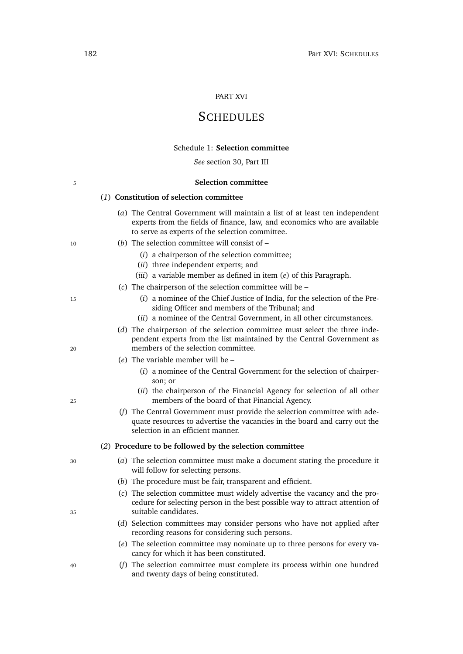#### PART XVI

# **SCHEDULES**

#### Schedule 1: **Selection committee**

*See* section [30,](#page-44-0) Part [III](#page-44-1)

#### 5 **Selection committee**

### (*1*) **Constitution of selection committee**

- (*a*) The Central Government will maintain a list of at least ten independent experts from the fields of finance, law, and economics who are available to serve as experts of the selection committee.
- <sup>10</sup> (*b*) The selection committee will consist of
	- (*i*) a chairperson of the selection committee;
	- (*ii*) three independent experts; and
	- (*iii*) a variable member as defined in item (*[e](#page-203-0)*) of this Paragraph.
	- (*c*) The chairperson of the selection committee will be –
- <sup>15</sup> (*i*) a nominee of the Chief Justice of India, for the selection of the Presiding Officer and members of the Tribunal; and
	- (*ii*) a nominee of the Central Government, in all other circumstances.
- (*d*) The chairperson of the selection committee must select the three independent experts from the list maintained by the Central Government as <sup>20</sup> members of the selection committee.
	- (*e*) The variable member will be
		- (*i*) a nominee of the Central Government for the selection of chairperson; or
- (*ii*) the chairperson of the Financial Agency for selection of all other <sup>25</sup> members of the board of that Financial Agency.
	- (*f*) The Central Government must provide the selection committee with adequate resources to advertise the vacancies in the board and carry out the selection in an efficient manner.

#### (*2*) **Procedure to be followed by the selection committee**

- <sup>30</sup> (*a*) The selection committee must make a document stating the procedure it will follow for selecting persons.
	- (*b*) The procedure must be fair, transparent and efficient.
- (*c*) The selection committee must widely advertise the vacancy and the procedure for selecting person in the best possible way to attract attention of <sup>35</sup> suitable candidates.
	- (*d*) Selection committees may consider persons who have not applied after recording reasons for considering such persons.
	- (*e*) The selection committee may nominate up to three persons for every vacancy for which it has been constituted.
- <sup>40</sup> (*f*) The selection committee must complete its process within one hundred and twenty days of being constituted.

<span id="page-203-0"></span>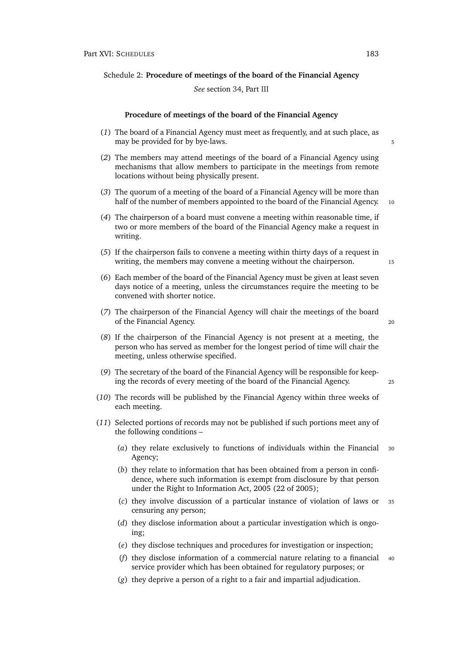Schedule 2: **Procedure of meetings of the board of the Financial Agency**

#### *See* section [34,](#page-45-0) Part [III](#page-44-1)

#### **Procedure of meetings of the board of the Financial Agency**

- (*1*) The board of a Financial Agency must meet as frequently, and at such place, as may be provided for by bye-laws. The state of the state of the state of the state of the state of the state of the state of the state of the state of the state of the state of the state of the state of the state of the sta
- (*2*) The members may attend meetings of the board of a Financial Agency using mechanisms that allow members to participate in the meetings from remote locations without being physically present.
- (*3*) The quorum of a meeting of the board of a Financial Agency will be more than half of the number of members appointed to the board of the Financial Agency. 10
- (*4*) The chairperson of a board must convene a meeting within reasonable time, if two or more members of the board of the Financial Agency make a request in writing.
- (*5*) If the chairperson fails to convene a meeting within thirty days of a request in writing, the members may convene a meeting without the chairperson.  $15$
- (*6*) Each member of the board of the Financial Agency must be given at least seven days notice of a meeting, unless the circumstances require the meeting to be convened with shorter notice.
- (*7*) The chairperson of the Financial Agency will chair the meetings of the board of the Financial Agency. <sup>20</sup>
- (*8*) If the chairperson of the Financial Agency is not present at a meeting, the person who has served as member for the longest period of time will chair the meeting, unless otherwise specified.
- (*9*) The secretary of the board of the Financial Agency will be responsible for keeping the records of every meeting of the board of the Financial Agency. <sup>25</sup>
- <span id="page-204-1"></span>(*10*) The records will be published by the Financial Agency within three weeks of each meeting.
- <span id="page-204-0"></span>(*11*) Selected portions of records may not be published if such portions meet any of the following conditions –
	- (*a*) they relate exclusively to functions of individuals within the Financial <sup>30</sup> Agency;
	- (*b*) they relate to information that has been obtained from a person in confidence, where such information is exempt from disclosure by that person under the Right to Information Act, 2005 (22 of 2005);
	- (*c*) they involve discussion of a particular instance of violation of laws or <sup>35</sup> censuring any person;
	- (*d*) they disclose information about a particular investigation which is ongoing;
	- (*e*) they disclose techniques and procedures for investigation or inspection;
	- (*f*) they disclose information of a commercial nature relating to a financial <sup>40</sup> service provider which has been obtained for regulatory purposes; or
	- (*g*) they deprive a person of a right to a fair and impartial adjudication.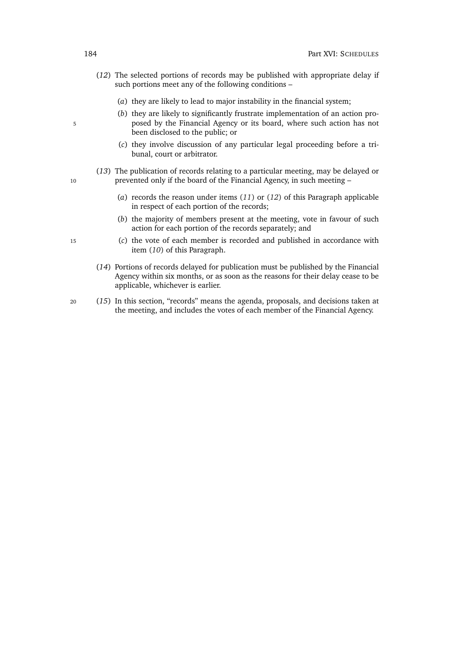- <span id="page-205-0"></span>(*12*) The selected portions of records may be published with appropriate delay if such portions meet any of the following conditions –
	- (*a*) they are likely to lead to major instability in the financial system;
- (*b*) they are likely to significantly frustrate implementation of an action pro-5 posed by the Financial Agency or its board, where such action has not been disclosed to the public; or
	- (*c*) they involve discussion of any particular legal proceeding before a tribunal, court or arbitrator.
- (*13*) The publication of records relating to a particular meeting, may be delayed or 10 prevented only if the board of the Financial Agency, in such meeting –
	- (*a*) records the reason under items (*[11](#page-204-0)*) or (*[12](#page-205-0)*) of this Paragraph applicable in respect of each portion of the records;
	- (*b*) the majority of members present at the meeting, vote in favour of such action for each portion of the records separately; and
- <sup>15</sup> (*c*) the vote of each member is recorded and published in accordance with item (*[10](#page-204-1)*) of this Paragraph.
	- (*14*) Portions of records delayed for publication must be published by the Financial Agency within six months, or as soon as the reasons for their delay cease to be applicable, whichever is earlier.
- <sup>20</sup> (*15*) In this section, "records" means the agenda, proposals, and decisions taken at the meeting, and includes the votes of each member of the Financial Agency.
-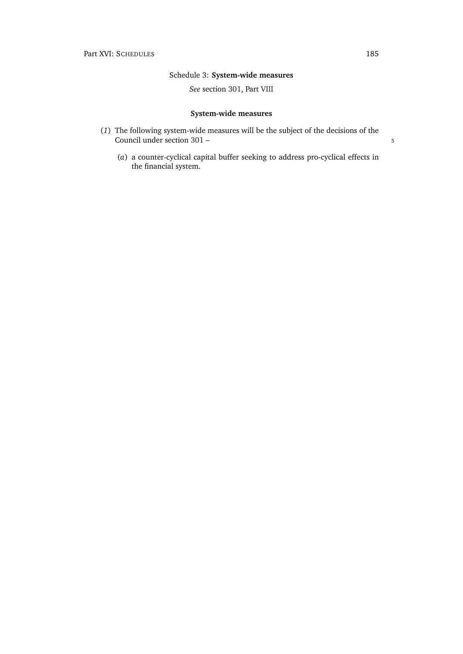## Schedule 3: **System-wide measures**

### *See* section [301,](#page-146-0) Part [VIII](#page-143-0)

## **System-wide measures**

- (*1*) The following system-wide measures will be the subject of the decisions of the Council under section [301](#page-146-0) – 5
	- (*a*) a counter-cyclical capital buffer seeking to address pro-cyclical effects in the financial system.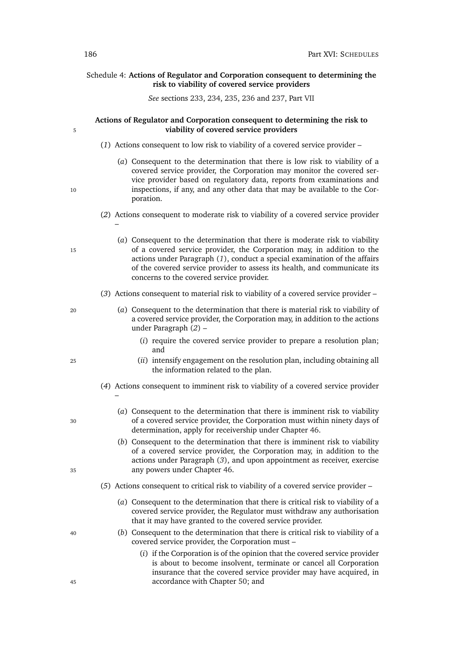### Schedule 4: **Actions of Regulator and Corporation consequent to determining the risk to viability of covered service providers**

*See* sections [233,](#page-120-0) [234,](#page-121-0) [235,](#page-121-1) [236](#page-121-2) and [237,](#page-121-3) Part [VII](#page-117-0)

### **Actions of Regulator and Corporation consequent to determining the risk to** 5 **viability of covered service providers**

- <span id="page-207-0"></span>(*1*) Actions consequent to low risk to viability of a covered service provider –
- (*a*) Consequent to the determination that there is low risk to viability of a covered service provider, the Corporation may monitor the covered service provider based on regulatory data, reports from examinations and 10 inspections, if any, and any other data that may be available to the Corporation.
	- (*2*) Actions consequent to moderate risk to viability of a covered service provider –
- <span id="page-207-1"></span>(*a*) Consequent to the determination that there is moderate risk to viability 15 of a covered service provider, the Corporation may, in addition to the actions under Paragraph (*[1](#page-207-0)*), conduct a special examination of the affairs of the covered service provider to assess its health, and communicate its concerns to the covered service provider.
	- (*3*) Actions consequent to material risk to viability of a covered service provider –
- <span id="page-207-2"></span><sup>20</sup> (*a*) Consequent to the determination that there is material risk to viability of a covered service provider, the Corporation may, in addition to the actions under Paragraph (*[2](#page-207-1)*) –
	- (*i*) require the covered service provider to prepare a resolution plan; and
- <span id="page-207-3"></span><sup>25</sup> (*ii*) intensify engagement on the resolution plan, including obtaining all the information related to the plan.
	- (*4*) Actions consequent to imminent risk to viability of a covered service provider
- (*a*) Consequent to the determination that there is imminent risk to viability <sup>30</sup> of a covered service provider, the Corporation must within ninety days of determination, apply for receivership under Chapter [46.](#page-123-0)
- (*b*) Consequent to the determination that there is imminent risk to viability of a covered service provider, the Corporation may, in addition to the actions under Paragraph (*[3](#page-207-2)*), and upon appointment as receiver, exercise <sup>35</sup> any powers under Chapter [46.](#page-123-0)
	- (*5*) Actions consequent to critical risk to viability of a covered service provider
		- (*a*) Consequent to the determination that there is critical risk to viability of a covered service provider, the Regulator must withdraw any authorisation that it may have granted to the covered service provider.
- <sup>40</sup> (*b*) Consequent to the determination that there is critical risk to viability of a covered service provider, the Corporation must –
- (*i*) if the Corporation is of the opinion that the covered service provider is about to become insolvent, terminate or cancel all Corporation insurance that the covered service provider may have acquired, in <sup>45</sup> accordance with Chapter [50;](#page-131-0) and

–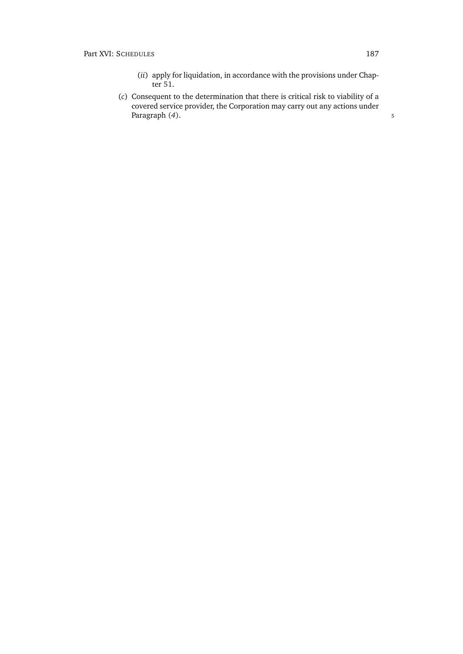- (*ii*) apply for liquidation, in accordance with the provisions under Chapter [51.](#page-136-0)
- (*c*) Consequent to the determination that there is critical risk to viability of a covered service provider, the Corporation may carry out any actions under Paragraph (*[4](#page-207-3)*). 5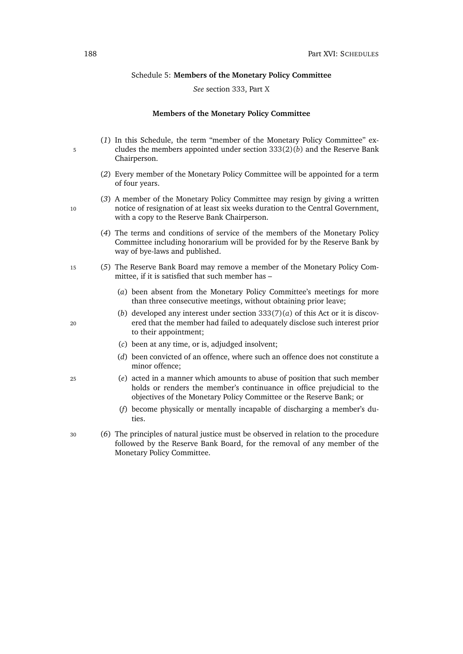#### Schedule 5: **Members of the Monetary Policy Committee**

### *See* section [333,](#page-157-0) Part [X](#page-156-0)

#### **Members of the Monetary Policy Committee**

- (*1*) In this Schedule, the term "member of the Monetary Policy Committee" ex-<sup>5</sup> cludes the members appointed under section [333\(2\)\(](#page-157-1)*b*) and the Reserve Bank Chairperson.
	- (*2*) Every member of the Monetary Policy Committee will be appointed for a term of four years.
- (*3*) A member of the Monetary Policy Committee may resign by giving a written 10 notice of resignation of at least six weeks duration to the Central Government, with a copy to the Reserve Bank Chairperson.
	- (*4*) The terms and conditions of service of the members of the Monetary Policy Committee including honorarium will be provided for by the Reserve Bank by way of bye-laws and published.
- <sup>15</sup> (*5*) The Reserve Bank Board may remove a member of the Monetary Policy Committee, if it is satisfied that such member has –
	- (*a*) been absent from the Monetary Policy Committee's meetings for more than three consecutive meetings, without obtaining prior leave;
- (*b*) developed any interest under section  $333(7)(a)$  $333(7)(a)$  of this Act or it is discov-<sup>20</sup> ered that the member had failed to adequately disclose such interest prior to their appointment;
	- (*c*) been at any time, or is, adjudged insolvent;
	- (*d*) been convicted of an offence, where such an offence does not constitute a minor offence;
- <sup>25</sup> (*e*) acted in a manner which amounts to abuse of position that such member holds or renders the member's continuance in office prejudicial to the objectives of the Monetary Policy Committee or the Reserve Bank; or
	- (*f*) become physically or mentally incapable of discharging a member's duties.
- <sup>30</sup> (*6*) The principles of natural justice must be observed in relation to the procedure followed by the Reserve Bank Board, for the removal of any member of the Monetary Policy Committee.